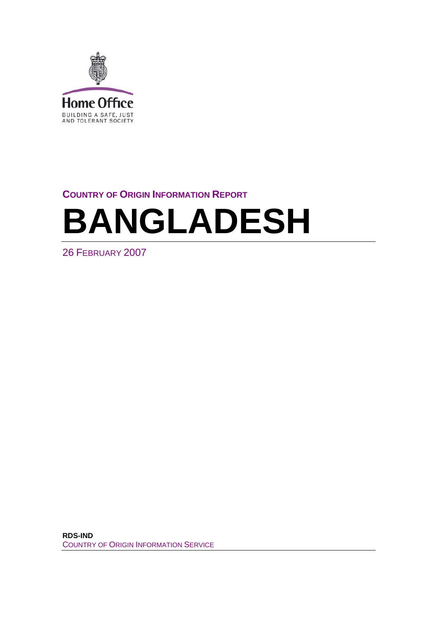<span id="page-0-0"></span>

# **COUNTRY OF ORIGIN INFORMATION REPORT**

# **BANGLADESH**

26 FEBRUARY 2007

**RDS-IND**  COUNTRY OF ORIGIN INFORMATION SERVICE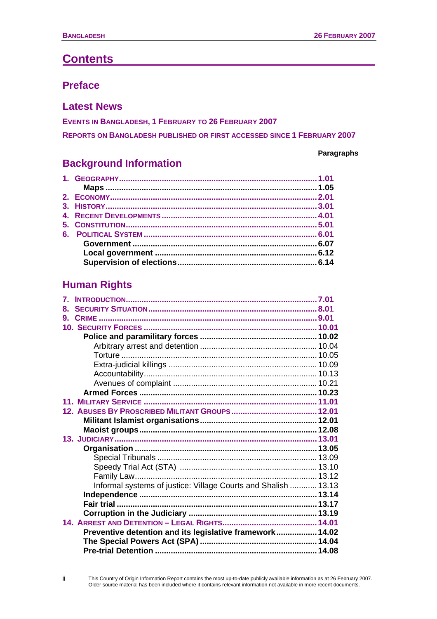# **Contents**

# **[Preface](#page-4-0)**

# **[Latest News](#page-7-0)**

**[EVENTS IN](#page-7-0) BANGLADESH, 1 FEBRUARY TO 26 FEBRUARY 2007 [REPORTS ON](#page-9-0) BANGLADESH PUBLISHED OR FIRST ACCESSED SINCE 1 FEBRUARY 2007** 

# **[Background Information](#page-10-0)**

### **Paragraphs**

# **[Human Rights](#page-36-0)**

| $\mathbf{7}_{-}$                                               |  |
|----------------------------------------------------------------|--|
| 8.                                                             |  |
| 9.                                                             |  |
|                                                                |  |
|                                                                |  |
|                                                                |  |
|                                                                |  |
|                                                                |  |
|                                                                |  |
|                                                                |  |
|                                                                |  |
|                                                                |  |
|                                                                |  |
|                                                                |  |
|                                                                |  |
|                                                                |  |
|                                                                |  |
|                                                                |  |
|                                                                |  |
|                                                                |  |
| Informal systems of justice: Village Courts and Shalish  13.13 |  |
|                                                                |  |
|                                                                |  |
|                                                                |  |
|                                                                |  |
| Preventive detention and its legislative framework 14.02       |  |
|                                                                |  |
|                                                                |  |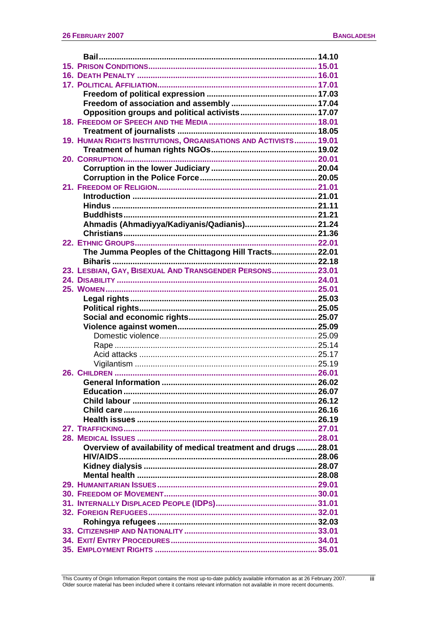| 19. HUMAN RIGHTS INSTITUTIONS, ORGANISATIONS AND ACTIVISTS 19.01 |  |
|------------------------------------------------------------------|--|
|                                                                  |  |
|                                                                  |  |
|                                                                  |  |
|                                                                  |  |
|                                                                  |  |
|                                                                  |  |
|                                                                  |  |
|                                                                  |  |
| Ahmadis (Ahmadiyya/Kadiyanis/Qadianis) 21.24                     |  |
|                                                                  |  |
|                                                                  |  |
| The Jumma Peoples of the Chittagong Hill Tracts 22.01            |  |
|                                                                  |  |
| 23. LESBIAN, GAY, BISEXUAL AND TRANSGENDER PERSONS 23.01         |  |
|                                                                  |  |
|                                                                  |  |
|                                                                  |  |
|                                                                  |  |
|                                                                  |  |
|                                                                  |  |
|                                                                  |  |
|                                                                  |  |
|                                                                  |  |
|                                                                  |  |
|                                                                  |  |
|                                                                  |  |
|                                                                  |  |
|                                                                  |  |
|                                                                  |  |
|                                                                  |  |
|                                                                  |  |
|                                                                  |  |
|                                                                  |  |
| Overview of availability of medical treatment and drugs  28.01   |  |
|                                                                  |  |
|                                                                  |  |
|                                                                  |  |
|                                                                  |  |
|                                                                  |  |
|                                                                  |  |
|                                                                  |  |
|                                                                  |  |
|                                                                  |  |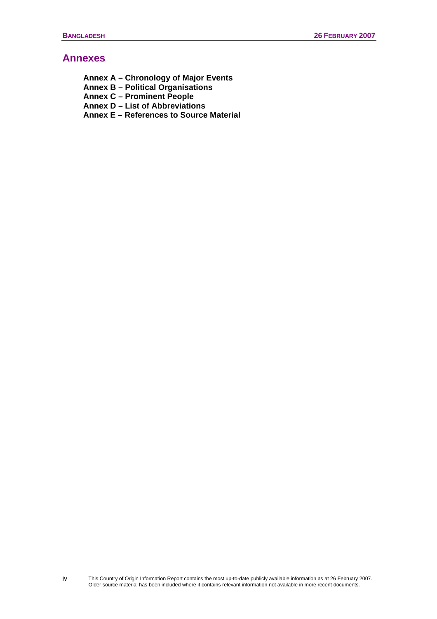### **[Annexes](#page-0-0)**

**[Annex A – Chronology of Major Events](#page-122-0)  [Annex B – Political Organisations](#page-126-0)  [Annex C – Prominent People](#page-131-0)  [Annex D – List of Abbreviations](#page-132-0)  [Annex E – References to Source Material](#page-133-0)** 

 This Country of Origin Information Report contains the most up-to-date publicly available information as at 26 February 2007. Older source material has been included where it contains relevant information not available in more recent documents.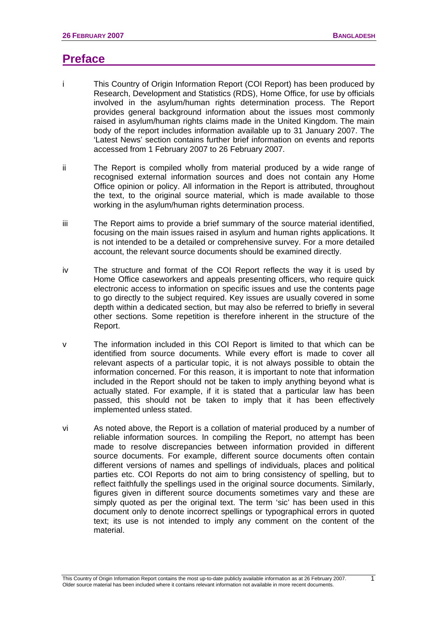# <span id="page-4-0"></span>**Preface**

- i This Country of Origin Information Report (COI Report) has been produced by Research, Development and Statistics (RDS), Home Office, for use by officials involved in the asylum/human rights determination process. The Report provides general background information about the issues most commonly raised in asylum/human rights claims made in the United Kingdom. The main body of the report includes information available up to 31 January 2007. The 'Latest News' section contains further brief information on events and reports accessed from 1 February 2007 to 26 February 2007.
- ii The Report is compiled wholly from material produced by a wide range of recognised external information sources and does not contain any Home Office opinion or policy. All information in the Report is attributed, throughout the text, to the original source material, which is made available to those working in the asylum/human rights determination process.
- iii The Report aims to provide a brief summary of the source material identified, focusing on the main issues raised in asylum and human rights applications. It is not intended to be a detailed or comprehensive survey. For a more detailed account, the relevant source documents should be examined directly.
- iv The structure and format of the COI Report reflects the way it is used by Home Office caseworkers and appeals presenting officers, who require quick electronic access to information on specific issues and use the contents page to go directly to the subject required. Key issues are usually covered in some depth within a dedicated section, but may also be referred to briefly in several other sections. Some repetition is therefore inherent in the structure of the Report.
- v The information included in this COI Report is limited to that which can be identified from source documents. While every effort is made to cover all relevant aspects of a particular topic, it is not always possible to obtain the information concerned. For this reason, it is important to note that information included in the Report should not be taken to imply anything beyond what is actually stated. For example, if it is stated that a particular law has been passed, this should not be taken to imply that it has been effectively implemented unless stated.
- vi As noted above, the Report is a collation of material produced by a number of reliable information sources. In compiling the Report, no attempt has been made to resolve discrepancies between information provided in different source documents. For example, different source documents often contain different versions of names and spellings of individuals, places and political parties etc. COI Reports do not aim to bring consistency of spelling, but to reflect faithfully the spellings used in the original source documents. Similarly, figures given in different source documents sometimes vary and these are simply quoted as per the original text. The term 'sic' has been used in this document only to denote incorrect spellings or typographical errors in quoted text; its use is not intended to imply any comment on the content of the material.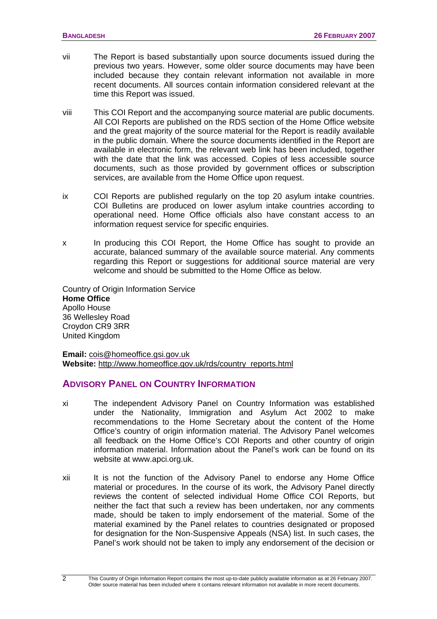- vii The Report is based substantially upon source documents issued during the previous two years. However, some older source documents may have been included because they contain relevant information not available in more recent documents. All sources contain information considered relevant at the time this Report was issued.
- viii This COI Report and the accompanying source material are public documents. All COI Reports are published on the RDS section of the Home Office website and the great majority of the source material for the Report is readily available in the public domain. Where the source documents identified in the Report are available in electronic form, the relevant web link has been included, together with the date that the link was accessed. Copies of less accessible source documents, such as those provided by government offices or subscription services, are available from the Home Office upon request.
- ix COI Reports are published regularly on the top 20 asylum intake countries. COI Bulletins are produced on lower asylum intake countries according to operational need. Home Office officials also have constant access to an information request service for specific enquiries.
- x In producing this COI Report, the Home Office has sought to provide an accurate, balanced summary of the available source material. Any comments regarding this Report or suggestions for additional source material are very welcome and should be submitted to the Home Office as below.

Country of Origin Information Service **Home Office**  Apollo House 36 Wellesley Road Croydon CR9 3RR United Kingdom

**Email:** [cois@homeoffice.gsi.gov.uk](mailto:cois@homeoffice.gsi.gov.uk) **Website:** [http://www.homeoffice.gov.uk/rds/country\\_reports.html](http://www.homeoffice.gov.uk/rds/country_reports.html)

### **ADVISORY PANEL ON COUNTRY INFORMATION**

- xi The independent Advisory Panel on Country Information was established under the Nationality, Immigration and Asylum Act 2002 to make recommendations to the Home Secretary about the content of the Home Office's country of origin information material. The Advisory Panel welcomes all feedback on the Home Office's COI Reports and other country of origin information material. Information about the Panel's work can be found on its website at www.apci.org.uk.
- xii It is not the function of the Advisory Panel to endorse any Home Office material or procedures. In the course of its work, the Advisory Panel directly reviews the content of selected individual Home Office COI Reports, but neither the fact that such a review has been undertaken, nor any comments made, should be taken to imply endorsement of the material. Some of the material examined by the Panel relates to countries designated or proposed for designation for the Non-Suspensive Appeals (NSA) list. In such cases, the Panel's work should not be taken to imply any endorsement of the decision or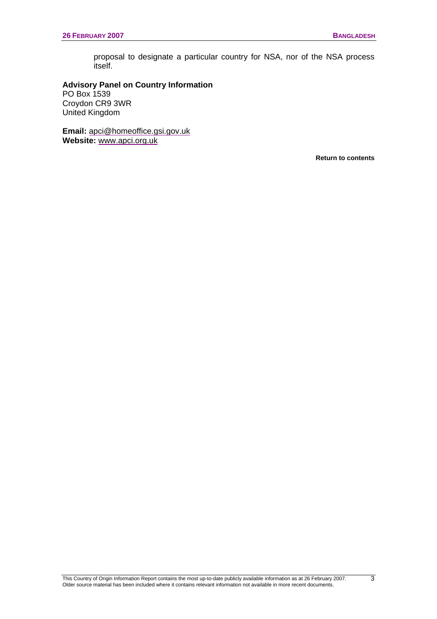proposal to designate a particular country for NSA, nor of the NSA process itself.

### **Advisory Panel on Country Information**

PO Box 1539 Croydon CR9 3WR United Kingdom

**Email:** [apci@homeoffice.gsi.gov.uk](mailto:apci@homeoffice.gsi.gov.uk) **Website:** [www.apci.org.uk](http://www.apci.org.uk/)

**[Return to contents](#page-0-0)**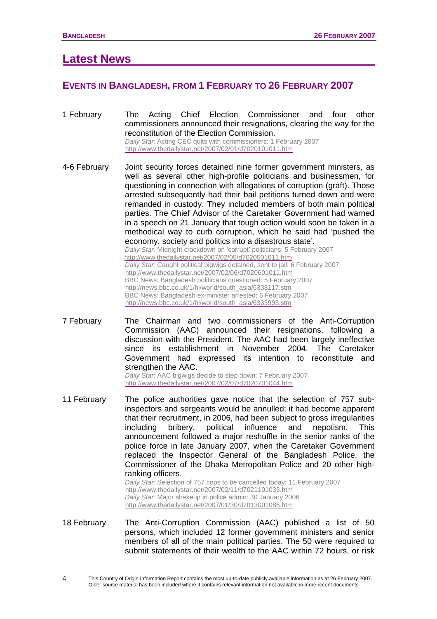# <span id="page-7-0"></span>**Latest News**

### **EVENTS IN BANGLADESH, FROM 1 FEBRUARY TO 26 FEBRUARY 2007**

- 1 February The Acting Chief Election Commissioner and four other commissioners announced their resignations, clearing the way for the reconstitution of the Election Commission. *Daily Star:* Acting CEC quits with commissioners: 1 February 2007 <http://www.thedailystar.net/2007/02/01/d7020101011.htm>
- 4-6 February Joint security forces detained nine former government ministers, as well as several other high-profile politicians and businessmen, for questioning in connection with allegations of corruption (graft). Those arrested subsequently had their bail petitions turned down and were remanded in custody. They included members of both main political parties. The Chief Advisor of the Caretaker Government had warned in a speech on 21 January that tough action would soon be taken in a methodical way to curb corruption, which he said had 'pushed the economy, society and politics into a disastrous state'. *Daily Star.* Midnight crackdown on 'corrupt' politicians: 5 February 2007 <http://www.thedailystar.net/2007/02/05/d7020501011.htm> *Daily Star:* Caught political bigwigs detained, sent to jail: 6 February 2007 <http://www.thedailystar.net/2007/02/06/d7020601011.htm> BBC News: Bangladesh politicians questioned: 5 February 2007 [http://news.bbc.co.uk/1/hi/world/south\\_asia/6333117.stm](http://news.bbc.co.uk/1/hi/world/south_asia/6333117.stm)  BBC News: Bangladesh ex-minister arrested: 6 February 2007 [http://news.bbc.co.uk/1/hi/world/south\\_asia/6333993.stm](http://news.bbc.co.uk/1/hi/world/south_asia/6333993.stm)
- 7 February The Chairman and two commissioners of the Anti-Corruption Commission (AAC) announced their resignations, following a discussion with the President. The AAC had been largely ineffective since its establishment in November 2004. The Caretaker Government had expressed its intention to reconstitute and strengthen the AAC.

*Daily Star:* AAC bigwigs decide to step down: 7 February 2007 <http://www.thedailystar.net/2007/02/07/d7020701044.htm>

11 February The police authorities gave notice that the selection of 757 subinspectors and sergeants would be annulled; it had become apparent that their recruitment, in 2006, had been subject to gross irregularities including bribery, political influence and nepotism. This announcement followed a major reshuffle in the senior ranks of the police force in late January 2007, when the Caretaker Government replaced the Inspector General of the Bangladesh Police, the Commissioner of the Dhaka Metropolitan Police and 20 other highranking officers.

*Daily Star:* Selection of 757 cops to be cancelled today: 11 February 2007 <http://www.thedailystar.net/2007/02/11/d7021101033.htm> *Daily Star:* Major shakeup in police admin: 30 January 2006 <http://www.thedailystar.net/2007/01/30/d7013001085.htm>

18 February The Anti-Corruption Commission (AAC) published a list of 50 persons, which included 12 former government ministers and senior members of all of the main political parties. The 50 were required to submit statements of their wealth to the AAC within 72 hours, or risk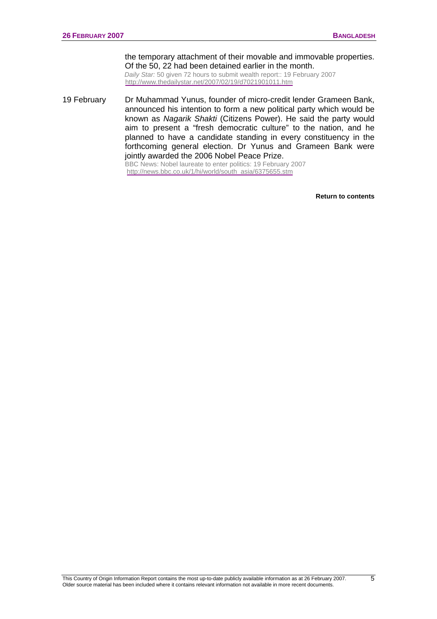the temporary attachment of their movable and immovable properties. Of the 50, 22 had been detained earlier in the month.

*Daily Star:* 50 given 72 hours to submit wealth report:: 19 February 2007 <http://www.thedailystar.net/2007/02/19/d7021901011.htm>

19 February Dr Muhammad Yunus, founder of micro-credit lender Grameen Bank, announced his intention to form a new political party which would be known as *Nagarik Shakti* (Citizens Power). He said the party would aim to present a "fresh democratic culture" to the nation, and he planned to have a candidate standing in every constituency in the forthcoming general election. Dr Yunus and Grameen Bank were jointly awarded the 2006 Nobel Peace Prize. BBC News: Nobel laureate to enter politics: 19 February 2007

[http://news.bbc.co.uk/1/hi/world/south\\_asia/6375655.stm](http://news.bbc.co.uk/1/hi/world/south_asia/6375655.stm)

**[Return to contents](#page-0-0)**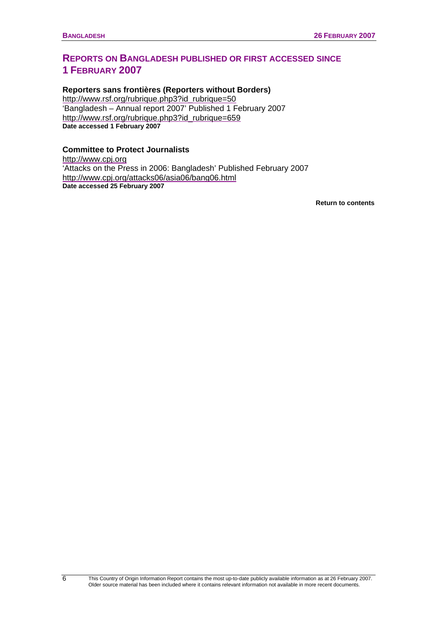# <span id="page-9-0"></span>**REPORTS ON BANGLADESH PUBLISHED OR FIRST ACCESSED SINCE 1 FEBRUARY 2007**

### **Reporters sans frontières (Reporters without Borders)**

[http://www.rsf.org/rubrique.php3?id\\_rubrique=50](http://www.rsf.org/rubrique.php3?id_rubrique=50) 'Bangladesh – Annual report 2007' Published 1 February 2007 [http://www.rsf.org/rubrique.php3?id\\_rubrique=659](http://www.rsf.org/rubrique.php3?id_rubrique=659) **Date accessed 1 February 2007** 

### **Committee to Protect Journalists**

[http://www.cpj.org](http://www.cpj.org/) 'Attacks on the Press in 2006: Bangladesh' Published February 2007 <http://www.cpj.org/attacks06/asia06/bang06.html>**Date accessed 25 February 2007** 

**[Return to contents](#page-0-0)**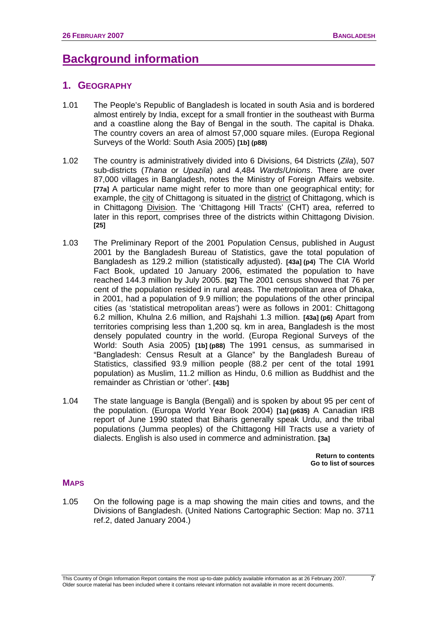# <span id="page-10-0"></span>**Background information**

### **1. GEOGRAPHY**

- 1.01 The People's Republic of Bangladesh is located in south Asia and is bordered almost entirely by India, except for a small frontier in the southeast with Burma and a coastline along the Bay of Bengal in the south. The capital is Dhaka. The country covers an area of almost 57,000 square miles. (Europa Regional Surveys of the World: South Asia 2005) **[1b] (p88)**
- 1.02 The country is administratively divided into 6 Divisions, 64 Districts (*Zila*), 507 sub-districts (*Thana* or *Upazila*) and 4,484 *Wards*/*Unions*. There are over 87,000 villages in Bangladesh, notes the Ministry of Foreign Affairs website. **[77a]** A particular name might refer to more than one geographical entity; for example, the city of Chittagong is situated in the district of Chittagong, which is in Chittagong Division. The 'Chittagong Hill Tracts' (CHT) area, referred to later in this report, comprises three of the districts within Chittagong Division. **[25]**
- 1.03 The Preliminary Report of the 2001 Population Census, published in August 2001 by the Bangladesh Bureau of Statistics, gave the total population of Bangladesh as 129.2 million (statistically adjusted). **[43a] (p4)** The CIA World Fact Book, updated 10 January 2006, estimated the population to have reached 144.3 million by July 2005. **[62]** The 2001 census showed that 76 per cent of the population resided in rural areas. The metropolitan area of Dhaka, in 2001, had a population of 9.9 million; the populations of the other principal cities (as 'statistical metropolitan areas') were as follows in 2001: Chittagong 6.2 million, Khulna 2.6 million, and Rajshahi 1.3 million. **[43a] (p6)** Apart from territories comprising less than 1,200 sq. km in area, Bangladesh is the most densely populated country in the world. (Europa Regional Surveys of the World: South Asia 2005) **[1b] (p88)** The 1991 census, as summarised in "Bangladesh: Census Result at a Glance" by the Bangladesh Bureau of Statistics, classified 93.9 million people (88.2 per cent of the total 1991 population) as Muslim, 11.2 million as Hindu, 0.6 million as Buddhist and the remainder as Christian or 'other'. **[43b]**
- 1.04 The state language is Bangla (Bengali) and is spoken by about 95 per cent of the population. (Europa World Year Book 2004) **[1a] (p635)** A Canadian IRB report of June 1990 stated that Biharis generally speak Urdu, and the tribal populations (Jumma peoples) of the Chittagong Hill Tracts use a variety of dialects. English is also used in commerce and administration. **[3a]**

**[Return to contents](#page-0-0)  [Go to list of sources](#page-133-0)** 

### **MAPS**

1.05 On the following page is a map showing the main cities and towns, and the Divisions of Bangladesh. (United Nations Cartographic Section: Map no. 3711 ref.2, dated January 2004.)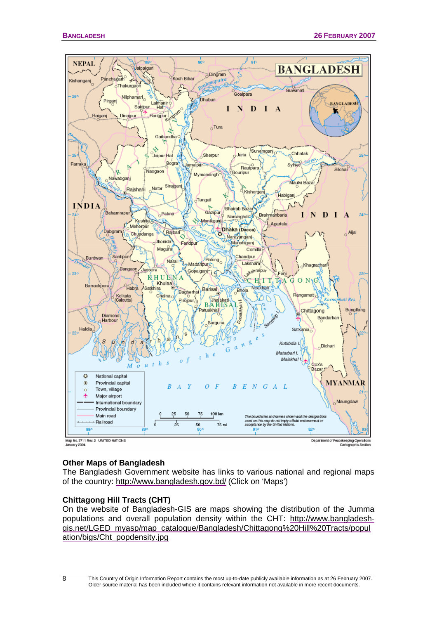

Department of Peacekeeping Operations<br>Cartographic Section

### **Other Maps of Bangladesh**

The Bangladesh Government website has links to various national and regional maps of the country: <http://www.bangladesh.gov.bd/> (Click on 'Maps')

### **Chittagong Hill Tracts (CHT)**

On the website of Bangladesh-GIS are maps showing the distribution of the Jumma populations and overall population density within the CHT: [http://www.bangladesh](http://www.bangladesh-gis.net/LGED_myasp/map_catalogue/Bangladesh/Chittagong%20Hill%20Tracts/population/bigs/Cht_popdensity.jpg)[gis.net/LGED\\_myasp/map\\_catalogue/Bangladesh/Chittagong%20Hill%20Tracts/popul](http://www.bangladesh-gis.net/LGED_myasp/map_catalogue/Bangladesh/Chittagong%20Hill%20Tracts/population/bigs/Cht_popdensity.jpg) [ation/bigs/Cht\\_popdensity.jpg](http://www.bangladesh-gis.net/LGED_myasp/map_catalogue/Bangladesh/Chittagong%20Hill%20Tracts/population/bigs/Cht_popdensity.jpg)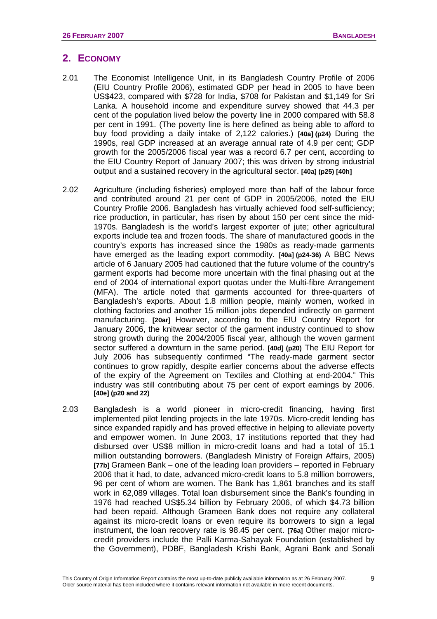# <span id="page-12-0"></span>**2. ECONOMY**

- 2.01 The Economist Intelligence Unit, in its Bangladesh Country Profile of 2006 (EIU Country Profile 2006), estimated GDP per head in 2005 to have been US\$423, compared with \$728 for India, \$708 for Pakistan and \$1,149 for Sri Lanka. A household income and expenditure survey showed that 44.3 per cent of the population lived below the poverty line in 2000 compared with 58.8 per cent in 1991. (The poverty line is here defined as being able to afford to buy food providing a daily intake of 2,122 calories.) **[40a] (p24)** During the 1990s, real GDP increased at an average annual rate of 4.9 per cent; GDP growth for the 2005/2006 fiscal year was a record 6.7 per cent, according to the EIU Country Report of January 2007; this was driven by strong industrial output and a sustained recovery in the agricultural sector. **[40a] (p25) [40h]**
- 2.02 Agriculture (including fisheries) employed more than half of the labour force and contributed around 21 per cent of GDP in 2005/2006, noted the EIU Country Profile 2006. Bangladesh has virtually achieved food self-sufficiency; rice production, in particular, has risen by about 150 per cent since the mid-1970s. Bangladesh is the world's largest exporter of jute; other agricultural exports include tea and frozen foods. The share of manufactured goods in the country's exports has increased since the 1980s as ready-made garments have emerged as the leading export commodity. **[40a] (p24-36)** A BBC News article of 6 January 2005 had cautioned that the future volume of the country's garment exports had become more uncertain with the final phasing out at the end of 2004 of international export quotas under the Multi-fibre Arrangement (MFA). The article noted that garments accounted for three-quarters of Bangladesh's exports. About 1.8 million people, mainly women, worked in clothing factories and another 15 million jobs depended indirectly on garment manufacturing. **[20ar]** However, according to the EIU Country Report for January 2006, the knitwear sector of the garment industry continued to show strong growth during the 2004/2005 fiscal year, although the woven garment sector suffered a downturn in the same period. **[40d] (p20)** The EIU Report for July 2006 has subsequently confirmed "The ready-made garment sector continues to grow rapidly, despite earlier concerns about the adverse effects of the expiry of the Agreement on Textiles and Clothing at end-2004." This industry was still contributing about 75 per cent of export earnings by 2006. **[40e] (p20 and 22)**
- 2.03 Bangladesh is a world pioneer in micro-credit financing, having first implemented pilot lending projects in the late 1970s. Micro-credit lending has since expanded rapidly and has proved effective in helping to alleviate poverty and empower women. In June 2003, 17 institutions reported that they had disbursed over US\$8 million in micro-credit loans and had a total of 15.1 million outstanding borrowers. (Bangladesh Ministry of Foreign Affairs, 2005) **[77b]** Grameen Bank – one of the leading loan providers – reported in February 2006 that it had, to date, advanced micro-credit loans to 5.8 million borrowers, 96 per cent of whom are women. The Bank has 1,861 branches and its staff work in 62,089 villages. Total loan disbursement since the Bank's founding in 1976 had reached US\$5.34 billion by February 2006, of which \$4.73 billion had been repaid. Although Grameen Bank does not require any collateral against its micro-credit loans or even require its borrowers to sign a legal instrument, the loan recovery rate is 98.45 per cent. **[76a]** Other major microcredit providers include the Palli Karma-Sahayak Foundation (established by the Government), PDBF, Bangladesh Krishi Bank, Agrani Bank and Sonali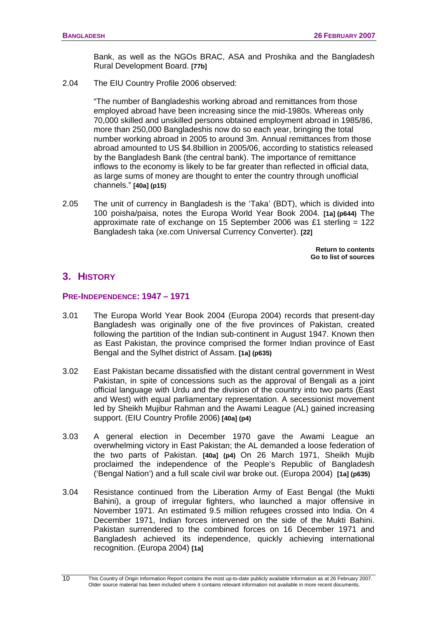Bank, as well as the NGOs BRAC, ASA and Proshika and the Bangladesh Rural Development Board. **[77b]** 

<span id="page-13-0"></span>2.04 The EIU Country Profile 2006 observed:

"The number of Bangladeshis working abroad and remittances from those employed abroad have been increasing since the mid-1980s. Whereas only 70,000 skilled and unskilled persons obtained employment abroad in 1985/86, more than 250,000 Bangladeshis now do so each year, bringing the total number working abroad in 2005 to around 3m. Annual remittances from those abroad amounted to US \$4.8billion in 2005/06, according to statistics released by the Bangladesh Bank (the central bank). The importance of remittance inflows to the economy is likely to be far greater than reflected in official data, as large sums of money are thought to enter the country through unofficial channels." **[40a] (p15)**

2.05 The unit of currency in Bangladesh is the 'Taka' (BDT), which is divided into 100 poisha/paisa, notes the Europa World Year Book 2004. **[1a] (p644)** The approximate rate of exchange on 15 September 2006 was £1 sterling =  $122$ Bangladesh taka (xe.com Universal Currency Converter). **[22]** 

> **[Return to contents](#page-0-0)  [Go to list of sources](#page-133-0)**

# **3. HISTORY**

### **PRE-INDEPENDENCE: 1947 – 1971**

- 3.01 The Europa World Year Book 2004 (Europa 2004) records that present-day Bangladesh was originally one of the five provinces of Pakistan, created following the partition of the Indian sub-continent in August 1947. Known then as East Pakistan, the province comprised the former Indian province of East Bengal and the Sylhet district of Assam. **[1a] (p635)**
- 3.02 East Pakistan became dissatisfied with the distant central government in West Pakistan, in spite of concessions such as the approval of Bengali as a joint official language with Urdu and the division of the country into two parts (East and West) with equal parliamentary representation. A secessionist movement led by Sheikh Mujibur Rahman and the Awami League (AL) gained increasing support. (EIU Country Profile 2006) **[40a] (p4)**
- 3.03 A general election in December 1970 gave the Awami League an overwhelming victory in East Pakistan; the AL demanded a loose federation of the two parts of Pakistan. **[40a] (p4)** On 26 March 1971, Sheikh Mujib proclaimed the independence of the People's Republic of Bangladesh ('Bengal Nation') and a full scale civil war broke out. (Europa 2004) **[1a] (p635)**
- 3.04 Resistance continued from the Liberation Army of East Bengal (the Mukti Bahini), a group of irregular fighters, who launched a major offensive in November 1971. An estimated 9.5 million refugees crossed into India. On 4 December 1971, Indian forces intervened on the side of the Mukti Bahini. Pakistan surrendered to the combined forces on 16 December 1971 and Bangladesh achieved its independence, quickly achieving international recognition. (Europa 2004) **[1a]**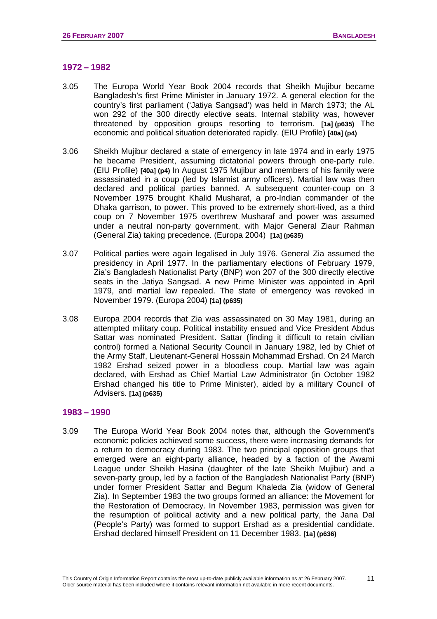### **1972 – 1982**

- 3.05 The Europa World Year Book 2004 records that Sheikh Mujibur became Bangladesh's first Prime Minister in January 1972. A general election for the country's first parliament ('Jatiya Sangsad') was held in March 1973; the AL won 292 of the 300 directly elective seats. Internal stability was, however threatened by opposition groups resorting to terrorism. **[1a] (p635)** The economic and political situation deteriorated rapidly. (EIU Profile) **[40a] (p4)**
- 3.06 Sheikh Mujibur declared a state of emergency in late 1974 and in early 1975 he became President, assuming dictatorial powers through one-party rule. (EIU Profile) **[40a] (p4)** In August 1975 Mujibur and members of his family were assassinated in a coup (led by Islamist army officers). Martial law was then declared and political parties banned. A subsequent counter-coup on 3 November 1975 brought Khalid Musharaf, a pro-Indian commander of the Dhaka garrison, to power. This proved to be extremely short-lived, as a third coup on 7 November 1975 overthrew Musharaf and power was assumed under a neutral non-party government, with Major General Ziaur Rahman (General Zia) taking precedence. (Europa 2004) **[1a] (p635)**
- 3.07 Political parties were again legalised in July 1976. General Zia assumed the presidency in April 1977. In the parliamentary elections of February 1979, Zia's Bangladesh Nationalist Party (BNP) won 207 of the 300 directly elective seats in the Jatiya Sangsad. A new Prime Minister was appointed in April 1979, and martial law repealed. The state of emergency was revoked in November 1979. (Europa 2004) **[1a] (p635)**
- 3.08 Europa 2004 records that Zia was assassinated on 30 May 1981, during an attempted military coup. Political instability ensued and Vice President Abdus Sattar was nominated President. Sattar (finding it difficult to retain civilian control) formed a National Security Council in January 1982, led by Chief of the Army Staff, Lieutenant-General Hossain Mohammad Ershad. On 24 March 1982 Ershad seized power in a bloodless coup. Martial law was again declared, with Ershad as Chief Martial Law Administrator (in October 1982 Ershad changed his title to Prime Minister), aided by a military Council of Advisers. **[1a] (p635)**

### **1983 – 1990**

3.09 The Europa World Year Book 2004 notes that, although the Government's economic policies achieved some success, there were increasing demands for a return to democracy during 1983. The two principal opposition groups that emerged were an eight-party alliance, headed by a faction of the Awami League under Sheikh Hasina (daughter of the late Sheikh Mujibur) and a seven-party group, led by a faction of the Bangladesh Nationalist Party (BNP) under former President Sattar and Begum Khaleda Zia (widow of General Zia). In September 1983 the two groups formed an alliance: the Movement for the Restoration of Democracy. In November 1983, permission was given for the resumption of political activity and a new political party, the Jana Dal (People's Party) was formed to support Ershad as a presidential candidate. Ershad declared himself President on 11 December 1983. **[1a] (p636)**

11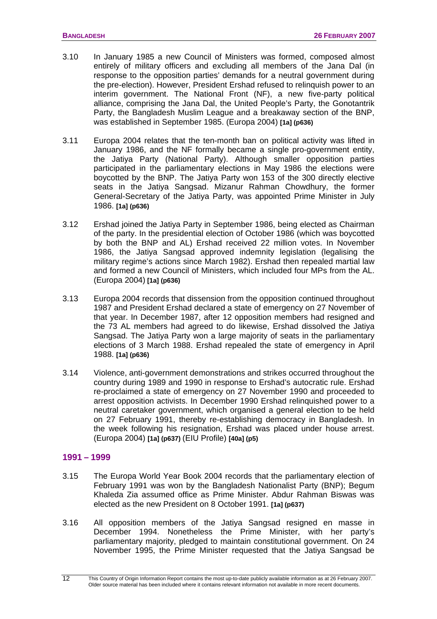- 3.10 In January 1985 a new Council of Ministers was formed, composed almost entirely of military officers and excluding all members of the Jana Dal (in response to the opposition parties' demands for a neutral government during the pre-election). However, President Ershad refused to relinquish power to an interim government. The National Front (NF), a new five-party political alliance, comprising the Jana Dal, the United People's Party, the Gonotantrik Party, the Bangladesh Muslim League and a breakaway section of the BNP, was established in September 1985. (Europa 2004) **[1a] (p636)**
- 3.11 Europa 2004 relates that the ten-month ban on political activity was lifted in January 1986, and the NF formally became a single pro-government entity, the Jatiya Party (National Party). Although smaller opposition parties participated in the parliamentary elections in May 1986 the elections were boycotted by the BNP. The Jatiya Party won 153 of the 300 directly elective seats in the Jatiya Sangsad. Mizanur Rahman Chowdhury, the former General-Secretary of the Jatiya Party, was appointed Prime Minister in July 1986. **[1a] (p636)**
- 3.12 Ershad joined the Jatiya Party in September 1986, being elected as Chairman of the party. In the presidential election of October 1986 (which was boycotted by both the BNP and AL) Ershad received 22 million votes. In November 1986, the Jatiya Sangsad approved indemnity legislation (legalising the military regime's actions since March 1982). Ershad then repealed martial law and formed a new Council of Ministers, which included four MPs from the AL. (Europa 2004) **[1a] (p636)**
- 3.13 Europa 2004 records that dissension from the opposition continued throughout 1987 and President Ershad declared a state of emergency on 27 November of that year. In December 1987, after 12 opposition members had resigned and the 73 AL members had agreed to do likewise, Ershad dissolved the Jatiya Sangsad. The Jatiya Party won a large majority of seats in the parliamentary elections of 3 March 1988. Ershad repealed the state of emergency in April 1988. **[1a] (p636)**
- 3.14 Violence, anti-government demonstrations and strikes occurred throughout the country during 1989 and 1990 in response to Ershad's autocratic rule. Ershad re-proclaimed a state of emergency on 27 November 1990 and proceeded to arrest opposition activists. In December 1990 Ershad relinquished power to a neutral caretaker government, which organised a general election to be held on 27 February 1991, thereby re-establishing democracy in Bangladesh. In the week following his resignation, Ershad was placed under house arrest. (Europa 2004) **[1a] (p637)** (EIU Profile) **[40a] (p5)**

### **1991 – 1999**

- 3.15 The Europa World Year Book 2004 records that the parliamentary election of February 1991 was won by the Bangladesh Nationalist Party (BNP); Begum Khaleda Zia assumed office as Prime Minister. Abdur Rahman Biswas was elected as the new President on 8 October 1991. **[1a] (p637)**
- 3.16 All opposition members of the Jatiya Sangsad resigned en masse in December 1994. Nonetheless the Prime Minister, with her party's parliamentary majority, pledged to maintain constitutional government. On 24 November 1995, the Prime Minister requested that the Jatiya Sangsad be

This Country of Origin Information Report contains the most up-to-date publicly available information as at 26 February 2007. Older source material has been included where it contains relevant information not available in more recent documents.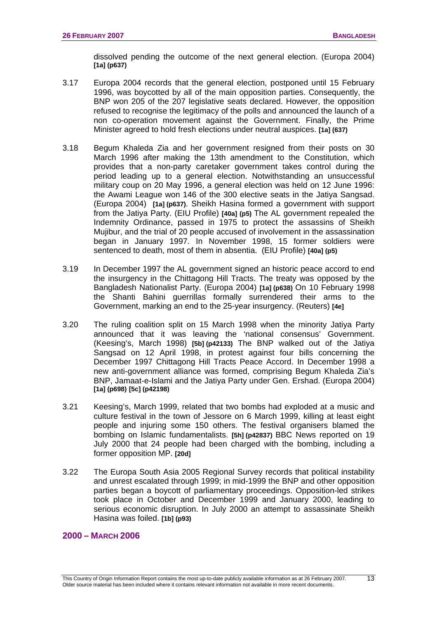dissolved pending the outcome of the next general election. (Europa 2004) **[1a] (p637)**

- 3.17 Europa 2004 records that the general election, postponed until 15 February 1996, was boycotted by all of the main opposition parties. Consequently, the BNP won 205 of the 207 legislative seats declared. However, the opposition refused to recognise the legitimacy of the polls and announced the launch of a non co-operation movement against the Government. Finally, the Prime Minister agreed to hold fresh elections under neutral auspices. **[1a] (637)**
- 3.18 Begum Khaleda Zia and her government resigned from their posts on 30 March 1996 after making the 13th amendment to the Constitution, which provides that a non-party caretaker government takes control during the period leading up to a general election. Notwithstanding an unsuccessful military coup on 20 May 1996, a general election was held on 12 June 1996: the Awami League won 146 of the 300 elective seats in the Jatiya Sangsad. (Europa 2004) **[1a] (p637)**. Sheikh Hasina formed a government with support from the Jatiya Party. (EIU Profile) **[40a] (p5)** The AL government repealed the Indemnity Ordinance, passed in 1975 to protect the assassins of Sheikh Mujibur, and the trial of 20 people accused of involvement in the assassination began in January 1997. In November 1998, 15 former soldiers were sentenced to death, most of them in absentia. (EIU Profile) **[40a] (p5)**
- 3.19 In December 1997 the AL government signed an historic peace accord to end the insurgency in the Chittagong Hill Tracts. The treaty was opposed by the Bangladesh Nationalist Party. (Europa 2004) **[1a] (p638)** On 10 February 1998 the Shanti Bahini guerrillas formally surrendered their arms to the Government, marking an end to the 25-year insurgency. (Reuters) **[4e]**
- 3.20 The ruling coalition split on 15 March 1998 when the minority Jatiya Party announced that it was leaving the 'national consensus' Government. (Keesing's, March 1998) **[5b] (p42133)** The BNP walked out of the Jatiya Sangsad on 12 April 1998, in protest against four bills concerning the December 1997 Chittagong Hill Tracts Peace Accord. In December 1998 a new anti-government alliance was formed, comprising Begum Khaleda Zia's BNP, Jamaat-e-Islami and the Jatiya Party under Gen. Ershad. (Europa 2004) **[1a] (p698) [5c] (p42198)**
- 3.21 Keesing's, March 1999, related that two bombs had exploded at a music and culture festival in the town of Jessore on 6 March 1999, killing at least eight people and injuring some 150 others. The festival organisers blamed the bombing on Islamic fundamentalists. **[5h] (p42837)** BBC News reported on 19 July 2000 that 24 people had been charged with the bombing, including a former opposition MP. **[20d]**
- 3.22 The Europa South Asia 2005 Regional Survey records that political instability and unrest escalated through 1999; in mid-1999 the BNP and other opposition parties began a boycott of parliamentary proceedings. Opposition-led strikes took place in October and December 1999 and January 2000, leading to serious economic disruption. In July 2000 an attempt to assassinate Sheikh Hasina was foiled. **[1b] (p93)**

### **2000 – MARCH 2006**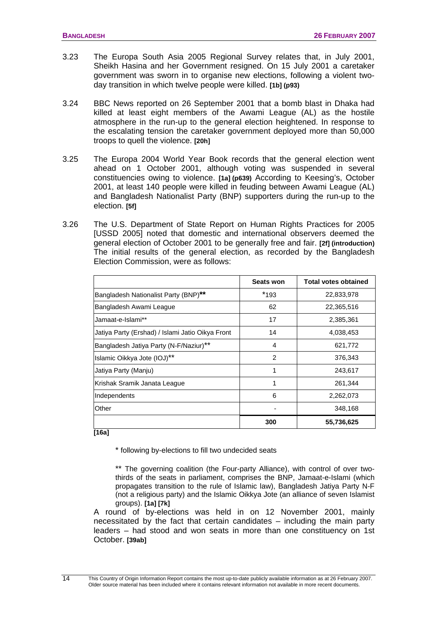- 3.23 The Europa South Asia 2005 Regional Survey relates that, in July 2001, Sheikh Hasina and her Government resigned. On 15 July 2001 a caretaker government was sworn in to organise new elections, following a violent twoday transition in which twelve people were killed. **[1b] (p93)**
- 3.24 BBC News reported on 26 September 2001 that a bomb blast in Dhaka had killed at least eight members of the Awami League (AL) as the hostile atmosphere in the run-up to the general election heightened. In response to the escalating tension the caretaker government deployed more than 50,000 troops to quell the violence. **[20h]**
- 3.25 The Europa 2004 World Year Book records that the general election went ahead on 1 October 2001, although voting was suspended in several constituencies owing to violence. **[1a] (p639)** According to Keesing's, October 2001, at least 140 people were killed in feuding between Awami League (AL) and Bangladesh Nationalist Party (BNP) supporters during the run-up to the election. **[5f]**
- 3.26 The U.S. Department of State Report on Human Rights Practices for 2005 [USSD 2005] noted that domestic and international observers deemed the general election of October 2001 to be generally free and fair. **[2f] (introduction)**  The initial results of the general election, as recorded by the Bangladesh Election Commission, were as follows:

|                                                  | <b>Seats won</b> | <b>Total votes obtained</b> |
|--------------------------------------------------|------------------|-----------------------------|
| Bangladesh Nationalist Party (BNP)**             | $*193$           | 22,833,978                  |
| Bangladesh Awami League                          | 62               | 22,365,516                  |
| Jamaat-e-Islami**                                | 17               | 2,385,361                   |
| Jatiya Party (Ershad) / Islami Jatio Oikya Front | 14               | 4,038,453                   |
| Bangladesh Jatiya Party (N-F/Naziur)**           | 4                | 621,772                     |
| Islamic Oikkya Jote (IOJ) <sup>**</sup>          | 2                | 376,343                     |
| Jatiya Party (Manju)                             | 1                | 243,617                     |
| Krishak Sramik Janata League                     | 1                | 261,344                     |
| Independents                                     | 6                | 2,262,073                   |
| Other                                            |                  | 348,168                     |
|                                                  | 300              | 55,736,625                  |

**[16a]** 

\* following by-elections to fill two undecided seats

\*\* The governing coalition (the Four-party Alliance), with control of over twothirds of the seats in parliament, comprises the BNP, Jamaat-e-Islami (which propagates transition to the rule of Islamic law), Bangladesh Jatiya Party N-F (not a religious party) and the Islamic Oikkya Jote (an alliance of seven Islamist groups). **[1a] [7k]** 

A round of by-elections was held in on 12 November 2001, mainly necessitated by the fact that certain candidates – including the main party leaders – had stood and won seats in more than one constituency on 1st October. **[39ab]**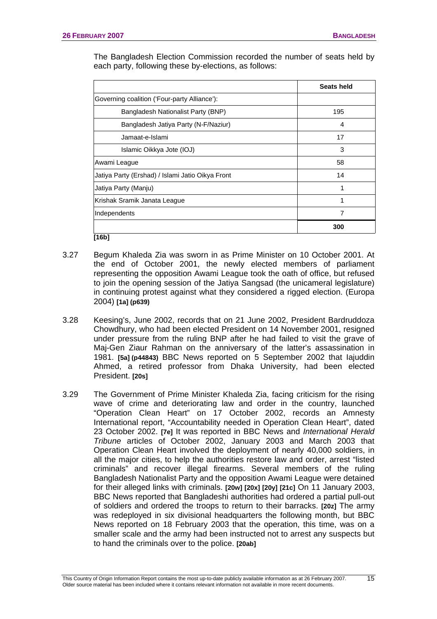The Bangladesh Election Commission recorded the number of seats held by each party, following these by-elections, as follows:

|                                                  | Seats held |  |
|--------------------------------------------------|------------|--|
| Governing coalition ('Four-party Alliance'):     |            |  |
| Bangladesh Nationalist Party (BNP)               | 195        |  |
| Bangladesh Jatiya Party (N-F/Naziur)             | 4          |  |
| Jamaat-e-Islami                                  | 17         |  |
| Islamic Oikkya Jote (IOJ)                        | 3          |  |
| Awami League                                     | 58         |  |
| Jatiya Party (Ershad) / Islami Jatio Oikya Front | 14         |  |
| Jatiya Party (Manju)                             | 1          |  |
| Krishak Sramik Janata League                     | 1          |  |
| Independents                                     | 7          |  |
|                                                  | 300        |  |
| [16b]                                            |            |  |

- 3.27 Begum Khaleda Zia was sworn in as Prime Minister on 10 October 2001. At the end of October 2001, the newly elected members of parliament representing the opposition Awami League took the oath of office, but refused to join the opening session of the Jatiya Sangsad (the unicameral legislature) in continuing protest against what they considered a rigged election. (Europa 2004) **[1a] (p639)**
- 3.28 Keesing's, June 2002, records that on 21 June 2002, President Bardruddoza Chowdhury, who had been elected President on 14 November 2001, resigned under pressure from the ruling BNP after he had failed to visit the grave of Maj-Gen Ziaur Rahman on the anniversary of the latter's assassination in 1981. **[5a] (p44843)** BBC News reported on 5 September 2002 that Iajuddin Ahmed, a retired professor from Dhaka University, had been elected President. **[20s]**
- 3.29 The Government of Prime Minister Khaleda Zia, facing criticism for the rising wave of crime and deteriorating law and order in the country, launched "Operation Clean Heart" on 17 October 2002, records an Amnesty International report, "Accountability needed in Operation Clean Heart", dated 23 October 2002. **[7e]** It was reported in BBC News and *International Herald Tribune* articles of October 2002, January 2003 and March 2003 that Operation Clean Heart involved the deployment of nearly 40,000 soldiers, in all the major cities, to help the authorities restore law and order, arrest "listed criminals" and recover illegal firearms. Several members of the ruling Bangladesh Nationalist Party and the opposition Awami League were detained for their alleged links with criminals. **[20w] [20x] [20y] [21c]** On 11 January 2003, BBC News reported that Bangladeshi authorities had ordered a partial pull-out of soldiers and ordered the troops to return to their barracks. **[20z]** The army was redeployed in six divisional headquarters the following month, but BBC News reported on 18 February 2003 that the operation, this time, was on a smaller scale and the army had been instructed not to arrest any suspects but to hand the criminals over to the police. **[20ab]**

15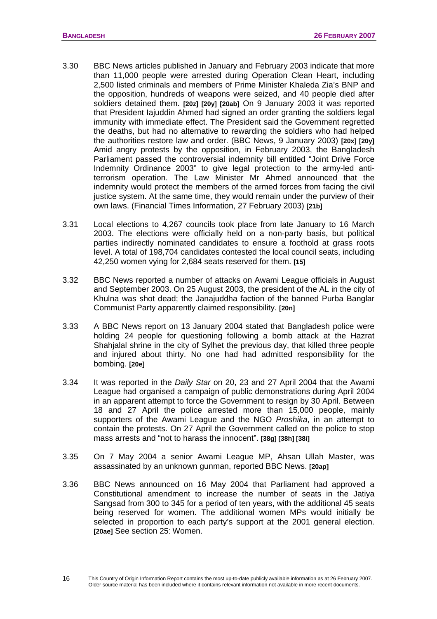- 3.30 BBC News articles published in January and February 2003 indicate that more than 11,000 people were arrested during Operation Clean Heart, including 2,500 listed criminals and members of Prime Minister Khaleda Zia's BNP and the opposition, hundreds of weapons were seized, and 40 people died after soldiers detained them. **[20z] [20y] [20ab]** On 9 January 2003 it was reported that President Iajuddin Ahmed had signed an order granting the soldiers legal immunity with immediate effect. The President said the Government regretted the deaths, but had no alternative to rewarding the soldiers who had helped the authorities restore law and order. (BBC News, 9 January 2003) **[20x] [20y]** Amid angry protests by the opposition, in February 2003, the Bangladesh Parliament passed the controversial indemnity bill entitled "Joint Drive Force Indemnity Ordinance 2003" to give legal protection to the army-led antiterrorism operation. The Law Minister Mr Ahmed announced that the indemnity would protect the members of the armed forces from facing the civil justice system. At the same time, they would remain under the purview of their own laws. (Financial Times Information, 27 February 2003) **[21b]**
- 3.31 Local elections to 4,267 councils took place from late January to 16 March 2003. The elections were officially held on a non-party basis, but political parties indirectly nominated candidates to ensure a foothold at grass roots level. A total of 198,704 candidates contested the local council seats, including 42,250 women vying for 2,684 seats reserved for them. **[15]**
- 3.32 BBC News reported a number of attacks on Awami League officials in August and September 2003. On 25 August 2003, the president of the AL in the city of Khulna was shot dead; the Janajuddha faction of the banned Purba Banglar Communist Party apparently claimed responsibility. **[20n]**
- 3.33 A BBC News report on 13 January 2004 stated that Bangladesh police were holding 24 people for questioning following a bomb attack at the Hazrat Shahjalal shrine in the city of Sylhet the previous day, that killed three people and injured about thirty. No one had had admitted responsibility for the bombing. **[20e]**
- 3.34 It was reported in the *Daily Star* on 20, 23 and 27 April 2004 that the Awami League had organised a campaign of public demonstrations during April 2004 in an apparent attempt to force the Government to resign by 30 April. Between 18 and 27 April the police arrested more than 15,000 people, mainly supporters of the Awami League and the NGO *Proshika*, in an attempt to contain the protests. On 27 April the Government called on the police to stop mass arrests and "not to harass the innocent". **[38g] [38h] [38i]**
- 3.35 On 7 May 2004 a senior Awami League MP, Ahsan Ullah Master, was assassinated by an unknown gunman, reported BBC News. **[20ap]**
- 3.36 BBC News announced on 16 May 2004 that Parliament had approved a Constitutional amendment to increase the number of seats in the Jatiya Sangsad from 300 to 345 for a period of ten years, with the additional 45 seats being reserved for women. The additional women MPs would initially be selected in proportion to each party's support at the 2001 general election. **[20ae]** See section 25: [Women.](#page-97-0)

16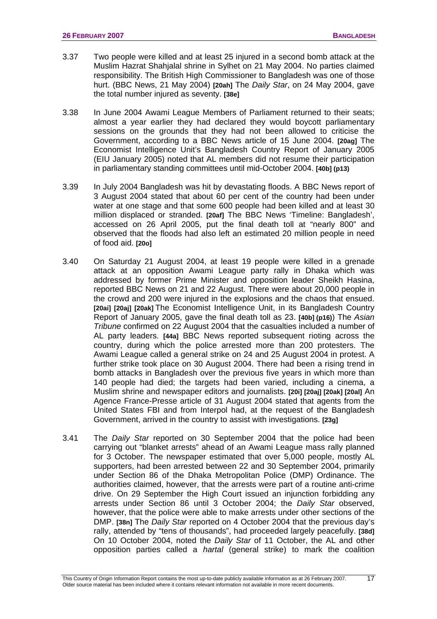- 3.37 Two people were killed and at least 25 injured in a second bomb attack at the Muslim Hazrat Shahjalal shrine in Sylhet on 21 May 2004. No parties claimed responsibility. The British High Commissioner to Bangladesh was one of those hurt. (BBC News, 21 May 2004) **[20ah]** The *Daily Star*, on 24 May 2004, gave the total number injured as seventy. **[38e]**
- 3.38 In June 2004 Awami League Members of Parliament returned to their seats; almost a year earlier they had declared they would boycott parliamentary sessions on the grounds that they had not been allowed to criticise the Government, according to a BBC News article of 15 June 2004. **[20ag]** The Economist Intelligence Unit's Bangladesh Country Report of January 2005 (EIU January 2005) noted that AL members did not resume their participation in parliamentary standing committees until mid-October 2004. **[40b] (p13)**
- 3.39 In July 2004 Bangladesh was hit by devastating floods. A BBC News report of 3 August 2004 stated that about 60 per cent of the country had been under water at one stage and that some 600 people had been killed and at least 30 million displaced or stranded. **[20af]** The BBC News 'Timeline: Bangladesh', accessed on 26 April 2005, put the final death toll at "nearly 800" and observed that the floods had also left an estimated 20 million people in need of food aid. **[20o]**
- 3.40 On Saturday 21 August 2004, at least 19 people were killed in a grenade attack at an opposition Awami League party rally in Dhaka which was addressed by former Prime Minister and opposition leader Sheikh Hasina, reported BBC News on 21 and 22 August. There were about 20,000 people in the crowd and 200 were injured in the explosions and the chaos that ensued. **[20ai] [20aj] [20ak]** The Economist Intelligence Unit, in its Bangladesh Country Report of January 2005, gave the final death toll as 23. **[40b] (p16)**) The *Asian Tribune* confirmed on 22 August 2004 that the casualties included a number of AL party leaders. **[44a]** BBC News reported subsequent rioting across the country, during which the police arrested more than 200 protesters. The Awami League called a general strike on 24 and 25 August 2004 in protest. A further strike took place on 30 August 2004. There had been a rising trend in bomb attacks in Bangladesh over the previous five years in which more than 140 people had died; the targets had been varied, including a cinema, a Muslim shrine and newspaper editors and journalists. **[20i] [20aj] [20ak] [20al]** An Agence France-Presse article of 31 August 2004 stated that agents from the United States FBI and from Interpol had, at the request of the Bangladesh Government, arrived in the country to assist with investigations. **[23g]**
- 3.41 The *Daily Star* reported on 30 September 2004 that the police had been carrying out "blanket arrests" ahead of an Awami League mass rally planned for 3 October. The newspaper estimated that over 5,000 people, mostly AL supporters, had been arrested between 22 and 30 September 2004, primarily under Section 86 of the Dhaka Metropolitan Police (DMP) Ordinance. The authorities claimed, however, that the arrests were part of a routine anti-crime drive. On 29 September the High Court issued an injunction forbidding any arrests under Section 86 until 3 October 2004; the *Daily Star* observed, however, that the police were able to make arrests under other sections of the DMP. **[38n]** The *Daily Star* reported on 4 October 2004 that the previous day's rally, attended by "tens of thousands", had proceeded largely peacefully. **[38d]** On 10 October 2004, noted the *Daily Star* of 11 October, the AL and other opposition parties called a *hartal* (general strike) to mark the coalition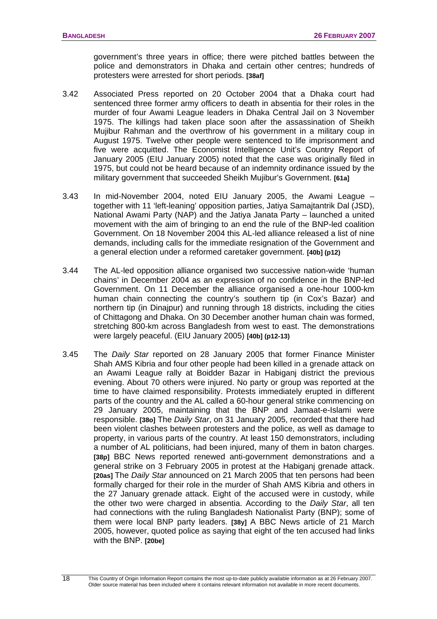government's three years in office; there were pitched battles between the police and demonstrators in Dhaka and certain other centres; hundreds of protesters were arrested for short periods. **[38af]**

- 3.42 Associated Press reported on 20 October 2004 that a Dhaka court had sentenced three former army officers to death in absentia for their roles in the murder of four Awami League leaders in Dhaka Central Jail on 3 November 1975. The killings had taken place soon after the assassination of Sheikh Mujibur Rahman and the overthrow of his government in a military coup in August 1975. Twelve other people were sentenced to life imprisonment and five were acquitted. The Economist Intelligence Unit's Country Report of January 2005 (EIU January 2005) noted that the case was originally filed in 1975, but could not be heard because of an indemnity ordinance issued by the military government that succeeded Sheikh Mujibur's Government. **[61a]**
- 3.43 In mid-November 2004, noted EIU January 2005, the Awami League together with 11 'left-leaning' opposition parties, Jatiya Samajtantrik Dal (JSD), National Awami Party (NAP) and the Jatiya Janata Party – launched a united movement with the aim of bringing to an end the rule of the BNP-led coalition Government. On 18 November 2004 this AL-led alliance released a list of nine demands, including calls for the immediate resignation of the Government and a general election under a reformed caretaker government. **[40b] (p12)**
- 3.44 The AL-led opposition alliance organised two successive nation-wide 'human chains' in December 2004 as an expression of no confidence in the BNP-led Government. On 11 December the alliance organised a one-hour 1000-km human chain connecting the country's southern tip (in Cox's Bazar) and northern tip (in Dinajpur) and running through 18 districts, including the cities of Chittagong and Dhaka. On 30 December another human chain was formed, stretching 800-km across Bangladesh from west to east. The demonstrations were largely peaceful. (EIU January 2005) **[40b] (p12-13)**
- 3.45 The *Daily Star* reported on 28 January 2005 that former Finance Minister Shah AMS Kibria and four other people had been killed in a grenade attack on an Awami League rally at Boidder Bazar in Habiganj district the previous evening. About 70 others were injured. No party or group was reported at the time to have claimed responsibility. Protests immediately erupted in different parts of the country and the AL called a 60-hour general strike commencing on 29 January 2005, maintaining that the BNP and Jamaat-e-Islami were responsible. **[38o]** The *Daily Star*, on 31 January 2005, recorded that there had been violent clashes between protesters and the police, as well as damage to property, in various parts of the country. At least 150 demonstrators, including a number of AL politicians, had been injured, many of them in baton charges. **[38p]** BBC News reported renewed anti-government demonstrations and a general strike on 3 February 2005 in protest at the Habiganj grenade attack. **[20as]** The *Daily Star* announced on 21 March 2005 that ten persons had been formally charged for their role in the murder of Shah AMS Kibria and others in the 27 January grenade attack. Eight of the accused were in custody, while the other two were charged in absentia. According to the *Daily Star*, all ten had connections with the ruling Bangladesh Nationalist Party (BNP); some of them were local BNP party leaders. **[38y]** A BBC News article of 21 March 2005, however, quoted police as saying that eight of the ten accused had links with the BNP. **[20be]**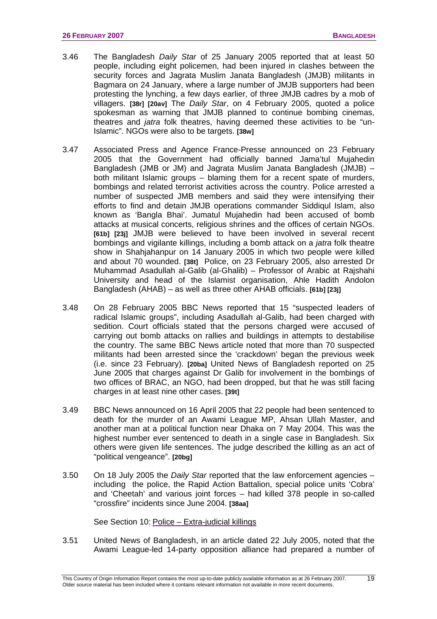- 3.46 The Bangladesh *Daily Star* of 25 January 2005 reported that at least 50 people, including eight policemen, had been injured in clashes between the security forces and Jagrata Muslim Janata Bangladesh (JMJB) militants in Bagmara on 24 January, where a large number of JMJB supporters had been protesting the lynching, a few days earlier, of three JMJB cadres by a mob of villagers. **[38r] [20av]** The *Daily Star*, on 4 February 2005, quoted a police spokesman as warning that JMJB planned to continue bombing cinemas, theatres and *jatra* folk theatres, having deemed these activities to be "un-Islamic". NGOs were also to be targets. **[38w]**
- 3.47 Associated Press and Agence France-Presse announced on 23 February 2005 that the Government had officially banned Jama'tul Mujahedin Bangladesh (JMB or JM) and Jagrata Muslim Janata Bangladesh (JMJB) – both militant Islamic groups – blaming them for a recent spate of murders, bombings and related terrorist activities across the country. Police arrested a number of suspected JMB members and said they were intensifying their efforts to find and detain JMJB operations commander Siddiqul Islam, also known as 'Bangla Bhai'. Jumatul Mujahedin had been accused of bomb attacks at musical concerts, religious shrines and the offices of certain NGOs. **[61b] [23j]** JMJB were believed to have been involved in several recent bombings and vigilante killings, including a bomb attack on a *jatra* folk theatre show in Shahjahanpur on 14 January 2005 in which two people were killed and about 70 wounded. **[38t]** Police, on 23 February 2005, also arrested Dr Muhammad Asadullah al-Galib (al-Ghalib) – Professor of Arabic at Rajshahi University and head of the Islamist organisation, Ahle Hadith Andolon Bangladesh (AHAB) – as well as three other AHAB officials. **[61b] [23j]**
- 3.48 On 28 February 2005 BBC News reported that 15 "suspected leaders of radical Islamic groups", including Asadullah al-Galib, had been charged with sedition. Court officials stated that the persons charged were accused of carrying out bomb attacks on rallies and buildings in attempts to destabilise the country. The same BBC News article noted that more than 70 suspected militants had been arrested since the 'crackdown' began the previous week (i.e. since 23 February). **[20ba]** United News of Bangladesh reported on 25 June 2005 that charges against Dr Galib for involvement in the bombings of two offices of BRAC, an NGO, had been dropped, but that he was still facing charges in at least nine other cases. **[39t]**
- 3.49 BBC News announced on 16 April 2005 that 22 people had been sentenced to death for the murder of an Awami League MP, Ahsan Ullah Master, and another man at a political function near Dhaka on 7 May 2004. This was the highest number ever sentenced to death in a single case in Bangladesh. Six others were given life sentences. The judge described the killing as an act of "political vengeance". **[20bg]**
- 3.50 On 18 July 2005 the *Daily Star* reported that the law enforcement agencies including the police, the Rapid Action Battalion, special police units 'Cobra' and 'Cheetah' and various joint forces – had killed 378 people in so-called "crossfire" incidents since June 2004. **[38aa]**

See Section 10: [Police – Extra-judicial killings](#page-44-0)

3.51 United News of Bangladesh, in an article dated 22 July 2005, noted that the Awami League-led 14-party opposition alliance had prepared a number of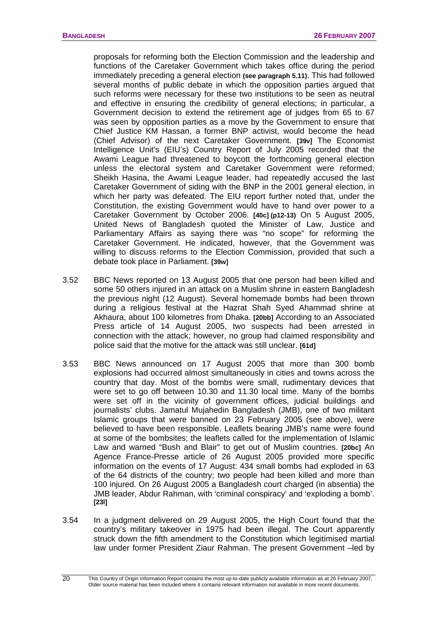proposals for reforming both the Election Commission and the leadership and functions of the Caretaker Government which takes office during the period immediately preceding a general election **(see paragraph 5.11)**. This had followed several months of public debate in which the opposition parties argued that such reforms were necessary for these two institutions to be seen as neutral and effective in ensuring the credibility of general elections; in particular, a Government decision to extend the retirement age of judges from 65 to 67 was seen by opposition parties as a move by the Government to ensure that Chief Justice KM Hassan, a former BNP activist, would become the head (Chief Advisor) of the next Caretaker Government. **[39v]** The Economist Intelligence Unit's (EIU's) Country Report of July 2005 recorded that the Awami League had threatened to boycott the forthcoming general election unless the electoral system and Caretaker Government were reformed; Sheikh Hasina, the Awami League leader, had repeatedly accused the last Caretaker Government of siding with the BNP in the 2001 general election, in which her party was defeated. The EIU report further noted that, under the Constitution, the existing Government would have to hand over power to a Caretaker Government by October 2006. **[40c] (p12-13)** On 5 August 2005, United News of Bangladesh quoted the Minister of Law, Justice and Parliamentary Affairs as saying there was "no scope" for reforming the Caretaker Government. He indicated, however, that the Government was willing to discuss reforms to the Election Commission, provided that such a debate took place in Parliament. **[39w]**

- 3.52 BBC News reported on 13 August 2005 that one person had been killed and some 50 others injured in an attack on a Muslim shrine in eastern Bangladesh the previous night (12 August). Several homemade bombs had been thrown during a religious festival at the Hazrat Shah Syed Ahammad shrine at Akhaura, about 100 kilometres from Dhaka. **[20bb]** According to an Associated Press article of 14 August 2005, two suspects had been arrested in connection with the attack; however, no group had claimed responsibility and police said that the motive for the attack was still unclear. **[61d]**
- 3.53 BBC News announced on 17 August 2005 that more than 300 bomb explosions had occurred almost simultaneously in cities and towns across the country that day. Most of the bombs were small, rudimentary devices that were set to go off between 10.30 and 11.30 local time. Many of the bombs were set off in the vicinity of government offices, judicial buildings and journalists' clubs. Jamatul Mujahedin Bangladesh (JMB), one of two militant Islamic groups that were banned on 23 February 2005 (see above), were believed to have been responsible. Leaflets bearing JMB's name were found at some of the bombsites; the leaflets called for the implementation of Islamic Law and warned "Bush and Blair" to get out of Muslim countries. **[20bc]** An Agence France-Presse article of 26 August 2005 provided more specific information on the events of 17 August: 434 small bombs had exploded in 63 of the 64 districts of the country; two people had been killed and more than 100 injured. On 26 August 2005 a Bangladesh court charged (in absentia) the JMB leader, Abdur Rahman, with 'criminal conspiracy' and 'exploding a bomb'. **[23l]**
- 3.54 In a judgment delivered on 29 August 2005, the High Court found that the country's military takeover in 1975 had been illegal. The Court apparently struck down the fifth amendment to the Constitution which legitimised martial law under former President Ziaur Rahman. The present Government –led by

This Country of Origin Information Report contains the most up-to-date publicly available information as at 26 February 2007. Older source material has been included where it contains relevant information not available in more recent documents.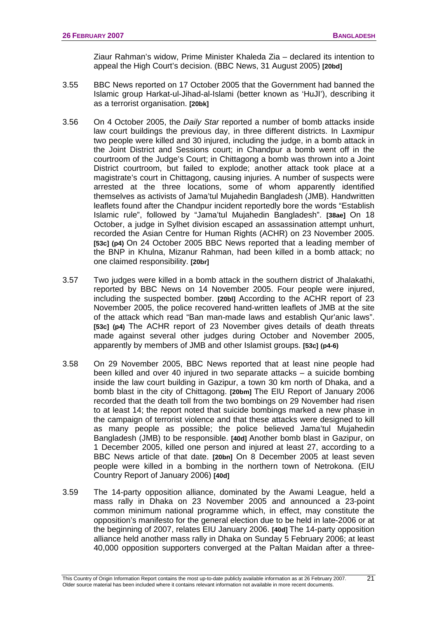Ziaur Rahman's widow, Prime Minister Khaleda Zia – declared its intention to appeal the High Court's decision. (BBC News, 31 August 2005) **[20bd]** 

- 3.55 BBC News reported on 17 October 2005 that the Government had banned the Islamic group Harkat-ul-Jihad-al-Islami (better known as 'HuJI'), describing it as a terrorist organisation. **[20bk]**
- 3.56 On 4 October 2005, the *Daily Star* reported a number of bomb attacks inside law court buildings the previous day, in three different districts. In Laxmipur two people were killed and 30 injured, including the judge, in a bomb attack in the Joint District and Sessions court; in Chandpur a bomb went off in the courtroom of the Judge's Court; in Chittagong a bomb was thrown into a Joint District courtroom, but failed to explode; another attack took place at a magistrate's court in Chittagong, causing injuries. A number of suspects were arrested at the three locations, some of whom apparently identified themselves as activists of Jama'tul Mujahedin Bangladesh (JMB). Handwritten leaflets found after the Chandpur incident reportedly bore the words "Establish Islamic rule", followed by "Jama'tul Mujahedin Bangladesh". **[38ae]** On 18 October, a judge in Sylhet division escaped an assassination attempt unhurt, recorded the Asian Centre for Human Rights (ACHR) on 23 November 2005. **[53c] (p4)** On 24 October 2005 BBC News reported that a leading member of the BNP in Khulna, Mizanur Rahman, had been killed in a bomb attack; no one claimed responsibility. **[20br]**
- 3.57 Two judges were killed in a bomb attack in the southern district of Jhalakathi, reported by BBC News on 14 November 2005. Four people were injured, including the suspected bomber. **[20bl]** According to the ACHR report of 23 November 2005, the police recovered hand-written leaflets of JMB at the site of the attack which read "Ban man-made laws and establish Qur'anic laws". **[53c] (p4)** The ACHR report of 23 November gives details of death threats made against several other judges during October and November 2005, apparently by members of JMB and other Islamist groups. **[53c] (p4-6)**
- 3.58 On 29 November 2005, BBC News reported that at least nine people had been killed and over 40 injured in two separate attacks – a suicide bombing inside the law court building in Gazipur, a town 30 km north of Dhaka, and a bomb blast in the city of Chittagong. **[20bm]** The EIU Report of January 2006 recorded that the death toll from the two bombings on 29 November had risen to at least 14; the report noted that suicide bombings marked a new phase in the campaign of terrorist violence and that these attacks were designed to kill as many people as possible; the police believed Jama'tul Mujahedin Bangladesh (JMB) to be responsible. **[40d]** Another bomb blast in Gazipur, on 1 December 2005, killed one person and injured at least 27, according to a BBC News article of that date. **[20bn]** On 8 December 2005 at least seven people were killed in a bombing in the northern town of Netrokona. (EIU Country Report of January 2006) **[40d]**
- 3.59 The 14-party opposition alliance, dominated by the Awami League, held a mass rally in Dhaka on 23 November 2005 and announced a 23-point common minimum national programme which, in effect, may constitute the opposition's manifesto for the general election due to be held in late-2006 or at the beginning of 2007, relates EIU January 2006. **[40d]** The 14-party opposition alliance held another mass rally in Dhaka on Sunday 5 February 2006; at least 40,000 opposition supporters converged at the Paltan Maidan after a three-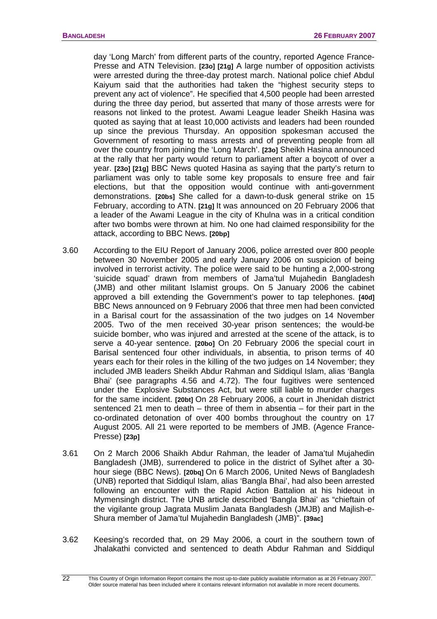day 'Long March' from different parts of the country, reported Agence France-Presse and ATN Television. **[23o] [21g]** A large number of opposition activists were arrested during the three-day protest march. National police chief Abdul Kaiyum said that the authorities had taken the "highest security steps to prevent any act of violence". He specified that 4,500 people had been arrested during the three day period, but asserted that many of those arrests were for reasons not linked to the protest. Awami League leader Sheikh Hasina was quoted as saying that at least 10,000 activists and leaders had been rounded up since the previous Thursday. An opposition spokesman accused the Government of resorting to mass arrests and of preventing people from all over the country from joining the 'Long March'. **[23o]** Sheikh Hasina announced at the rally that her party would return to parliament after a boycott of over a year. **[23o] [21g]** BBC News quoted Hasina as saying that the party's return to parliament was only to table some key proposals to ensure free and fair elections, but that the opposition would continue with anti-government demonstrations. **[20bs]** She called for a dawn-to-dusk general strike on 15 February, according to ATN. **[21g]** It was announced on 20 February 2006 that a leader of the Awami League in the city of Khulna was in a critical condition after two bombs were thrown at him. No one had claimed responsibility for the attack, according to BBC News. **[20bp]** 

- 3.60 According to the EIU Report of January 2006, police arrested over 800 people between 30 November 2005 and early January 2006 on suspicion of being involved in terrorist activity. The police were said to be hunting a 2,000-strong 'suicide squad' drawn from members of Jama'tul Mujahedin Bangladesh (JMB) and other militant Islamist groups. On 5 January 2006 the cabinet approved a bill extending the Government's power to tap telephones. **[40d]**  BBC News announced on 9 February 2006 that three men had been convicted in a Barisal court for the assassination of the two judges on 14 November 2005. Two of the men received 30-year prison sentences; the would-be suicide bomber, who was injured and arrested at the scene of the attack, is to serve a 40-year sentence. **[20bo]** On 20 February 2006 the special court in Barisal sentenced four other individuals, in absentia, to prison terms of 40 years each for their roles in the killing of the two judges on 14 November; they included JMB leaders Sheikh Abdur Rahman and Siddiqul Islam, alias 'Bangla Bhai' (see paragraphs 4.56 and 4.72). The four fugitives were sentenced under the Explosive Substances Act, but were still liable to murder charges for the same incident. **[20bt]** On 28 February 2006, a court in Jhenidah district sentenced 21 men to death – three of them in absentia – for their part in the co-ordinated detonation of over 400 bombs throughout the country on 17 August 2005. All 21 were reported to be members of JMB. (Agence France-Presse) **[23p]**
- 3.61 On 2 March 2006 Shaikh Abdur Rahman, the leader of Jama'tul Mujahedin Bangladesh (JMB), surrendered to police in the district of Sylhet after a 30 hour siege (BBC News). **[20bq]** On 6 March 2006, United News of Bangladesh (UNB) reported that Siddiqul Islam, alias 'Bangla Bhai', had also been arrested following an encounter with the Rapid Action Battalion at his hideout in Mymensingh district. The UNB article described 'Bangla Bhai' as "chieftain of the vigilante group Jagrata Muslim Janata Bangladesh (JMJB) and Majlish-e-Shura member of Jama'tul Mujahedin Bangladesh (JMB)". **[39ac]**
- 3.62 Keesing's recorded that, on 29 May 2006, a court in the southern town of Jhalakathi convicted and sentenced to death Abdur Rahman and Siddiqul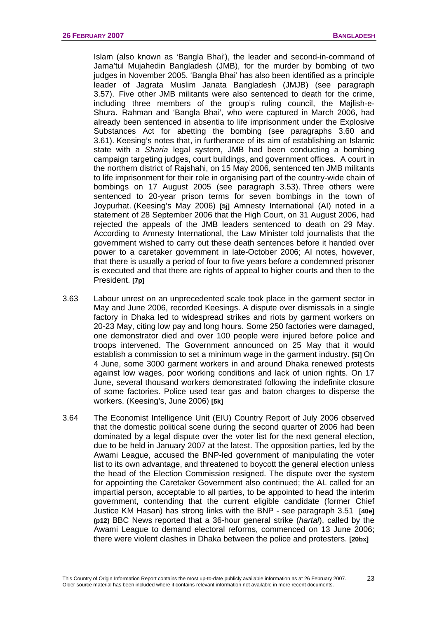Islam (also known as 'Bangla Bhai'), the leader and second-in-command of Jama'tul Mujahedin Bangladesh (JMB), for the murder by bombing of two judges in November 2005. 'Bangla Bhai' has also been identified as a principle leader of Jagrata Muslim Janata Bangladesh (JMJB) (see paragraph 3.57). Five other JMB militants were also sentenced to death for the crime, including three members of the group's ruling council, the Majlish-e-Shura. Rahman and 'Bangla Bhai', who were captured in March 2006, had already been sentenced in absentia to life imprisonment under the Explosive Substances Act for abetting the bombing (see paragraphs 3.60 and 3.61). Keesing's notes that, in furtherance of its aim of establishing an Islamic state with a *Sharia* legal system, JMB had been conducting a bombing campaign targeting judges, court buildings, and government offices. A court in the northern district of Rajshahi, on 15 May 2006, sentenced ten JMB militants to life imprisonment for their role in organising part of the country-wide chain of bombings on 17 August 2005 (see paragraph 3.53). Three others were sentenced to 20-year prison terms for seven bombings in the town of Joypurhat. (Keesing's May 2006) **[5j]** Amnesty International (AI) noted in a statement of 28 September 2006 that the High Court, on 31 August 2006, had rejected the appeals of the JMB leaders sentenced to death on 29 May. According to Amnesty International, the Law Minister told journalists that the government wished to carry out these death sentences before it handed over power to a caretaker government in late-October 2006; AI notes, however, that there is usually a period of four to five years before a condemned prisoner is executed and that there are rights of appeal to higher courts and then to the President. **[7p]**

- 3.63 Labour unrest on an unprecedented scale took place in the garment sector in May and June 2006, recorded Keesings. A dispute over dismissals in a single factory in Dhaka led to widespread strikes and riots by garment workers on 20-23 May, citing low pay and long hours. Some 250 factories were damaged, one demonstrator died and over 100 people were injured before police and troops intervened. The Government announced on 25 May that it would establish a commission to set a minimum wage in the garment industry. **[5i]** On 4 June, some 3000 garment workers in and around Dhaka renewed protests against low wages, poor working conditions and lack of union rights. On 17 June, several thousand workers demonstrated following the indefinite closure of some factories. Police used tear gas and baton charges to disperse the workers. (Keesing's, June 2006) **[5k]**
- 3.64 The Economist Intelligence Unit (EIU) Country Report of July 2006 observed that the domestic political scene during the second quarter of 2006 had been dominated by a legal dispute over the voter list for the next general election, due to be held in January 2007 at the latest. The opposition parties, led by the Awami League, accused the BNP-led government of manipulating the voter list to its own advantage, and threatened to boycott the general election unless the head of the Election Commission resigned. The dispute over the system for appointing the Caretaker Government also continued; the AL called for an impartial person, acceptable to all parties, to be appointed to head the interim government, contending that the current eligible candidate (former Chief Justice KM Hasan) has strong links with the BNP - see paragraph 3.51 **[40e] (p12)** BBC News reported that a 36-hour general strike (*hartal*), called by the Awami League to demand electoral reforms, commenced on 13 June 2006; there were violent clashes in Dhaka between the police and protesters. **[20bx]**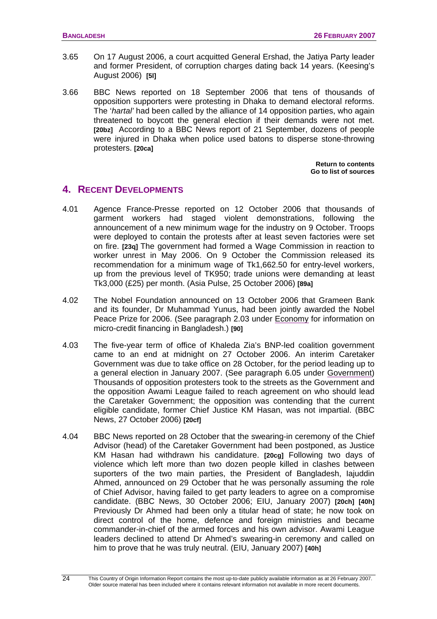- <span id="page-27-0"></span>3.65 On 17 August 2006, a court acquitted General Ershad, the Jatiya Party leader and former President, of corruption charges dating back 14 years. (Keesing's August 2006) **[5l]**
- 3.66 BBC News reported on 18 September 2006 that tens of thousands of opposition supporters were protesting in Dhaka to demand electoral reforms. The '*hartal'* had been called by the alliance of 14 opposition parties, who again threatened to boycott the general election if their demands were not met. **[20bz]** According to a BBC News report of 21 September, dozens of people were injured in Dhaka when police used batons to disperse stone-throwing protesters. **[20ca]**

**[Return to contents](#page-0-0)  [Go to list of sources](#page-133-0)** 

# **4. RECENT DEVELOPMENTS**

- 4.01 Agence France-Presse reported on 12 October 2006 that thousands of garment workers had staged violent demonstrations, following the announcement of a new minimum wage for the industry on 9 October. Troops were deployed to contain the protests after at least seven factories were set on fire. **[23q]** The government had formed a Wage Commission in reaction to worker unrest in May 2006. On 9 October the Commission released its recommendation for a minimum wage of Tk1,662.50 for entry-level workers, up from the previous level of TK950; trade unions were demanding at least Tk3,000 (£25) per month. (Asia Pulse, 25 October 2006) **[89a]**
- 4.02 The Nobel Foundation announced on 13 October 2006 that Grameen Bank and its founder, Dr Muhammad Yunus, had been jointly awarded the Nobel Peace Prize for 2006. (See paragraph 2.03 under [Economy](#page-12-0) for information on micro-credit financing in Bangladesh.) **[90]**
- 4.03 The five-year term of office of Khaleda Zia's BNP-led coalition government came to an end at midnight on 27 October 2006. An interim Caretaker Government was due to take office on 28 October, for the period leading up to a general election in January 2007. (See paragraph 6.05 under [Government](#page-32-0)) Thousands of opposition protesters took to the streets as the Government and the opposition Awami League failed to reach agreement on who should lead the Caretaker Government; the opposition was contending that the current eligible candidate, former Chief Justice KM Hasan, was not impartial. (BBC News, 27 October 2006) **[20cf]**
- 4.04 BBC News reported on 28 October that the swearing-in ceremony of the Chief Advisor (head) of the Caretaker Government had been postponed, as Justice KM Hasan had withdrawn his candidature. **[20cg]** Following two days of violence which left more than two dozen people killed in clashes between suporters of the two main parties, the President of Bangladesh, Iajuddin Ahmed, announced on 29 October that he was personally assuming the role of Chief Advisor, having failed to get party leaders to agree on a compromise candidate. (BBC News, 30 October 2006; EIU, January 2007) **[20ch] [40h]**  Previously Dr Ahmed had been only a titular head of state; he now took on direct control of the home, defence and foreign ministries and became commander-in-chief of the armed forces and his own advisor. Awami League leaders declined to attend Dr Ahmed's swearing-in ceremony and called on him to prove that he was truly neutral. (EIU, January 2007) **[40h]**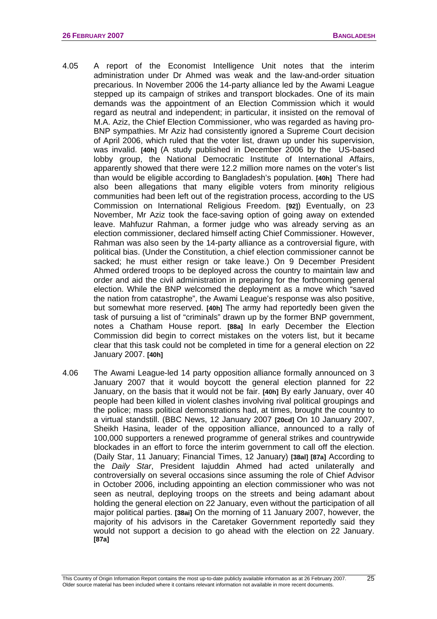- 4.05 A report of the Economist Intelligence Unit notes that the interim administration under Dr Ahmed was weak and the law-and-order situation precarious. In November 2006 the 14-party alliance led by the Awami League stepped up its campaign of strikes and transport blockades. One of its main demands was the appointment of an Election Commission which it would regard as neutral and independent; in particular, it insisted on the removal of M.A. Aziz, the Chief Election Commissioner, who was regarded as having pro-BNP sympathies. Mr Aziz had consistently ignored a Supreme Court decision of April 2006, which ruled that the voter list, drawn up under his supervision, was invalid. **[40h]** (A study published in December 2006 by the US-based lobby group, the National Democratic Institute of International Affairs, apparently showed that there were 12.2 million more names on the voter's list than would be eligible according to Bangladesh's population. **[40h]** There had also been allegations that many eligible voters from minority religious communities had been left out of the registration process, according to the US Commission on International Religious Freedom. **[92]**) Eventually, on 23 November, Mr Aziz took the face-saving option of going away on extended leave. Mahfuzur Rahman, a former judge who was already serving as an election commissioner, declared himself acting Chief Commissioner. However, Rahman was also seen by the 14-party alliance as a controversial figure, with political bias. (Under the Constitution, a chief election commissioner cannot be sacked; he must either resign or take leave.) On 9 December President Ahmed ordered troops to be deployed across the country to maintain law and order and aid the civil administration in preparing for the forthcoming general election. While the BNP welcomed the deployment as a move which "saved the nation from catastrophe", the Awami League's response was also positive, but somewhat more reserved. **[40h]** The army had reportedly been given the task of pursuing a list of "criminals" drawn up by the former BNP government, notes a Chatham House report. **[88a]** In early December the Election Commission did begin to correct mistakes on the voters list, but it became clear that this task could not be completed in time for a general election on 22 January 2007. **[40h]**
- 4.06 The Awami League-led 14 party opposition alliance formally announced on 3 January 2007 that it would boycott the general election planned for 22 January, on the basis that it would not be fair. **[40h]** By early January, over 40 people had been killed in violent clashes involving rival political groupings and the police; mass political demonstrations had, at times, brought the country to a virtual standstill. (BBC News, 12 January 2007 **[20cd]** On 10 January 2007, Sheikh Hasina, leader of the opposition alliance, announced to a rally of 100,000 supporters a renewed programme of general strikes and countrywide blockades in an effort to force the interim government to call off the election. (Daily Star, 11 January; Financial Times, 12 January) **[38al] [87a]** According to the *Daily Star*, President Iajuddin Ahmed had acted unilaterally and controversially on several occasions since assuming the role of Chief Advisor in October 2006, including appointing an election commissioner who was not seen as neutral, deploying troops on the streets and being adamant about holding the general election on 22 January, even without the participation of all major political parties. **[38ai]** On the morning of 11 January 2007, however, the majority of his advisors in the Caretaker Government reportedly said they would not support a decision to go ahead with the election on 22 January. **[87a]**

25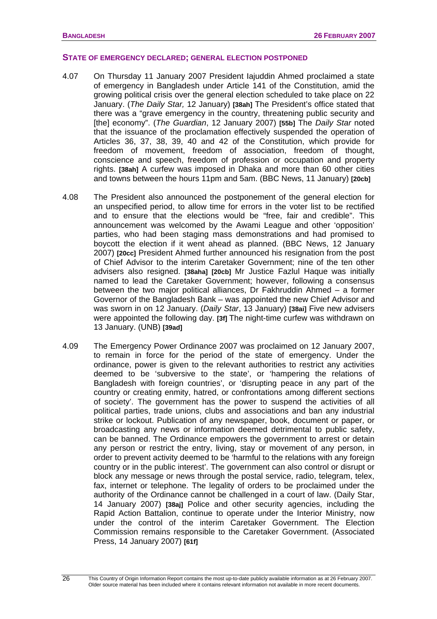### **STATE OF EMERGENCY DECLARED; GENERAL ELECTION POSTPONED**

- 4.07 On Thursday 11 January 2007 President Iajuddin Ahmed proclaimed a state of emergency in Bangladesh under Article 141 of the Constitution, amid the growing political crisis over the general election scheduled to take place on 22 January. (*The Daily Star,* 12 January) **[38ah]** The President's office stated that there was a "grave emergency in the country, threatening public security and [the] economy". (*The Guardian*, 12 January 2007) **[55b]** The *Daily Star* noted that the issuance of the proclamation effectively suspended the operation of Articles 36, 37, 38, 39, 40 and 42 of the Constitution, which provide for freedom of movement, freedom of association, freedom of thought, conscience and speech, freedom of profession or occupation and property rights. **[38ah]** A curfew was imposed in Dhaka and more than 60 other cities and towns between the hours 11pm and 5am. (BBC News, 11 January) **[20cb]**
- 4.08 The President also announced the postponement of the general election for an unspecified period, to allow time for errors in the voter list to be rectified and to ensure that the elections would be "free, fair and credible". This announcement was welcomed by the Awami League and other 'opposition' parties, who had been staging mass demonstrations and had promised to boycott the election if it went ahead as planned. (BBC News, 12 January 2007) **[20cc]** President Ahmed further announced his resignation from the post of Chief Advisor to the interim Caretaker Government; nine of the ten other advisers also resigned. **[38aha] [20cb]** Mr Justice Fazlul Haque was initially named to lead the Caretaker Government; however, following a consensus between the two major political alliances, Dr Fakhruddin Ahmed – a former Governor of the Bangladesh Bank – was appointed the new Chief Advisor and was sworn in on 12 January. (*Daily Star*, 13 January) **[38ai]** Five new advisers were appointed the following day. **[3f]** The night-time curfew was withdrawn on 13 January. (UNB) **[39ad]**
- 4.09 The Emergency Power Ordinance 2007 was proclaimed on 12 January 2007, to remain in force for the period of the state of emergency. Under the ordinance, power is given to the relevant authorities to restrict any activities deemed to be 'subversive to the state', or 'hampering the relations of Bangladesh with foreign countries', or 'disrupting peace in any part of the country or creating enmity, hatred, or confrontations among different sections of society'. The government has the power to suspend the activities of all political parties, trade unions, clubs and associations and ban any industrial strike or lockout. Publication of any newspaper, book, document or paper, or broadcasting any news or information deemed detrimental to public safety, can be banned. The Ordinance empowers the government to arrest or detain any person or restrict the entry, living, stay or movement of any person, in order to prevent activity deemed to be 'harmful to the relations with any foreign country or in the public interest'. The government can also control or disrupt or block any message or news through the postal service, radio, telegram, telex, fax, internet or telephone. The legality of orders to be proclaimed under the authority of the Ordinance cannot be challenged in a court of law. (Daily Star, 14 January 2007) **[38aj]** Police and other security agencies, including the Rapid Action Battalion, continue to operate under the Interior Ministry, now under the control of the interim Caretaker Government. The Election Commission remains responsible to the Caretaker Government. (Associated Press, 14 January 2007) **[61f]**

26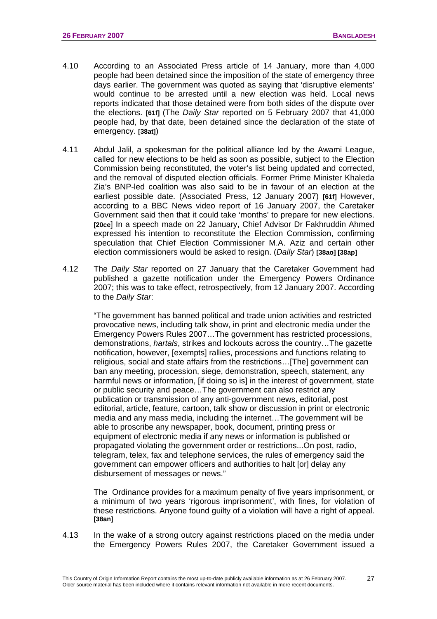- 4.10 According to an Associated Press article of 14 January, more than 4,000 people had been detained since the imposition of the state of emergency three days earlier. The government was quoted as saying that 'disruptive elements' would continue to be arrested until a new election was held. Local news reports indicated that those detained were from both sides of the dispute over the elections. **[61f]** (The *Daily Star* reported on 5 February 2007 that 41,000 people had, by that date, been detained since the declaration of the state of emergency. **[38at]**)
- 4.11 Abdul Jalil, a spokesman for the political alliance led by the Awami League, called for new elections to be held as soon as possible, subject to the Election Commission being reconstituted, the voter's list being updated and corrected, and the removal of disputed election officials. Former Prime Minister Khaleda Zia's BNP-led coalition was also said to be in favour of an election at the earliest possible date. (Associated Press, 12 January 2007) **[61f]** However, according to a BBC News video report of 16 January 2007, the Caretaker Government said then that it could take 'months' to prepare for new elections. **[20ce**] In a speech made on 22 January, Chief Advisor Dr Fakhruddin Ahmed expressed his intention to reconstitute the Election Commission, confirming speculation that Chief Election Commissioner M.A. Aziz and certain other election commissioners would be asked to resign. (*Daily Star*) **[38ao] [38ap]**
- 4.12 The *Daily Star* reported on 27 January that the Caretaker Government had published a gazette notification under the Emergency Powers Ordinance 2007; this was to take effect, retrospectively, from 12 January 2007. According to the *Daily Star*:

"The government has banned political and trade union activities and restricted provocative news, including talk show, in print and electronic media under the Emergency Powers Rules 2007…The government has restricted processions, demonstrations, *hartals*, strikes and lockouts across the country…The gazette notification, however, [exempts] rallies, processions and functions relating to religious, social and state affairs from the restrictions…[The] government can ban any meeting, procession, siege, demonstration, speech, statement, any harmful news or information, [if doing so is] in the interest of government, state or public security and peace…The government can also restrict any publication or transmission of any anti-government news, editorial, post editorial, article, feature, cartoon, talk show or discussion in print or electronic media and any mass media, including the internet…The government will be able to proscribe any newspaper, book, document, printing press or equipment of electronic media if any news or information is published or propagated violating the government order or restrictions...On post, radio, telegram, telex, fax and telephone services, the rules of emergency said the government can empower officers and authorities to halt [or] delay any disbursement of messages or news."

 The Ordinance provides for a maximum penalty of five years imprisonment, or a minimum of two years 'rigorous imprisonment', with fines, for violation of these restrictions. Anyone found guilty of a violation will have a right of appeal. **[38an]** 

4.13 In the wake of a strong outcry against restrictions placed on the media under the Emergency Powers Rules 2007, the Caretaker Government issued a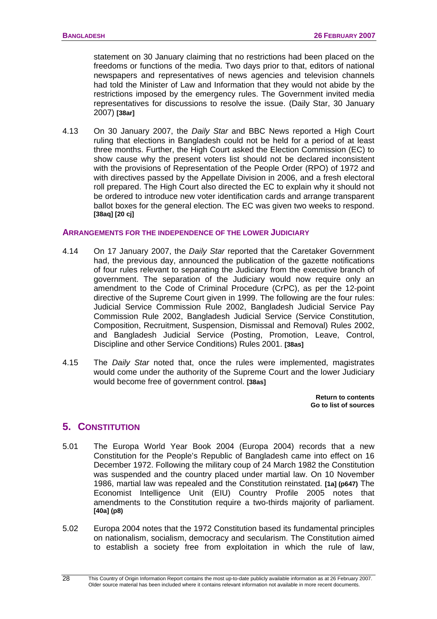<span id="page-31-0"></span>statement on 30 January claiming that no restrictions had been placed on the freedoms or functions of the media. Two days prior to that, editors of national newspapers and representatives of news agencies and television channels had told the Minister of Law and Information that they would not abide by the restrictions imposed by the emergency rules. The Government invited media representatives for discussions to resolve the issue. (Daily Star, 30 January 2007) **[38ar]** 

4.13 On 30 January 2007, the *Daily Star* and BBC News reported a High Court ruling that elections in Bangladesh could not be held for a period of at least three months. Further, the High Court asked the Election Commission (EC) to show cause why the present voters list should not be declared inconsistent with the provisions of Representation of the People Order (RPO) of 1972 and with directives passed by the Appellate Division in 2006, and a fresh electoral roll prepared. The High Court also directed the EC to explain why it should not be ordered to introduce new voter identification cards and arrange transparent ballot boxes for the general election. The EC was given two weeks to respond. **[38aq] [20 cj]**

### **ARRANGEMENTS FOR THE INDEPENDENCE OF THE LOWER JUDICIARY**

- 4.14 On 17 January 2007, the *Daily Star* reported that the Caretaker Government had, the previous day, announced the publication of the gazette notifications of four rules relevant to separating the Judiciary from the executive branch of government. The separation of the Judiciary would now require only an amendment to the Code of Criminal Procedure (CrPC), as per the 12-point directive of the Supreme Court given in 1999. The following are the four rules: Judicial Service Commission Rule 2002, Bangladesh Judicial Service Pay Commission Rule 2002, Bangladesh Judicial Service (Service Constitution, Composition, Recruitment, Suspension, Dismissal and Removal) Rules 2002, and Bangladesh Judicial Service (Posting, Promotion, Leave, Control, Discipline and other Service Conditions) Rules 2001. **[38as]**
- 4.15 The *Daily Star* noted that, once the rules were implemented, magistrates would come under the authority of the Supreme Court and the lower Judiciary would become free of government control. **[38as]**

**[Return to contents](#page-0-0)  [Go to list of sources](#page-133-0)** 

### **5. CONSTITUTION**

- 5.01 The Europa World Year Book 2004 (Europa 2004) records that a new Constitution for the People's Republic of Bangladesh came into effect on 16 December 1972. Following the military coup of 24 March 1982 the Constitution was suspended and the country placed under martial law. On 10 November 1986, martial law was repealed and the Constitution reinstated. **[1a] (p647)** The Economist Intelligence Unit (EIU) Country Profile 2005 notes that amendments to the Constitution require a two-thirds majority of parliament. **[40a] (p8)**
- 5.02 Europa 2004 notes that the 1972 Constitution based its fundamental principles on nationalism, socialism, democracy and secularism. The Constitution aimed to establish a society free from exploitation in which the rule of law,

This Country of Origin Information Report contains the most up-to-date publicly available information as at 26 February 2007. Older source material has been included where it contains relevant information not available in more recent documents.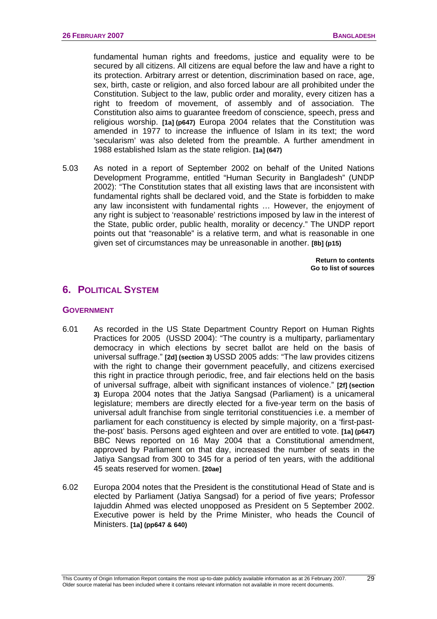<span id="page-32-0"></span>fundamental human rights and freedoms, justice and equality were to be secured by all citizens. All citizens are equal before the law and have a right to its protection. Arbitrary arrest or detention, discrimination based on race, age, sex, birth, caste or religion, and also forced labour are all prohibited under the Constitution. Subject to the law, public order and morality, every citizen has a right to freedom of movement, of assembly and of association. The Constitution also aims to guarantee freedom of conscience, speech, press and religious worship. **[1a] (p647)** Europa 2004 relates that the Constitution was amended in 1977 to increase the influence of Islam in its text; the word 'secularism' was also deleted from the preamble. A further amendment in 1988 established Islam as the state religion. **[1a] (647)**

5.03 As noted in a report of September 2002 on behalf of the United Nations Development Programme, entitled "Human Security in Bangladesh" (UNDP 2002): "The Constitution states that all existing laws that are inconsistent with fundamental rights shall be declared void, and the State is forbidden to make any law inconsistent with fundamental rights … However, the enjoyment of any right is subject to 'reasonable' restrictions imposed by law in the interest of the State, public order, public health, morality or decency." The UNDP report points out that "reasonable" is a relative term, and what is reasonable in one given set of circumstances may be unreasonable in another. **[8b] (p15)**

> **[Return to contents](#page-0-0)  [Go to list of sources](#page-133-0)**

# **6. POLITICAL SYSTEM**

### **GOVERNMENT**

- 6.01 As recorded in the US State Department Country Report on Human Rights Practices for 2005 (USSD 2004): "The country is a multiparty, parliamentary democracy in which elections by secret ballot are held on the basis of universal suffrage." **[2d] (section 3)** USSD 2005 adds: "The law provides citizens with the right to change their government peacefully, and citizens exercised this right in practice through periodic, free, and fair elections held on the basis of universal suffrage, albeit with significant instances of violence." **[2f] (section 3)** Europa 2004 notes that the Jatiya Sangsad (Parliament) is a unicameral legislature; members are directly elected for a five-year term on the basis of universal adult franchise from single territorial constituencies i.e. a member of parliament for each constituency is elected by simple majority, on a 'first-pastthe-post' basis. Persons aged eighteen and over are entitled to vote. **[1a] (p647)** BBC News reported on 16 May 2004 that a Constitutional amendment, approved by Parliament on that day, increased the number of seats in the Jatiya Sangsad from 300 to 345 for a period of ten years, with the additional 45 seats reserved for women. **[20ae]**
- 6.02 Europa 2004 notes that the President is the constitutional Head of State and is elected by Parliament (Jatiya Sangsad) for a period of five years; Professor Iajuddin Ahmed was elected unopposed as President on 5 September 2002. Executive power is held by the Prime Minister, who heads the Council of Ministers. **[1a] (pp647 & 640)**

 $\overline{29}$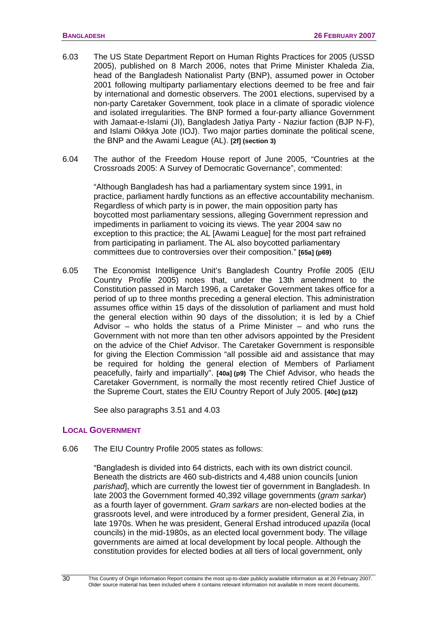- <span id="page-33-0"></span>6.03 The US State Department Report on Human Rights Practices for 2005 (USSD 2005), published on 8 March 2006, notes that Prime Minister Khaleda Zia, head of the Bangladesh Nationalist Party (BNP), assumed power in October 2001 following multiparty parliamentary elections deemed to be free and fair by international and domestic observers. The 2001 elections, supervised by a non-party Caretaker Government, took place in a climate of sporadic violence and isolated irregularities. The BNP formed a four-party alliance Government with Jamaat-e-Islami (JI), Bangladesh Jatiya Party - Naziur faction (BJP N-F), and Islami Oikkya Jote (IOJ). Two major parties dominate the political scene, the BNP and the Awami League (AL). **[2f] (section 3)**
- 6.04 The author of the Freedom House report of June 2005, "Countries at the Crossroads 2005: A Survey of Democratic Governance", commented:

"Although Bangladesh has had a parliamentary system since 1991, in practice, parliament hardly functions as an effective accountability mechanism. Regardless of which party is in power, the main opposition party has boycotted most parliamentary sessions, alleging Government repression and impediments in parliament to voicing its views. The year 2004 saw no exception to this practice; the AL [Awami League] for the most part refrained from participating in parliament. The AL also boycotted parliamentary committees due to controversies over their composition." **[65a] (p69)**

6.05 The Economist Intelligence Unit's Bangladesh Country Profile 2005 (EIU Country Profile 2005) notes that, under the 13th amendment to the Constitution passed in March 1996, a Caretaker Government takes office for a period of up to three months preceding a general election. This administration assumes office within 15 days of the dissolution of parliament and must hold the general election within 90 days of the dissolution; it is led by a Chief Advisor – who holds the status of a Prime Minister – and who runs the Government with not more than ten other advisors appointed by the President on the advice of the Chief Advisor. The Caretaker Government is responsible for giving the Election Commission "all possible aid and assistance that may be required for holding the general election of Members of Parliament peacefully, fairly and impartially". **[40a] (p9)** The Chief Advisor, who heads the Caretaker Government, is normally the most recently retired Chief Justice of the Supreme Court, states the EIU Country Report of July 2005. **[40c] (p12)** 

See also paragraphs 3.51 and 4.03

### **LOCAL GOVERNMENT**

6.06 The EIU Country Profile 2005 states as follows:

"Bangladesh is divided into 64 districts, each with its own district council. Beneath the districts are 460 sub-districts and 4,488 union councils [union *parishad*], which are currently the lowest tier of government in Bangladesh. In late 2003 the Government formed 40,392 village governments (*gram sarkar*) as a fourth layer of government. *Gram sarkars* are non-elected bodies at the grassroots level, and were introduced by a former president, General Zia, in late 1970s. When he was president, General Ershad introduced *upazila* (local councils) in the mid-1980s, as an elected local government body. The village governments are aimed at local development by local people. Although the constitution provides for elected bodies at all tiers of local government, only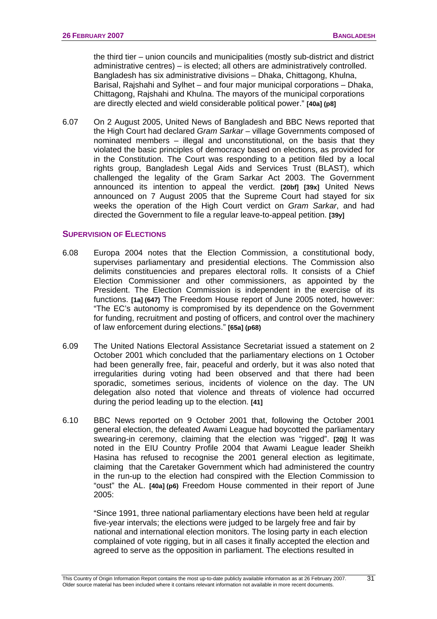<span id="page-34-0"></span>the third tier – union councils and municipalities (mostly sub-district and district administrative centres) – is elected; all others are administratively controlled. Bangladesh has six administrative divisions – Dhaka, Chittagong, Khulna, Barisal, Rajshahi and Sylhet – and four major municipal corporations – Dhaka, Chittagong, Rajshahi and Khulna. The mayors of the municipal corporations are directly elected and wield considerable political power." **[40a] (p8]**

6.07 On 2 August 2005, United News of Bangladesh and BBC News reported that the High Court had declared *Gram Sarkar* – village Governments composed of nominated members – illegal and unconstitutional, on the basis that they violated the basic principles of democracy based on elections, as provided for in the Constitution. The Court was responding to a petition filed by a local rights group, Bangladesh Legal Aids and Services Trust (BLAST), which challenged the legality of the Gram Sarkar Act 2003. The Government announced its intention to appeal the verdict. **[20bf] [39x]** United News announced on 7 August 2005 that the Supreme Court had stayed for six weeks the operation of the High Court verdict on *Gram Sarkar*, and had directed the Government to file a regular leave-to-appeal petition. **[39y]** 

### **SUPERVISION OF ELECTIONS**

- 6.08 Europa 2004 notes that the Election Commission, a constitutional body, supervises parliamentary and presidential elections. The Commission also delimits constituencies and prepares electoral rolls. It consists of a Chief Election Commissioner and other commissioners, as appointed by the President. The Election Commission is independent in the exercise of its functions. **[1a] (647)** The Freedom House report of June 2005 noted, however: "The EC's autonomy is compromised by its dependence on the Government for funding, recruitment and posting of officers, and control over the machinery of law enforcement during elections." **[65a] (p68)**
- 6.09 The United Nations Electoral Assistance Secretariat issued a statement on 2 October 2001 which concluded that the parliamentary elections on 1 October had been generally free, fair, peaceful and orderly, but it was also noted that irregularities during voting had been observed and that there had been sporadic, sometimes serious, incidents of violence on the day. The UN delegation also noted that violence and threats of violence had occurred during the period leading up to the election. **[41]**
- 6.10 BBC News reported on 9 October 2001 that, following the October 2001 general election, the defeated Awami League had boycotted the parliamentary swearing-in ceremony, claiming that the election was "rigged". **[20j]** It was noted in the EIU Country Profile 2004 that Awami League leader Sheikh Hasina has refused to recognise the 2001 general election as legitimate, claiming that the Caretaker Government which had administered the country in the run-up to the election had conspired with the Election Commission to "oust" the AL. **[40a] (p6)** Freedom House commented in their report of June 2005:

"Since 1991, three national parliamentary elections have been held at regular five-year intervals; the elections were judged to be largely free and fair by national and international election monitors. The losing party in each election complained of vote rigging, but in all cases it finally accepted the election and agreed to serve as the opposition in parliament. The elections resulted in

31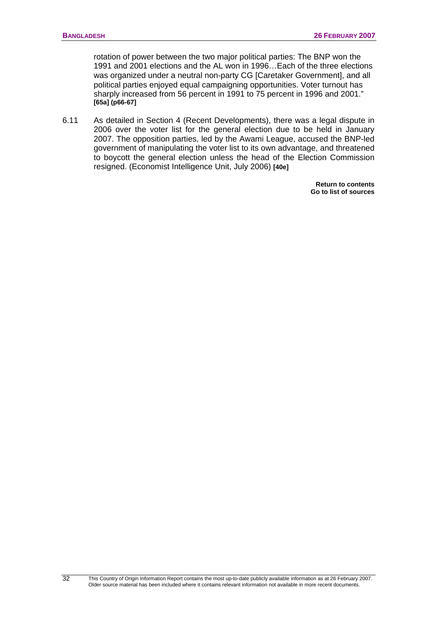rotation of power between the two major political parties: The BNP won the 1991 and 2001 elections and the AL won in 1996…Each of the three elections was organized under a neutral non-party CG [Caretaker Government], and all political parties enjoyed equal campaigning opportunities. Voter turnout has sharply increased from 56 percent in 1991 to 75 percent in 1996 and 2001." **[65a] (p66-67]** 

6.11 As detailed in Section 4 (Recent Developments), there was a legal dispute in 2006 over the voter list for the general election due to be held in January 2007. The opposition parties, led by the Awami League, accused the BNP-led government of manipulating the voter list to its own advantage, and threatened to boycott the general election unless the head of the Election Commission resigned. (Economist Intelligence Unit, July 2006) **[40e]**

> **[Return to contents](#page-0-0)  [Go to list of sources](#page-133-0)**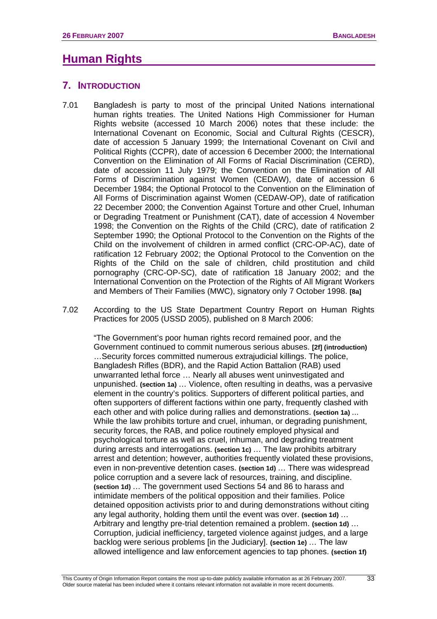# **Human Rights**

# **7. INTRODUCTION**

- 7.01 Bangladesh is party to most of the principal United Nations international human rights treaties. The United Nations High Commissioner for Human Rights website (accessed 10 March 2006) notes that these include: the International Covenant on Economic, Social and Cultural Rights (CESCR), date of accession 5 January 1999; the International Covenant on Civil and Political Rights (CCPR), date of accession 6 December 2000; the International Convention on the Elimination of All Forms of Racial Discrimination (CERD), date of accession 11 July 1979; the Convention on the Elimination of All Forms of Discrimination against Women (CEDAW), date of accession 6 December 1984; the Optional Protocol to the Convention on the Elimination of All Forms of Discrimination against Women (CEDAW-OP), date of ratification 22 December 2000; the Convention Against Torture and other Cruel, Inhuman or Degrading Treatment or Punishment (CAT), date of accession 4 November 1998; the Convention on the Rights of the Child (CRC), date of ratification 2 September 1990; the Optional Protocol to the Convention on the Rights of the Child on the involvement of children in armed conflict (CRC-OP-AC), date of ratification 12 February 2002; the Optional Protocol to the Convention on the Rights of the Child on the sale of children, child prostitution and child pornography (CRC-OP-SC), date of ratification 18 January 2002; and the International Convention on the Protection of the Rights of All Migrant Workers and Members of Their Families (MWC), signatory only 7 October 1998. **[8a]**
- 7.02 According to the US State Department Country Report on Human Rights Practices for 2005 (USSD 2005), published on 8 March 2006:

"The Government's poor human rights record remained poor, and the Government continued to commit numerous serious abuses. **[2f] (introduction)**  …Security forces committed numerous extrajudicial killings. The police, Bangladesh Rifles (BDR), and the Rapid Action Battalion (RAB) used unwarranted lethal force … Nearly all abuses went uninvestigated and unpunished. **(section 1a)** … Violence, often resulting in deaths, was a pervasive element in the country's politics. Supporters of different political parties, and often supporters of different factions within one party, frequently clashed with each other and with police during rallies and demonstrations. **(section 1a)** ... While the law prohibits torture and cruel, inhuman, or degrading punishment, security forces, the RAB, and police routinely employed physical and psychological torture as well as cruel, inhuman, and degrading treatment during arrests and interrogations. **(section 1c)** … The law prohibits arbitrary arrest and detention; however, authorities frequently violated these provisions, even in non-preventive detention cases. **(section 1d)** … There was widespread police corruption and a severe lack of resources, training, and discipline. **(section 1d)** … The government used Sections 54 and 86 to harass and intimidate members of the political opposition and their families. Police detained opposition activists prior to and during demonstrations without citing any legal authority, holding them until the event was over. **(section 1d)** … Arbitrary and lengthy pre-trial detention remained a problem. **(section 1d)** … Corruption, judicial inefficiency, targeted violence against judges, and a large backlog were serious problems [in the Judiciary]. **(section 1e)** … The law allowed intelligence and law enforcement agencies to tap phones. **(section 1f)**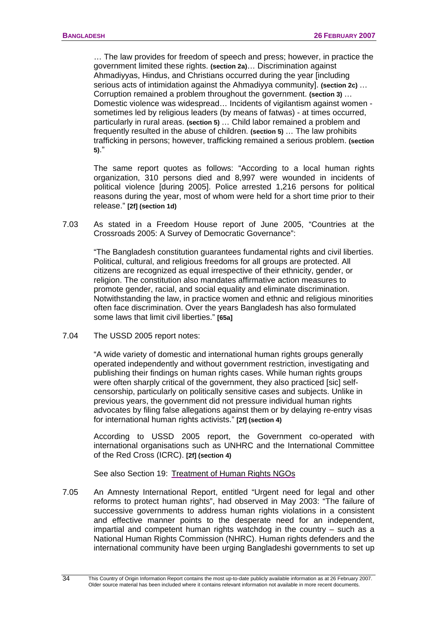… The law provides for freedom of speech and press; however, in practice the government limited these rights. **(section 2a)**… Discrimination against Ahmadiyyas, Hindus, and Christians occurred during the year [including serious acts of intimidation against the Ahmadiyya community]. **(section 2c)** … Corruption remained a problem throughout the government. **(section 3)** … Domestic violence was widespread… Incidents of vigilantism against women sometimes led by religious leaders (by means of fatwas) - at times occurred, particularly in rural areas. **(section 5)** … Child labor remained a problem and frequently resulted in the abuse of children. **(section 5)** … The law prohibits trafficking in persons; however, trafficking remained a serious problem. **(section 5)**."

The same report quotes as follows: "According to a local human rights organization, 310 persons died and 8,997 were wounded in incidents of political violence [during 2005]. Police arrested 1,216 persons for political reasons during the year, most of whom were held for a short time prior to their release." **[2f] (section 1d)**

7.03 As stated in a Freedom House report of June 2005, "Countries at the Crossroads 2005: A Survey of Democratic Governance":

"The Bangladesh constitution guarantees fundamental rights and civil liberties. Political, cultural, and religious freedoms for all groups are protected. All citizens are recognized as equal irrespective of their ethnicity, gender, or religion. The constitution also mandates affirmative action measures to promote gender, racial, and social equality and eliminate discrimination. Notwithstanding the law, in practice women and ethnic and religious minorities often face discrimination. Over the years Bangladesh has also formulated some laws that limit civil liberties." **[65a]** 

7.04 The USSD 2005 report notes:

"A wide variety of domestic and international human rights groups generally operated independently and without government restriction, investigating and publishing their findings on human rights cases. While human rights groups were often sharply critical of the government, they also practiced [sic] selfcensorship, particularly on politically sensitive cases and subjects. Unlike in previous years, the government did not pressure individual human rights advocates by filing false allegations against them or by delaying re-entry visas for international human rights activists." **[2f] (section 4)** 

According to USSD 2005 report, the Government co-operated with international organisations such as UNHRC and the International Committee of the Red Cross (ICRC). **[2f] (section 4)**

See also Section 19:[Treatment of Human Rights NGOs](#page-70-0)

7.05 An Amnesty International Report, entitled "Urgent need for legal and other reforms to protect human rights", had observed in May 2003: "The failure of successive governments to address human rights violations in a consistent and effective manner points to the desperate need for an independent, impartial and competent human rights watchdog in the country – such as a National Human Rights Commission (NHRC). Human rights defenders and the international community have been urging Bangladeshi governments to set up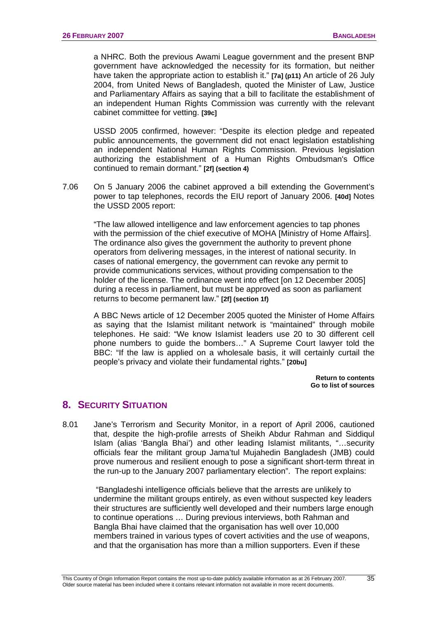a NHRC. Both the previous Awami League government and the present BNP government have acknowledged the necessity for its formation, but neither have taken the appropriate action to establish it." **[7a] (p11)** An article of 26 July 2004, from United News of Bangladesh, quoted the Minister of Law, Justice and Parliamentary Affairs as saying that a bill to facilitate the establishment of an independent Human Rights Commission was currently with the relevant cabinet committee for vetting. **[39c]**

USSD 2005 confirmed, however: "Despite its election pledge and repeated public announcements, the government did not enact legislation establishing an independent National Human Rights Commission. Previous legislation authorizing the establishment of a Human Rights Ombudsman's Office continued to remain dormant." **[2f] (section 4)**

7.06 On 5 January 2006 the cabinet approved a bill extending the Government's power to tap telephones, records the EIU report of January 2006. **[40d]** Notes the USSD 2005 report:

"The law allowed intelligence and law enforcement agencies to tap phones with the permission of the chief executive of MOHA [Ministry of Home Affairs]. The ordinance also gives the government the authority to prevent phone operators from delivering messages, in the interest of national security. In cases of national emergency, the government can revoke any permit to provide communications services, without providing compensation to the holder of the license. The ordinance went into effect [on 12 December 2005] during a recess in parliament, but must be approved as soon as parliament returns to become permanent law." **[2f] (section 1f)** 

A BBC News article of 12 December 2005 quoted the Minister of Home Affairs as saying that the Islamist militant network is "maintained" through mobile telephones. He said: "We know Islamist leaders use 20 to 30 different cell phone numbers to guide the bombers…" A Supreme Court lawyer told the BBC: "If the law is applied on a wholesale basis, it will certainly curtail the people's privacy and violate their fundamental rights." **[20bu]** 

> **[Return to contents](#page-0-0)  [Go to list of sources](#page-133-0)**

# **8. SECURITY SITUATION**

8.01 Jane's Terrorism and Security Monitor, in a report of April 2006, cautioned that, despite the high-profile arrests of Sheikh Abdur Rahman and Siddiqul Islam (alias 'Bangla Bhai') and other leading Islamist militants, "…security officials fear the militant group Jama'tul Mujahedin Bangladesh (JMB) could prove numerous and resilient enough to pose a significant short-term threat in the run-up to the January 2007 parliamentary election". The report explains:

 "Bangladeshi intelligence officials believe that the arrests are unlikely to undermine the militant groups entirely, as even without suspected key leaders their structures are sufficiently well developed and their numbers large enough to continue operations … During previous interviews, both Rahman and Bangla Bhai have claimed that the organisation has well over 10,000 members trained in various types of covert activities and the use of weapons, and that the organisation has more than a million supporters. Even if these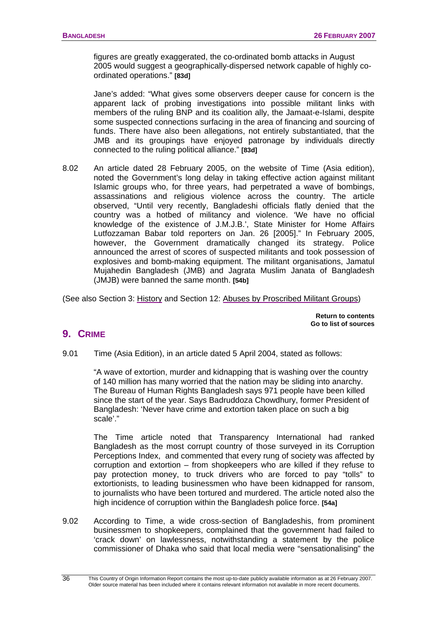figures are greatly exaggerated, the co-ordinated bomb attacks in August 2005 would suggest a geographically-dispersed network capable of highly coordinated operations." **[83d]**

 Jane's added: "What gives some observers deeper cause for concern is the apparent lack of probing investigations into possible militant links with members of the ruling BNP and its coalition ally, the Jamaat-e-Islami, despite some suspected connections surfacing in the area of financing and sourcing of funds. There have also been allegations, not entirely substantiated, that the JMB and its groupings have enjoyed patronage by individuals directly connected to the ruling political alliance." **[83d]**

8.02 An article dated 28 February 2005, on the website of Time (Asia edition), noted the Government's long delay in taking effective action against militant Islamic groups who, for three years, had perpetrated a wave of bombings, assassinations and religious violence across the country. The article observed, "Until very recently, Bangladeshi officials flatly denied that the country was a hotbed of militancy and violence. 'We have no official knowledge of the existence of J.M.J.B.', State Minister for Home Affairs Lutfozzaman Babar told reporters on Jan. 26 [2005]." In February 2005, however, the Government dramatically changed its strategy. Police announced the arrest of scores of suspected militants and took possession of explosives and bomb-making equipment. The militant organisations, Jamatul Mujahedin Bangladesh (JMB) and Jagrata Muslim Janata of Bangladesh (JMJB) were banned the same month. **[54b]** 

(See also Section 3: [History](#page-0-0) and Section 12: [Abuses by Proscribed Militant Groups](#page-49-0))

**[Return to contents](#page-0-0)  [Go to list of sources](#page-133-0)** 

# **9. CRIME**

9.01 Time (Asia Edition), in an article dated 5 April 2004, stated as follows:

"A wave of extortion, murder and kidnapping that is washing over the country of 140 million has many worried that the nation may be sliding into anarchy. The Bureau of Human Rights Bangladesh says 971 people have been killed since the start of the year. Says Badruddoza Chowdhury, former President of Bangladesh: 'Never have crime and extortion taken place on such a big scale'."

 The Time article noted that Transparency International had ranked Bangladesh as the most corrupt country of those surveyed in its Corruption Perceptions Index, and commented that every rung of society was affected by corruption and extortion – from shopkeepers who are killed if they refuse to pay protection money, to truck drivers who are forced to pay "tolls" to extortionists, to leading businessmen who have been kidnapped for ransom, to journalists who have been tortured and murdered. The article noted also the high incidence of corruption within the Bangladesh police force. **[54a]** 

9.02 According to Time, a wide cross-section of Bangladeshis, from prominent businessmen to shopkeepers, complained that the government had failed to 'crack down' on lawlessness, notwithstanding a statement by the police commissioner of Dhaka who said that local media were "sensationalising" the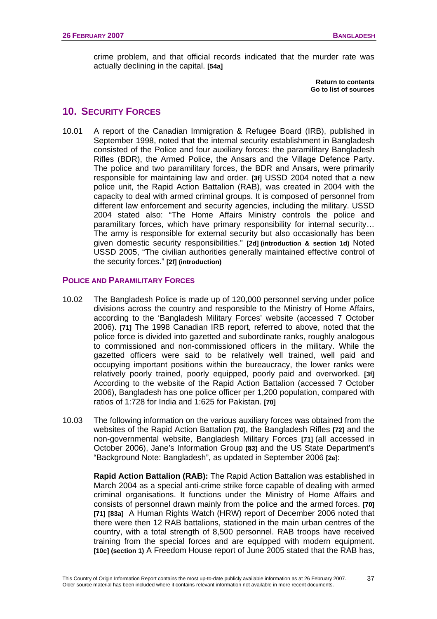crime problem, and that official records indicated that the murder rate was actually declining in the capital. **[54a]** 

> **[Return to contents](#page-0-0)  [Go to list of sources](#page-133-0)**

# **10. SECURITY FORCES**

10.01 A report of the Canadian Immigration & Refugee Board (IRB), published in September 1998, noted that the internal security establishment in Bangladesh consisted of the Police and four auxiliary forces: the paramilitary Bangladesh Rifles (BDR), the Armed Police, the Ansars and the Village Defence Party. The police and two paramilitary forces, the BDR and Ansars, were primarily responsible for maintaining law and order. **[3f]** USSD 2004 noted that a new police unit, the Rapid Action Battalion (RAB), was created in 2004 with the capacity to deal with armed criminal groups. It is composed of personnel from different law enforcement and security agencies, including the military. USSD 2004 stated also: "The Home Affairs Ministry controls the police and paramilitary forces, which have primary responsibility for internal security… The army is responsible for external security but also occasionally has been given domestic security responsibilities." **[2d] (introduction & section 1d)** Noted USSD 2005, "The civilian authorities generally maintained effective control of the security forces." **[2f] (introduction)** 

### **POLICE AND PARAMILITARY FORCES**

- 10.02 The Bangladesh Police is made up of 120,000 personnel serving under police divisions across the country and responsible to the Ministry of Home Affairs, according to the 'Bangladesh Military Forces' website (accessed 7 October 2006). **[71]** The 1998 Canadian IRB report, referred to above, noted that the police force is divided into gazetted and subordinate ranks, roughly analogous to commissioned and non-commissioned officers in the military. While the gazetted officers were said to be relatively well trained, well paid and occupying important positions within the bureaucracy, the lower ranks were relatively poorly trained, poorly equipped, poorly paid and overworked. **[3f]** According to the website of the Rapid Action Battalion (accessed 7 October 2006), Bangladesh has one police officer per 1,200 population, compared with ratios of 1:728 for India and 1:625 for Pakistan. **[70]**
- 10.03 The following information on the various auxiliary forces was obtained from the websites of the Rapid Action Battalion **[70]**, the Bangladesh Rifles **[72]** and the non-governmental website, Bangladesh Military Forces **[71]** (all accessed in October 2006), Jane's Information Group **[83]** and the US State Department's "Background Note: Bangladesh", as updated in September 2006 **[2e]**:

**Rapid Action Battalion (RAB):** The Rapid Action Battalion was established in March 2004 as a special anti-crime strike force capable of dealing with armed criminal organisations. It functions under the Ministry of Home Affairs and consists of personnel drawn mainly from the police and the armed forces. **[70] [71] [83a]** A Human Rights Watch (HRW) report of December 2006 noted that there were then 12 RAB battalions, stationed in the main urban centres of the country, with a total strength of 8,500 personnel. RAB troops have received training from the special forces and are equipped with modern equipment. **[10c] (section 1)** A Freedom House report of June 2005 stated that the RAB has,

37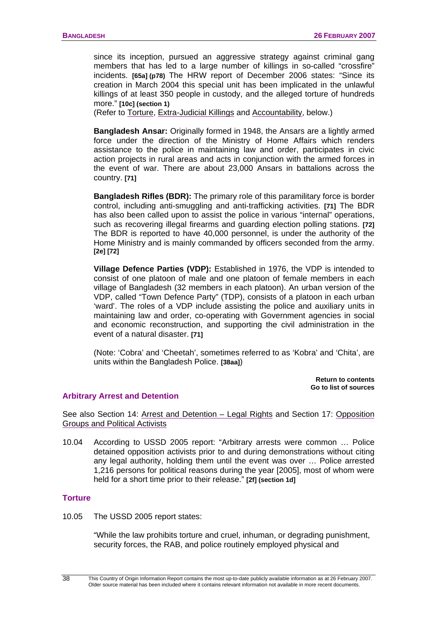<span id="page-41-0"></span>since its inception, pursued an aggressive strategy against criminal gang members that has led to a large number of killings in so-called "crossfire" incidents. **[65a] (p78)** The HRW report of December 2006 states: "Since its creation in March 2004 this special unit has been implicated in the unlawful killings of at least 350 people in custody, and the alleged torture of hundreds more." **[10c] (section 1)**

(Refer to [Torture,](#page-41-0) [Extra-Judicial Killings](#page-44-0) and [Accountability](#page-45-0), below.)

**Bangladesh Ansar:** Originally formed in 1948, the Ansars are a lightly armed force under the direction of the Ministry of Home Affairs which renders assistance to the police in maintaining law and order, participates in civic action projects in rural areas and acts in conjunction with the armed forces in the event of war. There are about 23,000 Ansars in battalions across the country. **[71]**

**Bangladesh Rifles (BDR):** The primary role of this paramilitary force is border control, including anti-smuggling and anti-trafficking activities. **[71]** The BDR has also been called upon to assist the police in various "internal" operations, such as recovering illegal firearms and guarding election polling stations. **[72]** The BDR is reported to have 40,000 personnel, is under the authority of the Home Ministry and is mainly commanded by officers seconded from the army. **[2e] [72]**

**Village Defence Parties (VDP):** Established in 1976, the VDP is intended to consist of one platoon of male and one platoon of female members in each village of Bangladesh (32 members in each platoon). An urban version of the VDP, called "Town Defence Party" (TDP), consists of a platoon in each urban 'ward'. The roles of a VDP include assisting the police and auxiliary units in maintaining law and order, co-operating with Government agencies in social and economic reconstruction, and supporting the civil administration in the event of a natural disaster. **[71]**

(Note: 'Cobra' and 'Cheetah', sometimes referred to as 'Kobra' and 'Chita', are units within the Bangladesh Police. **[38aa]**)

> **[Return to contents](#page-0-0)  [Go to list of sources](#page-133-0)**

#### **Arbitrary Arrest and Detention**

See also Section 14: [Arrest and Detention – Legal Rights](#page-57-0) and Section 17: [Opposition](#page-64-0)  [Groups and Political Activists](#page-64-0)

10.04 According to USSD 2005 report: "Arbitrary arrests were common … Police detained opposition activists prior to and during demonstrations without citing any legal authority, holding them until the event was over … Police arrested 1,216 persons for political reasons during the year [2005], most of whom were held for a short time prior to their release." **[2f] (section 1d]**

#### **Torture**

10.05 The USSD 2005 report states:

"While the law prohibits torture and cruel, inhuman, or degrading punishment, security forces, the RAB, and police routinely employed physical and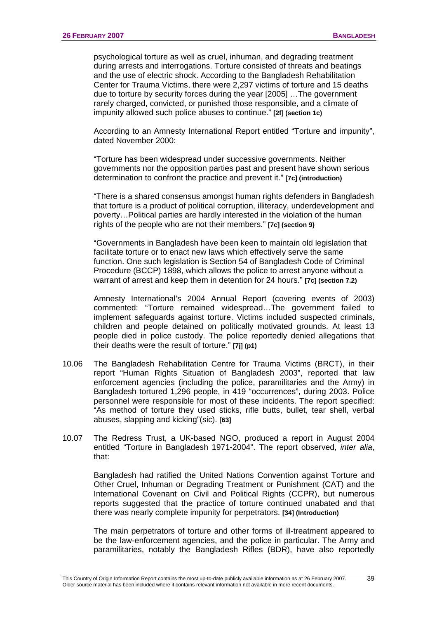psychological torture as well as cruel, inhuman, and degrading treatment during arrests and interrogations. Torture consisted of threats and beatings and the use of electric shock. According to the Bangladesh Rehabilitation Center for Trauma Victims, there were 2,297 victims of torture and 15 deaths due to torture by security forces during the year [2005] …The government rarely charged, convicted, or punished those responsible, and a climate of impunity allowed such police abuses to continue." **[2f] (section 1c)**

According to an Amnesty International Report entitled "Torture and impunity", dated November 2000:

"Torture has been widespread under successive governments. Neither governments nor the opposition parties past and present have shown serious determination to confront the practice and prevent it." **[7c] (introduction)**

"There is a shared consensus amongst human rights defenders in Bangladesh that torture is a product of political corruption, illiteracy, underdevelopment and poverty…Political parties are hardly interested in the violation of the human rights of the people who are not their members." **[7c] (section 9)**

"Governments in Bangladesh have been keen to maintain old legislation that facilitate torture or to enact new laws which effectively serve the same function. One such legislation is Section 54 of Bangladesh Code of Criminal Procedure (BCCP) 1898, which allows the police to arrest anyone without a warrant of arrest and keep them in detention for 24 hours." **[7c] (section 7.2)** 

Amnesty International's 2004 Annual Report (covering events of 2003) commented: "Torture remained widespread…The government failed to implement safeguards against torture. Victims included suspected criminals, children and people detained on politically motivated grounds. At least 13 people died in police custody. The police reportedly denied allegations that their deaths were the result of torture." **[7j] (p1)**

- 10.06 The Bangladesh Rehabilitation Centre for Trauma Victims (BRCT), in their report "Human Rights Situation of Bangladesh 2003", reported that law enforcement agencies (including the police, paramilitaries and the Army) in Bangladesh tortured 1,296 people, in 419 "occurrences", during 2003. Police personnel were responsible for most of these incidents. The report specified: "As method of torture they used sticks, rifle butts, bullet, tear shell, verbal abuses, slapping and kicking"(sic). **[63]**
- 10.07 The Redress Trust, a UK-based NGO, produced a report in August 2004 entitled "Torture in Bangladesh 1971-2004". The report observed, *inter alia*, that:

Bangladesh had ratified the United Nations Convention against Torture and Other Cruel, Inhuman or Degrading Treatment or Punishment (CAT) and the International Covenant on Civil and Political Rights (CCPR), but numerous reports suggested that the practice of torture continued unabated and that there was nearly complete impunity for perpetrators. **[34] (Introduction)**

The main perpetrators of torture and other forms of ill-treatment appeared to be the law-enforcement agencies, and the police in particular. The Army and paramilitaries, notably the Bangladesh Rifles (BDR), have also reportedly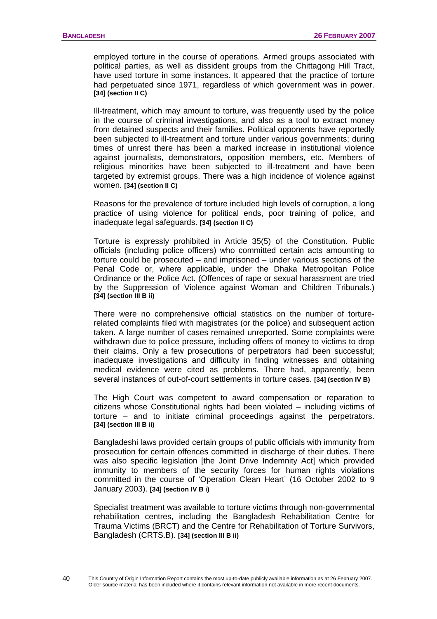employed torture in the course of operations. Armed groups associated with political parties, as well as dissident groups from the Chittagong Hill Tract, have used torture in some instances. It appeared that the practice of torture had perpetuated since 1971, regardless of which government was in power. **[34] (section II C)**

Ill-treatment, which may amount to torture, was frequently used by the police in the course of criminal investigations, and also as a tool to extract money from detained suspects and their families. Political opponents have reportedly been subjected to ill-treatment and torture under various governments; during times of unrest there has been a marked increase in institutional violence against journalists, demonstrators, opposition members, etc. Members of religious minorities have been subjected to ill-treatment and have been targeted by extremist groups. There was a high incidence of violence against women. **[34] (section II C)**

Reasons for the prevalence of torture included high levels of corruption, a long practice of using violence for political ends, poor training of police, and inadequate legal safeguards. **[34] (section II C)**

Torture is expressly prohibited in Article 35(5) of the Constitution. Public officials (including police officers) who committed certain acts amounting to torture could be prosecuted – and imprisoned – under various sections of the Penal Code or, where applicable, under the Dhaka Metropolitan Police Ordinance or the Police Act. (Offences of rape or sexual harassment are tried by the Suppression of Violence against Woman and Children Tribunals.) **[34] (section III B ii)**

There were no comprehensive official statistics on the number of torturerelated complaints filed with magistrates (or the police) and subsequent action taken. A large number of cases remained unreported. Some complaints were withdrawn due to police pressure, including offers of money to victims to drop their claims. Only a few prosecutions of perpetrators had been successful; inadequate investigations and difficulty in finding witnesses and obtaining medical evidence were cited as problems. There had, apparently, been several instances of out-of-court settlements in torture cases. **[34] (section IV B)**

The High Court was competent to award compensation or reparation to citizens whose Constitutional rights had been violated – including victims of torture – and to initiate criminal proceedings against the perpetrators. **[34] (section III B ii)**

Bangladeshi laws provided certain groups of public officials with immunity from prosecution for certain offences committed in discharge of their duties. There was also specific legislation [the Joint Drive Indemnity Act] which provided immunity to members of the security forces for human rights violations committed in the course of 'Operation Clean Heart' (16 October 2002 to 9 January 2003). **[34] (section IV B i)** 

Specialist treatment was available to torture victims through non-governmental rehabilitation centres, including the Bangladesh Rehabilitation Centre for Trauma Victims (BRCT) and the Centre for Rehabilitation of Torture Survivors, Bangladesh (CRTS.B). **[34] (section III B ii)**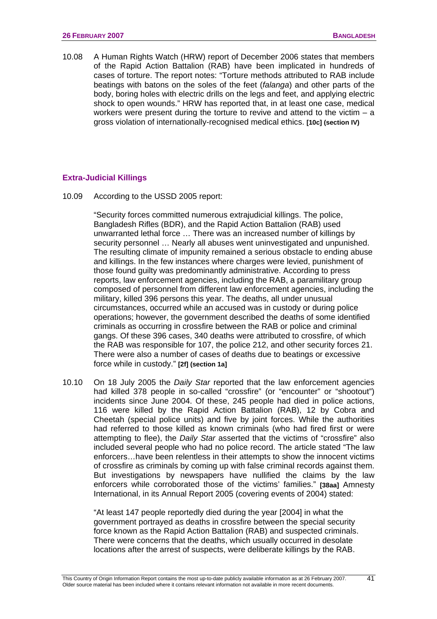<span id="page-44-0"></span>10.08 A Human Rights Watch (HRW) report of December 2006 states that members of the Rapid Action Battalion (RAB) have been implicated in hundreds of cases of torture. The report notes: "Torture methods attributed to RAB include beatings with batons on the soles of the feet (*falanga*) and other parts of the body, boring holes with electric drills on the legs and feet, and applying electric shock to open wounds." HRW has reported that, in at least one case, medical workers were present during the torture to revive and attend to the victim  $- a$ gross violation of internationally-recognised medical ethics. **[10c] (section IV)** 

#### **Extra-Judicial Killings**

10.09 According to the USSD 2005 report:

"Security forces committed numerous extrajudicial killings. The police, Bangladesh Rifles (BDR), and the Rapid Action Battalion (RAB) used unwarranted lethal force … There was an increased number of killings by security personnel … Nearly all abuses went uninvestigated and unpunished. The resulting climate of impunity remained a serious obstacle to ending abuse and killings. In the few instances where charges were levied, punishment of those found guilty was predominantly administrative. According to press reports, law enforcement agencies, including the RAB, a paramilitary group composed of personnel from different law enforcement agencies, including the military, killed 396 persons this year. The deaths, all under unusual circumstances, occurred while an accused was in custody or during police operations; however, the government described the deaths of some identified criminals as occurring in crossfire between the RAB or police and criminal gangs. Of these 396 cases, 340 deaths were attributed to crossfire, of which the RAB was responsible for 107, the police 212, and other security forces 21. There were also a number of cases of deaths due to beatings or excessive force while in custody." **[2f] (section 1a]**

10.10 On 18 July 2005 the *Daily Star* reported that the law enforcement agencies had killed 378 people in so-called "crossfire" (or "encounter" or "shootout") incidents since June 2004. Of these, 245 people had died in police actions, 116 were killed by the Rapid Action Battalion (RAB), 12 by Cobra and Cheetah (special police units) and five by joint forces. While the authorities had referred to those killed as known criminals (who had fired first or were attempting to flee), the *Daily Star* asserted that the victims of "crossfire" also included several people who had no police record. The article stated "The law enforcers…have been relentless in their attempts to show the innocent victims of crossfire as criminals by coming up with false criminal records against them. But investigations by newspapers have nullified the claims by the law enforcers while corroborated those of the victims' families." **[38aa]** Amnesty International, in its Annual Report 2005 (covering events of 2004) stated:

"At least 147 people reportedly died during the year [2004] in what the government portrayed as deaths in crossfire between the special security force known as the Rapid Action Battalion (RAB) and suspected criminals. There were concerns that the deaths, which usually occurred in desolate locations after the arrest of suspects, were deliberate killings by the RAB.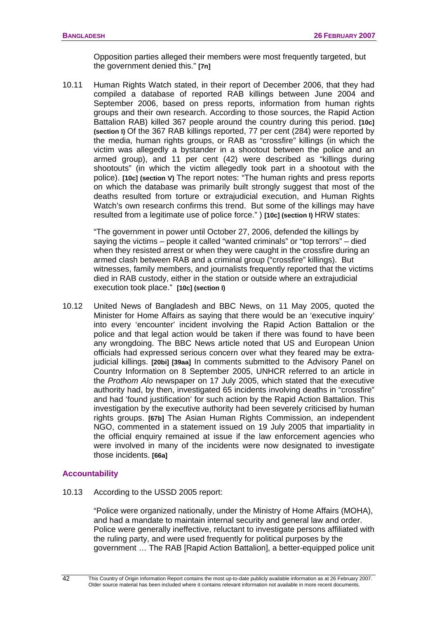Opposition parties alleged their members were most frequently targeted, but the government denied this." **[7n]** 

<span id="page-45-0"></span>10.11 Human Rights Watch stated, in their report of December 2006, that they had compiled a database of reported RAB killings between June 2004 and September 2006, based on press reports, information from human rights groups and their own research. According to those sources, the Rapid Action Battalion RAB) killed 367 people around the country during this period. **[10c] (section I)** Of the 367 RAB killings reported, 77 per cent (284) were reported by the media, human rights groups, or RAB as "crossfire" killings (in which the victim was allegedly a bystander in a shootout between the police and an armed group), and 11 per cent (42) were described as "killings during shootouts" (in which the victim allegedly took part in a shootout with the police). **[10c] (section V)** The report notes: "The human rights and press reports on which the database was primarily built strongly suggest that most of the deaths resulted from torture or extrajudicial execution, and Human Rights Watch's own research confirms this trend. But some of the killings may have resulted from a legitimate use of police force." ) **[10c] (section I)** HRW states:

"The government in power until October 27, 2006, defended the killings by saying the victims – people it called "wanted criminals" or "top terrors" – died when they resisted arrest or when they were caught in the crossfire during an armed clash between RAB and a criminal group ("crossfire" killings). But witnesses, family members, and journalists frequently reported that the victims died in RAB custody, either in the station or outside where an extrajudicial execution took place." **[10c] (section I)**

10.12 United News of Bangladesh and BBC News, on 11 May 2005, quoted the Minister for Home Affairs as saying that there would be an 'executive inquiry' into every 'encounter' incident involving the Rapid Action Battalion or the police and that legal action would be taken if there was found to have been any wrongdoing. The BBC News article noted that US and European Union officials had expressed serious concern over what they feared may be extrajudicial killings. **[20bi] [39aa]** In comments submitted to the Advisory Panel on Country Information on 8 September 2005, UNHCR referred to an article in the *Prothom Alo* newspaper on 17 July 2005, which stated that the executive authority had, by then, investigated 65 incidents involving deaths in "crossfire" and had 'found justification' for such action by the Rapid Action Battalion. This investigation by the executive authority had been severely criticised by human rights groups. **[67b]** The Asian Human Rights Commission, an independent NGO, commented in a statement issued on 19 July 2005 that impartiality in the official enquiry remained at issue if the law enforcement agencies who were involved in many of the incidents were now designated to investigate those incidents. **[66a]**

### **Accountability**

10.13 According to the USSD 2005 report:

"Police were organized nationally, under the Ministry of Home Affairs (MOHA), and had a mandate to maintain internal security and general law and order. Police were generally ineffective, reluctant to investigate persons affiliated with the ruling party, and were used frequently for political purposes by the government … The RAB [Rapid Action Battalion], a better-equipped police unit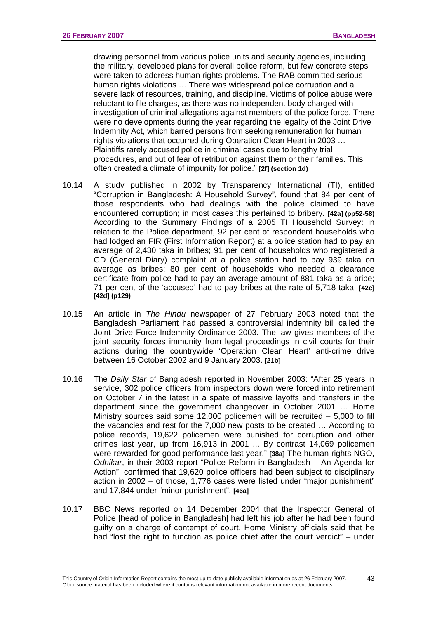drawing personnel from various police units and security agencies, including the military, developed plans for overall police reform, but few concrete steps were taken to address human rights problems. The RAB committed serious human rights violations … There was widespread police corruption and a severe lack of resources, training, and discipline. Victims of police abuse were reluctant to file charges, as there was no independent body charged with investigation of criminal allegations against members of the police force. There were no developments during the year regarding the legality of the Joint Drive Indemnity Act, which barred persons from seeking remuneration for human rights violations that occurred during Operation Clean Heart in 2003 … Plaintiffs rarely accused police in criminal cases due to lengthy trial procedures, and out of fear of retribution against them or their families. This often created a climate of impunity for police." **[2f] (section 1d)** 

- 10.14 A study published in 2002 by Transparency International (TI), entitled "Corruption in Bangladesh: A Household Survey", found that 84 per cent of those respondents who had dealings with the police claimed to have encountered corruption; in most cases this pertained to bribery. **[42a] (pp52-58)** According to the Summary Findings of a 2005 TI Household Survey: in relation to the Police department, 92 per cent of respondent households who had lodged an FIR (First Information Report) at a police station had to pay an average of 2,430 taka in bribes; 91 per cent of households who registered a GD (General Diary) complaint at a police station had to pay 939 taka on average as bribes; 80 per cent of households who needed a clearance certificate from police had to pay an average amount of 881 taka as a bribe; 71 per cent of the 'accused' had to pay bribes at the rate of 5,718 taka. **[42c] [42d] (p129)**
- 10.15 An article in *The Hindu* newspaper of 27 February 2003 noted that the Bangladesh Parliament had passed a controversial indemnity bill called the Joint Drive Force Indemnity Ordinance 2003. The law gives members of the joint security forces immunity from legal proceedings in civil courts for their actions during the countrywide 'Operation Clean Heart' anti-crime drive between 16 October 2002 and 9 January 2003. **[21b]**
- 10.16 The *Daily Star* of Bangladesh reported in November 2003: "After 25 years in service, 302 police officers from inspectors down were forced into retirement on October 7 in the latest in a spate of massive layoffs and transfers in the department since the government changeover in October 2001 … Home Ministry sources said some 12,000 policemen will be recruited – 5,000 to fill the vacancies and rest for the 7,000 new posts to be created … According to police records, 19,622 policemen were punished for corruption and other crimes last year, up from 16,913 in 2001 ... By contrast 14,069 policemen were rewarded for good performance last year." **[38a]** The human rights NGO, *Odhikar*, in their 2003 report "Police Reform in Bangladesh – An Agenda for Action", confirmed that 19,620 police officers had been subject to disciplinary action in 2002 – of those, 1,776 cases were listed under "major punishment" and 17,844 under "minor punishment". **[46a]**
- 10.17 BBC News reported on 14 December 2004 that the Inspector General of Police [head of police in Bangladesh] had left his job after he had been found guilty on a charge of contempt of court. Home Ministry officials said that he had "lost the right to function as police chief after the court verdict" – under

 $\overline{43}$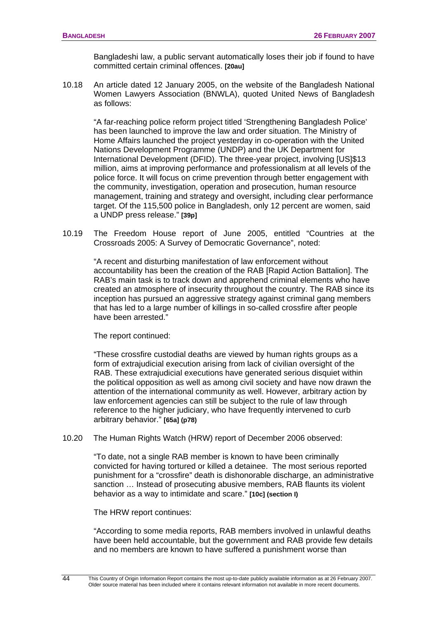Bangladeshi law, a public servant automatically loses their job if found to have committed certain criminal offences. **[20au]**

10.18 An article dated 12 January 2005, on the website of the Bangladesh National Women Lawyers Association (BNWLA), quoted United News of Bangladesh as follows:

"A far-reaching police reform project titled 'Strengthening Bangladesh Police' has been launched to improve the law and order situation. The Ministry of Home Affairs launched the project yesterday in co-operation with the United Nations Development Programme (UNDP) and the UK Department for International Development (DFID). The three-year project, involving [US]\$13 million, aims at improving performance and professionalism at all levels of the police force. It will focus on crime prevention through better engagement with the community, investigation, operation and prosecution, human resource management, training and strategy and oversight, including clear performance target. Of the 115,500 police in Bangladesh, only 12 percent are women, said a UNDP press release." **[39p]**

10.19 The Freedom House report of June 2005, entitled "Countries at the Crossroads 2005: A Survey of Democratic Governance", noted:

"A recent and disturbing manifestation of law enforcement without accountability has been the creation of the RAB [Rapid Action Battalion]. The RAB's main task is to track down and apprehend criminal elements who have created an atmosphere of insecurity throughout the country. The RAB since its inception has pursued an aggressive strategy against criminal gang members that has led to a large number of killings in so-called crossfire after people have been arrested."

The report continued:

"These crossfire custodial deaths are viewed by human rights groups as a form of extrajudicial execution arising from lack of civilian oversight of the RAB. These extrajudicial executions have generated serious disquiet within the political opposition as well as among civil society and have now drawn the attention of the international community as well. However, arbitrary action by law enforcement agencies can still be subject to the rule of law through reference to the higher judiciary, who have frequently intervened to curb arbitrary behavior." **[65a] (p78)** 

10.20 The Human Rights Watch (HRW) report of December 2006 observed:

"To date, not a single RAB member is known to have been criminally convicted for having tortured or killed a detainee. The most serious reported punishment for a "crossfire" death is dishonorable discharge, an administrative sanction … Instead of prosecuting abusive members, RAB flaunts its violent behavior as a way to intimidate and scare." **[10c] (section I)** 

The HRW report continues:

"According to some media reports, RAB members involved in unlawful deaths have been held accountable, but the government and RAB provide few details and no members are known to have suffered a punishment worse than

44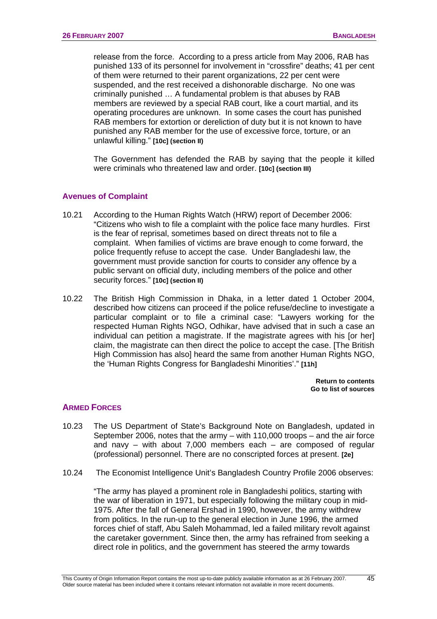release from the force. According to a press article from May 2006, RAB has punished 133 of its personnel for involvement in "crossfire" deaths; 41 per cent of them were returned to their parent organizations, 22 per cent were suspended, and the rest received a dishonorable discharge. No one was criminally punished … A fundamental problem is that abuses by RAB members are reviewed by a special RAB court, like a court martial, and its operating procedures are unknown. In some cases the court has punished RAB members for extortion or dereliction of duty but it is not known to have punished any RAB member for the use of excessive force, torture, or an unlawful killing." **[10c] (section II)** 

 The Government has defended the RAB by saying that the people it killed were criminals who threatened law and order. **[10c] (section III)**

#### **Avenues of Complaint**

- 10.21 According to the Human Rights Watch (HRW) report of December 2006: "Citizens who wish to file a complaint with the police face many hurdles. First is the fear of reprisal, sometimes based on direct threats not to file a complaint. When families of victims are brave enough to come forward, the police frequently refuse to accept the case. Under Bangladeshi law, the government must provide sanction for courts to consider any offence by a public servant on official duty, including members of the police and other security forces." **[10c] (section II)**
- 10.22 The British High Commission in Dhaka, in a letter dated 1 October 2004, described how citizens can proceed if the police refuse/decline to investigate a particular complaint or to file a criminal case: "Lawyers working for the respected Human Rights NGO, Odhikar, have advised that in such a case an individual can petition a magistrate. If the magistrate agrees with his [or her] claim, the magistrate can then direct the police to accept the case. [The British High Commission has also] heard the same from another Human Rights NGO, the 'Human Rights Congress for Bangladeshi Minorities'." **[11h]**

**[Return to contents](#page-0-0)  [Go to list of sources](#page-133-0)** 

#### **ARMED FORCES**

- 10.23 The US Department of State's Background Note on Bangladesh, updated in September 2006, notes that the army – with 110,000 troops – and the air force and navy – with about 7,000 members each – are composed of regular (professional) personnel. There are no conscripted forces at present. **[2e]**
- 10.24 The Economist Intelligence Unit's Bangladesh Country Profile 2006 observes:

"The army has played a prominent role in Bangladeshi politics, starting with the war of liberation in 1971, but especially following the military coup in mid-1975. After the fall of General Ershad in 1990, however, the army withdrew from politics. In the run-up to the general election in June 1996, the armed forces chief of staff, Abu Saleh Mohammad, led a failed military revolt against the caretaker government. Since then, the army has refrained from seeking a direct role in politics, and the government has steered the army towards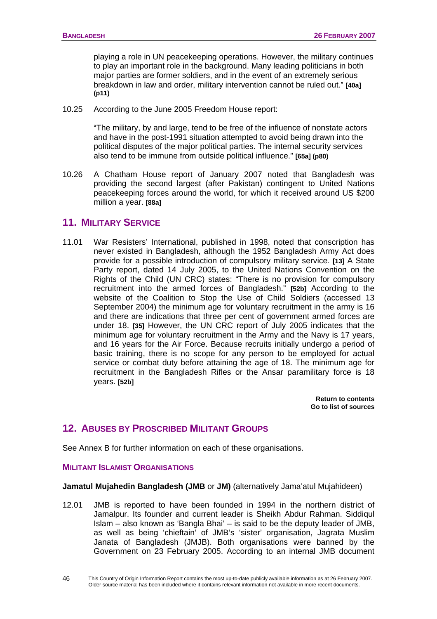<span id="page-49-0"></span>playing a role in UN peacekeeping operations. However, the military continues to play an important role in the background. Many leading politicians in both major parties are former soldiers, and in the event of an extremely serious breakdown in law and order, military intervention cannot be ruled out." **[40a] (p11)** 

10.25 According to the June 2005 Freedom House report:

"The military, by and large, tend to be free of the influence of nonstate actors and have in the post-1991 situation attempted to avoid being drawn into the political disputes of the major political parties. The internal security services also tend to be immune from outside political influence." **[65a] (p80)**

10.26 A Chatham House report of January 2007 noted that Bangladesh was providing the second largest (after Pakistan) contingent to United Nations peacekeeping forces around the world, for which it received around US \$200 million a year. **[88a]**

# **11. MILITARY SERVICE**

11.01 War Resisters' International, published in 1998, noted that conscription has never existed in Bangladesh, although the 1952 Bangladesh Army Act does provide for a possible introduction of compulsory military service. **[13]** A State Party report, dated 14 July 2005, to the United Nations Convention on the Rights of the Child (UN CRC) states: "There is no provision for compulsory recruitment into the armed forces of Bangladesh." **[52b]** According to the website of the Coalition to Stop the Use of Child Soldiers (accessed 13 September 2004) the minimum age for voluntary recruitment in the army is 16 and there are indications that three per cent of government armed forces are under 18. **[35]** However, the UN CRC report of July 2005 indicates that the minimum age for voluntary recruitment in the Army and the Navy is 17 years, and 16 years for the Air Force. Because recruits initially undergo a period of basic training, there is no scope for any person to be employed for actual service or combat duty before attaining the age of 18. The minimum age for recruitment in the Bangladesh Rifles or the Ansar paramilitary force is 18 years. **[52b]** 

> **[Return to contents](#page-0-0)  [Go to list of sources](#page-133-0)**

# **12. ABUSES BY PROSCRIBED MILITANT GROUPS**

See [Annex B](#page-126-0) for further information on each of these organisations.

### **MILITANT ISLAMIST ORGANISATIONS**

#### **Jamatul Mujahedin Bangladesh (JMB** or **JM)** (alternatively Jama'atul Mujahideen)

12.01 JMB is reported to have been founded in 1994 in the northern district of Jamalpur. Its founder and current leader is Sheikh Abdur Rahman. Siddiqul Islam – also known as 'Bangla Bhai' – is said to be the deputy leader of JMB, as well as being 'chieftain' of JMB's 'sister' organisation, Jagrata Muslim Janata of Bangladesh (JMJB). Both organisations were banned by the Government on 23 February 2005. According to an internal JMB document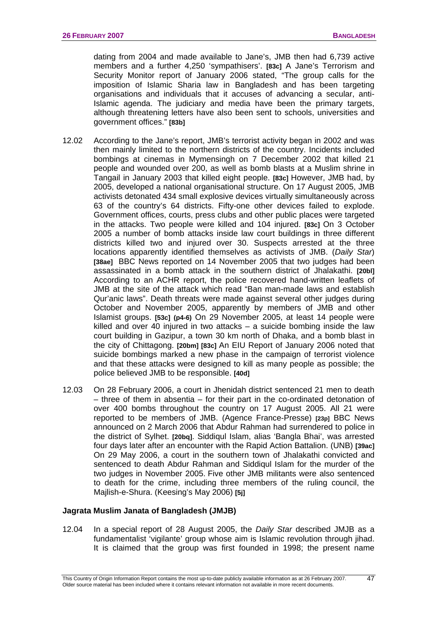dating from 2004 and made available to Jane's, JMB then had 6,739 active members and a further 4,250 'sympathisers'. **[83c]** A Jane's Terrorism and Security Monitor report of January 2006 stated, "The group calls for the imposition of Islamic Sharia law in Bangladesh and has been targeting organisations and individuals that it accuses of advancing a secular, anti-Islamic agenda. The judiciary and media have been the primary targets, although threatening letters have also been sent to schools, universities and government offices." **[83b]** 

- 12.02 According to the Jane's report, JMB's terrorist activity began in 2002 and was then mainly limited to the northern districts of the country. Incidents included bombings at cinemas in Mymensingh on 7 December 2002 that killed 21 people and wounded over 200, as well as bomb blasts at a Muslim shrine in Tangail in January 2003 that killed eight people. **[83c]** However, JMB had, by 2005, developed a national organisational structure. On 17 August 2005, JMB activists detonated 434 small explosive devices virtually simultaneously across 63 of the country's 64 districts. Fifty-one other devices failed to explode. Government offices, courts, press clubs and other public places were targeted in the attacks. Two people were killed and 104 injured. **[83c]** On 3 October 2005 a number of bomb attacks inside law court buildings in three different districts killed two and injured over 30. Suspects arrested at the three locations apparently identified themselves as activists of JMB. (*Daily Star*) **[38ae]** BBC News reported on 14 November 2005 that two judges had been assassinated in a bomb attack in the southern district of Jhalakathi. **[20bl]** According to an ACHR report, the police recovered hand-written leaflets of JMB at the site of the attack which read "Ban man-made laws and establish Qur'anic laws". Death threats were made against several other judges during October and November 2005, apparently by members of JMB and other Islamist groups. **[53c] (p4-6)** On 29 November 2005, at least 14 people were killed and over 40 injured in two attacks  $-$  a suicide bombing inside the law court building in Gazipur, a town 30 km north of Dhaka, and a bomb blast in the city of Chittagong. **[20bm] [83c]** An EIU Report of January 2006 noted that suicide bombings marked a new phase in the campaign of terrorist violence and that these attacks were designed to kill as many people as possible; the police believed JMB to be responsible. **[40d]**
- 12.03 On 28 February 2006, a court in Jhenidah district sentenced 21 men to death – three of them in absentia – for their part in the co-ordinated detonation of over 400 bombs throughout the country on 17 August 2005. All 21 were reported to be members of JMB. (Agence France-Presse) **[23p]** BBC News announced on 2 March 2006 that Abdur Rahman had surrendered to police in the district of Sylhet. **[20bq]**. Siddiqul Islam, alias 'Bangla Bhai', was arrested four days later after an encounter with the Rapid Action Battalion. (UNB) **[39ac]** On 29 May 2006, a court in the southern town of Jhalakathi convicted and sentenced to death Abdur Rahman and Siddiqul Islam for the murder of the two judges in November 2005. Five other JMB militants were also sentenced to death for the crime, including three members of the ruling council, the Majlish-e-Shura. (Keesing's May 2006) **[5j]**

#### **Jagrata Muslim Janata of Bangladesh (JMJB)**

12.04 In a special report of 28 August 2005, the *Daily Star* described JMJB as a fundamentalist 'vigilante' group whose aim is Islamic revolution through jihad. It is claimed that the group was first founded in 1998; the present name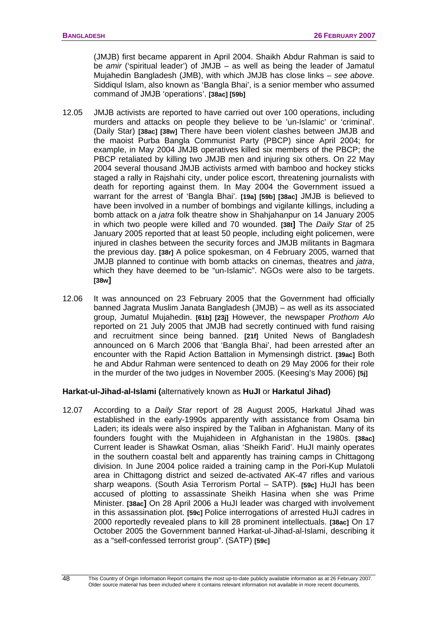(JMJB) first became apparent in April 2004. Shaikh Abdur Rahman is said to be *amir* ('spiritual leader') of JMJB – as well as being the leader of Jamatul Mujahedin Bangladesh (JMB), with which JMJB has close links – *see above*. Siddiqul Islam, also known as 'Bangla Bhai', is a senior member who assumed command of JMJB 'operations'. **[38ac] [59b]** 

- 12.05 JMJB activists are reported to have carried out over 100 operations, including murders and attacks on people they believe to be 'un-Islamic' or 'criminal'. (Daily Star) **[38ac] [38w]** There have been violent clashes between JMJB and the maoist Purba Bangla Communist Party (PBCP) since April 2004; for example, in May 2004 JMJB operatives killed six members of the PBCP; the PBCP retaliated by killing two JMJB men and injuring six others. On 22 May 2004 several thousand JMJB activists armed with bamboo and hockey sticks staged a rally in Rajshahi city, under police escort, threatening journalists with death for reporting against them. In May 2004 the Government issued a warrant for the arrest of 'Bangla Bhai'. **[19a] [59b] [38ac]** JMJB is believed to have been involved in a number of bombings and vigilante killings, including a bomb attack on a *jatra* folk theatre show in Shahjahanpur on 14 January 2005 in which two people were killed and 70 wounded. **[38t]** The *Daily Star* of 25 January 2005 reported that at least 50 people, including eight policemen, were injured in clashes between the security forces and JMJB militants in Bagmara the previous day. **[38r]** A police spokesman, on 4 February 2005, warned that JMJB planned to continue with bomb attacks on cinemas, theatres and *jatra*, which they have deemed to be "un-Islamic". NGOs were also to be targets. **[38w]**
- 12.06 It was announced on 23 February 2005 that the Government had officially banned Jagrata Muslim Janata Bangladesh (JMJB) – as well as its associated group, Jumatul Mujahedin. **[61b] [23j]** However, the newspaper *Prothom Alo* reported on 21 July 2005 that JMJB had secretly continued with fund raising and recruitment since being banned. **[21f]** United News of Bangladesh announced on 6 March 2006 that 'Bangla Bhai', had been arrested after an encounter with the Rapid Action Battalion in Mymensingh district. **[39ac]** Both he and Abdur Rahman were sentenced to death on 29 May 2006 for their role in the murder of the two judges in November 2005. (Keesing's May 2006) **[5j]**

### **Harkat-ul-Jihad-al-Islami (**alternatively known as **HuJI** or **Harkatul Jihad)**

12.07 According to a *Daily Star* report of 28 August 2005, Harkatul Jihad was established in the early-1990s apparently with assistance from Osama bin Laden; its ideals were also inspired by the Taliban in Afghanistan. Many of its founders fought with the Mujahideen in Afghanistan in the 1980s. **[38ac]** Current leader is Shawkat Osman, alias 'Sheikh Farid'. HuJI mainly operates in the southern coastal belt and apparently has training camps in Chittagong division. In June 2004 police raided a training camp in the Pori-Kup Mulatoli area in Chittagong district and seized de-activated AK-47 rifles and various sharp weapons. (South Asia Terrorism Portal – SATP). **[59c]** HuJI has been accused of plotting to assassinate Sheikh Hasina when she was Prime Minister. **[38ac]** On 28 April 2006 a HuJI leader was charged with involvement in this assassination plot. **[59c]** Police interrogations of arrested HuJI cadres in 2000 reportedly revealed plans to kill 28 prominent intellectuals. **[38ac]** On 17 October 2005 the Government banned Harkat-ul-Jihad-al-Islami, describing it as a "self-confessed terrorist group". (SATP) **[59c]**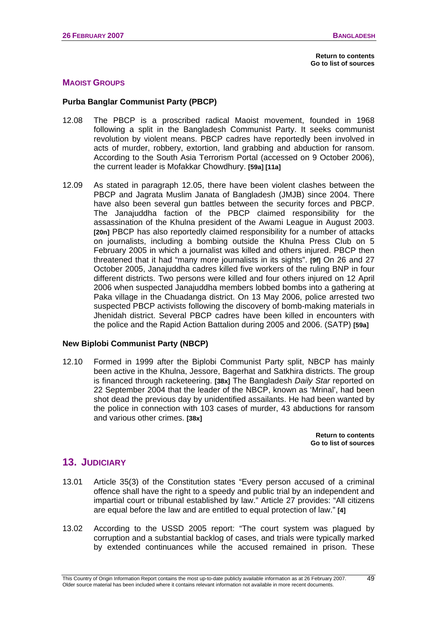### **MAOIST GROUPS**

#### **Purba Banglar Communist Party (PBCP)**

- 12.08 The PBCP is a proscribed radical Maoist movement, founded in 1968 following a split in the Bangladesh Communist Party. It seeks communist revolution by violent means. PBCP cadres have reportedly been involved in acts of murder, robbery, extortion, land grabbing and abduction for ransom. According to the South Asia Terrorism Portal (accessed on 9 October 2006), the current leader is Mofakkar Chowdhury. **[59a] [11a]**
- 12.09 As stated in paragraph 12.05, there have been violent clashes between the PBCP and Jagrata Muslim Janata of Bangladesh (JMJB) since 2004. There have also been several gun battles between the security forces and PBCP. The Janajuddha faction of the PBCP claimed responsibility for the assassination of the Khulna president of the Awami League in August 2003. **[20n]** PBCP has also reportedly claimed responsibility for a number of attacks on journalists, including a bombing outside the Khulna Press Club on 5 February 2005 in which a journalist was killed and others injured. PBCP then threatened that it had "many more journalists in its sights". **[9f]** On 26 and 27 October 2005, Janajuddha cadres killed five workers of the ruling BNP in four different districts. Two persons were killed and four others injured on 12 April 2006 when suspected Janajuddha members lobbed bombs into a gathering at Paka village in the Chuadanga district. On 13 May 2006, police arrested two suspected PBCP activists following the discovery of bomb-making materials in Jhenidah district. Several PBCP cadres have been killed in encounters with the police and the Rapid Action Battalion during 2005 and 2006. (SATP) **[59a]**

#### **New Biplobi Communist Party (NBCP)**

12.10 Formed in 1999 after the Biplobi Communist Party split, NBCP has mainly been active in the Khulna, Jessore, Bagerhat and Satkhira districts. The group is financed through racketeering. **[38x]** The Bangladesh *Daily Star* reported on 22 September 2004 that the leader of the NBCP, known as 'Mrinal', had been shot dead the previous day by unidentified assailants. He had been wanted by the police in connection with 103 cases of murder, 43 abductions for ransom and various other crimes. **[38x]**

> **[Return to contents](#page-0-0)  [Go to list of sources](#page-133-0)**

## **13. JUDICIARY**

- 13.01 Article 35(3) of the Constitution states "Every person accused of a criminal offence shall have the right to a speedy and public trial by an independent and impartial court or tribunal established by law." Article 27 provides: "All citizens are equal before the law and are entitled to equal protection of law." **[4]**
- 13.02 According to the USSD 2005 report: "The court system was plagued by corruption and a substantial backlog of cases, and trials were typically marked by extended continuances while the accused remained in prison. These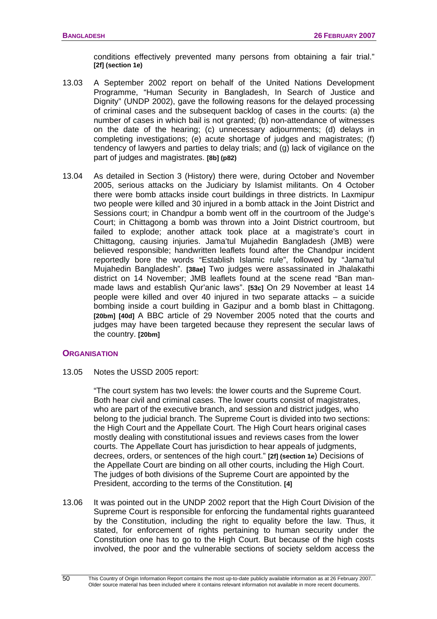conditions effectively prevented many persons from obtaining a fair trial." **[2f] (section 1e)**

- 13.03 A September 2002 report on behalf of the United Nations Development Programme, "Human Security in Bangladesh, In Search of Justice and Dignity" (UNDP 2002), gave the following reasons for the delayed processing of criminal cases and the subsequent backlog of cases in the courts: (a) the number of cases in which bail is not granted; (b) non-attendance of witnesses on the date of the hearing; (c) unnecessary adjournments; (d) delays in completing investigations; (e) acute shortage of judges and magistrates; (f) tendency of lawyers and parties to delay trials; and (g) lack of vigilance on the part of judges and magistrates. **[8b] (p82)**
- 13.04 As detailed in Section 3 (History) there were, during October and November 2005, serious attacks on the Judiciary by Islamist militants. On 4 October there were bomb attacks inside court buildings in three districts. In Laxmipur two people were killed and 30 injured in a bomb attack in the Joint District and Sessions court; in Chandpur a bomb went off in the courtroom of the Judge's Court; in Chittagong a bomb was thrown into a Joint District courtroom, but failed to explode; another attack took place at a magistrate's court in Chittagong, causing injuries. Jama'tul Mujahedin Bangladesh (JMB) were believed responsible; handwritten leaflets found after the Chandpur incident reportedly bore the words "Establish Islamic rule", followed by "Jama'tul Mujahedin Bangladesh". **[38ae]** Two judges were assassinated in Jhalakathi district on 14 November; JMB leaflets found at the scene read "Ban manmade laws and establish Qur'anic laws". **[53c]** On 29 November at least 14 people were killed and over 40 injured in two separate attacks – a suicide bombing inside a court building in Gazipur and a bomb blast in Chittagong. **[20bm] [40d]** A BBC article of 29 November 2005 noted that the courts and judges may have been targeted because they represent the secular laws of the country. **[20bm]**

#### **ORGANISATION**

13.05 Notes the USSD 2005 report:

"The court system has two levels: the lower courts and the Supreme Court. Both hear civil and criminal cases. The lower courts consist of magistrates, who are part of the executive branch, and session and district judges, who belong to the judicial branch. The Supreme Court is divided into two sections: the High Court and the Appellate Court. The High Court hears original cases mostly dealing with constitutional issues and reviews cases from the lower courts. The Appellate Court has jurisdiction to hear appeals of judgments, decrees, orders, or sentences of the high court." **[2f] (section 1e**) Decisions of the Appellate Court are binding on all other courts, including the High Court. The judges of both divisions of the Supreme Court are appointed by the President, according to the terms of the Constitution. **[4]**

13.06 It was pointed out in the UNDP 2002 report that the High Court Division of the Supreme Court is responsible for enforcing the fundamental rights guaranteed by the Constitution, including the right to equality before the law. Thus, it stated, for enforcement of rights pertaining to human security under the Constitution one has to go to the High Court. But because of the high costs involved, the poor and the vulnerable sections of society seldom access the

 $50$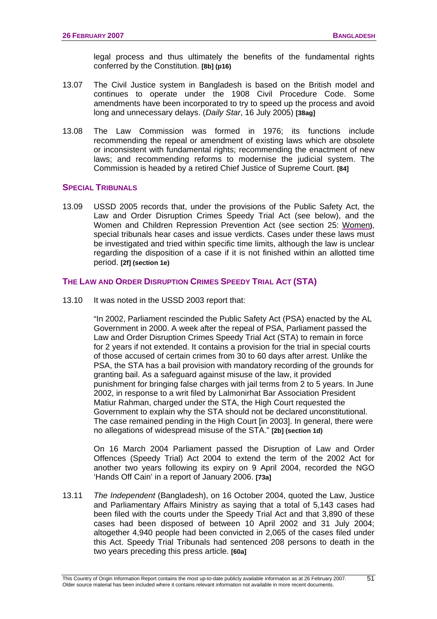legal process and thus ultimately the benefits of the fundamental rights conferred by the Constitution. **[8b] (p16)** 

- 13.07 The Civil Justice system in Bangladesh is based on the British model and continues to operate under the 1908 Civil Procedure Code. Some amendments have been incorporated to try to speed up the process and avoid long and unnecessary delays. (*Daily Star*, 16 July 2005) **[38ag]**
- 13.08 The Law Commission was formed in 1976; its functions include recommending the repeal or amendment of existing laws which are obsolete or inconsistent with fundamental rights; recommending the enactment of new laws; and recommending reforms to modernise the judicial system. The Commission is headed by a retired Chief Justice of Supreme Court. **[84]**

#### **SPECIAL TRIBUNALS**

13.09 USSD 2005 records that, under the provisions of the Public Safety Act, the Law and Order Disruption Crimes Speedy Trial Act (see below), and the Women and Children Repression Prevention Act (see section 25: [Women](#page-97-0)**)**, special tribunals hear cases and issue verdicts. Cases under these laws must be investigated and tried within specific time limits, although the law is unclear regarding the disposition of a case if it is not finished within an allotted time period. **[2f] (section 1e)** 

### **THE LAW AND ORDER DISRUPTION CRIMES SPEEDY TRIAL ACT (STA)**

13.10 It was noted in the USSD 2003 report that:

"In 2002, Parliament rescinded the Public Safety Act (PSA) enacted by the AL Government in 2000. A week after the repeal of PSA, Parliament passed the Law and Order Disruption Crimes Speedy Trial Act (STA) to remain in force for 2 years if not extended. It contains a provision for the trial in special courts of those accused of certain crimes from 30 to 60 days after arrest. Unlike the PSA, the STA has a bail provision with mandatory recording of the grounds for granting bail. As a safeguard against misuse of the law, it provided punishment for bringing false charges with jail terms from 2 to 5 years. In June 2002, in response to a writ filed by Lalmonirhat Bar Association President Matiur Rahman, charged under the STA, the High Court requested the Government to explain why the STA should not be declared unconstitutional. The case remained pending in the High Court [in 2003]. In general, there were no allegations of widespread misuse of the STA." **[2b] (section 1d)** 

On 16 March 2004 Parliament passed the Disruption of Law and Order Offences (Speedy Trial) Act 2004 to extend the term of the 2002 Act for another two years following its expiry on 9 April 2004, recorded the NGO 'Hands Off Cain' in a report of January 2006. **[73a]**

13.11 *The Independent* (Bangladesh), on 16 October 2004, quoted the Law, Justice and Parliamentary Affairs Ministry as saying that a total of 5,143 cases had been filed with the courts under the Speedy Trial Act and that 3,890 of these cases had been disposed of between 10 April 2002 and 31 July 2004; altogether 4,940 people had been convicted in 2,065 of the cases filed under this Act. Speedy Trial Tribunals had sentenced 208 persons to death in the two years preceding this press article. **[60a]**

51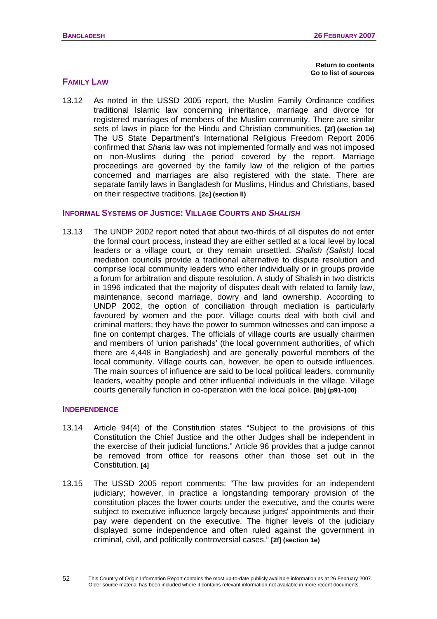**[Return to contents](#page-0-0)  [Go to list of sources](#page-133-0)** 

#### **FAMILY LAW**

13.12 As noted in the USSD 2005 report, the Muslim Family Ordinance codifies traditional Islamic law concerning inheritance, marriage and divorce for registered marriages of members of the Muslim community. There are similar sets of laws in place for the Hindu and Christian communities. **[2f] (section 1e)** The US State Department's International Religious Freedom Report 2006 confirmed that *Sharia* law was not implemented formally and was not imposed on non-Muslims during the period covered by the report. Marriage proceedings are governed by the family law of the religion of the parties concerned and marriages are also registered with the state. There are separate family laws in Bangladesh for Muslims, Hindus and Christians, based on their respective traditions. **[2c] (section ll)**

#### **INFORMAL SYSTEMS OF JUSTICE: VILLAGE COURTS AND** *SHALISH*

13.13 The UNDP 2002 report noted that about two-thirds of all disputes do not enter the formal court process, instead they are either settled at a local level by local leaders or a village court, or they remain unsettled. *Shalish (Salish)* local mediation councils provide a traditional alternative to dispute resolution and comprise local community leaders who either individually or in groups provide a forum for arbitration and dispute resolution. A study of Shalish in two districts in 1996 indicated that the majority of disputes dealt with related to family law, maintenance, second marriage, dowry and land ownership. According to UNDP 2002, the option of conciliation through mediation is particularly favoured by women and the poor. Village courts deal with both civil and criminal matters; they have the power to summon witnesses and can impose a fine on contempt charges. The officials of village courts are usually chairmen and members of 'union parishads' (the local government authorities, of which there are 4,448 in Bangladesh) and are generally powerful members of the local community. Village courts can, however, be open to outside influences. The main sources of influence are said to be local political leaders, community leaders, wealthy people and other influential individuals in the village. Village courts generally function in co-operation with the local police. **[8b] (p91-100)**

### **INDEPENDENCE**

- 13.14 Article 94(4) of the Constitution states "Subject to the provisions of this Constitution the Chief Justice and the other Judges shall be independent in the exercise of their judicial functions." Article 96 provides that a judge cannot be removed from office for reasons other than those set out in the Constitution. **[4]**
- 13.15 The USSD 2005 report comments: "The law provides for an independent judiciary; however, in practice a longstanding temporary provision of the constitution places the lower courts under the executive, and the courts were subject to executive influence largely because judges' appointments and their pay were dependent on the executive. The higher levels of the judiciary displayed some independence and often ruled against the government in criminal, civil, and politically controversial cases." **[2f] (section 1e)**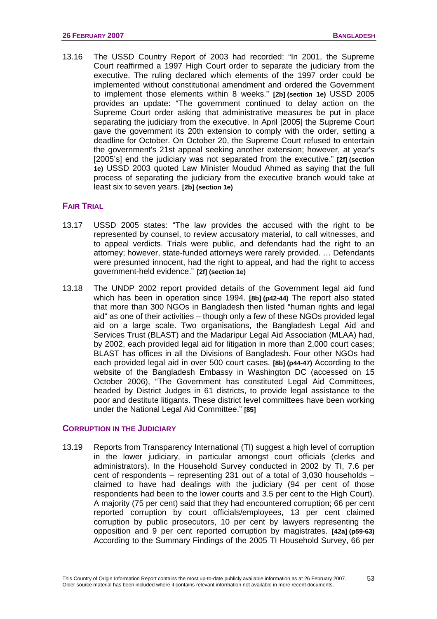13.16 The USSD Country Report of 2003 had recorded: "In 2001, the Supreme Court reaffirmed a 1997 High Court order to separate the judiciary from the executive. The ruling declared which elements of the 1997 order could be implemented without constitutional amendment and ordered the Government to implement those elements within 8 weeks." **[2b] (section 1e)** USSD 2005 provides an update: "The government continued to delay action on the Supreme Court order asking that administrative measures be put in place separating the judiciary from the executive. In April [2005] the Supreme Court gave the government its 20th extension to comply with the order, setting a deadline for October. On October 20, the Supreme Court refused to entertain the government's 21st appeal seeking another extension; however, at year's [2005's] end the judiciary was not separated from the executive." **[2f] (section 1e)** USSD 2003 quoted Law Minister Moudud Ahmed as saying that the full process of separating the judiciary from the executive branch would take at least six to seven years. **[2b] (section 1e)**

#### **FAIR TRIAL**

- 13.17 USSD 2005 states: "The law provides the accused with the right to be represented by counsel, to review accusatory material, to call witnesses, and to appeal verdicts. Trials were public, and defendants had the right to an attorney; however, state-funded attorneys were rarely provided. … Defendants were presumed innocent, had the right to appeal, and had the right to access government-held evidence." **[2f] (section 1e)**
- 13.18 The UNDP 2002 report provided details of the Government legal aid fund which has been in operation since 1994. **[8b] (p42-44)** The report also stated that more than 300 NGOs in Bangladesh then listed "human rights and legal aid" as one of their activities – though only a few of these NGOs provided legal aid on a large scale. Two organisations, the Bangladesh Legal Aid and Services Trust (BLAST) and the Madaripur Legal Aid Association (MLAA) had, by 2002, each provided legal aid for litigation in more than 2,000 court cases; BLAST has offices in all the Divisions of Bangladesh. Four other NGOs had each provided legal aid in over 500 court cases. **[8b] (p44-47)** According to the website of the Bangladesh Embassy in Washington DC (accessed on 15 October 2006), "The Government has constituted Legal Aid Committees, headed by District Judges in 61 districts, to provide legal assistance to the poor and destitute litigants. These district level committees have been working under the National Legal Aid Committee." **[85]**

#### **CORRUPTION IN THE JUDICIARY**

13.19 Reports from Transparency International (TI) suggest a high level of corruption in the lower judiciary, in particular amongst court officials (clerks and administrators). In the Household Survey conducted in 2002 by TI, 7.6 per cent of respondents – representing 231 out of a total of 3,030 households – claimed to have had dealings with the judiciary (94 per cent of those respondents had been to the lower courts and 3.5 per cent to the High Court). A majority (75 per cent) said that they had encountered corruption; 66 per cent reported corruption by court officials/employees, 13 per cent claimed corruption by public prosecutors, 10 per cent by lawyers representing the opposition and 9 per cent reported corruption by magistrates. **[42a] (p59-63)** According to the Summary Findings of the 2005 TI Household Survey, 66 per

53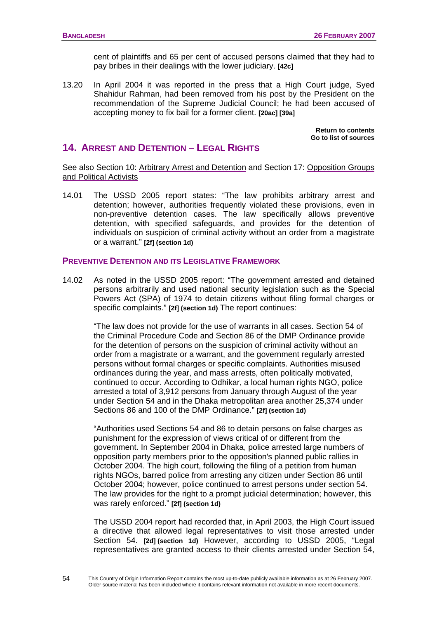cent of plaintiffs and 65 per cent of accused persons claimed that they had to pay bribes in their dealings with the lower judiciary. **[42c]**

<span id="page-57-0"></span>13.20 In April 2004 it was reported in the press that a High Court judge, Syed Shahidur Rahman, had been removed from his post by the President on the recommendation of the Supreme Judicial Council; he had been accused of accepting money to fix bail for a former client. **[20ac] [39a]**

> **[Return to contents](#page-0-0) [Go to list of sources](#page-133-0)**

# **14. ARREST AND DETENTION – LEGAL RIGHTS**

See also Section 10: [Arbitrary Arrest and Detention](#page-41-0) and Section 17: [Opposition Groups](#page-64-0)  [and Political Activists](#page-64-0)

14.01 The USSD 2005 report states: "The law prohibits arbitrary arrest and detention; however, authorities frequently violated these provisions, even in non-preventive detention cases. The law specifically allows preventive detention, with specified safeguards, and provides for the detention of individuals on suspicion of criminal activity without an order from a magistrate or a warrant." **[2f] (section 1d)** 

### **PREVENTIVE DETENTION AND ITS LEGISLATIVE FRAMEWORK**

14.02 As noted in the USSD 2005 report: "The government arrested and detained persons arbitrarily and used national security legislation such as the Special Powers Act (SPA) of 1974 to detain citizens without filing formal charges or specific complaints." **[2f] (section 1d)** The report continues:

"The law does not provide for the use of warrants in all cases. Section 54 of the Criminal Procedure Code and Section 86 of the DMP Ordinance provide for the detention of persons on the suspicion of criminal activity without an order from a magistrate or a warrant, and the government regularly arrested persons without formal charges or specific complaints. Authorities misused ordinances during the year, and mass arrests, often politically motivated, continued to occur. According to Odhikar, a local human rights NGO, police arrested a total of 3,912 persons from January through August of the year under Section 54 and in the Dhaka metropolitan area another 25,374 under Sections 86 and 100 of the DMP Ordinance." **[2f] (section 1d)**

"Authorities used Sections 54 and 86 to detain persons on false charges as punishment for the expression of views critical of or different from the government. In September 2004 in Dhaka, police arrested large numbers of opposition party members prior to the opposition's planned public rallies in October 2004. The high court, following the filing of a petition from human rights NGOs, barred police from arresting any citizen under Section 86 until October 2004; however, police continued to arrest persons under section 54. The law provides for the right to a prompt judicial determination; however, this was rarely enforced." **[2f] (section 1d)** 

The USSD 2004 report had recorded that, in April 2003, the High Court issued a directive that allowed legal representatives to visit those arrested under Section 54. **[2d] (section 1d)** However, according to USSD 2005, "Legal representatives are granted access to their clients arrested under Section 54,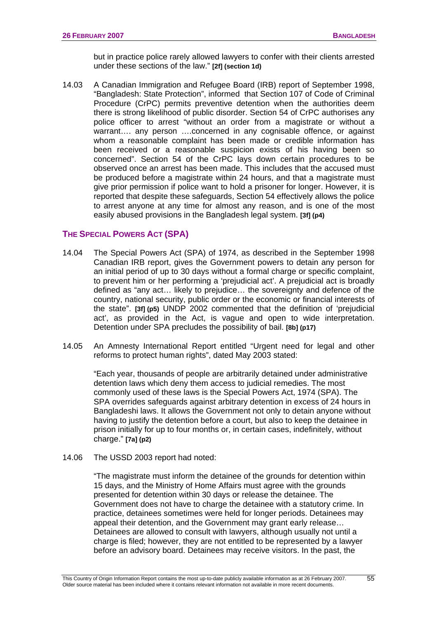but in practice police rarely allowed lawyers to confer with their clients arrested under these sections of the law." **[2f] (section 1d)**

14.03 A Canadian Immigration and Refugee Board (IRB) report of September 1998, "Bangladesh: State Protection", informed that Section 107 of Code of Criminal Procedure (CrPC) permits preventive detention when the authorities deem there is strong likelihood of public disorder. Section 54 of CrPC authorises any police officer to arrest "without an order from a magistrate or without a warrant.... any person ....concerned in any cognisable offence, or against whom a reasonable complaint has been made or credible information has been received or a reasonable suspicion exists of his having been so concerned". Section 54 of the CrPC lays down certain procedures to be observed once an arrest has been made. This includes that the accused must be produced before a magistrate within 24 hours, and that a magistrate must give prior permission if police want to hold a prisoner for longer. However, it is reported that despite these safeguards, Section 54 effectively allows the police to arrest anyone at any time for almost any reason, and is one of the most easily abused provisions in the Bangladesh legal system. **[3f] (p4)**

### **THE SPECIAL POWERS ACT (SPA)**

- 14.04 The Special Powers Act (SPA) of 1974, as described in the September 1998 Canadian IRB report, gives the Government powers to detain any person for an initial period of up to 30 days without a formal charge or specific complaint, to prevent him or her performing a 'prejudicial act'. A prejudicial act is broadly defined as "any act… likely to prejudice… the sovereignty and defence of the country, national security, public order or the economic or financial interests of the state". **[3f] (p5)** UNDP 2002 commented that the definition of 'prejudicial act', as provided in the Act, is vague and open to wide interpretation. Detention under SPA precludes the possibility of bail. **[8b] (p17)**
- 14.05 An Amnesty International Report entitled "Urgent need for legal and other reforms to protect human rights", dated May 2003 stated:

"Each year, thousands of people are arbitrarily detained under administrative detention laws which deny them access to judicial remedies. The most commonly used of these laws is the Special Powers Act, 1974 (SPA). The SPA overrides safeguards against arbitrary detention in excess of 24 hours in Bangladeshi laws. It allows the Government not only to detain anyone without having to justify the detention before a court, but also to keep the detainee in prison initially for up to four months or, in certain cases, indefinitely, without charge." **[7a] (p2)**

14.06 The USSD 2003 report had noted:

"The magistrate must inform the detainee of the grounds for detention within 15 days, and the Ministry of Home Affairs must agree with the grounds presented for detention within 30 days or release the detainee. The Government does not have to charge the detainee with a statutory crime. In practice, detainees sometimes were held for longer periods. Detainees may appeal their detention, and the Government may grant early release… Detainees are allowed to consult with lawyers, although usually not until a charge is filed; however, they are not entitled to be represented by a lawyer before an advisory board. Detainees may receive visitors. In the past, the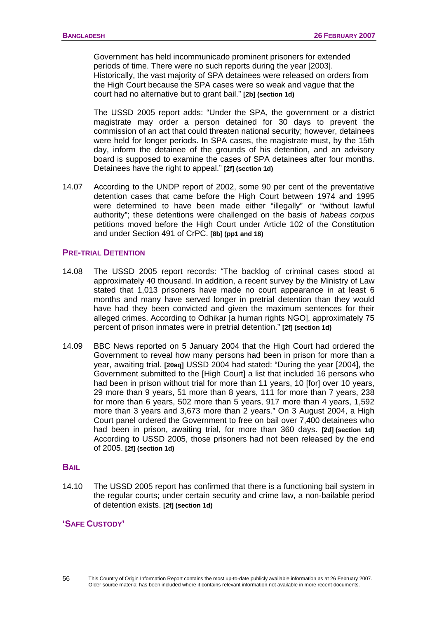Government has held incommunicado prominent prisoners for extended periods of time. There were no such reports during the year [2003]. Historically, the vast majority of SPA detainees were released on orders from the High Court because the SPA cases were so weak and vague that the court had no alternative but to grant bail." **[2b] (section 1d)** 

The USSD 2005 report adds: "Under the SPA, the government or a district magistrate may order a person detained for 30 days to prevent the commission of an act that could threaten national security; however, detainees were held for longer periods. In SPA cases, the magistrate must, by the 15th day, inform the detainee of the grounds of his detention, and an advisory board is supposed to examine the cases of SPA detainees after four months. Detainees have the right to appeal." **[2f] (section 1d)**

14.07 According to the UNDP report of 2002, some 90 per cent of the preventative detention cases that came before the High Court between 1974 and 1995 were determined to have been made either "illegally" or "without lawful authority"; these detentions were challenged on the basis of *habeas corpus* petitions moved before the High Court under Article 102 of the Constitution and under Section 491 of CrPC. **[8b] (pp1 and 18)** 

#### **PRE-TRIAL DETENTION**

- 14.08 The USSD 2005 report records: "The backlog of criminal cases stood at approximately 40 thousand. In addition, a recent survey by the Ministry of Law stated that 1,013 prisoners have made no court appearance in at least 6 months and many have served longer in pretrial detention than they would have had they been convicted and given the maximum sentences for their alleged crimes. According to Odhikar [a human rights NGO], approximately 75 percent of prison inmates were in pretrial detention." **[2f] (section 1d)**
- 14.09 BBC News reported on 5 January 2004 that the High Court had ordered the Government to reveal how many persons had been in prison for more than a year, awaiting trial. **[20aq]** USSD 2004 had stated: "During the year [2004], the Government submitted to the [High Court] a list that included 16 persons who had been in prison without trial for more than 11 years, 10 [for] over 10 years, 29 more than 9 years, 51 more than 8 years, 111 for more than 7 years, 238 for more than 6 years, 502 more than 5 years, 917 more than 4 years, 1,592 more than 3 years and 3,673 more than 2 years." On 3 August 2004, a High Court panel ordered the Government to free on bail over 7,400 detainees who had been in prison, awaiting trial, for more than 360 days. **[2d] (section 1d)**  According to USSD 2005, those prisoners had not been released by the end of 2005. **[2f] (section 1d)**

#### **BAIL**

14.10 The USSD 2005 report has confirmed that there is a functioning bail system in the regular courts; under certain security and crime law, a non-bailable period of detention exists. **[2f] (section 1d)**

## **'SAFE CUSTODY'**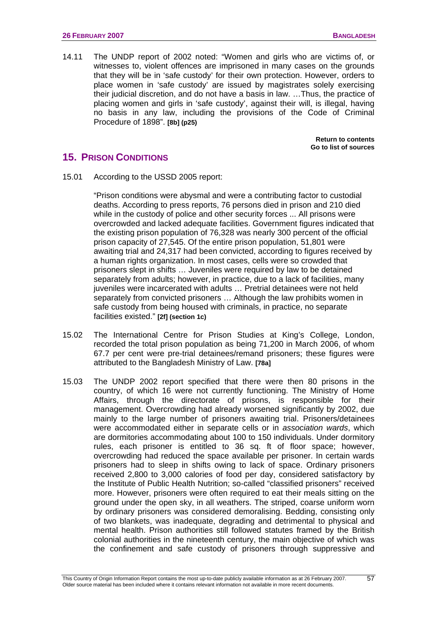14.11 The UNDP report of 2002 noted: "Women and girls who are victims of, or witnesses to, violent offences are imprisoned in many cases on the grounds that they will be in 'safe custody' for their own protection. However, orders to place women in 'safe custody' are issued by magistrates solely exercising their judicial discretion, and do not have a basis in law. …Thus, the practice of placing women and girls in 'safe custody', against their will, is illegal, having no basis in any law, including the provisions of the Code of Criminal Procedure of 1898". **[8b] (p25)**

> **[Return to contents](#page-0-0)  [Go to list of sources](#page-133-0)**

# **15. PRISON CONDITIONS**

15.01 According to the USSD 2005 report:

"Prison conditions were abysmal and were a contributing factor to custodial deaths. According to press reports, 76 persons died in prison and 210 died while in the custody of police and other security forces ... All prisons were overcrowded and lacked adequate facilities. Government figures indicated that the existing prison population of 76,328 was nearly 300 percent of the official prison capacity of 27,545. Of the entire prison population, 51,801 were awaiting trial and 24,317 had been convicted, according to figures received by a human rights organization. In most cases, cells were so crowded that prisoners slept in shifts … Juveniles were required by law to be detained separately from adults; however, in practice, due to a lack of facilities, many juveniles were incarcerated with adults ... Pretrial detainees were not held separately from convicted prisoners … Although the law prohibits women in safe custody from being housed with criminals, in practice, no separate facilities existed." **[2f] (section 1c)**

- 15.02 The International Centre for Prison Studies at King's College, London, recorded the total prison population as being 71,200 in March 2006, of whom 67.7 per cent were pre-trial detainees/remand prisoners; these figures were attributed to the Bangladesh Ministry of Law. **[78a]**
- 15.03 The UNDP 2002 report specified that there were then 80 prisons in the country, of which 16 were not currently functioning. The Ministry of Home Affairs, through the directorate of prisons, is responsible for their management. Overcrowding had already worsened significantly by 2002, due mainly to the large number of prisoners awaiting trial. Prisoners/detainees were accommodated either in separate cells or in *association wards*, which are dormitories accommodating about 100 to 150 individuals. Under dormitory rules, each prisoner is entitled to 36 sq. ft of floor space; however, overcrowding had reduced the space available per prisoner. In certain wards prisoners had to sleep in shifts owing to lack of space. Ordinary prisoners received 2,800 to 3,000 calories of food per day, considered satisfactory by the Institute of Public Health Nutrition; so-called "classified prisoners" received more. However, prisoners were often required to eat their meals sitting on the ground under the open sky, in all weathers. The striped, coarse uniform worn by ordinary prisoners was considered demoralising. Bedding, consisting only of two blankets, was inadequate, degrading and detrimental to physical and mental health. Prison authorities still followed statutes framed by the British colonial authorities in the nineteenth century, the main objective of which was the confinement and safe custody of prisoners through suppressive and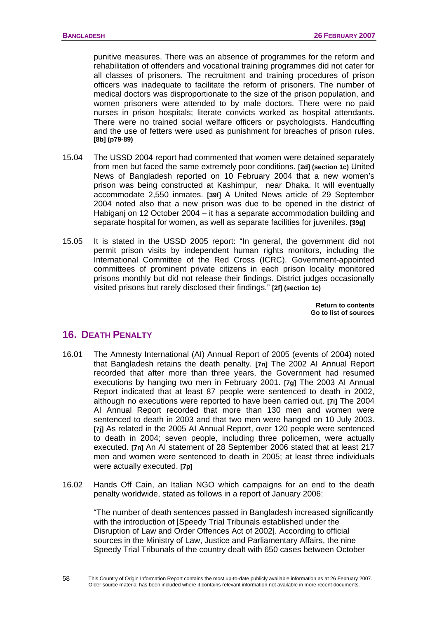punitive measures. There was an absence of programmes for the reform and rehabilitation of offenders and vocational training programmes did not cater for all classes of prisoners. The recruitment and training procedures of prison officers was inadequate to facilitate the reform of prisoners. The number of medical doctors was disproportionate to the size of the prison population, and women prisoners were attended to by male doctors. There were no paid nurses in prison hospitals; literate convicts worked as hospital attendants. There were no trained social welfare officers or psychologists. Handcuffing and the use of fetters were used as punishment for breaches of prison rules. **[8b] (p79-89)**

- 15.04 The USSD 2004 report had commented that women were detained separately from men but faced the same extremely poor conditions. **[2d] (section 1c)** United News of Bangladesh reported on 10 February 2004 that a new women's prison was being constructed at Kashimpur, near Dhaka. It will eventually accommodate 2,550 inmates. **[39f]** A United News article of 29 September 2004 noted also that a new prison was due to be opened in the district of Habiganj on 12 October 2004 – it has a separate accommodation building and separate hospital for women, as well as separate facilities for juveniles. **[39g]**
- 15.05 It is stated in the USSD 2005 report: "In general, the government did not permit prison visits by independent human rights monitors, including the International Committee of the Red Cross (ICRC). Government-appointed committees of prominent private citizens in each prison locality monitored prisons monthly but did not release their findings. District judges occasionally visited prisons but rarely disclosed their findings." **[2f] (section 1c)**

**[Return to contents](#page-0-0)  [Go to list of sources](#page-133-0)** 

# **16. DEATH PENALTY**

- 16.01 The Amnesty International (AI) Annual Report of 2005 (events of 2004) noted that Bangladesh retains the death penalty. **[7n]** The 2002 AI Annual Report recorded that after more than three years, the Government had resumed executions by hanging two men in February 2001. **[7g]** The 2003 AI Annual Report indicated that at least 87 people were sentenced to death in 2002, although no executions were reported to have been carried out. **[7i]** The 2004 AI Annual Report recorded that more than 130 men and women were sentenced to death in 2003 and that two men were hanged on 10 July 2003. **[7j]** As related in the 2005 AI Annual Report, over 120 people were sentenced to death in 2004; seven people, including three policemen, were actually executed. **[7n]** An AI statement of 28 September 2006 stated that at least 217 men and women were sentenced to death in 2005; at least three individuals were actually executed. **[7p]**
- 16.02 Hands Off Cain, an Italian NGO which campaigns for an end to the death penalty worldwide, stated as follows in a report of January 2006:

"The number of death sentences passed in Bangladesh increased significantly with the introduction of [Speedy Trial Tribunals established under the Disruption of Law and Order Offences Act of 2002]. According to official sources in the Ministry of Law, Justice and Parliamentary Affairs, the nine Speedy Trial Tribunals of the country dealt with 650 cases between October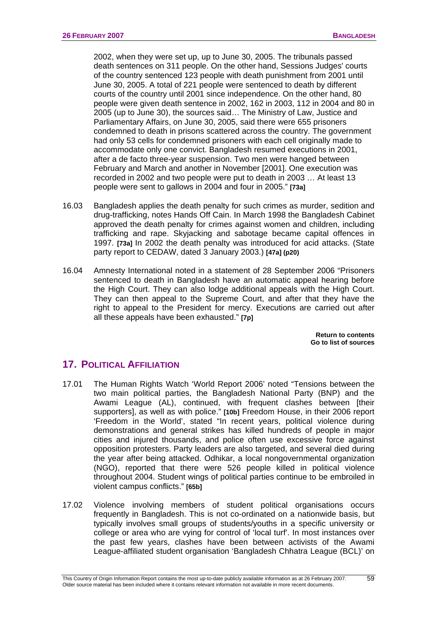2002, when they were set up, up to June 30, 2005. The tribunals passed death sentences on 311 people. On the other hand, Sessions Judges' courts of the country sentenced 123 people with death punishment from 2001 until June 30, 2005. A total of 221 people were sentenced to death by different courts of the country until 2001 since independence. On the other hand, 80 people were given death sentence in 2002, 162 in 2003, 112 in 2004 and 80 in 2005 (up to June 30), the sources said… The Ministry of Law, Justice and Parliamentary Affairs, on June 30, 2005, said there were 655 prisoners condemned to death in prisons scattered across the country. The government had only 53 cells for condemned prisoners with each cell originally made to accommodate only one convict. Bangladesh resumed executions in 2001, after a de facto three-year suspension. Two men were hanged between February and March and another in November [2001]. One execution was recorded in 2002 and two people were put to death in 2003 … At least 13 people were sent to gallows in 2004 and four in 2005." **[73a]** 

- 16.03 Bangladesh applies the death penalty for such crimes as murder, sedition and drug-trafficking, notes Hands Off Cain. In March 1998 the Bangladesh Cabinet approved the death penalty for crimes against women and children, including trafficking and rape. Skyjacking and sabotage became capital offences in 1997. **[73a]** In 2002 the death penalty was introduced for acid attacks. (State party report to CEDAW, dated 3 January 2003.) **[47a] (p20)**
- 16.04 Amnesty International noted in a statement of 28 September 2006 "Prisoners sentenced to death in Bangladesh have an automatic appeal hearing before the High Court. They can also lodge additional appeals with the High Court. They can then appeal to the Supreme Court, and after that they have the right to appeal to the President for mercy. Executions are carried out after all these appeals have been exhausted." **[7p]**

**[Return to contents](#page-0-0)  [Go to list of sources](#page-133-0)** 

# **17. POLITICAL AFFILIATION**

- 17.01 The Human Rights Watch 'World Report 2006' noted "Tensions between the two main political parties, the Bangladesh National Party (BNP) and the Awami League (AL), continued, with frequent clashes between [their supporters], as well as with police." **[10b]** Freedom House, in their 2006 report 'Freedom in the World', stated "In recent years, political violence during demonstrations and general strikes has killed hundreds of people in major cities and injured thousands, and police often use excessive force against opposition protesters. Party leaders are also targeted, and several died during the year after being attacked. Odhikar, a local nongovernmental organization (NGO), reported that there were 526 people killed in political violence throughout 2004. Student wings of political parties continue to be embroiled in violent campus conflicts." **[65b]**
- 17.02 Violence involving members of student political organisations occurs frequently in Bangladesh. This is not co-ordinated on a nationwide basis, but typically involves small groups of students/youths in a specific university or college or area who are vying for control of 'local turf'. In most instances over the past few years, clashes have been between activists of the Awami League-affiliated student organisation 'Bangladesh Chhatra League (BCL)' on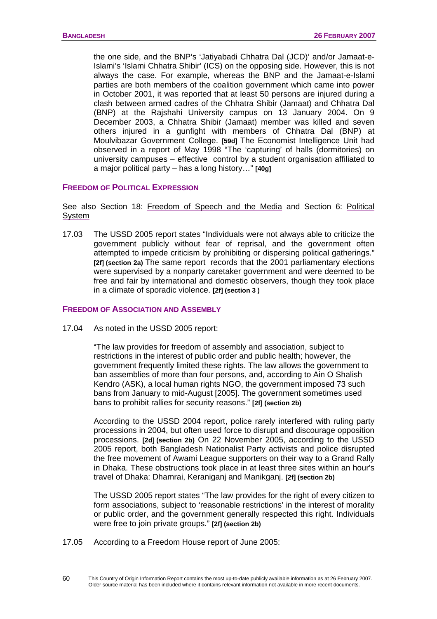the one side, and the BNP's 'Jatiyabadi Chhatra Dal (JCD)' and/or Jamaat-e-Islami's 'Islami Chhatra Shibir' (ICS) on the opposing side. However, this is not always the case. For example, whereas the BNP and the Jamaat-e-Islami parties are both members of the coalition government which came into power in October 2001, it was reported that at least 50 persons are injured during a clash between armed cadres of the Chhatra Shibir (Jamaat) and Chhatra Dal (BNP) at the Rajshahi University campus on 13 January 2004. On 9 December 2003, a Chhatra Shibir (Jamaat) member was killed and seven others injured in a gunfight with members of Chhatra Dal (BNP) at Moulvibazar Government College. **[59d]** The Economist Intelligence Unit had observed in a report of May 1998 "The 'capturing' of halls (dormitories) on university campuses – effective control by a student organisation affiliated to a major political party – has a long history…" **[40g]** 

### **FREEDOM OF POLITICAL EXPRESSION**

See also Section 18: [Freedom of Speech and the Media](#page-65-0) and Section 6: [Political](#page-32-0)  [System](#page-32-0)

17.03 The USSD 2005 report states "Individuals were not always able to criticize the government publicly without fear of reprisal, and the government often attempted to impede criticism by prohibiting or dispersing political gatherings." **[2f] (section 2a)** The same report records that the 2001 parliamentary elections were supervised by a nonparty caretaker government and were deemed to be free and fair by international and domestic observers, though they took place in a climate of sporadic violence. **[2f] (section 3 )**

### **FREEDOM OF ASSOCIATION AND ASSEMBLY**

17.04 As noted in the USSD 2005 report:

"The law provides for freedom of assembly and association, subject to restrictions in the interest of public order and public health; however, the government frequently limited these rights. The law allows the government to ban assemblies of more than four persons, and, according to Ain O Shalish Kendro (ASK), a local human rights NGO, the government imposed 73 such bans from January to mid-August [2005]. The government sometimes used bans to prohibit rallies for security reasons." **[2f] (section 2b)**

According to the USSD 2004 report, police rarely interfered with ruling party processions in 2004, but often used force to disrupt and discourage opposition processions. **[2d] (section 2b)** On 22 November 2005, according to the USSD 2005 report, both Bangladesh Nationalist Party activists and police disrupted the free movement of Awami League supporters on their way to a Grand Rally in Dhaka. These obstructions took place in at least three sites within an hour's travel of Dhaka: Dhamrai, Keraniganj and Manikganj. **[2f] (section 2b)**

The USSD 2005 report states "The law provides for the right of every citizen to form associations, subject to 'reasonable restrictions' in the interest of morality or public order, and the government generally respected this right. Individuals were free to join private groups." **[2f] (section 2b)**

17.05 According to a Freedom House report of June 2005:

 $\overline{60}$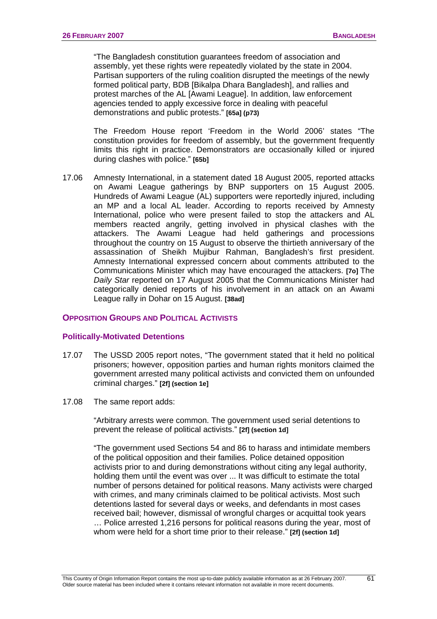<span id="page-64-0"></span>"The Bangladesh constitution guarantees freedom of association and assembly, yet these rights were repeatedly violated by the state in 2004. Partisan supporters of the ruling coalition disrupted the meetings of the newly formed political party, BDB [Bikalpa Dhara Bangladesh], and rallies and protest marches of the AL [Awami League]. In addition, law enforcement agencies tended to apply excessive force in dealing with peaceful demonstrations and public protests." **[65a] (p73)** 

 The Freedom House report 'Freedom in the World 2006' states "The constitution provides for freedom of assembly, but the government frequently limits this right in practice. Demonstrators are occasionally killed or injured during clashes with police." **[65b]** 

17.06 Amnesty International, in a statement dated 18 August 2005, reported attacks on Awami League gatherings by BNP supporters on 15 August 2005. Hundreds of Awami League (AL) supporters were reportedly injured, including an MP and a local AL leader. According to reports received by Amnesty International, police who were present failed to stop the attackers and AL members reacted angrily, getting involved in physical clashes with the attackers. The Awami League had held gatherings and processions throughout the country on 15 August to observe the thirtieth anniversary of the assassination of Sheikh Mujibur Rahman, Bangladesh's first president. Amnesty International expressed concern about comments attributed to the Communications Minister which may have encouraged the attackers. **[7o]** The *Daily Star* reported on 17 August 2005 that the Communications Minister had categorically denied reports of his involvement in an attack on an Awami League rally in Dohar on 15 August. **[38ad]**

### **OPPOSITION GROUPS AND POLITICAL ACTIVISTS**

#### **Politically-Motivated Detentions**

- 17.07 The USSD 2005 report notes, "The government stated that it held no political prisoners; however, opposition parties and human rights monitors claimed the government arrested many political activists and convicted them on unfounded criminal charges." **[2f] (section 1e]**
- 17.08 The same report adds:

"Arbitrary arrests were common. The government used serial detentions to prevent the release of political activists." **[2f] (section 1d]**

"The government used Sections 54 and 86 to harass and intimidate members of the political opposition and their families. Police detained opposition activists prior to and during demonstrations without citing any legal authority, holding them until the event was over ... It was difficult to estimate the total number of persons detained for political reasons. Many activists were charged with crimes, and many criminals claimed to be political activists. Most such detentions lasted for several days or weeks, and defendants in most cases received bail; however, dismissal of wrongful charges or acquittal took years … Police arrested 1,216 persons for political reasons during the year, most of whom were held for a short time prior to their release." **[2f] (section 1d]**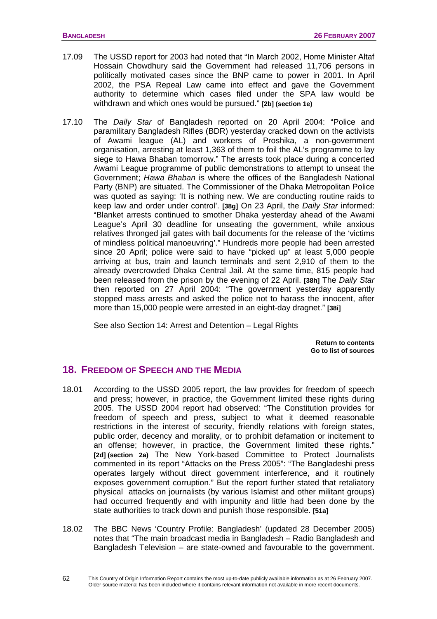- <span id="page-65-0"></span>17.09 The USSD report for 2003 had noted that "In March 2002, Home Minister Altaf Hossain Chowdhury said the Government had released 11,706 persons in politically motivated cases since the BNP came to power in 2001. In April 2002, the PSA Repeal Law came into effect and gave the Government authority to determine which cases filed under the SPA law would be withdrawn and which ones would be pursued." **[2b] (section 1e)**
- 17.10 The *Daily Star* of Bangladesh reported on 20 April 2004: "Police and paramilitary Bangladesh Rifles (BDR) yesterday cracked down on the activists of Awami league (AL) and workers of Proshika, a non-government organisation, arresting at least 1,363 of them to foil the AL's programme to lay siege to Hawa Bhaban tomorrow." The arrests took place during a concerted Awami League programme of public demonstrations to attempt to unseat the Government; *Hawa Bhaban* is where the offices of the Bangladesh National Party (BNP) are situated. The Commissioner of the Dhaka Metropolitan Police was quoted as saying: 'It is nothing new. We are conducting routine raids to keep law and order under control'. **[38g]** On 23 April, the *Daily Star* informed: "Blanket arrests continued to smother Dhaka yesterday ahead of the Awami League's April 30 deadline for unseating the government, while anxious relatives thronged jail gates with bail documents for the release of the 'victims of mindless political manoeuvring'." Hundreds more people had been arrested since 20 April; police were said to have "picked up" at least 5,000 people arriving at bus, train and launch terminals and sent 2,910 of them to the already overcrowded Dhaka Central Jail. At the same time, 815 people had been released from the prison by the evening of 22 April. **[38h]** The *Daily Star* then reported on 27 April 2004: "The government yesterday apparently stopped mass arrests and asked the police not to harass the innocent, after more than 15,000 people were arrested in an eight-day dragnet." **[38i]**

See also Section 14: [Arrest and Detention – Legal Rights](#page-57-0)

**[Return to contents](#page-0-0)  [Go to list of sources](#page-133-0)** 

# **18. FREEDOM OF SPEECH AND THE MEDIA**

- 18.01 According to the USSD 2005 report, the law provides for freedom of speech and press; however, in practice, the Government limited these rights during 2005. The USSD 2004 report had observed: "The Constitution provides for freedom of speech and press, subject to what it deemed reasonable restrictions in the interest of security, friendly relations with foreign states, public order, decency and morality, or to prohibit defamation or incitement to an offense; however, in practice, the Government limited these rights." **[2d] (section 2a)** The New York-based Committee to Protect Journalists commented in its report "Attacks on the Press 2005": "The Bangladeshi press operates largely without direct government interference, and it routinely exposes government corruption." But the report further stated that retaliatory physical attacks on journalists (by various Islamist and other militant groups) had occurred frequently and with impunity and little had been done by the state authorities to track down and punish those responsible. **[51a]**
- 18.02 The BBC News 'Country Profile: Bangladesh' (updated 28 December 2005) notes that "The main broadcast media in Bangladesh – Radio Bangladesh and Bangladesh Television – are state-owned and favourable to the government.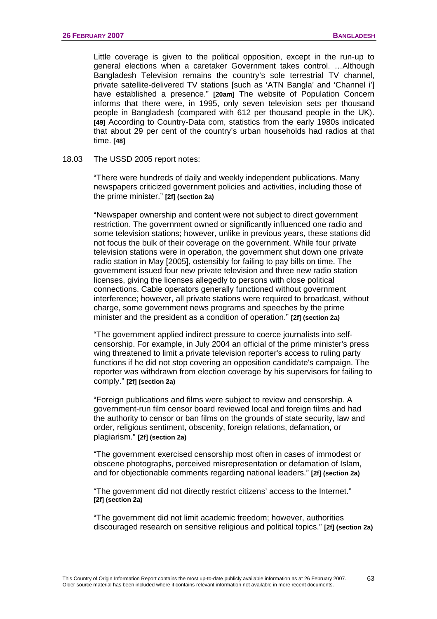Little coverage is given to the political opposition, except in the run-up to general elections when a caretaker Government takes control. …Although Bangladesh Television remains the country's sole terrestrial TV channel, private satellite-delivered TV stations [such as 'ATN Bangla' and 'Channel i'] have established a presence." **[20am]** The website of Population Concern informs that there were, in 1995, only seven television sets per thousand people in Bangladesh (compared with 612 per thousand people in the UK). **[49]** According to Country-Data com, statistics from the early 1980s indicated that about 29 per cent of the country's urban households had radios at that time. **[48]**

18.03 The USSD 2005 report notes:

"There were hundreds of daily and weekly independent publications. Many newspapers criticized government policies and activities, including those of the prime minister." **[2f] (section 2a)**

"Newspaper ownership and content were not subject to direct government restriction. The government owned or significantly influenced one radio and some television stations; however, unlike in previous years, these stations did not focus the bulk of their coverage on the government. While four private television stations were in operation, the government shut down one private radio station in May [2005], ostensibly for failing to pay bills on time. The government issued four new private television and three new radio station licenses, giving the licenses allegedly to persons with close political connections. Cable operators generally functioned without government interference; however, all private stations were required to broadcast, without charge, some government news programs and speeches by the prime minister and the president as a condition of operation." **[2f] (section 2a)** 

"The government applied indirect pressure to coerce journalists into selfcensorship. For example, in July 2004 an official of the prime minister's press wing threatened to limit a private television reporter's access to ruling party functions if he did not stop covering an opposition candidate's campaign. The reporter was withdrawn from election coverage by his supervisors for failing to comply." **[2f] (section 2a)**

"Foreign publications and films were subject to review and censorship. A government-run film censor board reviewed local and foreign films and had the authority to censor or ban films on the grounds of state security, law and order, religious sentiment, obscenity, foreign relations, defamation, or plagiarism." **[2f] (section 2a)** 

"The government exercised censorship most often in cases of immodest or obscene photographs, perceived misrepresentation or defamation of Islam, and for objectionable comments regarding national leaders." **[2f] (section 2a)** 

"The government did not directly restrict citizens' access to the Internet." **[2f] (section 2a)**

"The government did not limit academic freedom; however, authorities discouraged research on sensitive religious and political topics." **[2f] (section 2a)**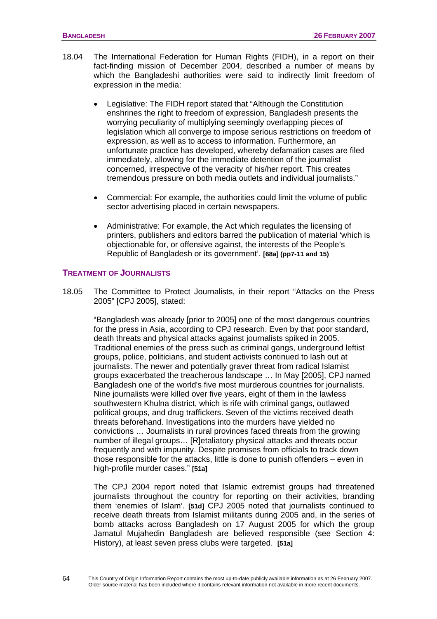- 18.04 The International Federation for Human Rights (FIDH), in a report on their fact-finding mission of December 2004, described a number of means by which the Bangladeshi authorities were said to indirectly limit freedom of expression in the media:
	- Legislative: The FIDH report stated that "Although the Constitution enshrines the right to freedom of expression, Bangladesh presents the worrying peculiarity of multiplying seemingly overlapping pieces of legislation which all converge to impose serious restrictions on freedom of expression, as well as to access to information. Furthermore, an unfortunate practice has developed, whereby defamation cases are filed immediately, allowing for the immediate detention of the journalist concerned, irrespective of the veracity of his/her report. This creates tremendous pressure on both media outlets and individual journalists."
	- Commercial: For example, the authorities could limit the volume of public sector advertising placed in certain newspapers.
	- Administrative: For example, the Act which regulates the licensing of printers, publishers and editors barred the publication of material 'which is objectionable for, or offensive against, the interests of the People's Republic of Bangladesh or its government'. **[68a] (pp7-11 and 15)**

#### **TREATMENT OF JOURNALISTS**

18.05 The Committee to Protect Journalists, in their report "Attacks on the Press 2005" [CPJ 2005], stated:

"Bangladesh was already [prior to 2005] one of the most dangerous countries for the press in Asia, according to CPJ research. Even by that poor standard, death threats and physical attacks against journalists spiked in 2005. Traditional enemies of the press such as criminal gangs, underground leftist groups, police, politicians, and student activists continued to lash out at journalists. The newer and potentially graver threat from radical Islamist groups exacerbated the treacherous landscape … In May [2005], CPJ named Bangladesh one of the world's five most murderous countries for journalists. Nine journalists were killed over five years, eight of them in the lawless southwestern Khulna district, which is rife with criminal gangs, outlawed political groups, and drug traffickers. Seven of the victims received death threats beforehand. Investigations into the murders have yielded no convictions … Journalists in rural provinces faced threats from the growing number of illegal groups… [R]etaliatory physical attacks and threats occur frequently and with impunity. Despite promises from officials to track down those responsible for the attacks, little is done to punish offenders – even in high-profile murder cases." **[51a]**

The CPJ 2004 report noted that Islamic extremist groups had threatened journalists throughout the country for reporting on their activities, branding them 'enemies of Islam'. **[51d]** CPJ 2005 noted that journalists continued to receive death threats from Islamist militants during 2005 and, in the series of bomb attacks across Bangladesh on 17 August 2005 for which the group Jamatul Mujahedin Bangladesh are believed responsible (see Section 4: History), at least seven press clubs were targeted. **[51a]**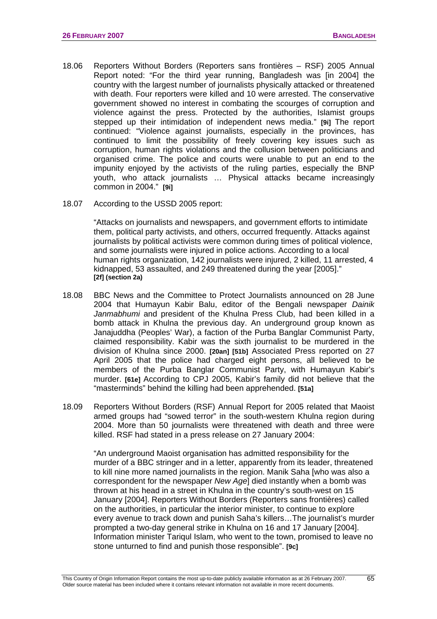- 18.06 Reporters Without Borders (Reporters sans frontières RSF) 2005 Annual Report noted: "For the third year running, Bangladesh was [in 2004] the country with the largest number of journalists physically attacked or threatened with death. Four reporters were killed and 10 were arrested. The conservative government showed no interest in combating the scourges of corruption and violence against the press. Protected by the authorities, Islamist groups stepped up their intimidation of independent news media." **[9i]** The report continued: "Violence against journalists, especially in the provinces, has continued to limit the possibility of freely covering key issues such as corruption, human rights violations and the collusion between politicians and organised crime. The police and courts were unable to put an end to the impunity enjoyed by the activists of the ruling parties, especially the BNP youth, who attack journalists … Physical attacks became increasingly common in 2004." **[9i]**
- 18.07 According to the USSD 2005 report:

"Attacks on journalists and newspapers, and government efforts to intimidate them, political party activists, and others, occurred frequently. Attacks against journalists by political activists were common during times of political violence, and some journalists were injured in police actions. According to a local human rights organization, 142 journalists were injured, 2 killed, 11 arrested, 4 kidnapped, 53 assaulted, and 249 threatened during the year [2005]." **[2f] (section 2a)**

- 18.08 BBC News and the Committee to Protect Journalists announced on 28 June 2004 that Humayun Kabir Balu, editor of the Bengali newspaper *Dainik Janmabhumi* and president of the Khulna Press Club, had been killed in a bomb attack in Khulna the previous day. An underground group known as Janajuddha (Peoples' War), a faction of the Purba Banglar Communist Party, claimed responsibility. Kabir was the sixth journalist to be murdered in the division of Khulna since 2000. **[20an] [51b]** Associated Press reported on 27 April 2005 that the police had charged eight persons, all believed to be members of the Purba Banglar Communist Party, with Humayun Kabir's murder. **[61e]** According to CPJ 2005, Kabir's family did not believe that the "masterminds" behind the killing had been apprehended. **[51a]**
- 18.09 Reporters Without Borders (RSF) Annual Report for 2005 related that Maoist armed groups had "sowed terror" in the south-western Khulna region during 2004. More than 50 journalists were threatened with death and three were killed. RSF had stated in a press release on 27 January 2004:

"An underground Maoist organisation has admitted responsibility for the murder of a BBC stringer and in a letter, apparently from its leader, threatened to kill nine more named journalists in the region. Manik Saha [who was also a correspondent for the newspaper *New Age*] died instantly when a bomb was thrown at his head in a street in Khulna in the country's south-west on 15 January [2004]. Reporters Without Borders (Reporters sans frontières) called on the authorities, in particular the interior minister, to continue to explore every avenue to track down and punish Saha's killers…The journalist's murder prompted a two-day general strike in Khulna on 16 and 17 January [2004]. Information minister Tariqul Islam, who went to the town, promised to leave no stone unturned to find and punish those responsible". **[9c]**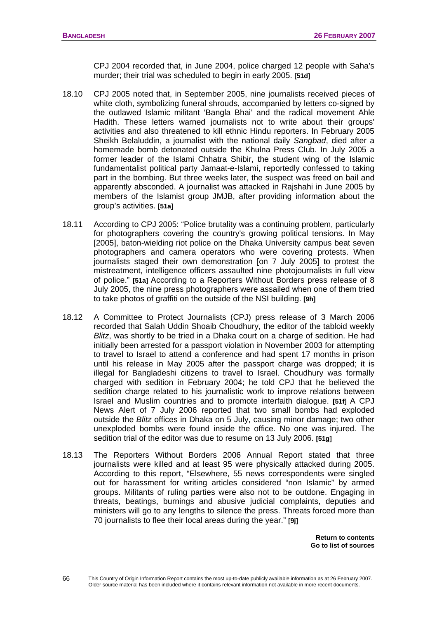CPJ 2004 recorded that, in June 2004, police charged 12 people with Saha's murder; their trial was scheduled to begin in early 2005. **[51d]**

- 18.10 CPJ 2005 noted that, in September 2005, nine journalists received pieces of white cloth, symbolizing funeral shrouds, accompanied by letters co-signed by the outlawed Islamic militant 'Bangla Bhai' and the radical movement Ahle Hadith. These letters warned journalists not to write about their groups' activities and also threatened to kill ethnic Hindu reporters. In February 2005 Sheikh Belaluddin, a journalist with the national daily *Sangbad*, died after a homemade bomb detonated outside the Khulna Press Club. In July 2005 a former leader of the Islami Chhatra Shibir, the student wing of the Islamic fundamentalist political party Jamaat-e-Islami, reportedly confessed to taking part in the bombing. But three weeks later, the suspect was freed on bail and apparently absconded. A journalist was attacked in Rajshahi in June 2005 by members of the Islamist group JMJB, after providing information about the group's activities. **[51a]**
- 18.11 According to CPJ 2005: "Police brutality was a continuing problem, particularly for photographers covering the country's growing political tensions. In May [2005], baton-wielding riot police on the Dhaka University campus beat seven photographers and camera operators who were covering protests. When journalists staged their own demonstration [on 7 July 2005] to protest the mistreatment, intelligence officers assaulted nine photojournalists in full view of police." **[51a]** According to a Reporters Without Borders press release of 8 July 2005, the nine press photographers were assailed when one of them tried to take photos of graffiti on the outside of the NSI building. **[9h]**
- 18.12 A Committee to Protect Journalists (CPJ) press release of 3 March 2006 recorded that Salah Uddin Shoaib Choudhury, the editor of the tabloid weekly *Blitz*, was shortly to be tried in a Dhaka court on a charge of sedition. He had initially been arrested for a passport violation in November 2003 for attempting to travel to Israel to attend a conference and had spent 17 months in prison until his release in May 2005 after the passport charge was dropped; it is illegal for Bangladeshi citizens to travel to Israel. Choudhury was formally charged with sedition in February 2004; he told CPJ that he believed the sedition charge related to his journalistic work to improve relations between Israel and Muslim countries and to promote interfaith dialogue. **[51f]** A CPJ News Alert of 7 July 2006 reported that two small bombs had exploded outside the *Blitz* offices in Dhaka on 5 July, causing minor damage; two other unexploded bombs were found inside the office. No one was injured. The sedition trial of the editor was due to resume on 13 July 2006. **[51g]**
- 18.13 The Reporters Without Borders 2006 Annual Report stated that three journalists were killed and at least 95 were physically attacked during 2005. According to this report, "Elsewhere, 55 news correspondents were singled out for harassment for writing articles considered "non Islamic" by armed groups. Militants of ruling parties were also not to be outdone. Engaging in threats, beatings, burnings and abusive judicial complaints, deputies and ministers will go to any lengths to silence the press. Threats forced more than 70 journalists to flee their local areas during the year." **[9j]**

**[Return to contents](#page-0-0)  [Go to list of sources](#page-133-0)**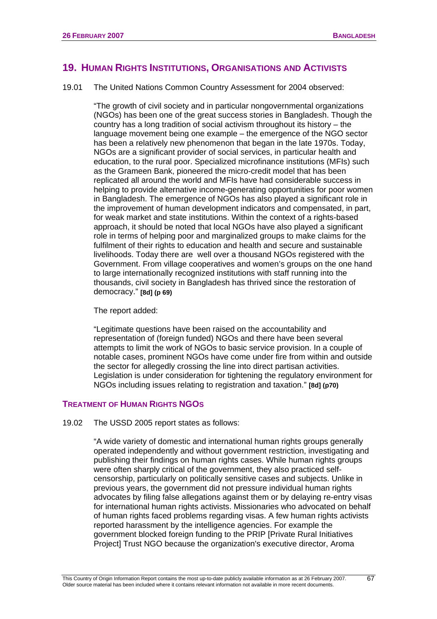# <span id="page-70-0"></span>**19. HUMAN RIGHTS INSTITUTIONS, ORGANISATIONS AND ACTIVISTS**

19.01 The United Nations Common Country Assessment for 2004 observed:

"The growth of civil society and in particular nongovernmental organizations (NGOs) has been one of the great success stories in Bangladesh. Though the country has a long tradition of social activism throughout its history – the language movement being one example – the emergence of the NGO sector has been a relatively new phenomenon that began in the late 1970s. Today, NGOs are a significant provider of social services, in particular health and education, to the rural poor. Specialized microfinance institutions (MFIs) such as the Grameen Bank, pioneered the micro-credit model that has been replicated all around the world and MFIs have had considerable success in helping to provide alternative income-generating opportunities for poor women in Bangladesh. The emergence of NGOs has also played a significant role in the improvement of human development indicators and compensated, in part, for weak market and state institutions. Within the context of a rights-based approach, it should be noted that local NGOs have also played a significant role in terms of helping poor and marginalized groups to make claims for the fulfilment of their rights to education and health and secure and sustainable livelihoods. Today there are well over a thousand NGOs registered with the Government. From village cooperatives and women's groups on the one hand to large internationally recognized institutions with staff running into the thousands, civil society in Bangladesh has thrived since the restoration of democracy." **[8d] (p 69)** 

The report added:

"Legitimate questions have been raised on the accountability and representation of (foreign funded) NGOs and there have been several attempts to limit the work of NGOs to basic service provision. In a couple of notable cases, prominent NGOs have come under fire from within and outside the sector for allegedly crossing the line into direct partisan activities. Legislation is under consideration for tightening the regulatory environment for NGOs including issues relating to registration and taxation." **[8d] (p70)**

### **TREATMENT OF HUMAN RIGHTS NGOS**

19.02 The USSD 2005 report states as follows:

"A wide variety of domestic and international human rights groups generally operated independently and without government restriction, investigating and publishing their findings on human rights cases. While human rights groups were often sharply critical of the government, they also practiced selfcensorship, particularly on politically sensitive cases and subjects. Unlike in previous years, the government did not pressure individual human rights advocates by filing false allegations against them or by delaying re-entry visas for international human rights activists. Missionaries who advocated on behalf of human rights faced problems regarding visas. A few human rights activists reported harassment by the intelligence agencies. For example the government blocked foreign funding to the PRIP [Private Rural Initiatives Project] Trust NGO because the organization's executive director, Aroma

67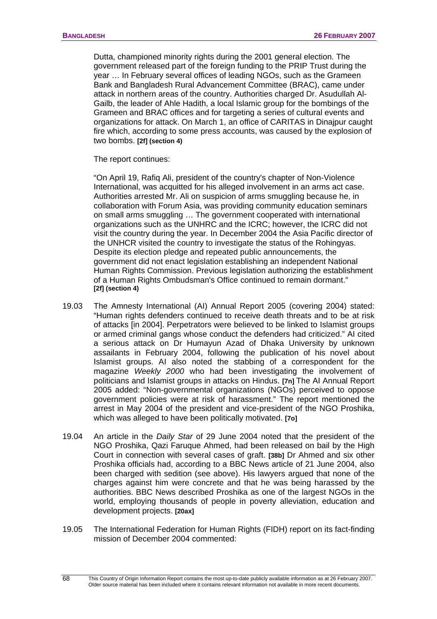Dutta, championed minority rights during the 2001 general election. The government released part of the foreign funding to the PRIP Trust during the year … In February several offices of leading NGOs, such as the Grameen Bank and Bangladesh Rural Advancement Committee (BRAC), came under attack in northern areas of the country. Authorities charged Dr. Asudullah Al-Gailb, the leader of Ahle Hadith, a local Islamic group for the bombings of the Grameen and BRAC offices and for targeting a series of cultural events and organizations for attack. On March 1, an office of CARITAS in Dinajpur caught fire which, according to some press accounts, was caused by the explosion of two bombs. **[2f] (section 4)**

The report continues:

"On April 19, Rafiq Ali, president of the country's chapter of Non-Violence International, was acquitted for his alleged involvement in an arms act case. Authorities arrested Mr. Ali on suspicion of arms smuggling because he, in collaboration with Forum Asia, was providing community education seminars on small arms smuggling … The government cooperated with international organizations such as the UNHRC and the ICRC; however, the ICRC did not visit the country during the year. In December 2004 the Asia Pacific director of the UNHCR visited the country to investigate the status of the Rohingyas. Despite its election pledge and repeated public announcements, the government did not enact legislation establishing an independent National Human Rights Commission. Previous legislation authorizing the establishment of a Human Rights Ombudsman's Office continued to remain dormant." **[2f] (section 4)**

- 19.03 The Amnesty International (AI) Annual Report 2005 (covering 2004) stated: "Human rights defenders continued to receive death threats and to be at risk of attacks [in 2004]. Perpetrators were believed to be linked to Islamist groups or armed criminal gangs whose conduct the defenders had criticized." AI cited a serious attack on Dr Humayun Azad of Dhaka University by unknown assailants in February 2004, following the publication of his novel about Islamist groups. AI also noted the stabbing of a correspondent for the magazine *Weekly 2000* who had been investigating the involvement of politicians and Islamist groups in attacks on Hindus. **[7n]** The AI Annual Report 2005 added: "Non-governmental organizations (NGOs) perceived to oppose government policies were at risk of harassment." The report mentioned the arrest in May 2004 of the president and vice-president of the NGO Proshika, which was alleged to have been politically motivated. **[7o]**
- 19.04 An article in the *Daily Star* of 29 June 2004 noted that the president of the NGO Proshika, Qazi Faruque Ahmed, had been released on bail by the High Court in connection with several cases of graft. **[38b]** Dr Ahmed and six other Proshika officials had, according to a BBC News article of 21 June 2004, also been charged with sedition (see above). His lawyers argued that none of the charges against him were concrete and that he was being harassed by the authorities. BBC News described Proshika as one of the largest NGOs in the world, employing thousands of people in poverty alleviation, education and development projects. **[20ax]**
- 19.05 The International Federation for Human Rights (FIDH) report on its fact-finding mission of December 2004 commented:

 $\overline{68}$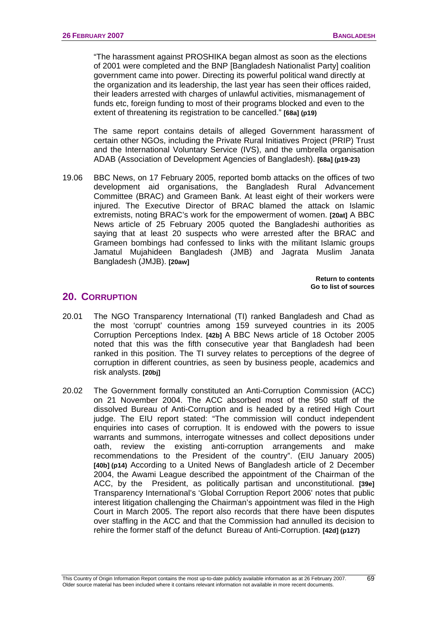"The harassment against PROSHIKA began almost as soon as the elections of 2001 were completed and the BNP [Bangladesh Nationalist Party] coalition government came into power. Directing its powerful political wand directly at the organization and its leadership, the last year has seen their offices raided, their leaders arrested with charges of unlawful activities, mismanagement of funds etc, foreign funding to most of their programs blocked and even to the extent of threatening its registration to be cancelled." **[68a] (p19)**

The same report contains details of alleged Government harassment of certain other NGOs, including the Private Rural Initiatives Project (PRIP) Trust and the International Voluntary Service (IVS), and the umbrella organisation ADAB (Association of Development Agencies of Bangladesh). **[68a] (p19-23)**

19.06 BBC News, on 17 February 2005, reported bomb attacks on the offices of two development aid organisations, the Bangladesh Rural Advancement Committee (BRAC) and Grameen Bank. At least eight of their workers were injured. The Executive Director of BRAC blamed the attack on Islamic extremists, noting BRAC's work for the empowerment of women. **[20at]** A BBC News article of 25 February 2005 quoted the Bangladeshi authorities as saying that at least 20 suspects who were arrested after the BRAC and Grameen bombings had confessed to links with the militant Islamic groups Jamatul Mujahideen Bangladesh (JMB) and Jagrata Muslim Janata Bangladesh (JMJB). **[20aw]**

> **[Return to contents](#page-0-0)  [Go to list of sources](#page-133-0)**

# **20. CORRUPTION**

- 20.01 The NGO Transparency International (TI) ranked Bangladesh and Chad as the most 'corrupt' countries among 159 surveyed countries in its 2005 Corruption Perceptions Index. **[42b]** A BBC News article of 18 October 2005 noted that this was the fifth consecutive year that Bangladesh had been ranked in this position. The TI survey relates to perceptions of the degree of corruption in different countries, as seen by business people, academics and risk analysts. **[20bj]**
- 20.02 The Government formally constituted an Anti-Corruption Commission (ACC) on 21 November 2004. The ACC absorbed most of the 950 staff of the dissolved Bureau of Anti-Corruption and is headed by a retired High Court judge. The EIU report stated: "The commission will conduct independent enquiries into cases of corruption. It is endowed with the powers to issue warrants and summons, interrogate witnesses and collect depositions under oath, review the existing anti-corruption arrangements and make recommendations to the President of the country". (EIU January 2005) **[40b] (p14)** According to a United News of Bangladesh article of 2 December 2004, the Awami League described the appointment of the Chairman of the ACC, by the President, as politically partisan and unconstitutional. **[39e]**  Transparency International's 'Global Corruption Report 2006' notes that public interest litigation challenging the Chairman's appointment was filed in the High Court in March 2005. The report also records that there have been disputes over staffing in the ACC and that the Commission had annulled its decision to rehire the former staff of the defunct Bureau of Anti-Corruption. **[42d] (p127)**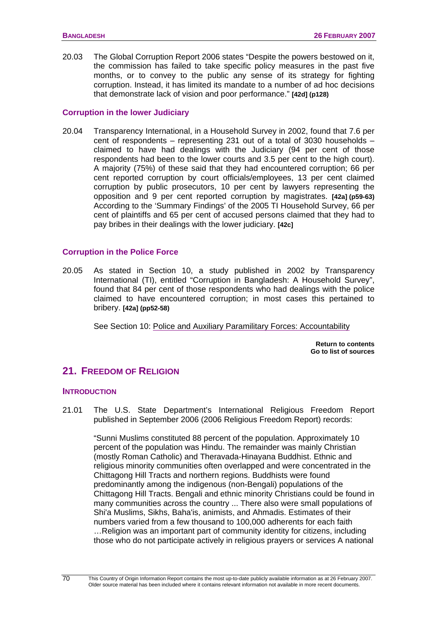20.03 The Global Corruption Report 2006 states "Despite the powers bestowed on it, the commission has failed to take specific policy measures in the past five months, or to convey to the public any sense of its strategy for fighting corruption. Instead, it has limited its mandate to a number of ad hoc decisions that demonstrate lack of vision and poor performance." **[42d] (p128)**

### **Corruption in the lower Judiciary**

20.04 Transparency International, in a Household Survey in 2002, found that 7.6 per cent of respondents – representing 231 out of a total of 3030 households – claimed to have had dealings with the Judiciary (94 per cent of those respondents had been to the lower courts and 3.5 per cent to the high court). A majority (75%) of these said that they had encountered corruption; 66 per cent reported corruption by court officials/employees, 13 per cent claimed corruption by public prosecutors, 10 per cent by lawyers representing the opposition and 9 per cent reported corruption by magistrates. **[42a] (p59-63)** According to the 'Summary Findings' of the 2005 TI Household Survey, 66 per cent of plaintiffs and 65 per cent of accused persons claimed that they had to pay bribes in their dealings with the lower judiciary. **[42c]**

#### **Corruption in the Police Force**

20.05 As stated in Section 10, a study published in 2002 by Transparency International (TI), entitled "Corruption in Bangladesh: A Household Survey", found that 84 per cent of those respondents who had dealings with the police claimed to have encountered corruption; in most cases this pertained to bribery. **[42a] (pp52-58)**

See Section 10: [Police and Auxiliary Paramilitary Forces: Accountability](#page-45-0)

**[Return to contents](#page-0-0)  [Go to list of sources](#page-133-0)** 

# **21. FREEDOM OF RELIGION**

#### **INTRODUCTION**

21.01 The U.S. State Department's International Religious Freedom Report published in September 2006 (2006 Religious Freedom Report) records:

"Sunni Muslims constituted 88 percent of the population. Approximately 10 percent of the population was Hindu. The remainder was mainly Christian (mostly Roman Catholic) and Theravada-Hinayana Buddhist. Ethnic and religious minority communities often overlapped and were concentrated in the Chittagong Hill Tracts and northern regions. Buddhists were found predominantly among the indigenous (non-Bengali) populations of the Chittagong Hill Tracts. Bengali and ethnic minority Christians could be found in many communities across the country ... There also were small populations of Shi'a Muslims, Sikhs, Baha'is, animists, and Ahmadis. Estimates of their numbers varied from a few thousand to 100,000 adherents for each faith …Religion was an important part of community identity for citizens, including those who do not participate actively in religious prayers or services A national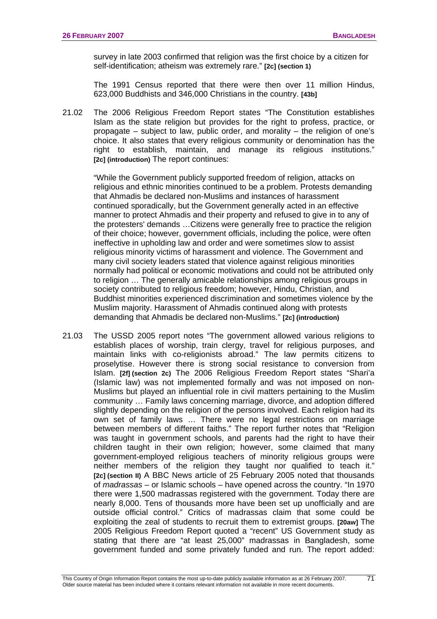survey in late 2003 confirmed that religion was the first choice by a citizen for self-identification; atheism was extremely rare." **[2c] (section 1)**

The 1991 Census reported that there were then over 11 million Hindus, 623,000 Buddhists and 346,000 Christians in the country. **[43b]**

21.02 The 2006 Religious Freedom Report states "The Constitution establishes Islam as the state religion but provides for the right to profess, practice, or propagate – subject to law, public order, and morality – the religion of one's choice. It also states that every religious community or denomination has the right to establish, maintain, and manage its religious institutions." **[2c] (introduction)** The report continues:

"While the Government publicly supported freedom of religion, attacks on religious and ethnic minorities continued to be a problem. Protests demanding that Ahmadis be declared non-Muslims and instances of harassment continued sporadically, but the Government generally acted in an effective manner to protect Ahmadis and their property and refused to give in to any of the protesters' demands …Citizens were generally free to practice the religion of their choice; however, government officials, including the police, were often ineffective in upholding law and order and were sometimes slow to assist religious minority victims of harassment and violence. The Government and many civil society leaders stated that violence against religious minorities normally had political or economic motivations and could not be attributed only to religion … The generally amicable relationships among religious groups in society contributed to religious freedom; however, Hindu, Christian, and Buddhist minorities experienced discrimination and sometimes violence by the Muslim majority. Harassment of Ahmadis continued along with protests demanding that Ahmadis be declared non-Muslims." **[2c] (introduction)**

21.03 The USSD 2005 report notes "The government allowed various religions to establish places of worship, train clergy, travel for religious purposes, and maintain links with co-religionists abroad." The law permits citizens to proselytise. However there is strong social resistance to conversion from Islam. **[2f] (section 2c)** The 2006 Religious Freedom Report states "Shari'a (Islamic law) was not implemented formally and was not imposed on non-Muslims but played an influential role in civil matters pertaining to the Muslim community … Family laws concerning marriage, divorce, and adoption differed slightly depending on the religion of the persons involved. Each religion had its own set of family laws … There were no legal restrictions on marriage between members of different faiths." The report further notes that "Religion was taught in government schools, and parents had the right to have their children taught in their own religion; however, some claimed that many government-employed religious teachers of minority religious groups were neither members of the religion they taught nor qualified to teach it." **[2c] (section II)** A BBC News article of 25 February 2005 noted that thousands of *madrassas* – or Islamic schools – have opened across the country. "In 1970 there were 1,500 madrassas registered with the government. Today there are nearly 8,000. Tens of thousands more have been set up unofficially and are outside official control." Critics of madrassas claim that some could be exploiting the zeal of students to recruit them to extremist groups. **[20aw]** The 2005 Religious Freedom Report quoted a "recent" US Government study as stating that there are "at least 25,000" madrassas in Bangladesh, some government funded and some privately funded and run. The report added: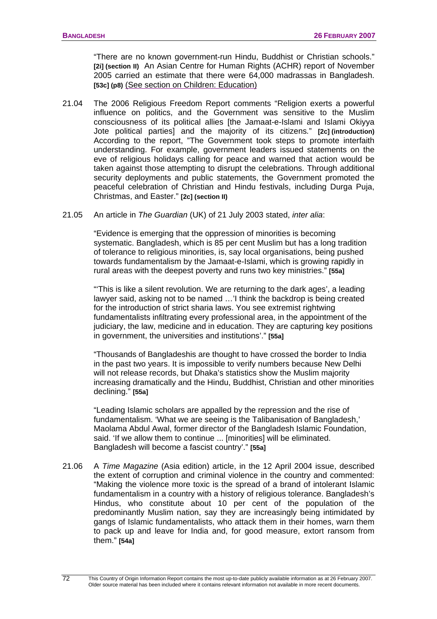"There are no known government-run Hindu, Buddhist or Christian schools." **[2i] (section II)** An Asian Centre for Human Rights (ACHR) report of November 2005 carried an estimate that there were 64,000 madrassas in Bangladesh. **[53c] (p8)** (See section on Children: Education)

- 21.04 The 2006 Religious Freedom Report comments "Religion exerts a powerful influence on politics, and the Government was sensitive to the Muslim consciousness of its political allies [the Jamaat-e-Islami and Islami Okiyya Jote political parties] and the majority of its citizens*.*" **[2c] (introduction)** According to the report, "The Government took steps to promote interfaith understanding. For example, government leaders issued statements on the eve of religious holidays calling for peace and warned that action would be taken against those attempting to disrupt the celebrations. Through additional security deployments and public statements, the Government promoted the peaceful celebration of Christian and Hindu festivals, including Durga Puja, Christmas, and Easter." **[2c] (section II)**
- 21.05 An article in *The Guardian* (UK) of 21 July 2003 stated, *inter alia*:

"Evidence is emerging that the oppression of minorities is becoming systematic. Bangladesh, which is 85 per cent Muslim but has a long tradition of tolerance to religious minorities, is, say local organisations, being pushed towards fundamentalism by the Jamaat-e-Islami, which is growing rapidly in rural areas with the deepest poverty and runs two key ministries." **[55a]**

"'This is like a silent revolution. We are returning to the dark ages', a leading lawyer said, asking not to be named …'I think the backdrop is being created for the introduction of strict sharia laws. You see extremist rightwing fundamentalists infiltrating every professional area, in the appointment of the judiciary, the law, medicine and in education. They are capturing key positions in government, the universities and institutions'." **[55a]**

"Thousands of Bangladeshis are thought to have crossed the border to India in the past two years. It is impossible to verify numbers because New Delhi will not release records, but Dhaka's statistics show the Muslim majority increasing dramatically and the Hindu, Buddhist, Christian and other minorities declining." **[55a]**

"Leading Islamic scholars are appalled by the repression and the rise of fundamentalism. 'What we are seeing is the Talibanisation of Bangladesh,' Maolama Abdul Awal, former director of the Bangladesh Islamic Foundation, said. 'If we allow them to continue ... [minorities] will be eliminated. Bangladesh will become a fascist country'." **[55a]**

21.06 A *Time Magazine* (Asia edition) article, in the 12 April 2004 issue, described the extent of corruption and criminal violence in the country and commented: "Making the violence more toxic is the spread of a brand of intolerant Islamic fundamentalism in a country with a history of religious tolerance. Bangladesh's Hindus, who constitute about 10 per cent of the population of the predominantly Muslim nation, say they are increasingly being intimidated by gangs of Islamic fundamentalists, who attack them in their homes, warn them to pack up and leave for India and, for good measure, extort ransom from them." **[54a]**

72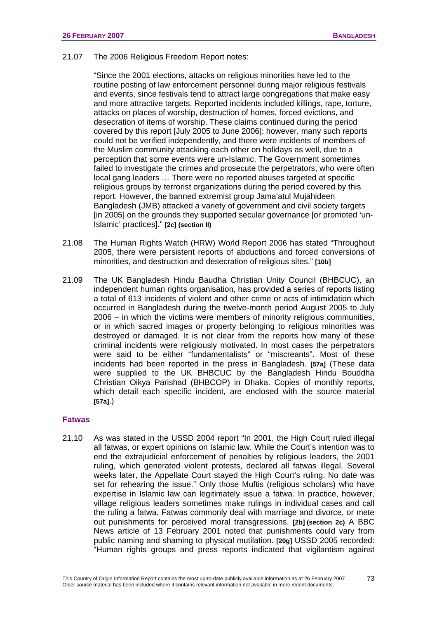21.07 The 2006 Religious Freedom Report notes:

"Since the 2001 elections, attacks on religious minorities have led to the routine posting of law enforcement personnel during major religious festivals and events, since festivals tend to attract large congregations that make easy and more attractive targets. Reported incidents included killings, rape, torture, attacks on places of worship, destruction of homes, forced evictions, and desecration of items of worship. These claims continued during the period covered by this report [July 2005 to June 2006]; however, many such reports could not be verified independently, and there were incidents of members of the Muslim community attacking each other on holidays as well, due to a perception that some events were un-Islamic. The Government sometimes failed to investigate the crimes and prosecute the perpetrators, who were often local gang leaders … There were no reported abuses targeted at specific religious groups by terrorist organizations during the period covered by this report. However, the banned extremist group Jama'atul Mujahideen Bangladesh (JMB) attacked a variety of government and civil society targets [in 2005] on the grounds they supported secular governance [or promoted 'un-Islamic' practices]." **[2c] (section II)** 

- 21.08 The Human Rights Watch (HRW) World Report 2006 has stated "Throughout 2005, there were persistent reports of abductions and forced conversions of minorities, and destruction and desecration of religious sites." **[10b]**
- 21.09 The UK Bangladesh Hindu Baudha Christian Unity Council (BHBCUC), an independent human rights organisation, has provided a series of reports listing a total of 613 incidents of violent and other crime or acts of intimidation which occurred in Bangladesh during the twelve-month period August 2005 to July 2006 – in which the victims were members of minority religious communities, or in which sacred images or property belonging to religious minorities was destroyed or damaged. It is not clear from the reports how many of these criminal incidents were religiously motivated. In most cases the perpetrators were said to be either "fundamentalists" or "miscreants". Most of these incidents had been reported in the press in Bangladesh. **[57a]** (These data were supplied to the UK BHBCUC by the Bangladesh Hindu Bouddha Christian Oikya Parishad (BHBCOP) in Dhaka. Copies of monthly reports, which detail each specific incident, are enclosed with the source material **[57a]**.)

#### **Fatwas**

21.10 As was stated in the USSD 2004 report "In 2001, the High Court ruled illegal all fatwas, or expert opinions on Islamic law. While the Court's intention was to end the extrajudicial enforcement of penalties by religious leaders, the 2001 ruling, which generated violent protests, declared all fatwas illegal. Several weeks later, the Appellate Court stayed the High Court's ruling. No date was set for rehearing the issue." Only those Muftis (religious scholars) who have expertise in Islamic law can legitimately issue a fatwa. In practice, however, village religious leaders sometimes make rulings in individual cases and call the ruling a fatwa. Fatwas commonly deal with marriage and divorce, or mete out punishments for perceived moral transgressions. **[2b] (section 2c)** A BBC News article of 13 February 2001 noted that punishments could vary from public naming and shaming to physical mutilation. **[20g]** USSD 2005 recorded: "Human rights groups and press reports indicated that vigilantism against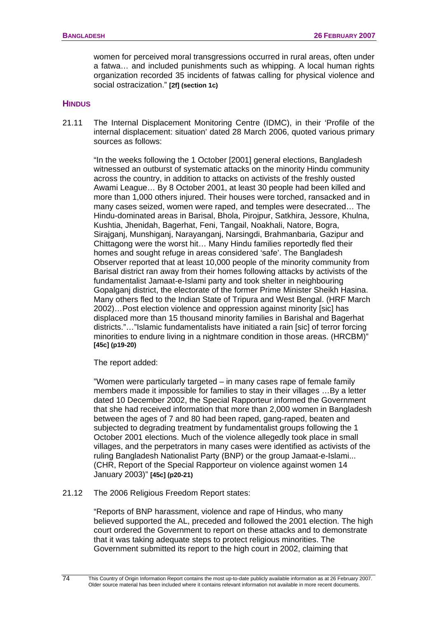women for perceived moral transgressions occurred in rural areas, often under a fatwa… and included punishments such as whipping. A local human rights organization recorded 35 incidents of fatwas calling for physical violence and social ostracization." **[2f] (section 1c)** 

### **HINDUS**

21.11 The Internal Displacement Monitoring Centre (IDMC), in their 'Profile of the internal displacement: situation' dated 28 March 2006, quoted various primary sources as follows:

"In the weeks following the 1 October [2001] general elections, Bangladesh witnessed an outburst of systematic attacks on the minority Hindu community across the country, in addition to attacks on activists of the freshly ousted Awami League… By 8 October 2001, at least 30 people had been killed and more than 1,000 others injured. Their houses were torched, ransacked and in many cases seized, women were raped, and temples were desecrated… The Hindu-dominated areas in Barisal, Bhola, Pirojpur, Satkhira, Jessore, Khulna, Kushtia, Jhenidah, Bagerhat, Feni, Tangail, Noakhali, Natore, Bogra, Sirajganj, Munshiganj, Narayanganj, Narsingdi, Brahmanbaria, Gazipur and Chittagong were the worst hit… Many Hindu families reportedly fled their homes and sought refuge in areas considered 'safe'. The Bangladesh Observer reported that at least 10,000 people of the minority community from Barisal district ran away from their homes following attacks by activists of the fundamentalist Jamaat-e-Islami party and took shelter in neighbouring Gopalganj district, the electorate of the former Prime Minister Sheikh Hasina. Many others fled to the Indian State of Tripura and West Bengal. (HRF March 2002)…Post election violence and oppression against minority [sic] has displaced more than 15 thousand minority families in Barishal and Bagerhat districts."…"Islamic fundamentalists have initiated a rain [sic] of terror forcing minorities to endure living in a nightmare condition in those areas. (HRCBM)" **[45c] (p19-20)**

The report added:

"Women were particularly targeted – in many cases rape of female family members made it impossible for families to stay in their villages …By a letter dated 10 December 2002, the Special Rapporteur informed the Government that she had received information that more than 2,000 women in Bangladesh between the ages of 7 and 80 had been raped, gang-raped, beaten and subjected to degrading treatment by fundamentalist groups following the 1 October 2001 elections. Much of the violence allegedly took place in small villages, and the perpetrators in many cases were identified as activists of the ruling Bangladesh Nationalist Party (BNP) or the group Jamaat-e-Islami... (CHR, Report of the Special Rapporteur on violence against women 14 January 2003)" **[45c] (p20-21)**

21.12 The 2006 Religious Freedom Report states:

"Reports of BNP harassment, violence and rape of Hindus, who many believed supported the AL, preceded and followed the 2001 election. The high court ordered the Government to report on these attacks and to demonstrate that it was taking adequate steps to protect religious minorities. The Government submitted its report to the high court in 2002, claiming that

74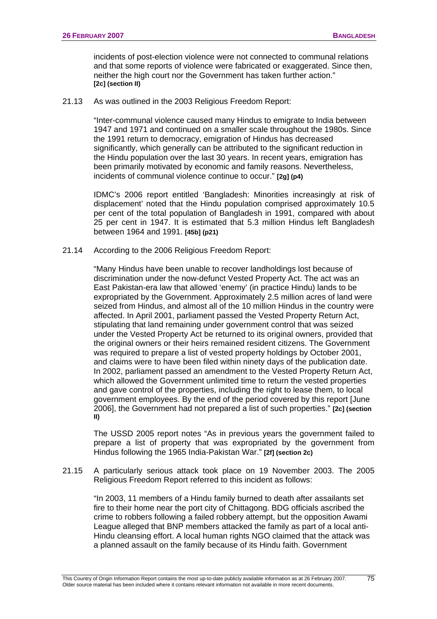incidents of post-election violence were not connected to communal relations and that some reports of violence were fabricated or exaggerated. Since then, neither the high court nor the Government has taken further action." **[2c] (section II)**

21.13 As was outlined in the 2003 Religious Freedom Report:

"Inter-communal violence caused many Hindus to emigrate to India between 1947 and 1971 and continued on a smaller scale throughout the 1980s. Since the 1991 return to democracy, emigration of Hindus has decreased significantly, which generally can be attributed to the significant reduction in the Hindu population over the last 30 years. In recent years, emigration has been primarily motivated by economic and family reasons. Nevertheless, incidents of communal violence continue to occur." **[2g] (p4)** 

IDMC's 2006 report entitled 'Bangladesh: Minorities increasingly at risk of displacement' noted that the Hindu population comprised approximately 10.5 per cent of the total population of Bangladesh in 1991, compared with about 25 per cent in 1947. It is estimated that 5.3 million Hindus left Bangladesh between 1964 and 1991. **[45b] (p21)**

21.14 According to the 2006 Religious Freedom Report:

"Many Hindus have been unable to recover landholdings lost because of discrimination under the now-defunct Vested Property Act. The act was an East Pakistan-era law that allowed 'enemy' (in practice Hindu) lands to be expropriated by the Government. Approximately 2.5 million acres of land were seized from Hindus, and almost all of the 10 million Hindus in the country were affected. In April 2001, parliament passed the Vested Property Return Act, stipulating that land remaining under government control that was seized under the Vested Property Act be returned to its original owners, provided that the original owners or their heirs remained resident citizens. The Government was required to prepare a list of vested property holdings by October 2001, and claims were to have been filed within ninety days of the publication date. In 2002, parliament passed an amendment to the Vested Property Return Act, which allowed the Government unlimited time to return the vested properties and gave control of the properties, including the right to lease them, to local government employees. By the end of the period covered by this report [June 2006], the Government had not prepared a list of such properties." **[2c] (section II)**

The USSD 2005 report notes "As in previous years the government failed to prepare a list of property that was expropriated by the government from Hindus following the 1965 India-Pakistan War." **[2f] (section 2c)** 

21.15 A particularly serious attack took place on 19 November 2003. The 2005 Religious Freedom Report referred to this incident as follows:

"In 2003, 11 members of a Hindu family burned to death after assailants set fire to their home near the port city of Chittagong. BDG officials ascribed the crime to robbers following a failed robbery attempt, but the opposition Awami League alleged that BNP members attacked the family as part of a local anti-Hindu cleansing effort. A local human rights NGO claimed that the attack was a planned assault on the family because of its Hindu faith. Government

75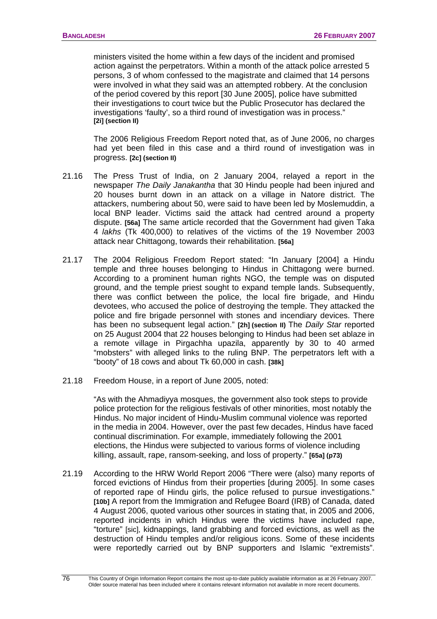ministers visited the home within a few days of the incident and promised action against the perpetrators. Within a month of the attack police arrested 5 persons, 3 of whom confessed to the magistrate and claimed that 14 persons were involved in what they said was an attempted robbery. At the conclusion of the period covered by this report [30 June 2005], police have submitted their investigations to court twice but the Public Prosecutor has declared the investigations 'faulty', so a third round of investigation was in process." **[2i] (section II)** 

The 2006 Religious Freedom Report noted that, as of June 2006, no charges had yet been filed in this case and a third round of investigation was in progress. **[2c] (section II)**

- 21.16 The Press Trust of India, on 2 January 2004, relayed a report in the newspaper *The Daily Janakantha* that 30 Hindu people had been injured and 20 houses burnt down in an attack on a village in Natore district. The attackers, numbering about 50, were said to have been led by Moslemuddin, a local BNP leader. Victims said the attack had centred around a property dispute. **[56a]** The same article recorded that the Government had given Taka 4 *lakhs* (Tk 400,000) to relatives of the victims of the 19 November 2003 attack near Chittagong, towards their rehabilitation. **[56a]**
- 21.17 The 2004 Religious Freedom Report stated: "In January [2004] a Hindu temple and three houses belonging to Hindus in Chittagong were burned. According to a prominent human rights NGO, the temple was on disputed ground, and the temple priest sought to expand temple lands. Subsequently, there was conflict between the police, the local fire brigade, and Hindu devotees, who accused the police of destroying the temple. They attacked the police and fire brigade personnel with stones and incendiary devices. There has been no subsequent legal action." **[2h] (section II)** The *Daily Star* reported on 25 August 2004 that 22 houses belonging to Hindus had been set ablaze in a remote village in Pirgachha upazila, apparently by 30 to 40 armed "mobsters" with alleged links to the ruling BNP. The perpetrators left with a "booty" of 18 cows and about Tk 60,000 in cash. **[38k]**
- 21.18 Freedom House, in a report of June 2005, noted:

"As with the Ahmadiyya mosques, the government also took steps to provide police protection for the religious festivals of other minorities, most notably the Hindus. No major incident of Hindu-Muslim communal violence was reported in the media in 2004. However, over the past few decades, Hindus have faced continual discrimination. For example, immediately following the 2001 elections, the Hindus were subjected to various forms of violence including killing, assault, rape, ransom-seeking, and loss of property." **[65a] (p73)** 

21.19 According to the HRW World Report 2006 "There were (also) many reports of forced evictions of Hindus from their properties [during 2005]. In some cases of reported rape of Hindu girls, the police refused to pursue investigations." **[10b]** A report from the Immigration and Refugee Board (IRB) of Canada, dated 4 August 2006, quoted various other sources in stating that, in 2005 and 2006, reported incidents in which Hindus were the victims have included rape, "torture" [sic], kidnappings, land grabbing and forced evictions, as well as the destruction of Hindu temples and/or religious icons. Some of these incidents were reportedly carried out by BNP supporters and Islamic "extremists".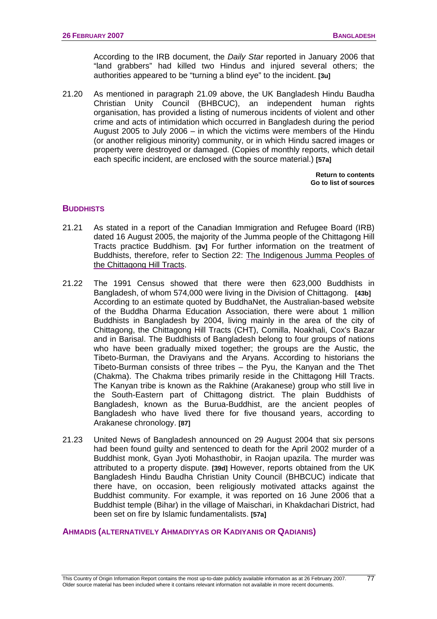According to the IRB document, the *Daily Star* reported in January 2006 that "land grabbers" had killed two Hindus and injured several others; the authorities appeared to be "turning a blind eye" to the incident. **[3u]** 

21.20 As mentioned in paragraph 21.09 above, the UK Bangladesh Hindu Baudha Christian Unity Council (BHBCUC), an independent human rights organisation, has provided a listing of numerous incidents of violent and other crime and acts of intimidation which occurred in Bangladesh during the period August 2005 to July 2006 – in which the victims were members of the Hindu (or another religious minority) community, or in which Hindu sacred images or property were destroyed or damaged. (Copies of monthly reports, which detail each specific incident, are enclosed with the source material.) **[57a]** 

> **[Return to contents](#page-0-0)  [Go to list of sources](#page-133-0)**

# **BUDDHISTS**

- 21.21 As stated in a report of the Canadian Immigration and Refugee Board (IRB) dated 16 August 2005, the majority of the Jumma people of the Chittagong Hill Tracts practice Buddhism. **[3v]** For further information on the treatment of Buddhists, therefore, refer to Section 22: [The Indigenous Jumma Peoples of](#page-86-0)  [the Chittagong Hill Tracts](#page-86-0).
- 21.22 The 1991 Census showed that there were then 623,000 Buddhists in Bangladesh, of whom 574,000 were living in the Division of Chittagong. **[43b]** According to an estimate quoted by BuddhaNet, the Australian-based website of the Buddha Dharma Education Association, there were about 1 million Buddhists in Bangladesh by 2004, living mainly in the area of the city of Chittagong, the Chittagong Hill Tracts (CHT), Comilla, Noakhali, Cox's Bazar and in Barisal. The Buddhists of Bangladesh belong to four groups of nations who have been gradually mixed together; the groups are the Austic, the Tibeto-Burman, the Draviyans and the Aryans. According to historians the Tibeto-Burman consists of three tribes – the Pyu, the Kanyan and the Thet (Chakma). The Chakma tribes primarily reside in the Chittagong Hill Tracts. The Kanyan tribe is known as the Rakhine (Arakanese) group who still live in the South-Eastern part of Chittagong district. The plain Buddhists of Bangladesh, known as the Burua-Buddhist, are the ancient peoples of Bangladesh who have lived there for five thousand years, according to Arakanese chronology. **[87]**
- 21.23 United News of Bangladesh announced on 29 August 2004 that six persons had been found guilty and sentenced to death for the April 2002 murder of a Buddhist monk, Gyan Jyoti Mohasthobir, in Raojan upazila. The murder was attributed to a property dispute. **[39d]** However, reports obtained from the UK Bangladesh Hindu Baudha Christian Unity Council (BHBCUC) indicate that there have, on occasion, been religiously motivated attacks against the Buddhist community. For example, it was reported on 16 June 2006 that a Buddhist temple (Bihar) in the village of Maischari, in Khakdachari District, had been set on fire by Islamic fundamentalists. **[57a]**

#### **AHMADIS (ALTERNATIVELY AHMADIYYAS OR KADIYANIS OR QADIANIS)**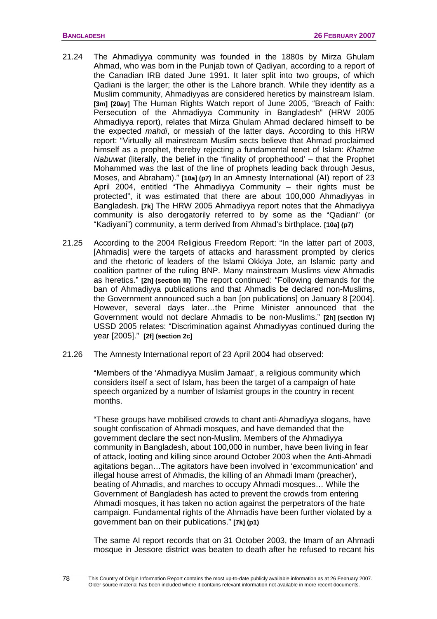- 21.24 The Ahmadiyya community was founded in the 1880s by Mirza Ghulam Ahmad, who was born in the Punjab town of Qadiyan, according to a report of the Canadian IRB dated June 1991. It later split into two groups, of which Qadiani is the larger; the other is the Lahore branch. While they identify as a Muslim community, Ahmadiyyas are considered heretics by mainstream Islam. **[3m] [20ay]** The Human Rights Watch report of June 2005, "Breach of Faith: Persecution of the Ahmadiyya Community in Bangladesh" (HRW 2005 Ahmadiyya report), relates that Mirza Ghulam Ahmad declared himself to be the expected *mahdi*, or messiah of the latter days. According to this HRW report: "Virtually all mainstream Muslim sects believe that Ahmad proclaimed himself as a prophet, thereby rejecting a fundamental tenet of Islam: *Khatme Nabuwat* (literally, the belief in the 'finality of prophethood' – that the Prophet Mohammed was the last of the line of prophets leading back through Jesus, Moses, and Abraham)." **[10a] (p7)** In an Amnesty International (AI) report of 23 April 2004, entitled "The Ahmadiyya Community – their rights must be protected", it was estimated that there are about 100,000 Ahmadiyyas in Bangladesh. **[7k]** The HRW 2005 Ahmadiyya report notes that the Ahmadiyya community is also derogatorily referred to by some as the "Qadiani" (or "Kadiyani") community, a term derived from Ahmad's birthplace. **[10a] (p7)**
- 21.25 According to the 2004 Religious Freedom Report: "In the latter part of 2003, [Ahmadis] were the targets of attacks and harassment prompted by clerics and the rhetoric of leaders of the Islami Okkiya Jote, an Islamic party and coalition partner of the ruling BNP. Many mainstream Muslims view Ahmadis as heretics." **[2h] (section III)** The report continued: "Following demands for the ban of Ahmadiyya publications and that Ahmadis be declared non-Muslims, the Government announced such a ban [on publications] on January 8 [2004]. However, several days later…the Prime Minister announced that the Government would not declare Ahmadis to be non-Muslims." **[2h] (section IV)** USSD 2005 relates: "Discrimination against Ahmadiyyas continued during the year [2005]." **[2f] (section 2c]**
- 21.26 The Amnesty International report of 23 April 2004 had observed:

"Members of the 'Ahmadiyya Muslim Jamaat', a religious community which considers itself a sect of Islam, has been the target of a campaign of hate speech organized by a number of Islamist groups in the country in recent months.

"These groups have mobilised crowds to chant anti-Ahmadiyya slogans, have sought confiscation of Ahmadi mosques, and have demanded that the government declare the sect non-Muslim. Members of the Ahmadiyya community in Bangladesh, about 100,000 in number, have been living in fear of attack, looting and killing since around October 2003 when the Anti-Ahmadi agitations began…The agitators have been involved in 'excommunication' and illegal house arrest of Ahmadis, the killing of an Ahmadi Imam (preacher), beating of Ahmadis, and marches to occupy Ahmadi mosques… While the Government of Bangladesh has acted to prevent the crowds from entering Ahmadi mosques, it has taken no action against the perpetrators of the hate campaign. Fundamental rights of the Ahmadis have been further violated by a government ban on their publications." **[7k] (p1)**

The same AI report records that on 31 October 2003, the Imam of an Ahmadi mosque in Jessore district was beaten to death after he refused to recant his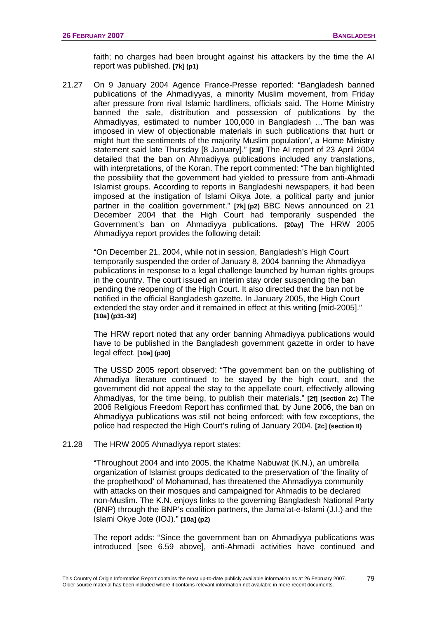faith; no charges had been brought against his attackers by the time the AI report was published. **[7k] (p1)**

21.27 On 9 January 2004 Agence France-Presse reported: "Bangladesh banned publications of the Ahmadiyyas, a minority Muslim movement, from Friday after pressure from rival Islamic hardliners, officials said. The Home Ministry banned the sale, distribution and possession of publications by the Ahmadiyyas, estimated to number 100,000 in Bangladesh …'The ban was imposed in view of objectionable materials in such publications that hurt or might hurt the sentiments of the majority Muslim population', a Home Ministry statement said late Thursday [8 January]." **[23f]** The AI report of 23 April 2004 detailed that the ban on Ahmadiyya publications included any translations, with interpretations, of the Koran. The report commented: "The ban highlighted the possibility that the government had yielded to pressure from anti-Ahmadi Islamist groups. According to reports in Bangladeshi newspapers, it had been imposed at the instigation of Islami Oikya Jote, a political party and junior partner in the coalition government." **[7k] (p2)** BBC News announced on 21 December 2004 that the High Court had temporarily suspended the Government's ban on Ahmadiyya publications. **[20ay]** The HRW 2005 Ahmadiyya report provides the following detail:

"On December 21, 2004, while not in session, Bangladesh's High Court temporarily suspended the order of January 8, 2004 banning the Ahmadiyya publications in response to a legal challenge launched by human rights groups in the country. The court issued an interim stay order suspending the ban pending the reopening of the High Court. It also directed that the ban not be notified in the official Bangladesh gazette. In January 2005, the High Court extended the stay order and it remained in effect at this writing [mid-2005]." **[10a] (p31-32]**

The HRW report noted that any order banning Ahmadiyya publications would have to be published in the Bangladesh government gazette in order to have legal effect. **[10a] (p30]** 

The USSD 2005 report observed: "The government ban on the publishing of Ahmadiya literature continued to be stayed by the high court, and the government did not appeal the stay to the appellate court, effectively allowing Ahmadiyas, for the time being, to publish their materials." **[2f] (section 2c)** The 2006 Religious Freedom Report has confirmed that, by June 2006, the ban on Ahmadiyya publications was still not being enforced; with few exceptions, the police had respected the High Court's ruling of January 2004. **[2c] (section II)** 

#### 21.28 The HRW 2005 Ahmadiyya report states:

"Throughout 2004 and into 2005, the Khatme Nabuwat (K.N.), an umbrella organization of Islamist groups dedicated to the preservation of 'the finality of the prophethood' of Mohammad, has threatened the Ahmadiyya community with attacks on their mosques and campaigned for Ahmadis to be declared non-Muslim. The K.N. enjoys links to the governing Bangladesh National Party (BNP) through the BNP's coalition partners, the Jama'at-e-Islami (J.I.) and the Islami Okye Jote (IOJ)." **[10a] (p2)**

The report adds: "Since the government ban on Ahmadiyya publications was introduced [see 6.59 above], anti-Ahmadi activities have continued and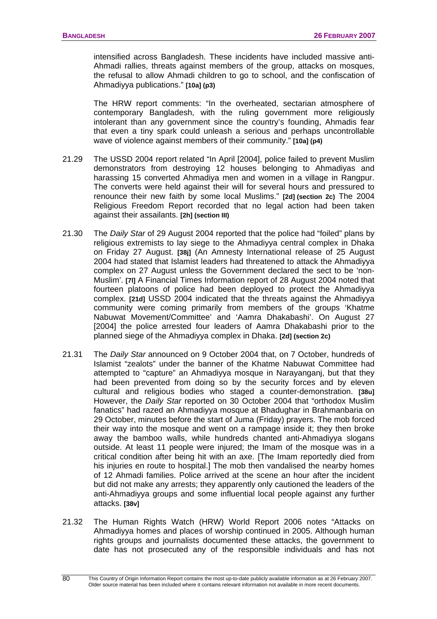intensified across Bangladesh. These incidents have included massive anti-Ahmadi rallies, threats against members of the group, attacks on mosques, the refusal to allow Ahmadi children to go to school, and the confiscation of Ahmadiyya publications." **[10a] (p3)**

The HRW report comments: "In the overheated, sectarian atmosphere of contemporary Bangladesh, with the ruling government more religiously intolerant than any government since the country's founding, Ahmadis fear that even a tiny spark could unleash a serious and perhaps uncontrollable wave of violence against members of their community." **[10a] (p4)**

- 21.29 The USSD 2004 report related "In April [2004], police failed to prevent Muslim demonstrators from destroying 12 houses belonging to Ahmadiyas and harassing 15 converted Ahmadiya men and women in a village in Rangpur. The converts were held against their will for several hours and pressured to renounce their new faith by some local Muslims." **[2d] (section 2c)** The 2004 Religious Freedom Report recorded that no legal action had been taken against their assailants. **[2h] (section III)**
- 21.30 The *Daily Star* of 29 August 2004 reported that the police had "foiled" plans by religious extremists to lay siege to the Ahmadiyya central complex in Dhaka on Friday 27 August. **[38j]** (An Amnesty International release of 25 August 2004 had stated that Islamist leaders had threatened to attack the Ahmadiyya complex on 27 August unless the Government declared the sect to be 'non-Muslim'. **[7l]** A Financial Times Information report of 28 August 2004 noted that fourteen platoons of police had been deployed to protect the Ahmadiyya complex. **[21d]** USSD 2004 indicated that the threats against the Ahmadiyya community were coming primarily from members of the groups 'Khatme Nabuwat Movement/Committee' and 'Aamra Dhakabashi'. On August 27 [2004] the police arrested four leaders of Aamra Dhakabashi prior to the planned siege of the Ahmadiyya complex in Dhaka. **[2d] (section 2c)**
- 21.31 The *Daily Star* announced on 9 October 2004 that, on 7 October, hundreds of Islamist "zealots" under the banner of the Khatme Nabuwat Committee had attempted to "capture" an Ahmadiyya mosque in Narayanganj, but that they had been prevented from doing so by the security forces and by eleven cultural and religious bodies who staged a counter-demonstration. **[38u]** However, the *Daily Star* reported on 30 October 2004 that "orthodox Muslim fanatics" had razed an Ahmadiyya mosque at Bhadughar in Brahmanbaria on 29 October, minutes before the start of Juma (Friday) prayers. The mob forced their way into the mosque and went on a rampage inside it; they then broke away the bamboo walls, while hundreds chanted anti-Ahmadiyya slogans outside. At least 11 people were injured; the Imam of the mosque was in a critical condition after being hit with an axe. [The Imam reportedly died from his injuries en route to hospital.] The mob then vandalised the nearby homes of 12 Ahmadi families. Police arrived at the scene an hour after the incident but did not make any arrests; they apparently only cautioned the leaders of the anti-Ahmadiyya groups and some influential local people against any further attacks. **[38v]**
- 21.32 The Human Rights Watch (HRW) World Report 2006 notes "Attacks on Ahmadiyya homes and places of worship continued in 2005. Although human rights groups and journalists documented these attacks, the government to date has not prosecuted any of the responsible individuals and has not

This Country of Origin Information Report contains the most up-to-date publicly available information as at 26 February 2007. Older source material has been included where it contains relevant information not available in more recent documents.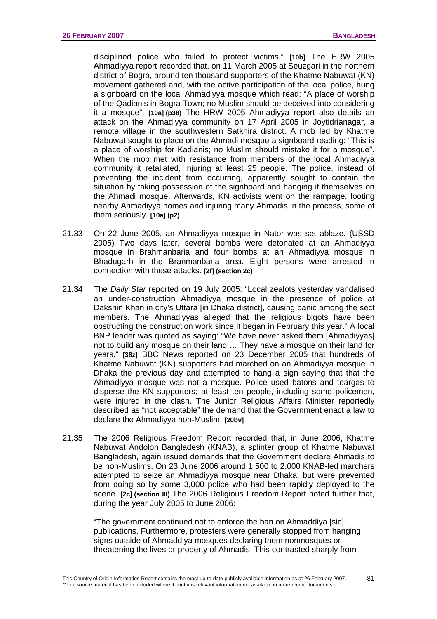disciplined police who failed to protect victims." **[10b]** The HRW 2005 Ahmadiyya report recorded that, on 11 March 2005 at Seuzgari in the northern district of Bogra, around ten thousand supporters of the Khatme Nabuwat (KN) movement gathered and, with the active participation of the local police, hung a signboard on the local Ahmadiyya mosque which read: "A place of worship of the Qadianis in Bogra Town; no Muslim should be deceived into considering it a mosque". **[10a] (p38)** The HRW 2005 Ahmadiyya report also details an attack on the Ahmadiyya community on 17 April 2005 in Joytidrianagar, a remote village in the southwestern Satkhira district. A mob led by Khatme Nabuwat sought to place on the Ahmadi mosque a signboard reading: "This is a place of worship for Kadianis; no Muslim should mistake it for a mosque". When the mob met with resistance from members of the local Ahmadiyya community it retaliated, injuring at least 25 people. The police, instead of preventing the incident from occurring, apparently sought to contain the situation by taking possession of the signboard and hanging it themselves on the Ahmadi mosque. Afterwards, KN activists went on the rampage, looting nearby Ahmadiyya homes and injuring many Ahmadis in the process, some of them seriously. **[10a] (p2)** 

- 21.33 On 22 June 2005, an Ahmadiyya mosque in Nator was set ablaze. (USSD 2005) Two days later, several bombs were detonated at an Ahmadiyya mosque in Brahmanbaria and four bombs at an Ahmadiyya mosque in Bhadugarh in the Branmanbaria area. Eight persons were arrested in connection with these attacks. **[2f] (section 2c)**
- 21.34 The *Daily Star* reported on 19 July 2005: "Local zealots yesterday vandalised an under-construction Ahmadiyya mosque in the presence of police at Dakshin Khan in city's Uttara [in Dhaka district], causing panic among the sect members. The Ahmadiyyas alleged that the religious bigots have been obstructing the construction work since it began in February this year." A local BNP leader was quoted as saying: "We have never asked them [Ahmadiyyas] not to build any mosque on their land … They have a mosque on their land for years." **[38z]** BBC News reported on 23 December 2005 that hundreds of Khatme Nabuwat (KN) supporters had marched on an Ahmadiyya mosque in Dhaka the previous day and attempted to hang a sign saying that that the Ahmadiyya mosque was not a mosque. Police used batons and teargas to disperse the KN supporters; at least ten people, including some policemen, were injured in the clash. The Junior Religious Affairs Minister reportedly described as "not acceptable" the demand that the Government enact a law to declare the Ahmadiyya non-Muslim. **[20bv]**
- 21.35 The 2006 Religious Freedom Report recorded that, in June 2006, Khatme Nabuwat Andolon Bangladesh (KNAB), a splinter group of Khatme Nabuwat Bangladesh, again issued demands that the Government declare Ahmadis to be non-Muslims. On 23 June 2006 around 1,500 to 2,000 KNAB-led marchers attempted to seize an Ahmadiyya mosque near Dhaka, but were prevented from doing so by some 3,000 police who had been rapidly deployed to the scene. **[2c] (section III)** The 2006 Religious Freedom Report noted further that, during the year July 2005 to June 2006:

"The government continued not to enforce the ban on Ahmaddiya [sic] publications. Furthermore, protesters were generally stopped from hanging signs outside of Ahmaddiya mosques declaring them nonmosques or threatening the lives or property of Ahmadis. This contrasted sharply from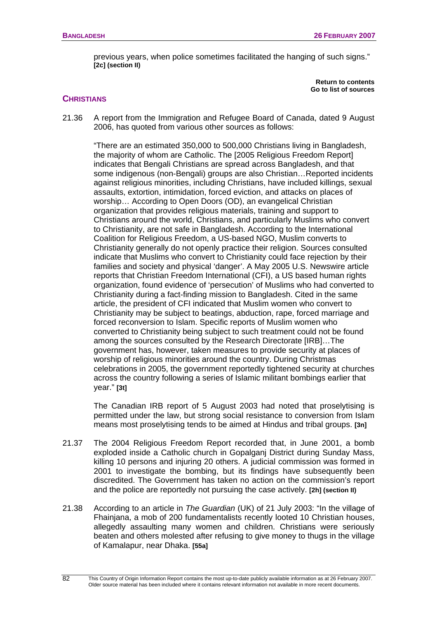previous years, when police sometimes facilitated the hanging of such signs." **[2c] (section II)** 

> **[Return to contents](#page-0-0)  [Go to list of sources](#page-133-0)**

# **CHRISTIANS**

21.36 A report from the Immigration and Refugee Board of Canada, dated 9 August 2006, has quoted from various other sources as follows:

"There are an estimated 350,000 to 500,000 Christians living in Bangladesh, the majority of whom are Catholic. The [2005 Religious Freedom Report] indicates that Bengali Christians are spread across Bangladesh, and that some indigenous (non-Bengali) groups are also Christian…Reported incidents against religious minorities, including Christians, have included killings, sexual assaults, extortion, intimidation, forced eviction, and attacks on places of worship… According to Open Doors (OD), an evangelical Christian organization that provides religious materials, training and support to Christians around the world, Christians, and particularly Muslims who convert to Christianity, are not safe in Bangladesh. According to the International Coalition for Religious Freedom, a US-based NGO, Muslim converts to Christianity generally do not openly practice their religion. Sources consulted indicate that Muslims who convert to Christianity could face rejection by their families and society and physical 'danger'. A May 2005 U.S. Newswire article reports that Christian Freedom International (CFI), a US based human rights organization, found evidence of 'persecution' of Muslims who had converted to Christianity during a fact-finding mission to Bangladesh. Cited in the same article, the president of CFI indicated that Muslim women who convert to Christianity may be subject to beatings, abduction, rape, forced marriage and forced reconversion to Islam. Specific reports of Muslim women who converted to Christianity being subject to such treatment could not be found among the sources consulted by the Research Directorate [IRB]…The government has, however, taken measures to provide security at places of worship of religious minorities around the country. During Christmas celebrations in 2005, the government reportedly tightened security at churches across the country following a series of Islamic militant bombings earlier that year." **[3t]** 

The Canadian IRB report of 5 August 2003 had noted that proselytising is permitted under the law, but strong social resistance to conversion from Islam means most proselytising tends to be aimed at Hindus and tribal groups. **[3n]**

- 21.37 The 2004 Religious Freedom Report recorded that, in June 2001, a bomb exploded inside a Catholic church in Gopalganj District during Sunday Mass, killing 10 persons and injuring 20 others. A judicial commission was formed in 2001 to investigate the bombing, but its findings have subsequently been discredited. The Government has taken no action on the commission's report and the police are reportedly not pursuing the case actively. **[2h] (section II)**
- 21.38 According to an article in *The Guardian* (UK) of 21 July 2003: "In the village of Fhainjana, a mob of 200 fundamentalists recently looted 10 Christian houses, allegedly assaulting many women and children. Christians were seriously beaten and others molested after refusing to give money to thugs in the village of Kamalapur, near Dhaka. **[55a]**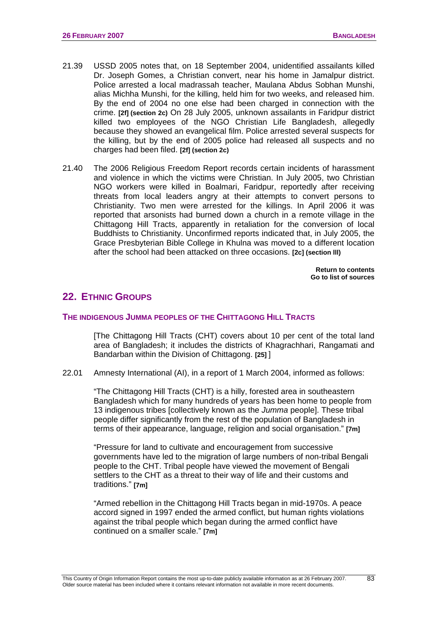- <span id="page-86-0"></span>21.39 USSD 2005 notes that, on 18 September 2004, unidentified assailants killed Dr. Joseph Gomes, a Christian convert, near his home in Jamalpur district. Police arrested a local madrassah teacher, Maulana Abdus Sobhan Munshi, alias Michha Munshi, for the killing, held him for two weeks, and released him. By the end of 2004 no one else had been charged in connection with the crime. **[2f] (section 2c)** On 28 July 2005, unknown assailants in Faridpur district killed two employees of the NGO Christian Life Bangladesh, allegedly because they showed an evangelical film. Police arrested several suspects for the killing, but by the end of 2005 police had released all suspects and no charges had been filed. **[2f] (section 2c)**
- 21.40 The 2006 Religious Freedom Report records certain incidents of harassment and violence in which the victims were Christian. In July 2005, two Christian NGO workers were killed in Boalmari, Faridpur, reportedly after receiving threats from local leaders angry at their attempts to convert persons to Christianity. Two men were arrested for the killings. In April 2006 it was reported that arsonists had burned down a church in a remote village in the Chittagong Hill Tracts, apparently in retaliation for the conversion of local Buddhists to Christianity. Unconfirmed reports indicated that, in July 2005, the Grace Presbyterian Bible College in Khulna was moved to a different location after the school had been attacked on three occasions. **[2c] (section lll)**

**[Return to contents](#page-0-0)  [Go to list of sources](#page-133-0)** 

# **22. ETHNIC GROUPS**

#### **THE INDIGENOUS JUMMA PEOPLES OF THE CHITTAGONG HILL TRACTS**

[The Chittagong Hill Tracts (CHT) covers about 10 per cent of the total land area of Bangladesh; it includes the districts of Khagrachhari, Rangamati and Bandarban within the Division of Chittagong. **[25]** ]

22.01 Amnesty International (AI), in a report of 1 March 2004, informed as follows:

"The Chittagong Hill Tracts (CHT) is a hilly, forested area in southeastern Bangladesh which for many hundreds of years has been home to people from 13 indigenous tribes [collectively known as the *Jumma* people]. These tribal people differ significantly from the rest of the population of Bangladesh in terms of their appearance, language, religion and social organisation." **[7m]**

"Pressure for land to cultivate and encouragement from successive governments have led to the migration of large numbers of non-tribal Bengali people to the CHT. Tribal people have viewed the movement of Bengali settlers to the CHT as a threat to their way of life and their customs and traditions." **[7m]**

"Armed rebellion in the Chittagong Hill Tracts began in mid-1970s. A peace accord signed in 1997 ended the armed conflict, but human rights violations against the tribal people which began during the armed conflict have continued on a smaller scale." **[7m]**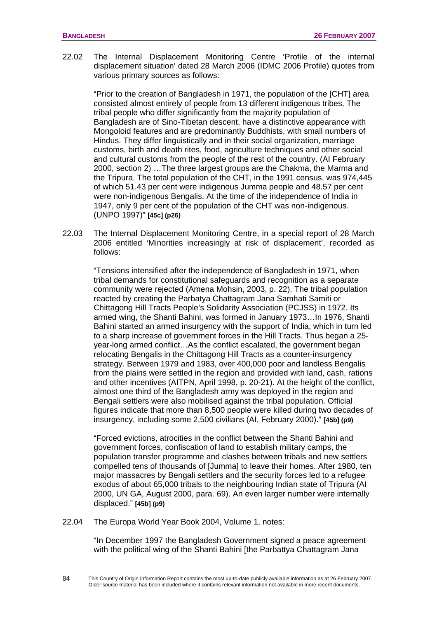22.02 The Internal Displacement Monitoring Centre 'Profile of the internal displacement situation' dated 28 March 2006 (IDMC 2006 Profile) quotes from various primary sources as follows:

"Prior to the creation of Bangladesh in 1971, the population of the [CHT] area consisted almost entirely of people from 13 different indigenous tribes. The tribal people who differ significantly from the majority population of Bangladesh are of Sino-Tibetan descent, have a distinctive appearance with Mongoloid features and are predominantly Buddhists, with small numbers of Hindus. They differ linguistically and in their social organization, marriage customs, birth and death rites, food, agriculture techniques and other social and cultural customs from the people of the rest of the country. (AI February 2000, section 2) …The three largest groups are the Chakma, the Marma and the Tripura. The total population of the CHT, in the 1991 census, was 974,445 of which 51.43 per cent were indigenous Jumma people and 48.57 per cent were non-indigenous Bengalis. At the time of the independence of India in 1947, only 9 per cent of the population of the CHT was non-indigenous. (UNPO 1997)" **[45c] (p26)**

22.03 The Internal Displacement Monitoring Centre, in a special report of 28 March 2006 entitled 'Minorities increasingly at risk of displacement', recorded as follows:

"Tensions intensified after the independence of Bangladesh in 1971, when tribal demands for constitutional safeguards and recognition as a separate community were rejected (Amena Mohsin, 2003, p. 22). The tribal population reacted by creating the Parbatya Chattagram Jana Samhati Samiti or Chittagong Hill Tracts People's Solidarity Association (PCJSS) in 1972. Its armed wing, the Shanti Bahini, was formed in January 1973…In 1976, Shanti Bahini started an armed insurgency with the support of India, which in turn led to a sharp increase of government forces in the Hill Tracts. Thus began a 25 year-long armed conflict…As the conflict escalated, the government began relocating Bengalis in the Chittagong Hill Tracts as a counter-insurgency strategy. Between 1979 and 1983, over 400,000 poor and landless Bengalis from the plains were settled in the region and provided with land, cash, rations and other incentives (AITPN, April 1998, p. 20-21). At the height of the conflict, almost one third of the Bangladesh army was deployed in the region and Bengali settlers were also mobilised against the tribal population. Official figures indicate that more than 8,500 people were killed during two decades of insurgency, including some 2,500 civilians (AI, February 2000)." **[45b] (p9)**

"Forced evictions, atrocities in the conflict between the Shanti Bahini and government forces, confiscation of land to establish military camps, the population transfer programme and clashes between tribals and new settlers compelled tens of thousands of [Jumma] to leave their homes. After 1980, ten major massacres by Bengali settlers and the security forces led to a refugee exodus of about 65,000 tribals to the neighbouring Indian state of Tripura (AI 2000, UN GA, August 2000, para. 69). An even larger number were internally displaced." **[45b] (p9)**

22.04 The Europa World Year Book 2004, Volume 1, notes:

"In December 1997 the Bangladesh Government signed a peace agreement with the political wing of the Shanti Bahini [the Parbattya Chattagram Jana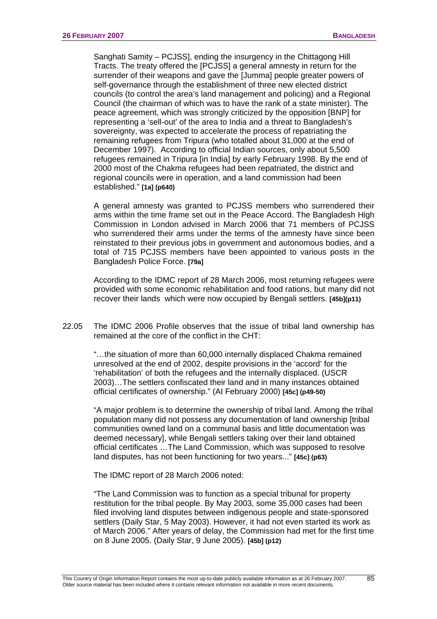Sanghati Samity – PCJSS], ending the insurgency in the Chittagong Hill Tracts. The treaty offered the [PCJSS] a general amnesty in return for the surrender of their weapons and gave the [Jumma] people greater powers of self-governance through the establishment of three new elected district councils (to control the area's land management and policing) and a Regional Council (the chairman of which was to have the rank of a state minister). The peace agreement, which was strongly criticized by the opposition [BNP] for representing a 'sell-out' of the area to India and a threat to Bangladesh's sovereignty, was expected to accelerate the process of repatriating the remaining refugees from Tripura (who totalled about 31,000 at the end of December 1997). According to official Indian sources, only about 5,500 refugees remained in Tripura [in India] by early February 1998. By the end of 2000 most of the Chakma refugees had been repatriated, the district and regional councils were in operation, and a land commission had been established." **[1a] (p640)** 

A general amnesty was granted to PCJSS members who surrendered their arms within the time frame set out in the Peace Accord. The Bangladesh High Commission in London advised in March 2006 that 71 members of PCJSS who surrendered their arms under the terms of the amnesty have since been reinstated to their previous jobs in government and autonomous bodies, and a total of 715 PCJSS members have been appointed to various posts in the Bangladesh Police Force. **[79a]** 

According to the IDMC report of 28 March 2006, most returning refugees were provided with some economic rehabilitation and food rations, but many did not recover their lands which were now occupied by Bengali settlers. **[45b](p11)**

22.05 The IDMC 2006 Profile observes that the issue of tribal land ownership has remained at the core of the conflict in the CHT:

"…the situation of more than 60,000 internally displaced Chakma remained unresolved at the end of 2002, despite provisions in the 'accord' for the 'rehabilitation' of both the refugees and the internally displaced. (USCR 2003)…The settlers confiscated their land and in many instances obtained official certificates of ownership." (AI February 2000) **[45c] (p49-50)**

"A major problem is to determine the ownership of tribal land. Among the tribal population many did not possess any documentation of land ownership [tribal communities owned land on a communal basis and little documentation was deemed necessary], while Bengali settlers taking over their land obtained official certificates …The Land Commission, which was supposed to resolve land disputes, has not been functioning for two years..." **[45c] (p63)** 

The IDMC report of 28 March 2006 noted:

"The Land Commission was to function as a special tribunal for property restitution for the tribal people. By May 2003, some 35,000 cases had been filed involving land disputes between indigenous people and state-sponsored settlers (Daily Star, 5 May 2003). However, it had not even started its work as of March 2006." After years of delay, the Commission had met for the first time on 8 June 2005. (Daily Star, 9 June 2005). **[45b] (p12)**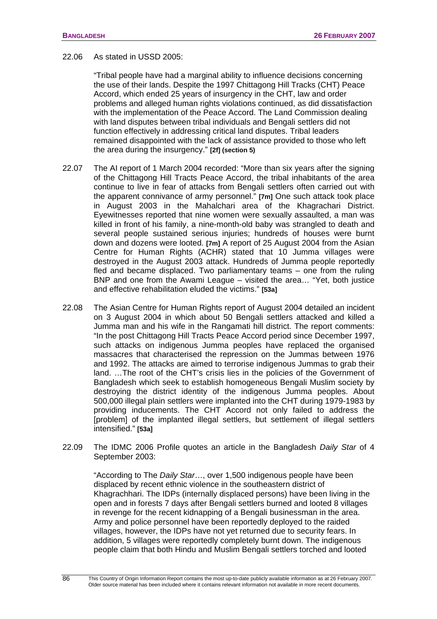#### 22.06 As stated in USSD 2005:

"Tribal people have had a marginal ability to influence decisions concerning the use of their lands. Despite the 1997 Chittagong Hill Tracks (CHT) Peace Accord, which ended 25 years of insurgency in the CHT, law and order problems and alleged human rights violations continued, as did dissatisfaction with the implementation of the Peace Accord. The Land Commission dealing with land disputes between tribal individuals and Bengali settlers did not function effectively in addressing critical land disputes. Tribal leaders remained disappointed with the lack of assistance provided to those who left the area during the insurgency." **[2f] (section 5)**

- 22.07 The AI report of 1 March 2004 recorded: "More than six years after the signing of the Chittagong Hill Tracts Peace Accord, the tribal inhabitants of the area continue to live in fear of attacks from Bengali settlers often carried out with the apparent connivance of army personnel." **[7m]** One such attack took place in August 2003 in the Mahalchari area of the Khagrachari District. Eyewitnesses reported that nine women were sexually assaulted, a man was killed in front of his family, a nine-month-old baby was strangled to death and several people sustained serious injuries; hundreds of houses were burnt down and dozens were looted. **[7m]** A report of 25 August 2004 from the Asian Centre for Human Rights (ACHR) stated that 10 Jumma villages were destroyed in the August 2003 attack. Hundreds of Jumma people reportedly fled and became displaced. Two parliamentary teams – one from the ruling BNP and one from the Awami League – visited the area… "Yet, both justice and effective rehabilitation eluded the victims." **[53a]**
- 22.08 The Asian Centre for Human Rights report of August 2004 detailed an incident on 3 August 2004 in which about 50 Bengali settlers attacked and killed a Jumma man and his wife in the Rangamati hill district. The report comments: "In the post Chittagong Hill Tracts Peace Accord period since December 1997, such attacks on indigenous Jumma peoples have replaced the organised massacres that characterised the repression on the Jummas between 1976 and 1992. The attacks are aimed to terrorise indigenous Jummas to grab their land. …The root of the CHT's crisis lies in the policies of the Government of Bangladesh which seek to establish homogeneous Bengali Muslim society by destroying the district identity of the indigenous Jumma peoples. About 500,000 illegal plain settlers were implanted into the CHT during 1979-1983 by providing inducements. The CHT Accord not only failed to address the [problem] of the implanted illegal settlers, but settlement of illegal settlers intensified." **[53a]**
- 22.09 The IDMC 2006 Profile quotes an article in the Bangladesh *Daily Star* of 4 September 2003:

"According to The *Daily Star*…, over 1,500 indigenous people have been displaced by recent ethnic violence in the southeastern district of Khagrachhari. The IDPs (internally displaced persons) have been living in the open and in forests 7 days after Bengali settlers burned and looted 8 villages in revenge for the recent kidnapping of a Bengali businessman in the area. Army and police personnel have been reportedly deployed to the raided villages, however, the IDPs have not yet returned due to security fears. In addition, 5 villages were reportedly completely burnt down. The indigenous people claim that both Hindu and Muslim Bengali settlers torched and looted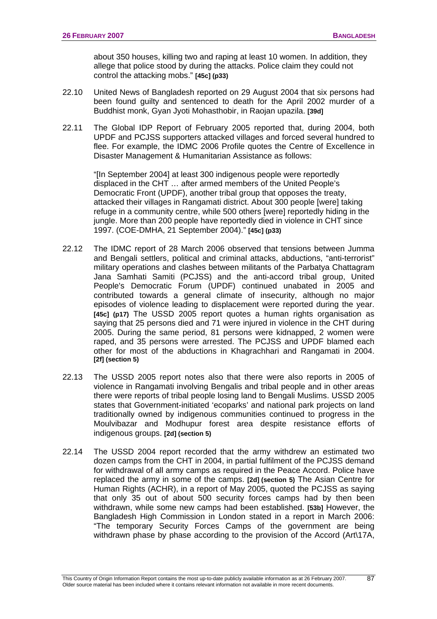about 350 houses, killing two and raping at least 10 women. In addition, they allege that police stood by during the attacks. Police claim they could not control the attacking mobs." **[45c] (p33)**

- 22.10 United News of Bangladesh reported on 29 August 2004 that six persons had been found guilty and sentenced to death for the April 2002 murder of a Buddhist monk, Gyan Jyoti Mohasthobir, in Raojan upazila. **[39d]**
- 22.11 The Global IDP Report of February 2005 reported that, during 2004, both UPDF and PCJSS supporters attacked villages and forced several hundred to flee. For example, the IDMC 2006 Profile quotes the Centre of Excellence in Disaster Management & Humanitarian Assistance as follows:

"[In September 2004] at least 300 indigenous people were reportedly displaced in the CHT … after armed members of the United People's Democratic Front (UPDF), another tribal group that opposes the treaty, attacked their villages in Rangamati district. About 300 people [were] taking refuge in a community centre, while 500 others [were] reportedly hiding in the jungle. More than 200 people have reportedly died in violence in CHT since 1997. (COE-DMHA, 21 September 2004)." **[45c] (p33)**

- 22.12 The IDMC report of 28 March 2006 observed that tensions between Jumma and Bengali settlers, political and criminal attacks, abductions, "anti-terrorist" military operations and clashes between militants of the Parbatya Chattagram Jana Samhati Samiti (PCJSS) and the anti-accord tribal group, United People's Democratic Forum (UPDF) continued unabated in 2005 and contributed towards a general climate of insecurity, although no major episodes of violence leading to displacement were reported during the year. **[45c] (p17)** The USSD 2005 report quotes a human rights organisation as saying that 25 persons died and 71 were injured in violence in the CHT during 2005. During the same period, 81 persons were kidnapped, 2 women were raped, and 35 persons were arrested. The PCJSS and UPDF blamed each other for most of the abductions in Khagrachhari and Rangamati in 2004. **[2f] (section 5)**
- 22.13 The USSD 2005 report notes also that there were also reports in 2005 of violence in Rangamati involving Bengalis and tribal people and in other areas there were reports of tribal people losing land to Bengali Muslims. USSD 2005 states that Government-initiated 'ecoparks' and national park projects on land traditionally owned by indigenous communities continued to progress in the Moulvibazar and Modhupur forest area despite resistance efforts of indigenous groups. **[2d] (section 5)**
- 22.14 The USSD 2004 report recorded that the army withdrew an estimated two dozen camps from the CHT in 2004, in partial fulfilment of the PCJSS demand for withdrawal of all army camps as required in the Peace Accord. Police have replaced the army in some of the camps. **[2d] (section 5)** The Asian Centre for Human Rights (ACHR), in a report of May 2005, quoted the PCJSS as saying that only 35 out of about 500 security forces camps had by then been withdrawn, while some new camps had been established. **[53b]** However, the Bangladesh High Commission in London stated in a report in March 2006: "The temporary Security Forces Camps of the government are being withdrawn phase by phase according to the provision of the Accord (Art\17A,

87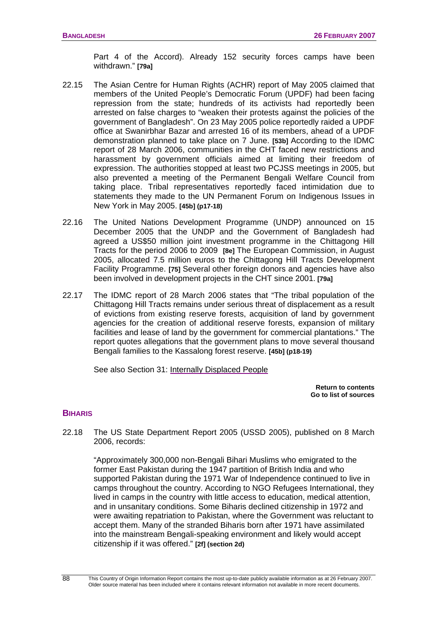Part 4 of the Accord). Already 152 security forces camps have been withdrawn." **[79a]** 

- 22.15 The Asian Centre for Human Rights (ACHR) report of May 2005 claimed that members of the United People's Democratic Forum (UPDF) had been facing repression from the state; hundreds of its activists had reportedly been arrested on false charges to "weaken their protests against the policies of the government of Bangladesh". On 23 May 2005 police reportedly raided a UPDF office at Swanirbhar Bazar and arrested 16 of its members, ahead of a UPDF demonstration planned to take place on 7 June. **[53b]** According to the IDMC report of 28 March 2006, communities in the CHT faced new restrictions and harassment by government officials aimed at limiting their freedom of expression. The authorities stopped at least two PCJSS meetings in 2005, but also prevented a meeting of the Permanent Bengali Welfare Council from taking place. Tribal representatives reportedly faced intimidation due to statements they made to the UN Permanent Forum on Indigenous Issues in New York in May 2005. **[45b] (p17-18)**
- 22.16 The United Nations Development Programme (UNDP) announced on 15 December 2005 that the UNDP and the Government of Bangladesh had agreed a US\$50 million joint investment programme in the Chittagong Hill Tracts for the period 2006 to 2009 **[8e]** The European Commission, in August 2005, allocated 7.5 million euros to the Chittagong Hill Tracts Development Facility Programme. **[75]** Several other foreign donors and agencies have also been involved in development projects in the CHT since 2001. **[79a]**
- 22.17 The IDMC report of 28 March 2006 states that "The tribal population of the Chittagong Hill Tracts remains under serious threat of displacement as a result of evictions from existing reserve forests, acquisition of land by government agencies for the creation of additional reserve forests, expansion of military facilities and lease of land by the government for commercial plantations." The report quotes allegations that the government plans to move several thousand Bengali families to the Kassalong forest reserve. **[45b] (p18-19)**

See also Section 3[1: Internally Displaced People](#page-113-0)

**[Return to contents](#page-0-0)  [Go to list of sources](#page-133-0)** 

#### **BIHARIS**

22.18 The US State Department Report 2005 (USSD 2005), published on 8 March 2006, records:

"Approximately 300,000 non-Bengali Bihari Muslims who emigrated to the former East Pakistan during the 1947 partition of British India and who supported Pakistan during the 1971 War of Independence continued to live in camps throughout the country. According to NGO Refugees International, they lived in camps in the country with little access to education, medical attention, and in unsanitary conditions. Some Biharis declined citizenship in 1972 and were awaiting repatriation to Pakistan, where the Government was reluctant to accept them. Many of the stranded Biharis born after 1971 have assimilated into the mainstream Bengali-speaking environment and likely would accept citizenship if it was offered." **[2f] (section 2d)**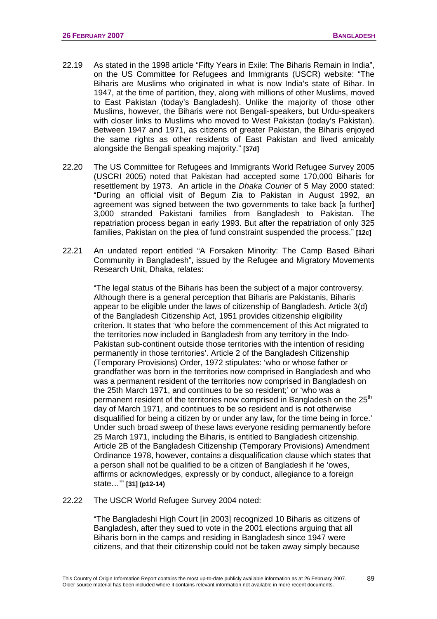- 22.19 As stated in the 1998 article "Fifty Years in Exile: The Biharis Remain in India", on the US Committee for Refugees and Immigrants (USCR) website: "The Biharis are Muslims who originated in what is now India's state of Bihar. In 1947, at the time of partition, they, along with millions of other Muslims, moved to East Pakistan (today's Bangladesh). Unlike the majority of those other Muslims, however, the Biharis were not Bengali-speakers, but Urdu-speakers with closer links to Muslims who moved to West Pakistan (today's Pakistan). Between 1947 and 1971, as citizens of greater Pakistan, the Biharis enjoyed the same rights as other residents of East Pakistan and lived amicably alongside the Bengali speaking majority." **[37d]**
- 22.20 The US Committee for Refugees and Immigrants World Refugee Survey 2005 (USCRI 2005) noted that Pakistan had accepted some 170,000 Biharis for resettlement by 1973. An article in the *Dhaka Courier* of 5 May 2000 stated: "During an official visit of Begum Zia to Pakistan in August 1992, an agreement was signed between the two governments to take back [a further] 3,000 stranded Pakistani families from Bangladesh to Pakistan. The repatriation process began in early 1993. But after the repatriation of only 325 families, Pakistan on the plea of fund constraint suspended the process." **[12c]**
- 22.21 An undated report entitled "A Forsaken Minority: The Camp Based Bihari Community in Bangladesh", issued by the Refugee and Migratory Movements Research Unit, Dhaka, relates:

"The legal status of the Biharis has been the subject of a major controversy. Although there is a general perception that Biharis are Pakistanis, Biharis appear to be eligible under the laws of citizenship of Bangladesh. Article 3(d) of the Bangladesh Citizenship Act, 1951 provides citizenship eligibility criterion. It states that 'who before the commencement of this Act migrated to the territories now included in Bangladesh from any territory in the Indo-Pakistan sub-continent outside those territories with the intention of residing permanently in those territories'. Article 2 of the Bangladesh Citizenship (Temporary Provisions) Order, 1972 stipulates: 'who or whose father or grandfather was born in the territories now comprised in Bangladesh and who was a permanent resident of the territories now comprised in Bangladesh on the 25th March 1971, and continues to be so resident;' or 'who was a permanent resident of the territories now comprised in Bangladesh on the 25<sup>th</sup> day of March 1971, and continues to be so resident and is not otherwise disqualified for being a citizen by or under any law, for the time being in force.' Under such broad sweep of these laws everyone residing permanently before 25 March 1971, including the Biharis, is entitled to Bangladesh citizenship. Article 2B of the Bangladesh Citizenship (Temporary Provisions) Amendment Ordinance 1978, however, contains a disqualification clause which states that a person shall not be qualified to be a citizen of Bangladesh if he 'owes, affirms or acknowledges, expressly or by conduct, allegiance to a foreign state…'" **[31] (p12-14)** 

22.22 The USCR World Refugee Survey 2004 noted:

"The Bangladeshi High Court [in 2003] recognized 10 Biharis as citizens of Bangladesh, after they sued to vote in the 2001 elections arguing that all Biharis born in the camps and residing in Bangladesh since 1947 were citizens, and that their citizenship could not be taken away simply because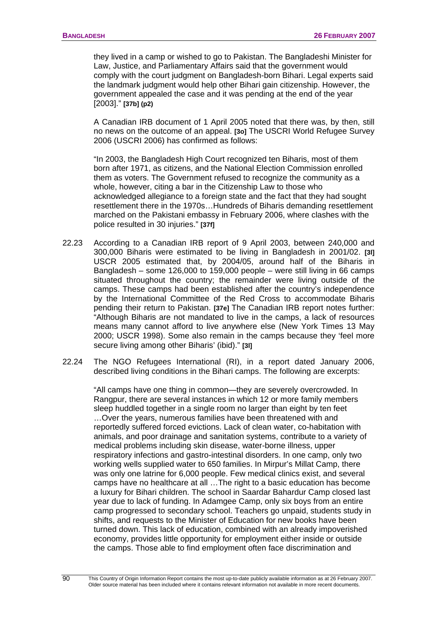they lived in a camp or wished to go to Pakistan. The Bangladeshi Minister for Law, Justice, and Parliamentary Affairs said that the government would comply with the court judgment on Bangladesh-born Bihari. Legal experts said the landmark judgment would help other Bihari gain citizenship. However, the government appealed the case and it was pending at the end of the year [2003]." **[37b] (p2)**

A Canadian IRB document of 1 April 2005 noted that there was, by then, still no news on the outcome of an appeal. **[3o]** The USCRI World Refugee Survey 2006 (USCRI 2006) has confirmed as follows:

"In 2003, the Bangladesh High Court recognized ten Biharis, most of them born after 1971, as citizens, and the National Election Commission enrolled them as voters. The Government refused to recognize the community as a whole, however, citing a bar in the Citizenship Law to those who acknowledged allegiance to a foreign state and the fact that they had sought resettlement there in the 1970s…Hundreds of Biharis demanding resettlement marched on the Pakistani embassy in February 2006, where clashes with the police resulted in 30 injuries." **[37f]** 

- 22.23 According to a Canadian IRB report of 9 April 2003, between 240,000 and 300,000 Biharis were estimated to be living in Bangladesh in 2001/02. **[3l]** USCR 2005 estimated that, by 2004/05, around half of the Biharis in Bangladesh – some 126,000 to 159,000 people – were still living in 66 camps situated throughout the country; the remainder were living outside of the camps. These camps had been established after the country's independence by the International Committee of the Red Cross to accommodate Biharis pending their return to Pakistan. **[37e]** The Canadian IRB report notes further: "Although Biharis are not mandated to live in the camps, a lack of resources means many cannot afford to live anywhere else (New York Times 13 May 2000; USCR 1998). Some also remain in the camps because they 'feel more secure living among other Biharis' (ibid)." **[3l]**
- 22.24 The NGO Refugees International (RI), in a report dated January 2006, described living conditions in the Bihari camps. The following are excerpts:

"All camps have one thing in common—they are severely overcrowded. In Rangpur, there are several instances in which 12 or more family members sleep huddled together in a single room no larger than eight by ten feet …Over the years, numerous families have been threatened with and reportedly suffered forced evictions. Lack of clean water, co-habitation with animals, and poor drainage and sanitation systems, contribute to a variety of medical problems including skin disease, water-borne illness, upper respiratory infections and gastro-intestinal disorders. In one camp, only two working wells supplied water to 650 families. In Mirpur's Millat Camp, there was only one latrine for 6,000 people. Few medical clinics exist, and several camps have no healthcare at all …The right to a basic education has become a luxury for Bihari children. The school in Saardar Bahardur Camp closed last year due to lack of funding. In Adamgee Camp, only six boys from an entire camp progressed to secondary school. Teachers go unpaid, students study in shifts, and requests to the Minister of Education for new books have been turned down. This lack of education, combined with an already impoverished economy, provides little opportunity for employment either inside or outside the camps. Those able to find employment often face discrimination and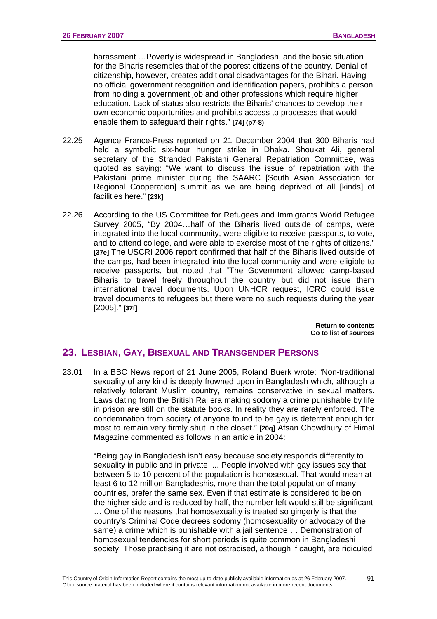harassment …Poverty is widespread in Bangladesh, and the basic situation for the Biharis resembles that of the poorest citizens of the country. Denial of citizenship, however, creates additional disadvantages for the Bihari. Having no official government recognition and identification papers, prohibits a person from holding a government job and other professions which require higher education. Lack of status also restricts the Biharis' chances to develop their own economic opportunities and prohibits access to processes that would enable them to safeguard their rights." **[74] (p7-8)**

- 22.25 Agence France-Press reported on 21 December 2004 that 300 Biharis had held a symbolic six-hour hunger strike in Dhaka. Shoukat Ali, general secretary of the Stranded Pakistani General Repatriation Committee, was quoted as saying: "We want to discuss the issue of repatriation with the Pakistani prime minister during the SAARC [South Asian Association for Regional Cooperation] summit as we are being deprived of all [kinds] of facilities here." **[23k]**
- 22.26 According to the US Committee for Refugees and Immigrants World Refugee Survey 2005, "By 2004…half of the Biharis lived outside of camps, were integrated into the local community, were eligible to receive passports, to vote, and to attend college, and were able to exercise most of the rights of citizens." **[37e]** The USCRI 2006 report confirmed that half of the Biharis lived outside of the camps, had been integrated into the local community and were eligible to receive passports, but noted that "The Government allowed camp-based Biharis to travel freely throughout the country but did not issue them international travel documents. Upon UNHCR request, ICRC could issue travel documents to refugees but there were no such requests during the year [2005]." **[37f]**

**[Return to contents](#page-0-0)  [Go to list of sources](#page-133-0)** 

# **23. LESBIAN, GAY, BISEXUAL AND TRANSGENDER PERSONS**

23.01 In a BBC News report of 21 June 2005, Roland Buerk wrote: "Non-traditional sexuality of any kind is deeply frowned upon in Bangladesh which, although a relatively tolerant Muslim country, remains conservative in sexual matters. Laws dating from the British Raj era making sodomy a crime punishable by life in prison are still on the statute books. In reality they are rarely enforced. The condemnation from society of anyone found to be gay is deterrent enough for most to remain very firmly shut in the closet." **[20q]** Afsan Chowdhury of Himal Magazine commented as follows in an article in 2004:

"Being gay in Bangladesh isn't easy because society responds differently to sexuality in public and in private ... People involved with gay issues say that between 5 to 10 percent of the population is homosexual. That would mean at least 6 to 12 million Bangladeshis, more than the total population of many countries, prefer the same sex. Even if that estimate is considered to be on the higher side and is reduced by half, the number left would still be significant … One of the reasons that homosexuality is treated so gingerly is that the country's Criminal Code decrees sodomy (homosexuality or advocacy of the same) a crime which is punishable with a jail sentence … Demonstration of homosexual tendencies for short periods is quite common in Bangladeshi society. Those practising it are not ostracised, although if caught, are ridiculed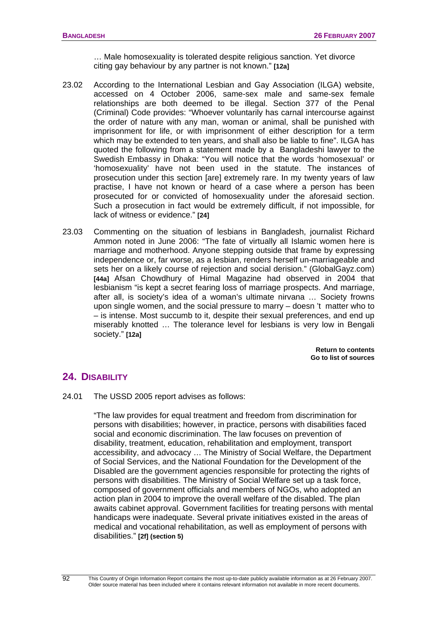… Male homosexuality is tolerated despite religious sanction. Yet divorce citing gay behaviour by any partner is not known." **[12a]** 

- 23.02 According to the International Lesbian and Gay Association (ILGA) website, accessed on 4 October 2006, same-sex male and same-sex female relationships are both deemed to be illegal. Section 377 of the Penal (Criminal) Code provides: "Whoever voluntarily has carnal intercourse against the order of nature with any man, woman or animal, shall be punished with imprisonment for life, or with imprisonment of either description for a term which may be extended to ten years, and shall also be liable to fine". ILGA has quoted the following from a statement made by a Bangladeshi lawyer to the Swedish Embassy in Dhaka: "You will notice that the words 'homosexual' or 'homosexuality' have not been used in the statute. The instances of prosecution under this section [are] extremely rare. In my twenty years of law practise, I have not known or heard of a case where a person has been prosecuted for or convicted of homosexuality under the aforesaid section. Such a prosecution in fact would be extremely difficult, if not impossible, for lack of witness or evidence." **[24]**
- 23.03 Commenting on the situation of lesbians in Bangladesh, journalist Richard Ammon noted in June 2006: "The fate of virtually all Islamic women here is marriage and motherhood. Anyone stepping outside that frame by expressing independence or, far worse, as a lesbian, renders herself un-marriageable and sets her on a likely course of rejection and social derision." (GlobalGayz.com) **[44a]** Afsan Chowdhury of Himal Magazine had observed in 2004 that lesbianism "is kept a secret fearing loss of marriage prospects. And marriage, after all, is society's idea of a woman's ultimate nirvana … Society frowns upon single women, and the social pressure to marry – doesn 't matter who to – is intense. Most succumb to it, despite their sexual preferences, and end up miserably knotted … The tolerance level for lesbians is very low in Bengali society." **[12a]**

**[Return to contents](#page-0-0)  [Go to list of sources](#page-133-0)** 

# **24. DISABILITY**

24.01 The USSD 2005 report advises as follows:

"The law provides for equal treatment and freedom from discrimination for persons with disabilities; however, in practice, persons with disabilities faced social and economic discrimination. The law focuses on prevention of disability, treatment, education, rehabilitation and employment, transport accessibility, and advocacy … The Ministry of Social Welfare, the Department of Social Services, and the National Foundation for the Development of the Disabled are the government agencies responsible for protecting the rights of persons with disabilities. The Ministry of Social Welfare set up a task force, composed of government officials and members of NGOs, who adopted an action plan in 2004 to improve the overall welfare of the disabled. The plan awaits cabinet approval. Government facilities for treating persons with mental handicaps were inadequate. Several private initiatives existed in the areas of medical and vocational rehabilitation, as well as employment of persons with disabilities." **[2f] (section 5)**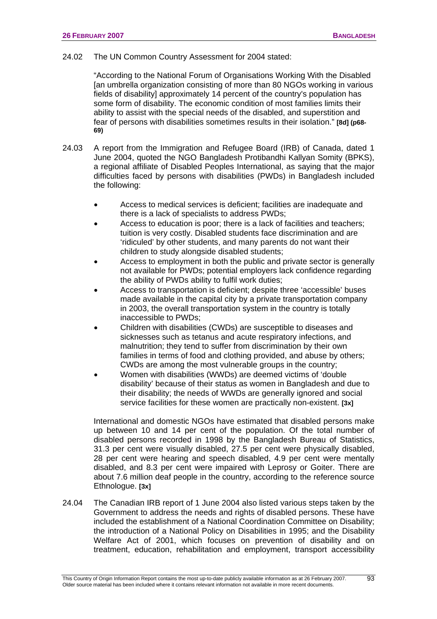#### 24.02 The UN Common Country Assessment for 2004 stated:

"According to the National Forum of Organisations Working With the Disabled [an umbrella organization consisting of more than 80 NGOs working in various fields of disability] approximately 14 percent of the country's population has some form of disability. The economic condition of most families limits their ability to assist with the special needs of the disabled, and superstition and fear of persons with disabilities sometimes results in their isolation." **[8d] (p68- 69)**

- 24.03 A report from the Immigration and Refugee Board (IRB) of Canada, dated 1 June 2004, quoted the NGO Bangladesh Protibandhi Kallyan Somity (BPKS), a regional affiliate of Disabled Peoples International, as saying that the major difficulties faced by persons with disabilities (PWDs) in Bangladesh included the following:
	- Access to medical services is deficient; facilities are inadequate and there is a lack of specialists to address PWDs;
	- Access to education is poor; there is a lack of facilities and teachers; tuition is very costly. Disabled students face discrimination and are 'ridiculed' by other students, and many parents do not want their children to study alongside disabled students;
	- Access to employment in both the public and private sector is generally not available for PWDs; potential employers lack confidence regarding the ability of PWDs ability to fulfil work duties;
	- Access to transportation is deficient; despite three 'accessible' buses made available in the capital city by a private transportation company in 2003, the overall transportation system in the country is totally inaccessible to PWDs;
	- Children with disabilities (CWDs) are susceptible to diseases and sicknesses such as tetanus and acute respiratory infections, and malnutrition; they tend to suffer from discrimination by their own families in terms of food and clothing provided, and abuse by others; CWDs are among the most vulnerable groups in the country;
	- Women with disabilities (WWDs) are deemed victims of 'double disability' because of their status as women in Bangladesh and due to their disability; the needs of WWDs are generally ignored and social service facilities for these women are practically non-existent. **[3x]**

 International and domestic NGOs have estimated that disabled persons make up between 10 and 14 per cent of the population. Of the total number of disabled persons recorded in 1998 by the Bangladesh Bureau of Statistics, 31.3 per cent were visually disabled, 27.5 per cent were physically disabled, 28 per cent were hearing and speech disabled, 4.9 per cent were mentally disabled, and 8.3 per cent were impaired with Leprosy or Goiter. There are about 7.6 million deaf people in the country, according to the reference source Ethnologue. **[3x]** 

24.04 The Canadian IRB report of 1 June 2004 also listed various steps taken by the Government to address the needs and rights of disabled persons. These have included the establishment of a National Coordination Committee on Disability; the introduction of a National Policy on Disabilities in 1995; and the Disability Welfare Act of 2001, which focuses on prevention of disability and on treatment, education, rehabilitation and employment, transport accessibility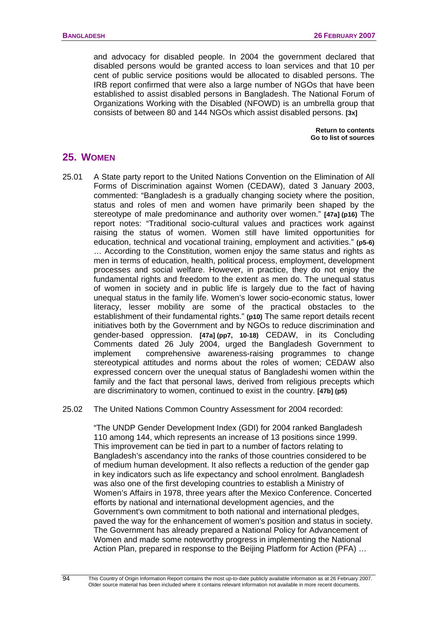and advocacy for disabled people. In 2004 the government declared that disabled persons would be granted access to loan services and that 10 per cent of public service positions would be allocated to disabled persons. The IRB report confirmed that were also a large number of NGOs that have been established to assist disabled persons in Bangladesh. The National Forum of Organizations Working with the Disabled (NFOWD) is an umbrella group that consists of between 80 and 144 NGOs which assist disabled persons. **[3x]** 

> **[Return to contents](#page-0-0)  [Go to list of sources](#page-133-0)**

# **25. WOMEN**

25.01 A State party report to the United Nations Convention on the Elimination of All Forms of Discrimination against Women (CEDAW), dated 3 January 2003, commented: "Bangladesh is a gradually changing society where the position, status and roles of men and women have primarily been shaped by the stereotype of male predominance and authority over women." **[47a] (p16)** The report notes: "Traditional socio-cultural values and practices work against raising the status of women. Women still have limited opportunities for education, technical and vocational training, employment and activities." **(p5-6)** … According to the Constitution, women enjoy the same status and rights as men in terms of education, health, political process, employment, development processes and social welfare. However, in practice, they do not enjoy the fundamental rights and freedom to the extent as men do. The unequal status of women in society and in public life is largely due to the fact of having unequal status in the family life. Women's lower socio-economic status, lower literacy, lesser mobility are some of the practical obstacles to the establishment of their fundamental rights." **(p10)** The same report details recent initiatives both by the Government and by NGOs to reduce discrimination and gender-based oppression. **[47a] (pp7, 10-18)** CEDAW, in its Concluding Comments dated 26 July 2004, urged the Bangladesh Government to implement comprehensive awareness-raising programmes to change stereotypical attitudes and norms about the roles of women; CEDAW also expressed concern over the unequal status of Bangladeshi women within the family and the fact that personal laws, derived from religious precepts which are discriminatory to women, continued to exist in the country. **[47b] (p5)**

#### 25.02 The United Nations Common Country Assessment for 2004 recorded:

"The UNDP Gender Development Index (GDI) for 2004 ranked Bangladesh 110 among 144, which represents an increase of 13 positions since 1999. This improvement can be tied in part to a number of factors relating to Bangladesh's ascendancy into the ranks of those countries considered to be of medium human development. It also reflects a reduction of the gender gap in key indicators such as life expectancy and school enrolment. Bangladesh was also one of the first developing countries to establish a Ministry of Women's Affairs in 1978, three years after the Mexico Conference. Concerted efforts by national and international development agencies, and the Government's own commitment to both national and international pledges, paved the way for the enhancement of women's position and status in society. The Government has already prepared a National Policy for Advancement of Women and made some noteworthy progress in implementing the National Action Plan, prepared in response to the Beijing Platform for Action (PFA) …

 $\overline{Q}$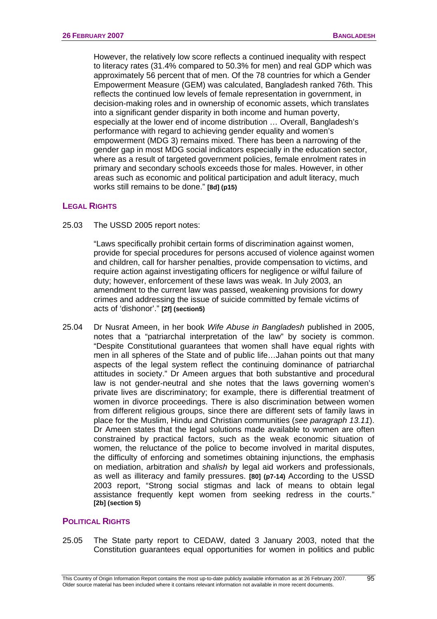However, the relatively low score reflects a continued inequality with respect to literacy rates (31.4% compared to 50.3% for men) and real GDP which was approximately 56 percent that of men. Of the 78 countries for which a Gender Empowerment Measure (GEM) was calculated, Bangladesh ranked 76th. This reflects the continued low levels of female representation in government, in decision-making roles and in ownership of economic assets, which translates into a significant gender disparity in both income and human poverty, especially at the lower end of income distribution … Overall, Bangladesh's performance with regard to achieving gender equality and women's empowerment (MDG 3) remains mixed. There has been a narrowing of the gender gap in most MDG social indicators especially in the education sector, where as a result of targeted government policies, female enrolment rates in primary and secondary schools exceeds those for males. However, in other areas such as economic and political participation and adult literacy, much works still remains to be done." **[8d] (p15)**

# **LEGAL RIGHTS**

25.03 The USSD 2005 report notes:

"Laws specifically prohibit certain forms of discrimination against women, provide for special procedures for persons accused of violence against women and children, call for harsher penalties, provide compensation to victims, and require action against investigating officers for negligence or wilful failure of duty; however, enforcement of these laws was weak. In July 2003, an amendment to the current law was passed, weakening provisions for dowry crimes and addressing the issue of suicide committed by female victims of acts of 'dishonor'." **[2f] (section5)** 

25.04 Dr Nusrat Ameen, in her book *Wife Abuse in Bangladesh* published in 2005, notes that a "patriarchal interpretation of the law" by society is common. "Despite Constitutional guarantees that women shall have equal rights with men in all spheres of the State and of public life…Jahan points out that many aspects of the legal system reflect the continuing dominance of patriarchal attitudes in society." Dr Ameen argues that both substantive and procedural law is not gender-neutral and she notes that the laws governing women's private lives are discriminatory; for example, there is differential treatment of women in divorce proceedings. There is also discrimination between women from different religious groups, since there are different sets of family laws in place for the Muslim, Hindu and Christian communities (*see paragraph 13.11*). Dr Ameen states that the legal solutions made available to women are often constrained by practical factors, such as the weak economic situation of women, the reluctance of the police to become involved in marital disputes, the difficulty of enforcing and sometimes obtaining injunctions, the emphasis on mediation, arbitration and *shalish* by legal aid workers and professionals, as well as illiteracy and family pressures. **[80] (p7-14)** According to the USSD 2003 report, "Strong social stigmas and lack of means to obtain legal assistance frequently kept women from seeking redress in the courts." **[2b] (section 5)**

# **POLITICAL RIGHTS**

25.05 The State party report to CEDAW, dated 3 January 2003, noted that the Constitution guarantees equal opportunities for women in politics and public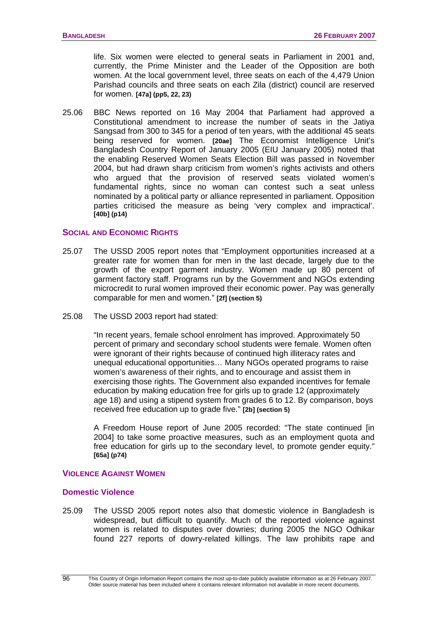life. Six women were elected to general seats in Parliament in 2001 and, currently, the Prime Minister and the Leader of the Opposition are both women. At the local government level, three seats on each of the 4,479 Union Parishad councils and three seats on each Zila (district) council are reserved for women. **[47a] (pp5, 22, 23)**

25.06 BBC News reported on 16 May 2004 that Parliament had approved a Constitutional amendment to increase the number of seats in the Jatiya Sangsad from 300 to 345 for a period of ten years, with the additional 45 seats being reserved for women. **[20ae]** The Economist Intelligence Unit's Bangladesh Country Report of January 2005 (EIU January 2005) noted that the enabling Reserved Women Seats Election Bill was passed in November 2004, but had drawn sharp criticism from women's rights activists and others who argued that the provision of reserved seats violated women's fundamental rights, since no woman can contest such a seat unless nominated by a political party or alliance represented in parliament. Opposition parties criticised the measure as being 'very complex and impractical'. **[40b] (p14)**

#### **SOCIAL AND ECONOMIC RIGHTS**

- 25.07 The USSD 2005 report notes that "Employment opportunities increased at a greater rate for women than for men in the last decade, largely due to the growth of the export garment industry. Women made up 80 percent of garment factory staff. Programs run by the Government and NGOs extending microcredit to rural women improved their economic power. Pay was generally comparable for men and women." **[2f] (section 5)**
- 25.08 The USSD 2003 report had stated:

"In recent years, female school enrolment has improved. Approximately 50 percent of primary and secondary school students were female. Women often were ignorant of their rights because of continued high illiteracy rates and unequal educational opportunities… Many NGOs operated programs to raise women's awareness of their rights, and to encourage and assist them in exercising those rights. The Government also expanded incentives for female education by making education free for girls up to grade 12 (approximately age 18) and using a stipend system from grades 6 to 12. By comparison, boys received free education up to grade five." **[2b] (section 5)**

A Freedom House report of June 2005 recorded: "The state continued [in 2004] to take some proactive measures, such as an employment quota and free education for girls up to the secondary level, to promote gender equity." **[65a] (p74)**

# **VIOLENCE AGAINST WOMEN**

#### **Domestic Violence**

25.09 The USSD 2005 report notes also that domestic violence in Bangladesh is widespread, but difficult to quantify. Much of the reported violence against women is related to disputes over dowries; during 2005 the NGO Odhikar found 227 reports of dowry-related killings. The law prohibits rape and

This Country of Origin Information Report contains the most up-to-date publicly available information as at 26 February 2007. Older source material has been included where it contains relevant information not available in more recent documents.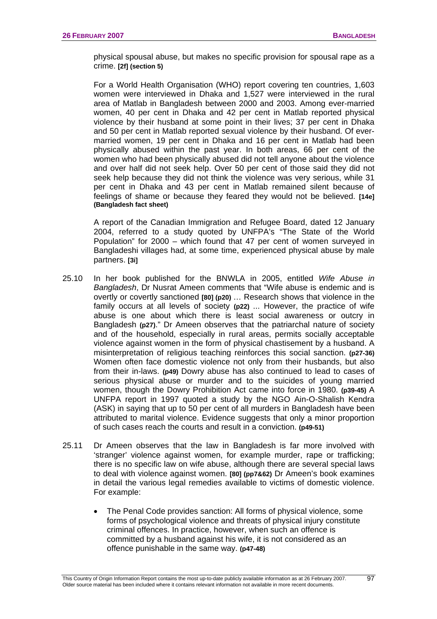physical spousal abuse, but makes no specific provision for spousal rape as a crime. **[2f] (section 5)**

For a World Health Organisation (WHO) report covering ten countries, 1,603 women were interviewed in Dhaka and 1,527 were interviewed in the rural area of Matlab in Bangladesh between 2000 and 2003. Among ever-married women, 40 per cent in Dhaka and 42 per cent in Matlab reported physical violence by their husband at some point in their lives; 37 per cent in Dhaka and 50 per cent in Matlab reported sexual violence by their husband. Of evermarried women, 19 per cent in Dhaka and 16 per cent in Matlab had been physically abused within the past year. In both areas, 66 per cent of the women who had been physically abused did not tell anyone about the violence and over half did not seek help. Over 50 per cent of those said they did not seek help because they did not think the violence was very serious, while 31 per cent in Dhaka and 43 per cent in Matlab remained silent because of feelings of shame or because they feared they would not be believed. **[14e] (Bangladesh fact sheet)** 

A report of the Canadian Immigration and Refugee Board, dated 12 January 2004, referred to a study quoted by UNFPA's "The State of the World Population" for 2000 – which found that 47 per cent of women surveyed in Bangladeshi villages had, at some time, experienced physical abuse by male partners. **[3i]**

- 25.10 In her book published for the BNWLA in 2005, entitled *Wife Abuse in Bangladesh*, Dr Nusrat Ameen comments that "Wife abuse is endemic and is overtly or covertly sanctioned **[80] (p20)** … Research shows that violence in the family occurs at all levels of society **(p22)** ... However, the practice of wife abuse is one about which there is least social awareness or outcry in Bangladesh **(p27)**." Dr Ameen observes that the patriarchal nature of society and of the household, especially in rural areas, permits socially acceptable violence against women in the form of physical chastisement by a husband. A misinterpretation of religious teaching reinforces this social sanction. **(p27-36)**  Women often face domestic violence not only from their husbands, but also from their in-laws. **(p49)** Dowry abuse has also continued to lead to cases of serious physical abuse or murder and to the suicides of young married women, though the Dowry Prohibition Act came into force in 1980. **(p39-45)** A UNFPA report in 1997 quoted a study by the NGO Ain-O-Shalish Kendra (ASK) in saying that up to 50 per cent of all murders in Bangladesh have been attributed to marital violence. Evidence suggests that only a minor proportion of such cases reach the courts and result in a conviction. **(p49-51)**
- 25.11 Dr Ameen observes that the law in Bangladesh is far more involved with 'stranger' violence against women, for example murder, rape or trafficking; there is no specific law on wife abuse, although there are several special laws to deal with violence against women. **[80] (pp7&62)** Dr Ameen's book examines in detail the various legal remedies available to victims of domestic violence. For example:
	- The Penal Code provides sanction: All forms of physical violence, some forms of psychological violence and threats of physical injury constitute criminal offences. In practice, however, when such an offence is committed by a husband against his wife, it is not considered as an offence punishable in the same way. **(p47-48)**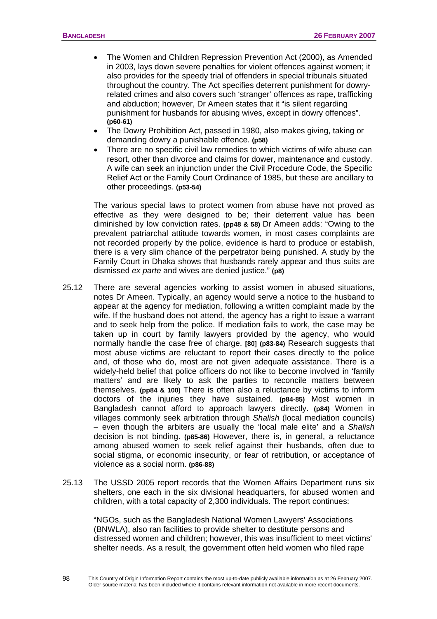- The Women and Children Repression Prevention Act (2000), as Amended in 2003, lays down severe penalties for violent offences against women; it also provides for the speedy trial of offenders in special tribunals situated throughout the country. The Act specifies deterrent punishment for dowryrelated crimes and also covers such 'stranger' offences as rape, trafficking and abduction; however, Dr Ameen states that it "is silent regarding punishment for husbands for abusing wives, except in dowry offences". **(p60-61)**
- The Dowry Prohibition Act, passed in 1980, also makes giving, taking or demanding dowry a punishable offence. **(p58)**
- There are no specific civil law remedies to which victims of wife abuse can resort, other than divorce and claims for dower, maintenance and custody. A wife can seek an injunction under the Civil Procedure Code, the Specific Relief Act or the Family Court Ordinance of 1985, but these are ancillary to other proceedings. **(p53-54)**

 The various special laws to protect women from abuse have not proved as effective as they were designed to be; their deterrent value has been diminished by low conviction rates. **(pp48 & 58)** Dr Ameen adds: "Owing to the prevalent patriarchal attitude towards women, in most cases complaints are not recorded properly by the police, evidence is hard to produce or establish, there is a very slim chance of the perpetrator being punished. A study by the Family Court in Dhaka shows that husbands rarely appear and thus suits are dismissed *ex parte* and wives are denied justice." **(p8)** 

- 25.12 There are several agencies working to assist women in abused situations, notes Dr Ameen. Typically, an agency would serve a notice to the husband to appear at the agency for mediation, following a written complaint made by the wife. If the husband does not attend, the agency has a right to issue a warrant and to seek help from the police. If mediation fails to work, the case may be taken up in court by family lawyers provided by the agency, who would normally handle the case free of charge. **[80] (p83-84)** Research suggests that most abuse victims are reluctant to report their cases directly to the police and, of those who do, most are not given adequate assistance. There is a widely-held belief that police officers do not like to become involved in 'family matters' and are likely to ask the parties to reconcile matters between themselves. **(pp84 & 100)** There is often also a reluctance by victims to inform doctors of the injuries they have sustained. **(p84-85)** Most women in Bangladesh cannot afford to approach lawyers directly. **(p84)** Women in villages commonly seek arbitration through *Shalish* (local mediation councils) – even though the arbiters are usually the 'local male elite' and a *Shalish* decision is not binding. **(p85-86)** However, there is, in general, a reluctance among abused women to seek relief against their husbands, often due to social stigma, or economic insecurity, or fear of retribution, or acceptance of violence as a social norm. **(p86-88)**
- 25.13 The USSD 2005 report records that the Women Affairs Department runs six shelters, one each in the six divisional headquarters, for abused women and children, with a total capacity of 2,300 individuals. The report continues:

"NGOs, such as the Bangladesh National Women Lawyers' Associations (BNWLA), also ran facilities to provide shelter to destitute persons and distressed women and children; however, this was insufficient to meet victims' shelter needs. As a result, the government often held women who filed rape

 $\overline{QR}$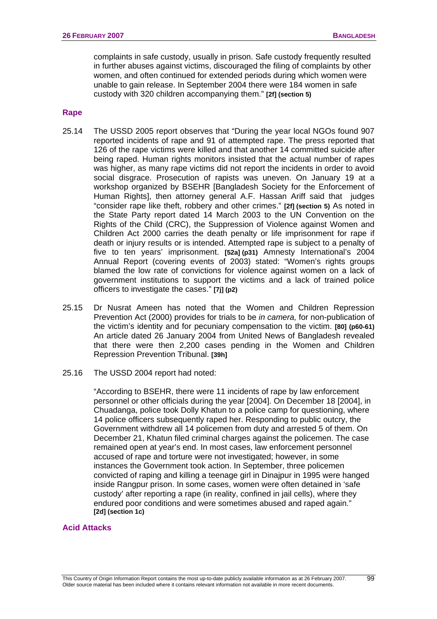complaints in safe custody, usually in prison. Safe custody frequently resulted in further abuses against victims, discouraged the filing of complaints by other women, and often continued for extended periods during which women were unable to gain release. In September 2004 there were 184 women in safe custody with 320 children accompanying them." **[2f] (section 5)** 

#### **Rape**

- 25.14 The USSD 2005 report observes that "During the year local NGOs found 907 reported incidents of rape and 91 of attempted rape. The press reported that 126 of the rape victims were killed and that another 14 committed suicide after being raped. Human rights monitors insisted that the actual number of rapes was higher, as many rape victims did not report the incidents in order to avoid social disgrace. Prosecution of rapists was uneven. On January 19 at a workshop organized by BSEHR [Bangladesh Society for the Enforcement of Human Rights], then attorney general A.F. Hassan Ariff said that judges "consider rape like theft, robbery and other crimes." **[2f] (section 5)** As noted in the State Party report dated 14 March 2003 to the UN Convention on the Rights of the Child (CRC), the Suppression of Violence against Women and Children Act 2000 carries the death penalty or life imprisonment for rape if death or injury results or is intended. Attempted rape is subject to a penalty of five to ten years' imprisonment. **[52a] (p31)** Amnesty International's 2004 Annual Report (covering events of 2003) stated: "Women's rights groups blamed the low rate of convictions for violence against women on a lack of government institutions to support the victims and a lack of trained police officers to investigate the cases." **[7j] (p2)**
- 25.15 Dr Nusrat Ameen has noted that the Women and Children Repression Prevention Act (2000) provides for trials to be *in camera,* for non-publication of the victim's identity and for pecuniary compensation to the victim. **[80] (p60-61)**  An article dated 26 January 2004 from United News of Bangladesh revealed that there were then 2,200 cases pending in the Women and Children Repression Prevention Tribunal. **[39h]**
- 25.16 The USSD 2004 report had noted:

"According to BSEHR, there were 11 incidents of rape by law enforcement personnel or other officials during the year [2004]. On December 18 [2004], in Chuadanga, police took Dolly Khatun to a police camp for questioning, where 14 police officers subsequently raped her. Responding to public outcry, the Government withdrew all 14 policemen from duty and arrested 5 of them. On December 21, Khatun filed criminal charges against the policemen. The case remained open at year's end. In most cases, law enforcement personnel accused of rape and torture were not investigated; however, in some instances the Government took action. In September, three policemen convicted of raping and killing a teenage girl in Dinajpur in 1995 were hanged inside Rangpur prison. In some cases, women were often detained in 'safe custody' after reporting a rape (in reality, confined in jail cells), where they endured poor conditions and were sometimes abused and raped again." **[2d] (section 1c)**

#### **Acid Attacks**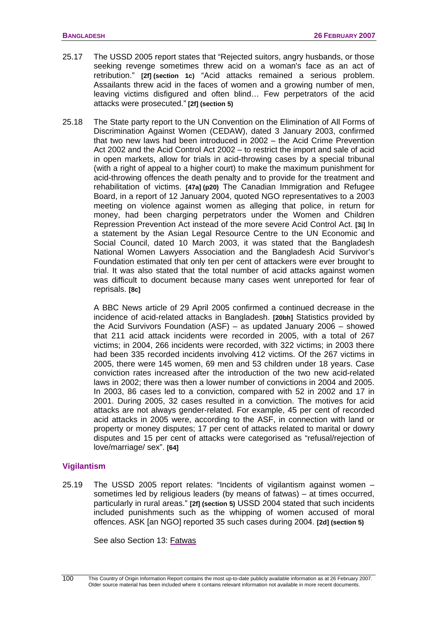- 25.17 The USSD 2005 report states that "Rejected suitors, angry husbands, or those seeking revenge sometimes threw acid on a woman's face as an act of retribution." **[2f] (section 1c)** "Acid attacks remained a serious problem. Assailants threw acid in the faces of women and a growing number of men, leaving victims disfigured and often blind… Few perpetrators of the acid attacks were prosecuted." **[2f] (section 5)**
- 25.18 The State party report to the UN Convention on the Elimination of All Forms of Discrimination Against Women (CEDAW), dated 3 January 2003, confirmed that two new laws had been introduced in 2002 – the Acid Crime Prevention Act 2002 and the Acid Control Act 2002 – to restrict the import and sale of acid in open markets, allow for trials in acid-throwing cases by a special tribunal (with a right of appeal to a higher court) to make the maximum punishment for acid-throwing offences the death penalty and to provide for the treatment and rehabilitation of victims. **[47a] (p20)** The Canadian Immigration and Refugee Board, in a report of 12 January 2004, quoted NGO representatives to a 2003 meeting on violence against women as alleging that police, in return for money, had been charging perpetrators under the Women and Children Repression Prevention Act instead of the more severe Acid Control Act. **[3i]** In a statement by the Asian Legal Resource Centre to the UN Economic and Social Council, dated 10 March 2003, it was stated that the Bangladesh National Women Lawyers Association and the Bangladesh Acid Survivor's Foundation estimated that only ten per cent of attackers were ever brought to trial. It was also stated that the total number of acid attacks against women was difficult to document because many cases went unreported for fear of reprisals. **[8c]**

A BBC News article of 29 April 2005 confirmed a continued decrease in the incidence of acid-related attacks in Bangladesh. **[20bh]** Statistics provided by the Acid Survivors Foundation (ASF) – as updated January 2006 – showed that 211 acid attack incidents were recorded in 2005, with a total of 267 victims; in 2004, 266 incidents were recorded, with 322 victims; in 2003 there had been 335 recorded incidents involving 412 victims. Of the 267 victims in 2005, there were 145 women, 69 men and 53 children under 18 years. Case conviction rates increased after the introduction of the two new acid-related laws in 2002; there was then a lower number of convictions in 2004 and 2005. In 2003, 86 cases led to a conviction, compared with 52 in 2002 and 17 in 2001. During 2005, 32 cases resulted in a conviction. The motives for acid attacks are not always gender-related. For example, 45 per cent of recorded acid attacks in 2005 were, according to the ASF, in connection with land or property or money disputes; 17 per cent of attacks related to marital or dowry disputes and 15 per cent of attacks were categorised as "refusal/rejection of love/marriage/ sex". **[64]**

#### **Vigilantism**

25.19 The USSD 2005 report relates: "Incidents of vigilantism against women – sometimes led by religious leaders (by means of fatwas) – at times occurred, particularly in rural areas." **[2f] (section 5)** USSD 2004 stated that such incidents included punishments such as the whipping of women accused of moral offences. ASK [an NGO] reported 35 such cases during 2004. **[2d] (section 5)** 

See also Section 13: [Fatwas](#page-55-0)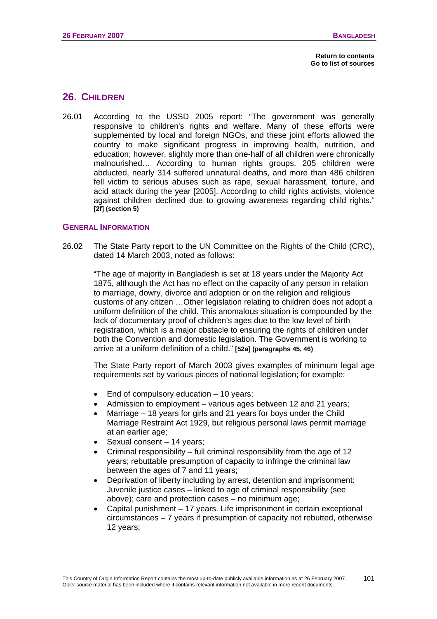# **26. CHILDREN**

26.01 According to the USSD 2005 report: "The government was generally responsive to children's rights and welfare. Many of these efforts were supplemented by local and foreign NGOs, and these joint efforts allowed the country to make significant progress in improving health, nutrition, and education; however, slightly more than one-half of all children were chronically malnourished… According to human rights groups, 205 children were abducted, nearly 314 suffered unnatural deaths, and more than 486 children fell victim to serious abuses such as rape, sexual harassment, torture, and acid attack during the year [2005]. According to child rights activists, violence against children declined due to growing awareness regarding child rights." **[2f] (section 5)**

### **GENERAL INFORMATION**

26.02 The State Party report to the UN Committee on the Rights of the Child (CRC), dated 14 March 2003, noted as follows:

"The age of majority in Bangladesh is set at 18 years under the Majority Act 1875, although the Act has no effect on the capacity of any person in relation to marriage, dowry, divorce and adoption or on the religion and religious customs of any citizen …Other legislation relating to children does not adopt a uniform definition of the child. This anomalous situation is compounded by the lack of documentary proof of children's ages due to the low level of birth registration, which is a major obstacle to ensuring the rights of children under both the Convention and domestic legislation. The Government is working to arrive at a uniform definition of a child." **[52a] (paragraphs 45, 46)** 

The State Party report of March 2003 gives examples of minimum legal age requirements set by various pieces of national legislation; for example:

- End of compulsory education  $-10$  years;
- Admission to employment various ages between 12 and 21 years;
- Marriage 18 years for girls and 21 years for boys under the Child Marriage Restraint Act 1929, but religious personal laws permit marriage at an earlier age;
- Sexual consent 14 years;
- Criminal responsibility full criminal responsibility from the age of 12 years; rebuttable presumption of capacity to infringe the criminal law between the ages of 7 and 11 years;
- Deprivation of liberty including by arrest, detention and imprisonment: Juvenile justice cases – linked to age of criminal responsibility (see above); care and protection cases – no minimum age;
- Capital punishment 17 years. Life imprisonment in certain exceptional circumstances – 7 years if presumption of capacity not rebutted, otherwise 12 years;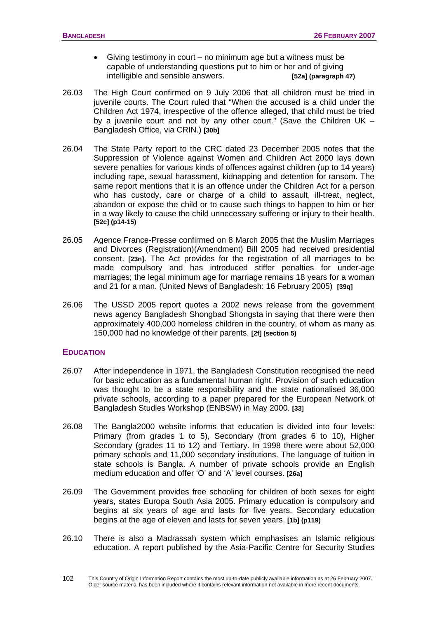- Giving testimony in court no minimum age but a witness must be capable of understanding questions put to him or her and of giving intelligible and sensible answers. **[52a] (paragraph 47)**
- 26.03 The High Court confirmed on 9 July 2006 that all children must be tried in juvenile courts. The Court ruled that "When the accused is a child under the Children Act 1974, irrespective of the offence alleged, that child must be tried by a juvenile court and not by any other court." (Save the Children UK – Bangladesh Office, via CRIN.) **[30b]**
- 26.04 The State Party report to the CRC dated 23 December 2005 notes that the Suppression of Violence against Women and Children Act 2000 lays down severe penalties for various kinds of offences against children (up to 14 years) including rape, sexual harassment, kidnapping and detention for ransom. The same report mentions that it is an offence under the Children Act for a person who has custody, care or charge of a child to assault, ill-treat, neglect, abandon or expose the child or to cause such things to happen to him or her in a way likely to cause the child unnecessary suffering or injury to their health. **[52c] (p14-15)**
- 26.05 Agence France-Presse confirmed on 8 March 2005 that the Muslim Marriages and Divorces (Registration)(Amendment) Bill 2005 had received presidential consent. **[23n]**. The Act provides for the registration of all marriages to be made compulsory and has introduced stiffer penalties for under-age marriages; the legal minimum age for marriage remains 18 years for a woman and 21 for a man. (United News of Bangladesh: 16 February 2005) **[39q]**
- 26.06 The USSD 2005 report quotes a 2002 news release from the government news agency Bangladesh Shongbad Shongsta in saying that there were then approximately 400,000 homeless children in the country, of whom as many as 150,000 had no knowledge of their parents. **[2f] (section 5)**

#### **EDUCATION**

- 26.07 After independence in 1971, the Bangladesh Constitution recognised the need for basic education as a fundamental human right. Provision of such education was thought to be a state responsibility and the state nationalised 36,000 private schools, according to a paper prepared for the European Network of Bangladesh Studies Workshop (ENBSW) in May 2000. **[33]**
- 26.08 The Bangla2000 website informs that education is divided into four levels: Primary (from grades 1 to 5), Secondary (from grades 6 to 10), Higher Secondary (grades 11 to 12) and Tertiary. In 1998 there were about 52,000 primary schools and 11,000 secondary institutions. The language of tuition in state schools is Bangla. A number of private schools provide an English medium education and offer 'O' and 'A' level courses. **[26a]**
- 26.09 The Government provides free schooling for children of both sexes for eight years, states Europa South Asia 2005. Primary education is compulsory and begins at six years of age and lasts for five years. Secondary education begins at the age of eleven and lasts for seven years. **[1b] (p119)**
- 26.10 There is also a Madrassah system which emphasises an Islamic religious education. A report published by the Asia-Pacific Centre for Security Studies

This Country of Origin Information Report contains the most up-to-date publicly available information as at 26 February 2007. Older source material has been included where it contains relevant information not available in more recent documents. 102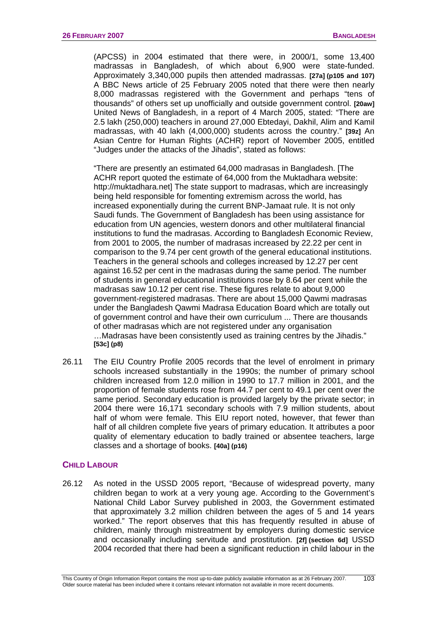(APCSS) in 2004 estimated that there were, in 2000/1, some 13,400 madrassas in Bangladesh, of which about 6,900 were state-funded. Approximately 3,340,000 pupils then attended madrassas. **[27a] (p105 and 107)** A BBC News article of 25 February 2005 noted that there were then nearly 8,000 madrassas registered with the Government and perhaps "tens of thousands" of others set up unofficially and outside government control. **[20aw]** United News of Bangladesh, in a report of 4 March 2005, stated: "There are 2.5 lakh (250,000) teachers in around 27,000 Ebtedayi, Dakhil, Alim and Kamil madrassas, with 40 lakh (4,000,000) students across the country." **[39z]** An Asian Centre for Human Rights (ACHR) report of November 2005, entitled "Judges under the attacks of the Jihadis", stated as follows:

"There are presently an estimated 64,000 madrasas in Bangladesh. [The ACHR report quoted the estimate of 64,000 from the Muktadhara website: http://muktadhara.net] The state support to madrasas, which are increasingly being held responsible for fomenting extremism across the world, has increased exponentially during the current BNP-Jamaat rule. It is not only Saudi funds. The Government of Bangladesh has been using assistance for education from UN agencies, western donors and other multilateral financial institutions to fund the madrasas. According to Bangladesh Economic Review, from 2001 to 2005, the number of madrasas increased by 22.22 per cent in comparison to the 9.74 per cent growth of the general educational institutions. Teachers in the general schools and colleges increased by 12.27 per cent against 16.52 per cent in the madrasas during the same period. The number of students in general educational institutions rose by 8.64 per cent while the madrasas saw 10.12 per cent rise. These figures relate to about 9,000 government-registered madrasas. There are about 15,000 Qawmi madrasas under the Bangladesh Qawmi Madrasa Education Board which are totally out of government control and have their own curriculum ... There are thousands of other madrasas which are not registered under any organisation …Madrasas have been consistently used as training centres by the Jihadis." **[53c] (p8)**

26.11 The EIU Country Profile 2005 records that the level of enrolment in primary schools increased substantially in the 1990s; the number of primary school children increased from 12.0 million in 1990 to 17.7 million in 2001, and the proportion of female students rose from 44.7 per cent to 49.1 per cent over the same period. Secondary education is provided largely by the private sector; in 2004 there were 16,171 secondary schools with 7.9 million students, about half of whom were female. This EIU report noted, however, that fewer than half of all children complete five years of primary education. It attributes a poor quality of elementary education to badly trained or absentee teachers, large classes and a shortage of books. **[40a] (p16)**

# **CHILD LABOUR**

26.12 As noted in the USSD 2005 report, "Because of widespread poverty, many children began to work at a very young age. According to the Government's National Child Labor Survey published in 2003, the Government estimated that approximately 3.2 million children between the ages of 5 and 14 years worked." The report observes that this has frequently resulted in abuse of children, mainly through mistreatment by employers during domestic service and occasionally including servitude and prostitution. **[2f] (section 6d]** USSD 2004 recorded that there had been a significant reduction in child labour in the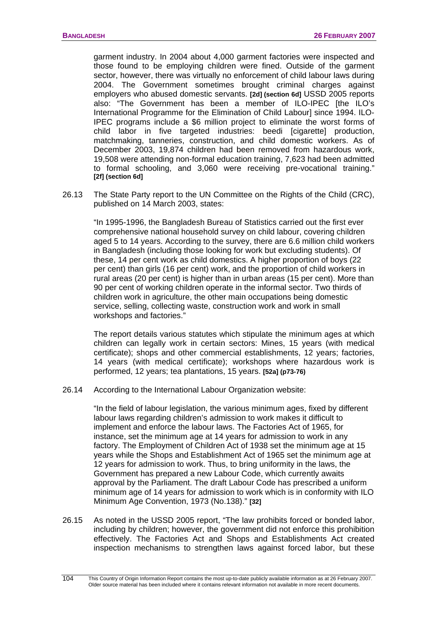garment industry. In 2004 about 4,000 garment factories were inspected and those found to be employing children were fined. Outside of the garment sector, however, there was virtually no enforcement of child labour laws during 2004. The Government sometimes brought criminal charges against employers who abused domestic servants. **[2d] (section 6d]** USSD 2005 reports also: "The Government has been a member of ILO-IPEC [the ILO's International Programme for the Elimination of Child Labour] since 1994. ILO-IPEC programs include a \$6 million project to eliminate the worst forms of child labor in five targeted industries: beedi [cigarette] production, matchmaking, tanneries, construction, and child domestic workers. As of December 2003, 19,874 children had been removed from hazardous work, 19,508 were attending non-formal education training, 7,623 had been admitted to formal schooling, and 3,060 were receiving pre-vocational training." **[2f] (section 6d]**

26.13 The State Party report to the UN Committee on the Rights of the Child (CRC), published on 14 March 2003, states:

"In 1995-1996, the Bangladesh Bureau of Statistics carried out the first ever comprehensive national household survey on child labour, covering children aged 5 to 14 years. According to the survey, there are 6.6 million child workers in Bangladesh (including those looking for work but excluding students). Of these, 14 per cent work as child domestics. A higher proportion of boys (22 per cent) than girls (16 per cent) work, and the proportion of child workers in rural areas (20 per cent) is higher than in urban areas (15 per cent). More than 90 per cent of working children operate in the informal sector. Two thirds of children work in agriculture, the other main occupations being domestic service, selling, collecting waste, construction work and work in small workshops and factories."

The report details various statutes which stipulate the minimum ages at which children can legally work in certain sectors: Mines, 15 years (with medical certificate); shops and other commercial establishments, 12 years; factories, 14 years (with medical certificate); workshops where hazardous work is performed, 12 years; tea plantations, 15 years. **[52a] (p73-76)**

26.14 According to the International Labour Organization website:

"In the field of labour legislation, the various minimum ages, fixed by different labour laws regarding children's admission to work makes it difficult to implement and enforce the labour laws. The Factories Act of 1965, for instance, set the minimum age at 14 years for admission to work in any factory. The Employment of Children Act of 1938 set the minimum age at 15 years while the Shops and Establishment Act of 1965 set the minimum age at 12 years for admission to work. Thus, to bring uniformity in the laws, the Government has prepared a new Labour Code, which currently awaits approval by the Parliament. The draft Labour Code has prescribed a uniform minimum age of 14 years for admission to work which is in conformity with ILO Minimum Age Convention, 1973 (No.138)." **[32]**

26.15 As noted in the USSD 2005 report, "The law prohibits forced or bonded labor, including by children; however, the government did not enforce this prohibition effectively. The Factories Act and Shops and Establishments Act created inspection mechanisms to strengthen laws against forced labor, but these

This Country of Origin Information Report contains the most up-to-date publicly available information as at 26 February 2007. Older source material has been included where it contains relevant information not available in more recent documents. 104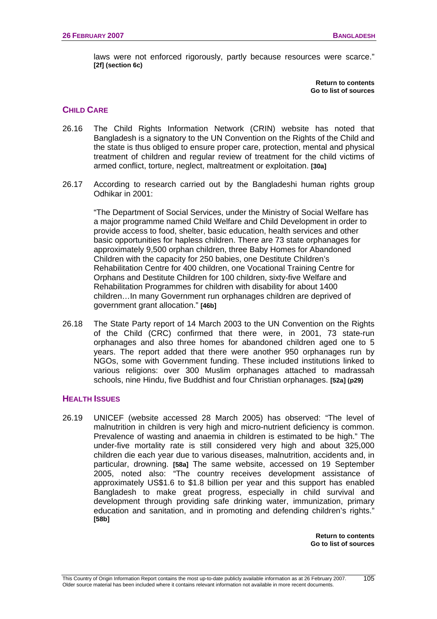laws were not enforced rigorously, partly because resources were scarce." **[2f] (section 6c)**

> **[Return to contents](#page-0-0)  [Go to list of sources](#page-133-0)**

# **CHILD CARE**

- 26.16 The Child Rights Information Network (CRIN) website has noted that Bangladesh is a signatory to the UN Convention on the Rights of the Child and the state is thus obliged to ensure proper care, protection, mental and physical treatment of children and regular review of treatment for the child victims of armed conflict, torture, neglect, maltreatment or exploitation. **[30a]**
- 26.17 According to research carried out by the Bangladeshi human rights group Odhikar in 2001:

"The Department of Social Services, under the Ministry of Social Welfare has a major programme named Child Welfare and Child Development in order to provide access to food, shelter, basic education, health services and other basic opportunities for hapless children. There are 73 state orphanages for approximately 9,500 orphan children, three Baby Homes for Abandoned Children with the capacity for 250 babies, one Destitute Children's Rehabilitation Centre for 400 children, one Vocational Training Centre for Orphans and Destitute Children for 100 children, sixty-five Welfare and Rehabilitation Programmes for children with disability for about 1400 children…In many Government run orphanages children are deprived of government grant allocation." **[46b]**

26.18 The State Party report of 14 March 2003 to the UN Convention on the Rights of the Child (CRC) confirmed that there were, in 2001, 73 state-run orphanages and also three homes for abandoned children aged one to 5 years. The report added that there were another 950 orphanages run by NGOs, some with Government funding. These included institutions linked to various religions: over 300 Muslim orphanages attached to madrassah schools, nine Hindu, five Buddhist and four Christian orphanages. **[52a] (p29)** 

# **HEALTH ISSUES**

26.19 UNICEF (website accessed 28 March 2005) has observed: "The level of malnutrition in children is very high and micro-nutrient deficiency is common. Prevalence of wasting and anaemia in children is estimated to be high." The under-five mortality rate is still considered very high and about 325,000 children die each year due to various diseases, malnutrition, accidents and, in particular, drowning. **[58a]** The same website, accessed on 19 September 2005, noted also: "The country receives development assistance of approximately US\$1.6 to \$1.8 billion per year and this support has enabled Bangladesh to make great progress, especially in child survival and development through providing safe drinking water, immunization, primary education and sanitation, and in promoting and defending children's rights." **[58b]**

> **[Return to contents](#page-0-0)  [Go to list of sources](#page-133-0)**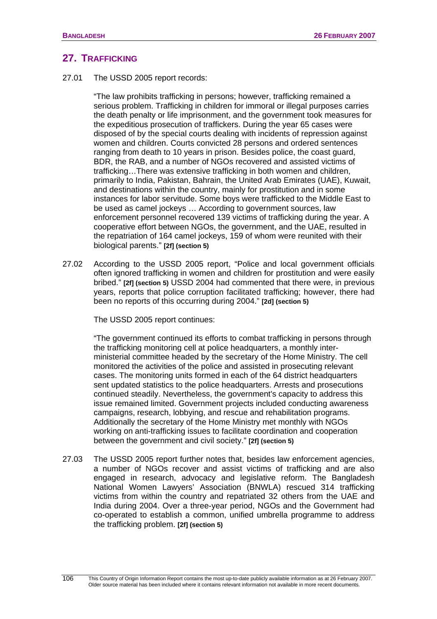# **27. TRAFFICKING**

27.01 The USSD 2005 report records:

"The law prohibits trafficking in persons; however, trafficking remained a serious problem. Trafficking in children for immoral or illegal purposes carries the death penalty or life imprisonment, and the government took measures for the expeditious prosecution of traffickers. During the year 65 cases were disposed of by the special courts dealing with incidents of repression against women and children. Courts convicted 28 persons and ordered sentences ranging from death to 10 years in prison. Besides police, the coast guard, BDR, the RAB, and a number of NGOs recovered and assisted victims of trafficking…There was extensive trafficking in both women and children, primarily to India, Pakistan, Bahrain, the United Arab Emirates (UAE), Kuwait, and destinations within the country, mainly for prostitution and in some instances for labor servitude. Some boys were trafficked to the Middle East to be used as camel jockeys … According to government sources, law enforcement personnel recovered 139 victims of trafficking during the year. A cooperative effort between NGOs, the government, and the UAE, resulted in the repatriation of 164 camel jockeys, 159 of whom were reunited with their biological parents." **[2f] (section 5)**

27.02 According to the USSD 2005 report, "Police and local government officials often ignored trafficking in women and children for prostitution and were easily bribed." **[2f] (section 5)** USSD 2004 had commented that there were, in previous years, reports that police corruption facilitated trafficking; however, there had been no reports of this occurring during 2004." **[2d] (section 5)**

The USSD 2005 report continues:

"The government continued its efforts to combat trafficking in persons through the trafficking monitoring cell at police headquarters, a monthly interministerial committee headed by the secretary of the Home Ministry. The cell monitored the activities of the police and assisted in prosecuting relevant cases. The monitoring units formed in each of the 64 district headquarters sent updated statistics to the police headquarters. Arrests and prosecutions continued steadily. Nevertheless, the government's capacity to address this issue remained limited. Government projects included conducting awareness campaigns, research, lobbying, and rescue and rehabilitation programs. Additionally the secretary of the Home Ministry met monthly with NGOs working on anti-trafficking issues to facilitate coordination and cooperation between the government and civil society." **[2f] (section 5)**

27.03 The USSD 2005 report further notes that, besides law enforcement agencies, a number of NGOs recover and assist victims of trafficking and are also engaged in research, advocacy and legislative reform. The Bangladesh National Women Lawyers' Association (BNWLA) rescued 314 trafficking victims from within the country and repatriated 32 others from the UAE and India during 2004. Over a three-year period, NGOs and the Government had co-operated to establish a common, unified umbrella programme to address the trafficking problem. **[2f] (section 5)**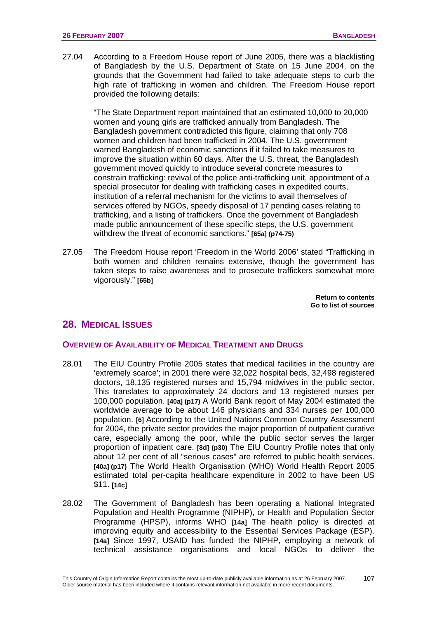27.04 According to a Freedom House report of June 2005, there was a blacklisting of Bangladesh by the U.S. Department of State on 15 June 2004, on the grounds that the Government had failed to take adequate steps to curb the high rate of trafficking in women and children. The Freedom House report provided the following details:

"The State Department report maintained that an estimated 10,000 to 20,000 women and young girls are trafficked annually from Bangladesh. The Bangladesh government contradicted this figure, claiming that only 708 women and children had been trafficked in 2004. The U.S. government warned Bangladesh of economic sanctions if it failed to take measures to improve the situation within 60 days. After the U.S. threat, the Bangladesh government moved quickly to introduce several concrete measures to constrain trafficking: revival of the police anti-trafficking unit, appointment of a special prosecutor for dealing with trafficking cases in expedited courts, institution of a referral mechanism for the victims to avail themselves of services offered by NGOs, speedy disposal of 17 pending cases relating to trafficking, and a listing of traffickers. Once the government of Bangladesh made public announcement of these specific steps, the U.S. government withdrew the threat of economic sanctions." **[65a] (p74-75)** 

27.05 The Freedom House report 'Freedom in the World 2006' stated "Trafficking in both women and children remains extensive, though the government has taken steps to raise awareness and to prosecute traffickers somewhat more vigorously." **[65b]** 

> **[Return to contents](#page-0-0)  [Go to list of sources](#page-133-0)**

# **28. MEDICAL ISSUES**

# **OVERVIEW OF AVAILABILITY OF MEDICAL TREATMENT AND DRUGS**

- 28.01 The EIU Country Profile 2005 states that medical facilities in the country are 'extremely scarce'; in 2001 there were 32,022 hospital beds, 32,498 registered doctors, 18,135 registered nurses and 15,794 midwives in the public sector. This translates to approximately 24 doctors and 13 registered nurses per 100,000 population. **[40a] (p17)** A World Bank report of May 2004 estimated the worldwide average to be about 146 physicians and 334 nurses per 100,000 population. **[6]** According to the United Nations Common Country Assessment for 2004, the private sector provides the major proportion of outpatient curative care, especially among the poor, while the public sector serves the larger proportion of inpatient care. **[8d] (p30)** The EIU Country Profile notes that only about 12 per cent of all "serious cases" are referred to public health services. **[40a] (p17)** The World Health Organisation (WHO) World Health Report 2005 estimated total per-capita healthcare expenditure in 2002 to have been US \$11. **[14c]**
- 28.02 The Government of Bangladesh has been operating a National Integrated Population and Health Programme (NIPHP), or Health and Population Sector Programme (HPSP), informs WHO **[14a]** The health policy is directed at improving equity and accessibility to the Essential Services Package (ESP). **[14a]** Since 1997, USAID has funded the NIPHP, employing a network of technical assistance organisations and local NGOs to deliver the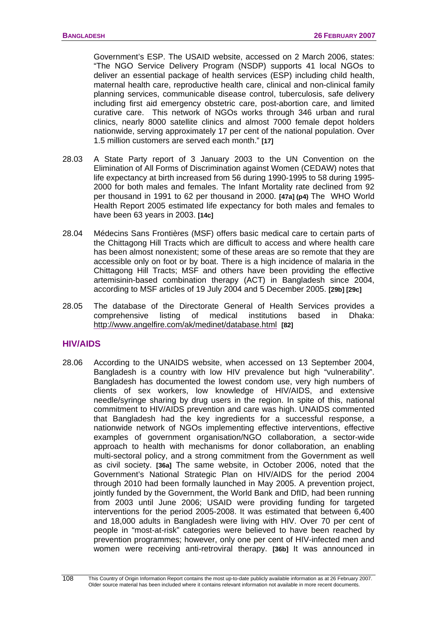Government's ESP. The USAID website, accessed on 2 March 2006, states: "The NGO Service Delivery Program (NSDP) supports 41 local NGOs to deliver an essential package of health services (ESP) including child health, maternal health care, reproductive health care, clinical and non-clinical family planning services, communicable disease control, tuberculosis, safe delivery including first aid emergency obstetric care, post-abortion care, and limited curative care. This network of NGOs works through 346 urban and rural clinics, nearly 8000 satellite clinics and almost 7000 female depot holders nationwide, serving approximately 17 per cent of the national population. Over 1.5 million customers are served each month." **[17]**

- 28.03 A State Party report of 3 January 2003 to the UN Convention on the Elimination of All Forms of Discrimination against Women (CEDAW) notes that life expectancy at birth increased from 56 during 1990-1995 to 58 during 1995- 2000 for both males and females. The Infant Mortality rate declined from 92 per thousand in 1991 to 62 per thousand in 2000. **[47a] (p4)** The WHO World Health Report 2005 estimated life expectancy for both males and females to have been 63 years in 2003. **[14c]**
- 28.04 Médecins Sans Frontières (MSF) offers basic medical care to certain parts of the Chittagong Hill Tracts which are difficult to access and where health care has been almost nonexistent; some of these areas are so remote that they are accessible only on foot or by boat. There is a high incidence of malaria in the Chittagong Hill Tracts; MSF and others have been providing the effective artemisinin-based combination therapy (ACT) in Bangladesh since 2004, according to MSF articles of 19 July 2004 and 5 December 2005. **[29b] [29c]**
- 28.05 The database of the Directorate General of Health Services provides a comprehensive listing of medical institutions based in Dhaka: <http://www.angelfire.com/ak/medinet/database.html> **[82]**

# **HIV/AIDS**

28.06 According to the UNAIDS website, when accessed on 13 September 2004, Bangladesh is a country with low HIV prevalence but high "vulnerability". Bangladesh has documented the lowest condom use, very high numbers of clients of sex workers, low knowledge of HIV/AIDS, and extensive needle/syringe sharing by drug users in the region. In spite of this, national commitment to HIV/AIDS prevention and care was high. UNAIDS commented that Bangladesh had the key ingredients for a successful response, a nationwide network of NGOs implementing effective interventions, effective examples of government organisation/NGO collaboration, a sector-wide approach to health with mechanisms for donor collaboration, an enabling multi-sectoral policy, and a strong commitment from the Government as well as civil society. **[36a]** The same website, in October 2006, noted that the Government's National Strategic Plan on HIV/AIDS for the period 2004 through 2010 had been formally launched in May 2005. A prevention project, jointly funded by the Government, the World Bank and DfID, had been running from 2003 until June 2006; USAID were providing funding for targeted interventions for the period 2005-2008. It was estimated that between 6,400 and 18,000 adults in Bangladesh were living with HIV. Over 70 per cent of people in "most-at-risk" categories were believed to have been reached by prevention programmes; however, only one per cent of HIV-infected men and women were receiving anti-retroviral therapy. **[36b]** It was announced in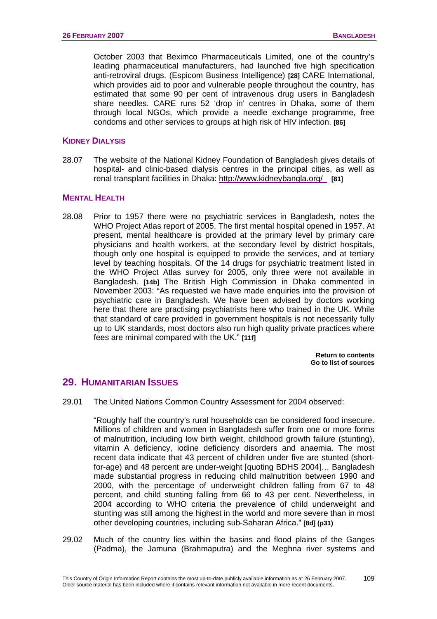October 2003 that Beximco Pharmaceuticals Limited, one of the country's leading pharmaceutical manufacturers, had launched five high specification anti-retroviral drugs. (Espicom Business Intelligence) **[28]** CARE International, which provides aid to poor and vulnerable people throughout the country, has estimated that some 90 per cent of intravenous drug users in Bangladesh share needles. CARE runs 52 'drop in' centres in Dhaka, some of them through local NGOs, which provide a needle exchange programme, free condoms and other services to groups at high risk of HIV infection. **[86]** 

# **KIDNEY DIALYSIS**

28.07 The website of the National Kidney Foundation of Bangladesh gives details of hospital- and clinic-based dialysis centres in the principal cities, as well as renal transplant facilities in Dhaka:<http://www.kidneybangla.org/> **[81]** 

## **MENTAL HEALTH**

28.08 Prior to 1957 there were no psychiatric services in Bangladesh, notes the WHO Project Atlas report of 2005. The first mental hospital opened in 1957. At present, mental healthcare is provided at the primary level by primary care physicians and health workers, at the secondary level by district hospitals, though only one hospital is equipped to provide the services, and at tertiary level by teaching hospitals. Of the 14 drugs for psychiatric treatment listed in the WHO Project Atlas survey for 2005, only three were not available in Bangladesh. **[14b]** The British High Commission in Dhaka commented in November 2003: "As requested we have made enquiries into the provision of psychiatric care in Bangladesh. We have been advised by doctors working here that there are practising psychiatrists here who trained in the UK. While that standard of care provided in government hospitals is not necessarily fully up to UK standards, most doctors also run high quality private practices where fees are minimal compared with the UK." **[11f]**

> **[Return to contents](#page-0-0)  [Go to list of sources](#page-133-0)**

# **29. HUMANITARIAN ISSUES**

29.01 The United Nations Common Country Assessment for 2004 observed:

 "Roughly half the country's rural households can be considered food insecure. Millions of children and women in Bangladesh suffer from one or more forms of malnutrition, including low birth weight, childhood growth failure (stunting), vitamin A deficiency, iodine deficiency disorders and anaemia. The most recent data indicate that 43 percent of children under five are stunted (shortfor-age) and 48 percent are under-weight [quoting BDHS 2004]… Bangladesh made substantial progress in reducing child malnutrition between 1990 and 2000, with the percentage of underweight children falling from 67 to 48 percent, and child stunting falling from 66 to 43 per cent. Nevertheless, in 2004 according to WHO criteria the prevalence of child underweight and stunting was still among the highest in the world and more severe than in most other developing countries, including sub-Saharan Africa." **[8d] (p31)** 

29.02 Much of the country lies within the basins and flood plains of the Ganges (Padma), the Jamuna (Brahmaputra) and the Meghna river systems and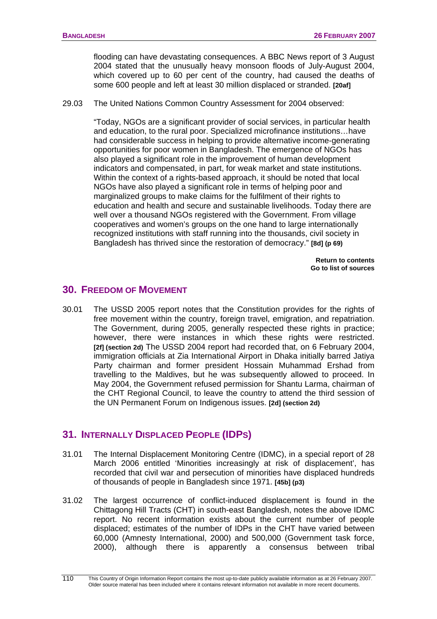flooding can have devastating consequences. A BBC News report of 3 August 2004 stated that the unusually heavy monsoon floods of July-August 2004, which covered up to 60 per cent of the country, had caused the deaths of some 600 people and left at least 30 million displaced or stranded. **[20af]**

29.03 The United Nations Common Country Assessment for 2004 observed:

"Today, NGOs are a significant provider of social services, in particular health and education, to the rural poor. Specialized microfinance institutions…have had considerable success in helping to provide alternative income-generating opportunities for poor women in Bangladesh. The emergence of NGOs has also played a significant role in the improvement of human development indicators and compensated, in part, for weak market and state institutions. Within the context of a rights-based approach, it should be noted that local NGOs have also played a significant role in terms of helping poor and marginalized groups to make claims for the fulfilment of their rights to education and health and secure and sustainable livelihoods. Today there are well over a thousand NGOs registered with the Government. From village cooperatives and women's groups on the one hand to large internationally recognized institutions with staff running into the thousands, civil society in Bangladesh has thrived since the restoration of democracy." **[8d] (p 69)** 

> **[Return to contents](#page-0-0)  [Go to list of sources](#page-133-0)**

# **30. FREEDOM OF MOVEMENT**

30.01 The USSD 2005 report notes that the Constitution provides for the rights of free movement within the country, foreign travel, emigration, and repatriation. The Government, during 2005, generally respected these rights in practice; however, there were instances in which these rights were restricted. **[2f] (section 2d)** The USSD 2004 report had recorded that, on 6 February 2004, immigration officials at Zia International Airport in Dhaka initially barred Jatiya Party chairman and former president Hossain Muhammad Ershad from travelling to the Maldives, but he was subsequently allowed to proceed. In May 2004, the Government refused permission for Shantu Larma, chairman of the CHT Regional Council, to leave the country to attend the third session of the UN Permanent Forum on Indigenous issues. **[2d] (section 2d)**

# **31. INTERNALLY DISPLACED PEOPLE (IDPS)**

- 31.01 The Internal Displacement Monitoring Centre (IDMC), in a special report of 28 March 2006 entitled 'Minorities increasingly at risk of displacement', has recorded that civil war and persecution of minorities have displaced hundreds of thousands of people in Bangladesh since 1971. **[45b] (p3)**
- 31.02 The largest occurrence of conflict-induced displacement is found in the Chittagong Hill Tracts (CHT) in south-east Bangladesh, notes the above IDMC report. No recent information exists about the current number of people displaced; estimates of the number of IDPs in the CHT have varied between 60,000 (Amnesty International, 2000) and 500,000 (Government task force, 2000), although there is apparently a consensus between tribal

This Country of Origin Information Report contains the most up-to-date publicly available information as at 26 February 2007. Older source material has been included where it contains relevant information not available in more recent documents. 110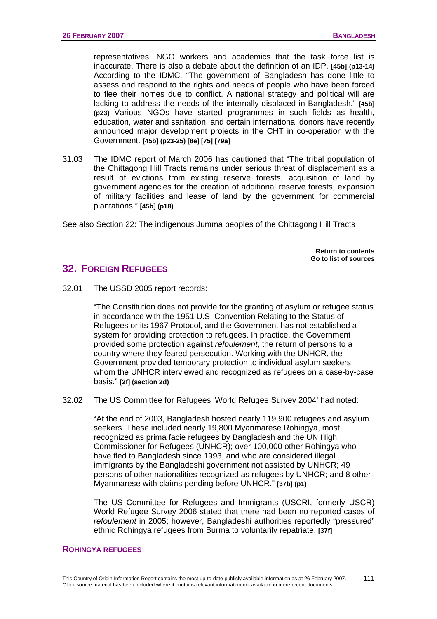representatives, NGO workers and academics that the task force list is inaccurate. There is also a debate about the definition of an IDP. **[45b] (p13-14)**  According to the IDMC, "The government of Bangladesh has done little to assess and respond to the rights and needs of people who have been forced to flee their homes due to conflict. A national strategy and political will are lacking to address the needs of the internally displaced in Bangladesh." **[45b] (p23)** Various NGOs have started programmes in such fields as health, education, water and sanitation, and certain international donors have recently announced major development projects in the CHT in co-operation with the Government. **[45b] (p23-25) [8e] [75] [79a]**

31.03 The IDMC report of March 2006 has cautioned that "The tribal population of the Chittagong Hill Tracts remains under serious threat of displacement as a result of evictions from existing reserve forests, acquisition of land by government agencies for the creation of additional reserve forests, expansion of military facilities and lease of land by the government for commercial plantations." **[45b] (p18)**

See also Section 22: [The indigenous Jumma peoples of the Chittagong Hill Tracts](#page-86-0) 

**[Return to contents](#page-0-0)  [Go to list of sources](#page-133-0)** 

# **32. FOREIGN REFUGEES**

32.01 The USSD 2005 report records:

"The Constitution does not provide for the granting of asylum or refugee status in accordance with the 1951 U.S. Convention Relating to the Status of Refugees or its 1967 Protocol, and the Government has not established a system for providing protection to refugees. In practice, the Government provided some protection against *refoulement*, the return of persons to a country where they feared persecution. Working with the UNHCR, the Government provided temporary protection to individual asylum seekers whom the UNHCR interviewed and recognized as refugees on a case-by-case basis." **[2f] (section 2d)** 

32.02 The US Committee for Refugees 'World Refugee Survey 2004' had noted:

"At the end of 2003, Bangladesh hosted nearly 119,900 refugees and asylum seekers. These included nearly 19,800 Myanmarese Rohingya, most recognized as prima facie refugees by Bangladesh and the UN High Commissioner for Refugees (UNHCR); over 100,000 other Rohingya who have fled to Bangladesh since 1993, and who are considered illegal immigrants by the Bangladeshi government not assisted by UNHCR; 49 persons of other nationalities recognized as refugees by UNHCR; and 8 other Myanmarese with claims pending before UNHCR." **[37b] (p1)**

The US Committee for Refugees and Immigrants (USCRI, formerly USCR) World Refugee Survey 2006 stated that there had been no reported cases of *refoulement* in 2005; however, Bangladeshi authorities reportedly "pressured" ethnic Rohingya refugees from Burma to voluntarily repatriate. **[37f]**

#### **ROHINGYA REFUGEES**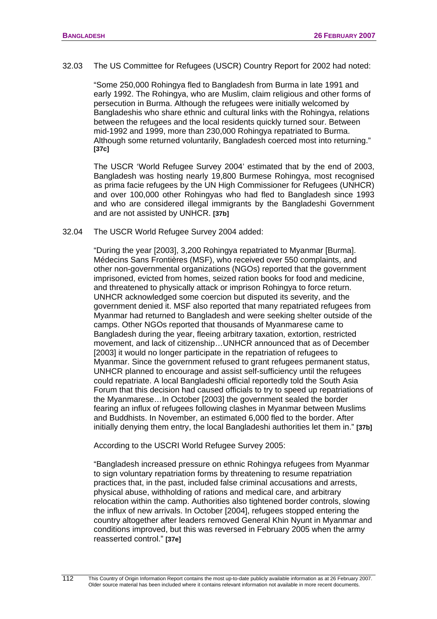32.03 The US Committee for Refugees (USCR) Country Report for 2002 had noted:

"Some 250,000 Rohingya fled to Bangladesh from Burma in late 1991 and early 1992. The Rohingya, who are Muslim, claim religious and other forms of persecution in Burma. Although the refugees were initially welcomed by Bangladeshis who share ethnic and cultural links with the Rohingya, relations between the refugees and the local residents quickly turned sour. Between mid-1992 and 1999, more than 230,000 Rohingya repatriated to Burma. Although some returned voluntarily, Bangladesh coerced most into returning." **[37c]**

The USCR 'World Refugee Survey 2004' estimated that by the end of 2003, Bangladesh was hosting nearly 19,800 Burmese Rohingya, most recognised as prima facie refugees by the UN High Commissioner for Refugees (UNHCR) and over 100,000 other Rohingyas who had fled to Bangladesh since 1993 and who are considered illegal immigrants by the Bangladeshi Government and are not assisted by UNHCR. **[37b]**

#### 32.04 The USCR World Refugee Survey 2004 added:

"During the year [2003], 3,200 Rohingya repatriated to Myanmar [Burma]. Médecins Sans Frontières (MSF), who received over 550 complaints, and other non-governmental organizations (NGOs) reported that the government imprisoned, evicted from homes, seized ration books for food and medicine, and threatened to physically attack or imprison Rohingya to force return. UNHCR acknowledged some coercion but disputed its severity, and the government denied it. MSF also reported that many repatriated refugees from Myanmar had returned to Bangladesh and were seeking shelter outside of the camps. Other NGOs reported that thousands of Myanmarese came to Bangladesh during the year, fleeing arbitrary taxation, extortion, restricted movement, and lack of citizenship…UNHCR announced that as of December [2003] it would no longer participate in the repatriation of refugees to Myanmar. Since the government refused to grant refugees permanent status, UNHCR planned to encourage and assist self-sufficiency until the refugees could repatriate. A local Bangladeshi official reportedly told the South Asia Forum that this decision had caused officials to try to speed up repatriations of the Myanmarese…In October [2003] the government sealed the border fearing an influx of refugees following clashes in Myanmar between Muslims and Buddhists. In November, an estimated 6,000 fled to the border. After initially denying them entry, the local Bangladeshi authorities let them in." **[37b]**

According to the USCRI World Refugee Survey 2005:

"Bangladesh increased pressure on ethnic Rohingya refugees from Myanmar to sign voluntary repatriation forms by threatening to resume repatriation practices that, in the past, included false criminal accusations and arrests, physical abuse, withholding of rations and medical care, and arbitrary relocation within the camp. Authorities also tightened border controls, slowing the influx of new arrivals. In October [2004], refugees stopped entering the country altogether after leaders removed General Khin Nyunt in Myanmar and conditions improved, but this was reversed in February 2005 when the army reasserted control." **[37e]**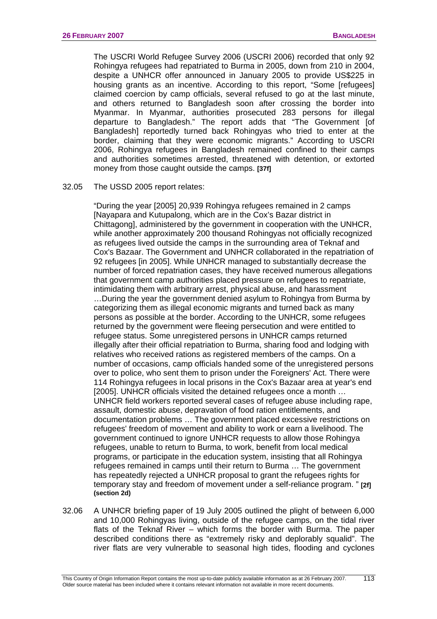The USCRI World Refugee Survey 2006 (USCRI 2006) recorded that only 92 Rohingya refugees had repatriated to Burma in 2005, down from 210 in 2004, despite a UNHCR offer announced in January 2005 to provide US\$225 in housing grants as an incentive. According to this report, "Some [refugees] claimed coercion by camp officials, several refused to go at the last minute, and others returned to Bangladesh soon after crossing the border into Myanmar. In Myanmar, authorities prosecuted 283 persons for illegal departure to Bangladesh." The report adds that "The Government [of Bangladesh] reportedly turned back Rohingyas who tried to enter at the border, claiming that they were economic migrants." According to USCRI 2006, Rohingya refugees in Bangladesh remained confined to their camps and authorities sometimes arrested, threatened with detention, or extorted money from those caught outside the camps. **[37f]**

#### 32.05 The USSD 2005 report relates:

"During the year [2005] 20,939 Rohingya refugees remained in 2 camps [Nayapara and Kutupalong, which are in the Cox's Bazar district in Chittagong], administered by the government in cooperation with the UNHCR, while another approximately 200 thousand Rohingyas not officially recognized as refugees lived outside the camps in the surrounding area of Teknaf and Cox's Bazaar. The Government and UNHCR collaborated in the repatriation of 92 refugees [in 2005]. While UNHCR managed to substantially decrease the number of forced repatriation cases, they have received numerous allegations that government camp authorities placed pressure on refugees to repatriate, intimidating them with arbitrary arrest, physical abuse, and harassment …During the year the government denied asylum to Rohingya from Burma by categorizing them as illegal economic migrants and turned back as many persons as possible at the border. According to the UNHCR, some refugees returned by the government were fleeing persecution and were entitled to refugee status. Some unregistered persons in UNHCR camps returned illegally after their official repatriation to Burma, sharing food and lodging with relatives who received rations as registered members of the camps. On a number of occasions, camp officials handed some of the unregistered persons over to police, who sent them to prison under the Foreigners' Act. There were 114 Rohingya refugees in local prisons in the Cox's Bazaar area at year's end [2005]. UNHCR officials visited the detained refugees once a month ... UNHCR field workers reported several cases of refugee abuse including rape, assault, domestic abuse, depravation of food ration entitlements, and documentation problems … The government placed excessive restrictions on refugees' freedom of movement and ability to work or earn a livelihood. The government continued to ignore UNHCR requests to allow those Rohingya refugees, unable to return to Burma, to work, benefit from local medical programs, or participate in the education system, insisting that all Rohingya refugees remained in camps until their return to Burma … The government has repeatedly rejected a UNHCR proposal to grant the refugees rights for temporary stay and freedom of movement under a self-reliance program. " **[2f] (section 2d)**

32.06 A UNHCR briefing paper of 19 July 2005 outlined the plight of between 6,000 and 10,000 Rohingyas living, outside of the refugee camps, on the tidal river flats of the Teknaf River – which forms the border with Burma. The paper described conditions there as "extremely risky and deplorably squalid". The river flats are very vulnerable to seasonal high tides, flooding and cyclones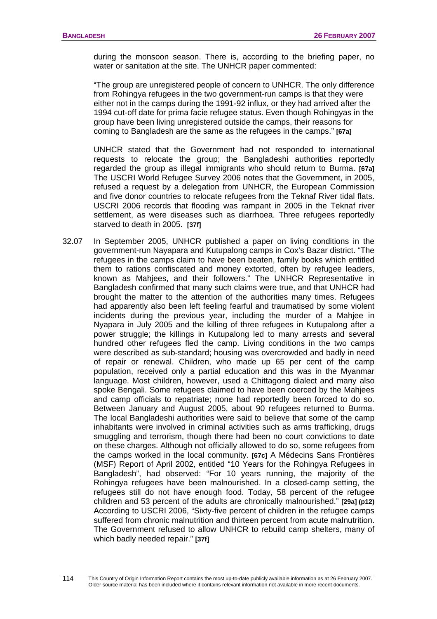during the monsoon season. There is, according to the briefing paper, no water or sanitation at the site. The UNHCR paper commented:

"The group are unregistered people of concern to UNHCR. The only difference from Rohingya refugees in the two government-run camps is that they were either not in the camps during the 1991-92 influx, or they had arrived after the 1994 cut-off date for prima facie refugee status. Even though Rohingyas in the group have been living unregistered outside the camps, their reasons for coming to Bangladesh are the same as the refugees in the camps." **[67a]** 

UNHCR stated that the Government had not responded to international requests to relocate the group; the Bangladeshi authorities reportedly regarded the group as illegal immigrants who should return to Burma. **[67a]**  The USCRI World Refugee Survey 2006 notes that the Government, in 2005, refused a request by a delegation from UNHCR, the European Commission and five donor countries to relocate refugees from the Teknaf River tidal flats. USCRI 2006 records that flooding was rampant in 2005 in the Teknaf river settlement, as were diseases such as diarrhoea. Three refugees reportedly starved to death in 2005. **[37f]** 

32.07 In September 2005, UNHCR published a paper on living conditions in the government-run Nayapara and Kutupalong camps in Cox's Bazar district. "The refugees in the camps claim to have been beaten, family books which entitled them to rations confiscated and money extorted, often by refugee leaders, known as Mahjees, and their followers." The UNHCR Representative in Bangladesh confirmed that many such claims were true, and that UNHCR had brought the matter to the attention of the authorities many times. Refugees had apparently also been left feeling fearful and traumatised by some violent incidents during the previous year, including the murder of a Mahjee in Nyapara in July 2005 and the killing of three refugees in Kutupalong after a power struggle; the killings in Kutupalong led to many arrests and several hundred other refugees fled the camp. Living conditions in the two camps were described as sub-standard; housing was overcrowded and badly in need of repair or renewal. Children, who made up 65 per cent of the camp population, received only a partial education and this was in the Myanmar language. Most children, however, used a Chittagong dialect and many also spoke Bengali. Some refugees claimed to have been coerced by the Mahjees and camp officials to repatriate; none had reportedly been forced to do so. Between January and August 2005, about 90 refugees returned to Burma. The local Bangladeshi authorities were said to believe that some of the camp inhabitants were involved in criminal activities such as arms trafficking, drugs smuggling and terrorism, though there had been no court convictions to date on these charges. Although not officially allowed to do so, some refugees from the camps worked in the local community. **[67c]** A Médecins Sans Frontières (MSF) Report of April 2002, entitled "10 Years for the Rohingya Refugees in Bangladesh", had observed: "For 10 years running, the majority of the Rohingya refugees have been malnourished. In a closed-camp setting, the refugees still do not have enough food. Today, 58 percent of the refugee children and 53 percent of the adults are chronically malnourished." **[29a] (p12)** According to USCRI 2006, "Sixty-five percent of children in the refugee camps suffered from chronic malnutrition and thirteen percent from acute malnutrition. The Government refused to allow UNHCR to rebuild camp shelters, many of which badly needed repair." **[37f]**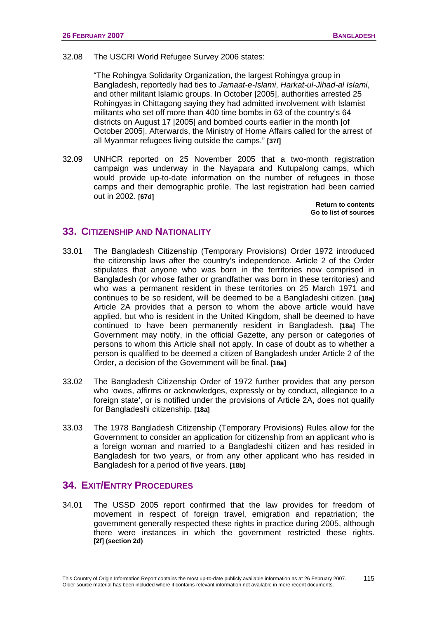#### 32.08 The USCRI World Refugee Survey 2006 states:

"The Rohingya Solidarity Organization, the largest Rohingya group in Bangladesh, reportedly had ties to *Jamaat-e-Islami*, *Harkat-ul-Jihad-al Islami*, and other militant Islamic groups. In October [2005], authorities arrested 25 Rohingyas in Chittagong saying they had admitted involvement with Islamist militants who set off more than 400 time bombs in 63 of the country's 64 districts on August 17 [2005] and bombed courts earlier in the month [of October 2005]. Afterwards, the Ministry of Home Affairs called for the arrest of all Myanmar refugees living outside the camps." **[37f]**

32.09 UNHCR reported on 25 November 2005 that a two-month registration campaign was underway in the Nayapara and Kutupalong camps, which would provide up-to-date information on the number of refugees in those camps and their demographic profile. The last registration had been carried out in 2002. **[67d]**

> **[Return to contents](#page-0-0)  [Go to list of sources](#page-133-0)**

# **33. CITIZENSHIP AND NATIONALITY**

- 33.01 The Bangladesh Citizenship (Temporary Provisions) Order 1972 introduced the citizenship laws after the country's independence. Article 2 of the Order stipulates that anyone who was born in the territories now comprised in Bangladesh (or whose father or grandfather was born in these territories) and who was a permanent resident in these territories on 25 March 1971 and continues to be so resident, will be deemed to be a Bangladeshi citizen. **[18a]** Article 2A provides that a person to whom the above article would have applied, but who is resident in the United Kingdom, shall be deemed to have continued to have been permanently resident in Bangladesh. **[18a]** The Government may notify, in the official Gazette, any person or categories of persons to whom this Article shall not apply. In case of doubt as to whether a person is qualified to be deemed a citizen of Bangladesh under Article 2 of the Order, a decision of the Government will be final. **[18a]**
- 33.02 The Bangladesh Citizenship Order of 1972 further provides that any person who 'owes, affirms or acknowledges, expressly or by conduct, allegiance to a foreign state', or is notified under the provisions of Article 2A, does not qualify for Bangladeshi citizenship. **[18a]**
- 33.03 The 1978 Bangladesh Citizenship (Temporary Provisions) Rules allow for the Government to consider an application for citizenship from an applicant who is a foreign woman and married to a Bangladeshi citizen and has resided in Bangladesh for two years, or from any other applicant who has resided in Bangladesh for a period of five years. **[18b]**

# **34. EXIT/ENTRY PROCEDURES**

34.01 The USSD 2005 report confirmed that the law provides for freedom of movement in respect of foreign travel, emigration and repatriation; the government generally respected these rights in practice during 2005, although there were instances in which the government restricted these rights. **[2f] (section 2d)**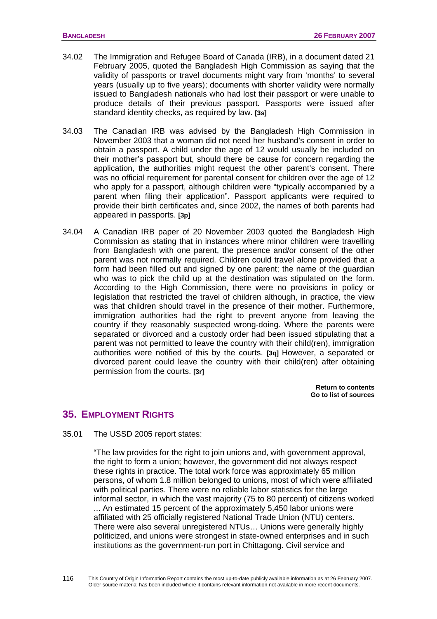- 34.02 The Immigration and Refugee Board of Canada (IRB), in a document dated 21 February 2005, quoted the Bangladesh High Commission as saying that the validity of passports or travel documents might vary from 'months' to several years (usually up to five years); documents with shorter validity were normally issued to Bangladesh nationals who had lost their passport or were unable to produce details of their previous passport. Passports were issued after standard identity checks, as required by law. **[3s]**
- 34.03 The Canadian IRB was advised by the Bangladesh High Commission in November 2003 that a woman did not need her husband's consent in order to obtain a passport. A child under the age of 12 would usually be included on their mother's passport but, should there be cause for concern regarding the application, the authorities might request the other parent's consent. There was no official requirement for parental consent for children over the age of 12 who apply for a passport, although children were "typically accompanied by a parent when filing their application". Passport applicants were required to provide their birth certificates and, since 2002, the names of both parents had appeared in passports. **[3p]**
- 34.04 A Canadian IRB paper of 20 November 2003 quoted the Bangladesh High Commission as stating that in instances where minor children were travelling from Bangladesh with one parent, the presence and/or consent of the other parent was not normally required. Children could travel alone provided that a form had been filled out and signed by one parent; the name of the guardian who was to pick the child up at the destination was stipulated on the form. According to the High Commission, there were no provisions in policy or legislation that restricted the travel of children although, in practice, the view was that children should travel in the presence of their mother. Furthermore, immigration authorities had the right to prevent anyone from leaving the country if they reasonably suspected wrong-doing. Where the parents were separated or divorced and a custody order had been issued stipulating that a parent was not permitted to leave the country with their child(ren), immigration authorities were notified of this by the courts. **[3q]** However, a separated or divorced parent could leave the country with their child(ren) after obtaining permission from the courts. **[3r]**

**[Return to contents](#page-0-0)  [Go to list of sources](#page-133-0)** 

# **35. EMPLOYMENT RIGHTS**

35.01 The USSD 2005 report states:

"The law provides for the right to join unions and, with government approval, the right to form a union; however, the government did not always respect these rights in practice. The total work force was approximately 65 million persons, of whom 1.8 million belonged to unions, most of which were affiliated with political parties. There were no reliable labor statistics for the large informal sector, in which the vast majority (75 to 80 percent) of citizens worked ... An estimated 15 percent of the approximately 5,450 labor unions were affiliated with 25 officially registered National Trade Union (NTU) centers. There were also several unregistered NTUs… Unions were generally highly politicized, and unions were strongest in state-owned enterprises and in such institutions as the government-run port in Chittagong. Civil service and

116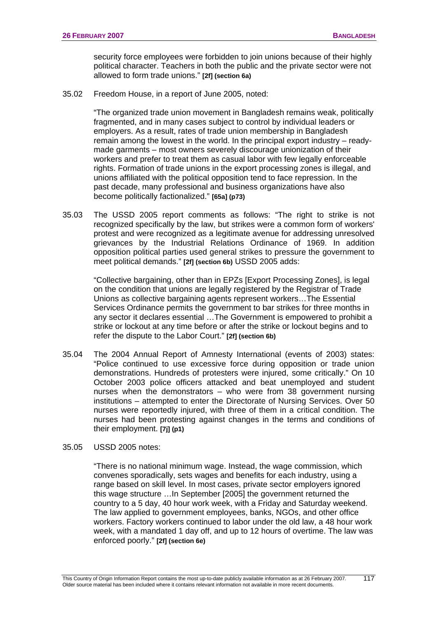security force employees were forbidden to join unions because of their highly political character. Teachers in both the public and the private sector were not allowed to form trade unions." **[2f] (section 6a)**

35.02 Freedom House, in a report of June 2005, noted:

"The organized trade union movement in Bangladesh remains weak, politically fragmented, and in many cases subject to control by individual leaders or employers. As a result, rates of trade union membership in Bangladesh remain among the lowest in the world. In the principal export industry – readymade garments – most owners severely discourage unionization of their workers and prefer to treat them as casual labor with few legally enforceable rights. Formation of trade unions in the export processing zones is illegal, and unions affiliated with the political opposition tend to face repression. In the past decade, many professional and business organizations have also become politically factionalized." **[65a] (p73)**

35.03 The USSD 2005 report comments as follows: "The right to strike is not recognized specifically by the law, but strikes were a common form of workers' protest and were recognized as a legitimate avenue for addressing unresolved grievances by the Industrial Relations Ordinance of 1969. In addition opposition political parties used general strikes to pressure the government to meet political demands." **[2f] (section 6b)** USSD 2005 adds:

"Collective bargaining, other than in EPZs [Export Processing Zones], is legal on the condition that unions are legally registered by the Registrar of Trade Unions as collective bargaining agents represent workers…The Essential Services Ordinance permits the government to bar strikes for three months in any sector it declares essential …The Government is empowered to prohibit a strike or lockout at any time before or after the strike or lockout begins and to refer the dispute to the Labor Court." **[2f] (section 6b)**

- 35.04 The 2004 Annual Report of Amnesty International (events of 2003) states: "Police continued to use excessive force during opposition or trade union demonstrations. Hundreds of protesters were injured, some critically." On 10 October 2003 police officers attacked and beat unemployed and student nurses when the demonstrators – who were from 38 government nursing institutions – attempted to enter the Directorate of Nursing Services. Over 50 nurses were reportedly injured, with three of them in a critical condition. The nurses had been protesting against changes in the terms and conditions of their employment. **[7j] (p1)**
- 35.05 USSD 2005 notes:

"There is no national minimum wage. Instead, the wage commission, which convenes sporadically, sets wages and benefits for each industry, using a range based on skill level. In most cases, private sector employers ignored this wage structure …In September [2005] the government returned the country to a 5 day, 40 hour work week, with a Friday and Saturday weekend. The law applied to government employees, banks, NGOs, and other office workers. Factory workers continued to labor under the old law, a 48 hour work week, with a mandated 1 day off, and up to 12 hours of overtime. The law was enforced poorly." **[2f] (section 6e)**

117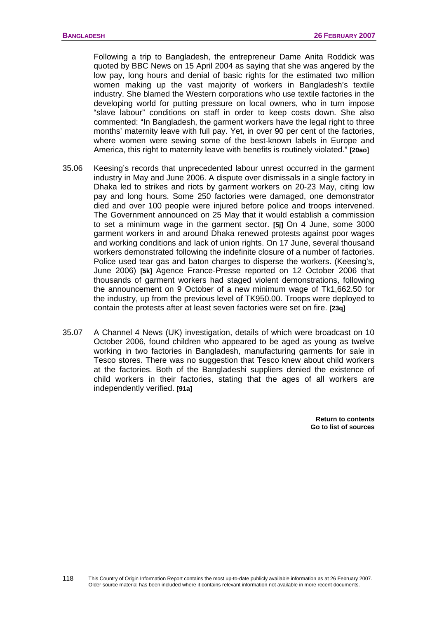Following a trip to Bangladesh, the entrepreneur Dame Anita Roddick was quoted by BBC News on 15 April 2004 as saying that she was angered by the low pay, long hours and denial of basic rights for the estimated two million women making up the vast majority of workers in Bangladesh's textile industry. She blamed the Western corporations who use textile factories in the developing world for putting pressure on local owners, who in turn impose "slave labour" conditions on staff in order to keep costs down. She also commented: "In Bangladesh, the garment workers have the legal right to three months' maternity leave with full pay. Yet, in over 90 per cent of the factories, where women were sewing some of the best-known labels in Europe and America, this right to maternity leave with benefits is routinely violated." **[20ao]** 

- 35.06 Keesing's records that unprecedented labour unrest occurred in the garment industry in May and June 2006. A dispute over dismissals in a single factory in Dhaka led to strikes and riots by garment workers on 20-23 May, citing low pay and long hours. Some 250 factories were damaged, one demonstrator died and over 100 people were injured before police and troops intervened. The Government announced on 25 May that it would establish a commission to set a minimum wage in the garment sector. **[5j]** On 4 June, some 3000 garment workers in and around Dhaka renewed protests against poor wages and working conditions and lack of union rights. On 17 June, several thousand workers demonstrated following the indefinite closure of a number of factories. Police used tear gas and baton charges to disperse the workers. (Keesing's, June 2006) **[5k]** Agence France-Presse reported on 12 October 2006 that thousands of garment workers had staged violent demonstrations, following the announcement on 9 October of a new minimum wage of Tk1,662.50 for the industry, up from the previous level of TK950.00. Troops were deployed to contain the protests after at least seven factories were set on fire. **[23q]**
- 35.07 A Channel 4 News (UK) investigation, details of which were broadcast on 10 October 2006, found children who appeared to be aged as young as twelve working in two factories in Bangladesh, manufacturing garments for sale in Tesco stores. There was no suggestion that Tesco knew about child workers at the factories. Both of the Bangladeshi suppliers denied the existence of child workers in their factories, stating that the ages of all workers are independently verified. **[91a]**

**[Return to contents](#page-0-0)  [Go to list of sources](#page-133-0)**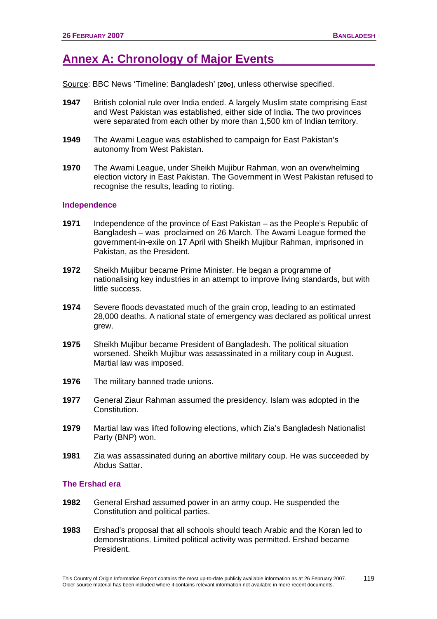# **Annex A: Chronology of Major Events**

Source: BBC News 'Timeline: Bangladesh' **[20o]**, unless otherwise specified.

- **1947** British colonial rule over India ended. A largely Muslim state comprising East and West Pakistan was established, either side of India. The two provinces were separated from each other by more than 1,500 km of Indian territory.
- **1949** The Awami League was established to campaign for East Pakistan's autonomy from West Pakistan.
- **1970** The Awami League, under Sheikh Mujibur Rahman, won an overwhelming election victory in East Pakistan. The Government in West Pakistan refused to recognise the results, leading to rioting.

#### **Independence**

- **1971** Independence of the province of East Pakistan as the People's Republic of Bangladesh – was proclaimed on 26 March. The Awami League formed the government-in-exile on 17 April with Sheikh Mujibur Rahman, imprisoned in Pakistan, as the President.
- **1972** Sheikh Mujibur became Prime Minister. He began a programme of nationalising key industries in an attempt to improve living standards, but with little success.
- **1974** Severe floods devastated much of the grain crop, leading to an estimated 28,000 deaths. A national state of emergency was declared as political unrest grew.
- **1975** Sheikh Mujibur became President of Bangladesh. The political situation worsened. Sheikh Mujibur was assassinated in a military coup in August. Martial law was imposed.
- **1976** The military banned trade unions.
- **1977** General Ziaur Rahman assumed the presidency. Islam was adopted in the Constitution.
- **1979** Martial law was lifted following elections, which Zia's Bangladesh Nationalist Party (BNP) won.
- **1981** Zia was assassinated during an abortive military coup. He was succeeded by Abdus Sattar.

#### **The Ershad era**

- **1982** General Ershad assumed power in an army coup. He suspended the Constitution and political parties.
- **1983** Ershad's proposal that all schools should teach Arabic and the Koran led to demonstrations. Limited political activity was permitted. Ershad became President.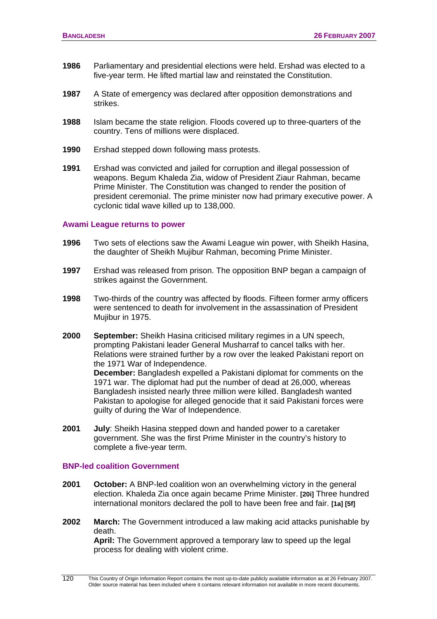- **1986** Parliamentary and presidential elections were held. Ershad was elected to a five-year term. He lifted martial law and reinstated the Constitution.
- **1987** A State of emergency was declared after opposition demonstrations and strikes.
- **1988** Islam became the state religion. Floods covered up to three-quarters of the country. Tens of millions were displaced.
- **1990** Ershad stepped down following mass protests.
- **1991** Ershad was convicted and jailed for corruption and illegal possession of weapons. Begum Khaleda Zia, widow of President Ziaur Rahman, became Prime Minister. The Constitution was changed to render the position of president ceremonial. The prime minister now had primary executive power. A cyclonic tidal wave killed up to 138,000.

#### **Awami League returns to power**

- **1996** Two sets of elections saw the Awami League win power, with Sheikh Hasina, the daughter of Sheikh Mujibur Rahman, becoming Prime Minister.
- **1997** Ershad was released from prison. The opposition BNP began a campaign of strikes against the Government.
- **1998** Two-thirds of the country was affected by floods. Fifteen former army officers were sentenced to death for involvement in the assassination of President Mujibur in 1975.
- **2000 September:** Sheikh Hasina criticised military regimes in a UN speech, prompting Pakistani leader General Musharraf to cancel talks with her. Relations were strained further by a row over the leaked Pakistani report on the 1971 War of Independence.

**December:** Bangladesh expelled a Pakistani diplomat for comments on the 1971 war. The diplomat had put the number of dead at 26,000, whereas Bangladesh insisted nearly three million were killed. Bangladesh wanted Pakistan to apologise for alleged genocide that it said Pakistani forces were guilty of during the War of Independence.

**2001 July**: Sheikh Hasina stepped down and handed power to a caretaker government. She was the first Prime Minister in the country's history to complete a five-year term.

#### **BNP-led coalition Government**

- **2001 October:** A BNP-led coalition won an overwhelming victory in the general election. Khaleda Zia once again became Prime Minister. **[20i]** Three hundred international monitors declared the poll to have been free and fair. **[1a] [5f]**
- **2002 March:** The Government introduced a law making acid attacks punishable by death. **April:** The Government approved a temporary law to speed up the legal

process for dealing with violent crime.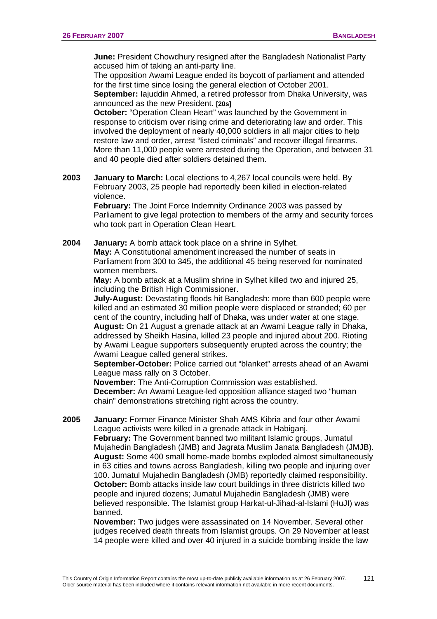121

**June:** President Chowdhury resigned after the Bangladesh Nationalist Party accused him of taking an anti-party line.

 The opposition Awami League ended its boycott of parliament and attended for the first time since losing the general election of October 2001.

**September:** Iajuddin Ahmed, a retired professor from Dhaka University, was announced as the new President. **[20s]**

**October:** "Operation Clean Heart" was launched by the Government in response to criticism over rising crime and deteriorating law and order. This involved the deployment of nearly 40,000 soldiers in all major cities to help restore law and order, arrest "listed criminals" and recover illegal firearms. More than 11,000 people were arrested during the Operation, and between 31 and 40 people died after soldiers detained them.

**2003 January to March:** Local elections to 4,267 local councils were held. By February 2003, 25 people had reportedly been killed in election-related violence.

> **February:** The Joint Force Indemnity Ordinance 2003 was passed by Parliament to give legal protection to members of the army and security forces who took part in Operation Clean Heart.

**2004 January:** A bomb attack took place on a shrine in Sylhet. **May:** A Constitutional amendment increased the number of seats in Parliament from 300 to 345, the additional 45 being reserved for nominated women members.

**May:** A bomb attack at a Muslim shrine in Sylhet killed two and injured 25, including the British High Commissioner.

**July-August:** Devastating floods hit Bangladesh: more than 600 people were killed and an estimated 30 million people were displaced or stranded; 60 per cent of the country, including half of Dhaka, was under water at one stage. **August:** On 21 August a grenade attack at an Awami League rally in Dhaka, addressed by Sheikh Hasina, killed 23 people and injured about 200. Rioting by Awami League supporters subsequently erupted across the country; the Awami League called general strikes.

**September-October:** Police carried out "blanket" arrests ahead of an Awami League mass rally on 3 October.

**November:** The Anti-Corruption Commission was established. **December:** An Awami League-led opposition alliance staged two "human chain" demonstrations stretching right across the country.

**2005 January:** Former Finance Minister Shah AMS Kibria and four other Awami League activists were killed in a grenade attack in Habiganj.

**February:** The Government banned two militant Islamic groups, Jumatul Mujahedin Bangladesh (JMB) and Jagrata Muslim Janata Bangladesh (JMJB). **August:** Some 400 small home-made bombs exploded almost simultaneously in 63 cities and towns across Bangladesh, killing two people and injuring over 100. Jumatul Mujahedin Bangladesh (JMB) reportedly claimed responsibility.  **October:** Bomb attacks inside law court buildings in three districts killed two people and injured dozens; Jumatul Mujahedin Bangladesh (JMB) were believed responsible. The Islamist group Harkat-ul-Jihad-al-Islami (HuJI) was banned.

 **November:** Two judges were assassinated on 14 November. Several other judges received death threats from Islamist groups. On 29 November at least 14 people were killed and over 40 injured in a suicide bombing inside the law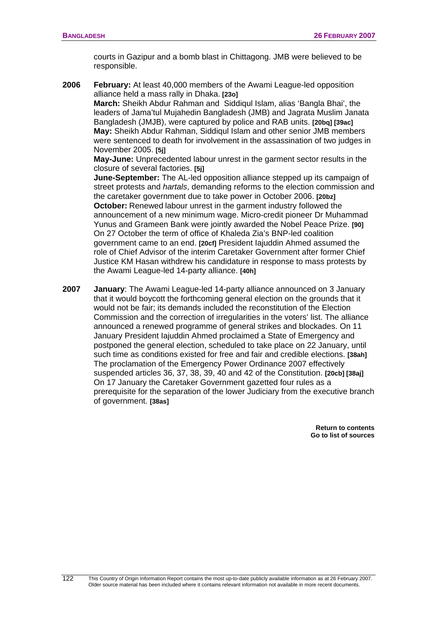courts in Gazipur and a bomb blast in Chittagong. JMB were believed to be responsible.

**2006 February:** At least 40,000 members of the Awami League-led opposition alliance held a mass rally in Dhaka. **[23o] March:** Sheikh Abdur Rahman and Siddiqul Islam, alias 'Bangla Bhai', the

leaders of Jama'tul Mujahedin Bangladesh (JMB) and Jagrata Muslim Janata Bangladesh (JMJB), were captured by police and RAB units. **[20bq] [39ac] May:** Sheikh Abdur Rahman, Siddiqul Islam and other senior JMB members were sentenced to death for involvement in the assassination of two judges in November 2005. **[5j]**

 **May-June:** Unprecedented labour unrest in the garment sector results in the closure of several factories. **[5j]** 

**June-September:** The AL-led opposition alliance stepped up its campaign of street protests and *hartals*, demanding reforms to the election commission and the caretaker government due to take power in October 2006. **[20bz] October:** Renewed labour unrest in the garment industry followed the announcement of a new minimum wage. Micro-credit pioneer Dr Muhammad Yunus and Grameen Bank were jointly awarded the Nobel Peace Prize. **[90]** On 27 October the term of office of Khaleda Zia's BNP-led coalition government came to an end. **[20cf]** President Iajuddin Ahmed assumed the role of Chief Advisor of the interim Caretaker Government after former Chief Justice KM Hasan withdrew his candidature in response to mass protests by the Awami League-led 14-party alliance. **[40h]**

**2007 January**: The Awami League-led 14-party alliance announced on 3 January that it would boycott the forthcoming general election on the grounds that it would not be fair; its demands included the reconstitution of the Election Commission and the correction of irregularities in the voters' list. The alliance announced a renewed programme of general strikes and blockades. On 11 January President Iajuddin Ahmed proclaimed a State of Emergency and postponed the general election, scheduled to take place on 22 January, until such time as conditions existed for free and fair and credible elections. **[38ah]**  The proclamation of the Emergency Power Ordinance 2007 effectively suspended articles 36, 37, 38, 39, 40 and 42 of the Constitution. **[20cb] [38aj]**  On 17 January the Caretaker Government gazetted four rules as a prerequisite for the separation of the lower Judiciary from the executive branch of government. **[38as]**

> **[Return to contents](#page-0-0)  [Go to list of sources](#page-133-0)**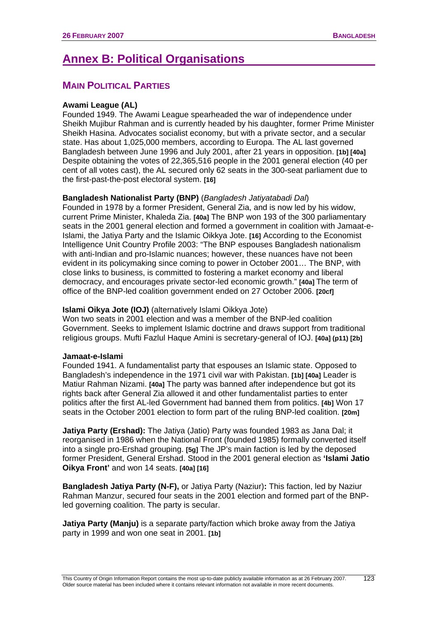# **Annex B: Political Organisations**

# **MAIN POLITICAL PARTIES**

# **Awami League (AL)**

Founded 1949. The Awami League spearheaded the war of independence under Sheikh Mujibur Rahman and is currently headed by his daughter, former Prime Minister Sheikh Hasina. Advocates socialist economy, but with a private sector, and a secular state. Has about 1,025,000 members, according to Europa. The AL last governed Bangladesh between June 1996 and July 2001, after 21 years in opposition. **[1b] [40a]** Despite obtaining the votes of 22,365,516 people in the 2001 general election (40 per cent of all votes cast), the AL secured only 62 seats in the 300-seat parliament due to the first-past-the-post electoral system. **[16]**

## **Bangladesh Nationalist Party (BNP)** (*Bangladesh Jatiyatabadi Dal*)

Founded in 1978 by a former President, General Zia, and is now led by his widow, current Prime Minister, Khaleda Zia. **[40a]** The BNP won 193 of the 300 parliamentary seats in the 2001 general election and formed a government in coalition with Jamaat-e-Islami, the Jatiya Party and the Islamic Oikkya Jote. **[16]** According to the Economist Intelligence Unit Country Profile 2003: "The BNP espouses Bangladesh nationalism with anti-Indian and pro-Islamic nuances; however, these nuances have not been evident in its policymaking since coming to power in October 2001… The BNP, with close links to business, is committed to fostering a market economy and liberal democracy, and encourages private sector-led economic growth." **[40a]** The term of office of the BNP-led coalition government ended on 27 October 2006. **[20cf]**

#### **Islami Oikya Jote (IOJ)** (alternatively Islami Oikkya Jote)

Won two seats in 2001 election and was a member of the BNP-led coalition Government. Seeks to implement Islamic doctrine and draws support from traditional religious groups. Mufti Fazlul Haque Amini is secretary-general of IOJ. **[40a] (p11) [2b]**

#### **Jamaat-e-Islami**

Founded 1941. A fundamentalist party that espouses an Islamic state. Opposed to Bangladesh's independence in the 1971 civil war with Pakistan. **[1b] [40a]** Leader is Matiur Rahman Nizami. **[40a]** The party was banned after independence but got its rights back after General Zia allowed it and other fundamentalist parties to enter politics after the first AL-led Government had banned them from politics. **[4b]** Won 17 seats in the October 2001 election to form part of the ruling BNP-led coalition. **[20m]** 

**Jatiya Party (Ershad):** The Jatiya (Jatio) Party was founded 1983 as Jana Dal; it reorganised in 1986 when the National Front (founded 1985) formally converted itself into a single pro-Ershad grouping. **[5g]** The JP's main faction is led by the deposed former President, General Ershad. Stood in the 2001 general election as **'Islami Jatio Oikya Front'** and won 14 seats. **[40a] [16]**

**Bangladesh Jatiya Party (N-F),** or Jatiya Party (Naziur)**:** This faction, led by Naziur Rahman Manzur, secured four seats in the 2001 election and formed part of the BNPled governing coalition. The party is secular.

**Jatiya Party (Manju)** is a separate party/faction which broke away from the Jatiya party in 1999 and won one seat in 2001. **[1b]**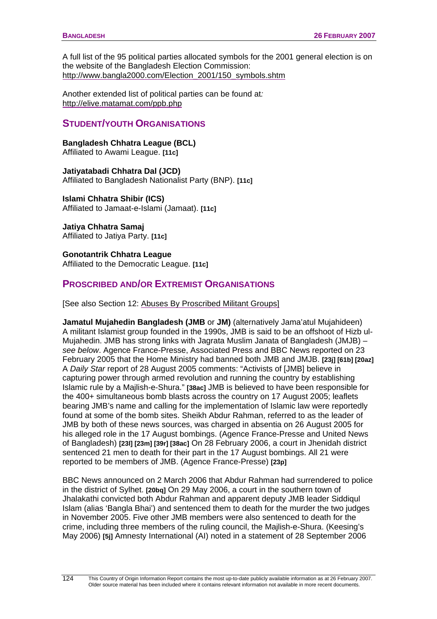A full list of the 95 political parties allocated symbols for the 2001 general election is on the website of the Bangladesh Election Commission: [http://www.bangla2000.com/Election\\_2001/150\\_symbols.shtm](http://www.bangla2000.com/Election_2001/150_symbols.shtm)

Another extended list of political parties can be found at*:* <http://elive.matamat.com/ppb.php>

# **STUDENT/YOUTH ORGANISATIONS**

**Bangladesh Chhatra League (BCL)** Affiliated to Awami League. **[11c]** 

**Jatiyatabadi Chhatra Dal (JCD)** 

Affiliated to Bangladesh Nationalist Party (BNP). **[11c]**

**Islami Chhatra Shibir (ICS)** Affiliated to Jamaat-e-Islami (Jamaat). **[11c]**

**Jatiya Chhatra Samaj** Affiliated to Jatiya Party. **[11c]**

124

**Gonotantrik Chhatra League** Affiliated to the Democratic League. **[11c]** 

# **PROSCRIBED AND/OR EXTREMIST ORGANISATIONS**

[See also Section 12: [Abuses By Proscribed Militant](#page-49-0) Groups]

**Jamatul Mujahedin Bangladesh (JMB** or **JM)** (alternatively Jama'atul Mujahideen) A militant Islamist group founded in the 1990s, JMB is said to be an offshoot of Hizb ul-Mujahedin. JMB has strong links with Jagrata Muslim Janata of Bangladesh (JMJB) – *see below*. Agence France-Presse, Associated Press and BBC News reported on 23 February 2005 that the Home Ministry had banned both JMB and JMJB. **[23j] [61b] [20az]** A *Daily Star* report of 28 August 2005 comments: "Activists of [JMB] believe in capturing power through armed revolution and running the country by establishing Islamic rule by a Majlish-e-Shura." **[38ac]** JMB is believed to have been responsible for the 400+ simultaneous bomb blasts across the country on 17 August 2005; leaflets bearing JMB's name and calling for the implementation of Islamic law were reportedly found at some of the bomb sites. Sheikh Abdur Rahman, referred to as the leader of JMB by both of these news sources, was charged in absentia on 26 August 2005 for his alleged role in the 17 August bombings. (Agence France-Presse and United News of Bangladesh) **[23l] [23m] [39r] [38ac]** On 28 February 2006, a court in Jhenidah district sentenced 21 men to death for their part in the 17 August bombings. All 21 were reported to be members of JMB. (Agence France-Presse) **[23p]**

BBC News announced on 2 March 2006 that Abdur Rahman had surrendered to police in the district of Sylhet. **[20bq]** On 29 May 2006, a court in the southern town of Jhalakathi convicted both Abdur Rahman and apparent deputy JMB leader Siddiqul Islam (alias 'Bangla Bhai') and sentenced them to death for the murder the two judges in November 2005. Five other JMB members were also sentenced to death for the crime, including three members of the ruling council, the Majlish-e-Shura. (Keesing's May 2006) **[5j]** Amnesty International (AI) noted in a statement of 28 September 2006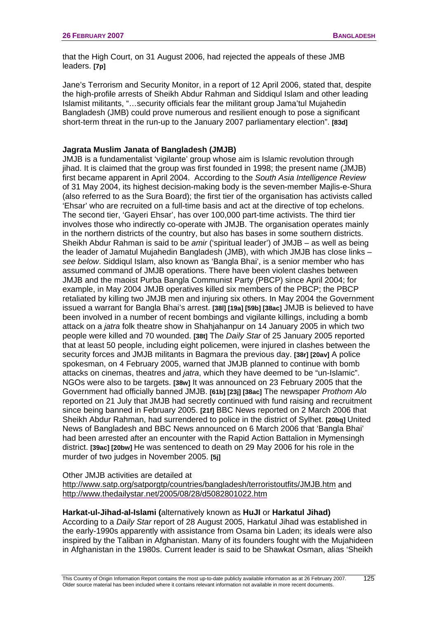that the High Court, on 31 August 2006, had rejected the appeals of these JMB leaders. **[7p]**

Jane's Terrorism and Security Monitor, in a report of 12 April 2006, stated that, despite the high-profile arrests of Sheikh Abdur Rahman and Siddiqul Islam and other leading Islamist militants, "…security officials fear the militant group Jama'tul Mujahedin Bangladesh (JMB) could prove numerous and resilient enough to pose a significant short-term threat in the run-up to the January 2007 parliamentary election". **[83d]**

#### **Jagrata Muslim Janata of Bangladesh (JMJB)**

JMJB is a fundamentalist 'vigilante' group whose aim is Islamic revolution through jihad. It is claimed that the group was first founded in 1998; the present name (JMJB) first became apparent in April 2004. According to the *South Asia Intelligence Review* of 31 May 2004, its highest decision-making body is the seven-member Majlis-e-Shura (also referred to as the Sura Board); the first tier of the organisation has activists called 'Ehsar' who are recruited on a full-time basis and act at the directive of top echelons. The second tier, 'Gayeri Ehsar', has over 100,000 part-time activists. The third tier involves those who indirectly co-operate with JMJB. The organisation operates mainly in the northern districts of the country, but also has bases in some southern districts. Sheikh Abdur Rahman is said to be *amir* ('spiritual leader') of JMJB – as well as being the leader of Jamatul Mujahedin Bangladesh (JMB), with which JMJB has close links – *see below*. Siddiqul Islam, also known as 'Bangla Bhai', is a senior member who has assumed command of JMJB operations. There have been violent clashes between JMJB and the maoist Purba Bangla Communist Party (PBCP) since April 2004; for example, in May 2004 JMJB operatives killed six members of the PBCP; the PBCP retaliated by killing two JMJB men and injuring six others. In May 2004 the Government issued a warrant for Bangla Bhai's arrest. **[38l] [19a] [59b] [38ac]** JMJB is believed to have been involved in a number of recent bombings and vigilante killings, including a bomb attack on a *jatra* folk theatre show in Shahjahanpur on 14 January 2005 in which two people were killed and 70 wounded. **[38t]** The *Daily Star* of 25 January 2005 reported that at least 50 people, including eight policemen, were injured in clashes between the security forces and JMJB militants in Bagmara the previous day. **[38r] [20av]** A police spokesman, on 4 February 2005, warned that JMJB planned to continue with bomb attacks on cinemas, theatres and *jatra*, which they have deemed to be "un-Islamic". NGOs were also to be targets. **[38w]** It was announced on 23 February 2005 that the Government had officially banned JMJB. **[61b] [23j] [38ac]** The newspaper *Prothom Alo* reported on 21 July that JMJB had secretly continued with fund raising and recruitment since being banned in February 2005. **[21f]** BBC News reported on 2 March 2006 that Sheikh Abdur Rahman, had surrendered to police in the district of Sylhet. **[20bq]** United News of Bangladesh and BBC News announced on 6 March 2006 that 'Bangla Bhai' had been arrested after an encounter with the Rapid Action Battalion in Mymensingh district. **[39ac] [20bw]** He was sentenced to death on 29 May 2006 for his role in the murder of two judges in November 2005. **[5j]** 

Other JMJB activities are detailed at

<http://www.satp.org/satporgtp/countries/bangladesh/terroristoutfits/JMJB.htm> and <http://www.thedailystar.net/2005/08/28/d5082801022.htm>

#### **Harkat-ul-Jihad-al-Islami (**alternatively known as **HuJI** or **Harkatul Jihad)**

According to a *Daily Star* report of 28 August 2005, Harkatul Jihad was established in the early-1990s apparently with assistance from Osama bin Laden; its ideals were also inspired by the Taliban in Afghanistan. Many of its founders fought with the Mujahideen in Afghanistan in the 1980s. Current leader is said to be Shawkat Osman, alias 'Sheikh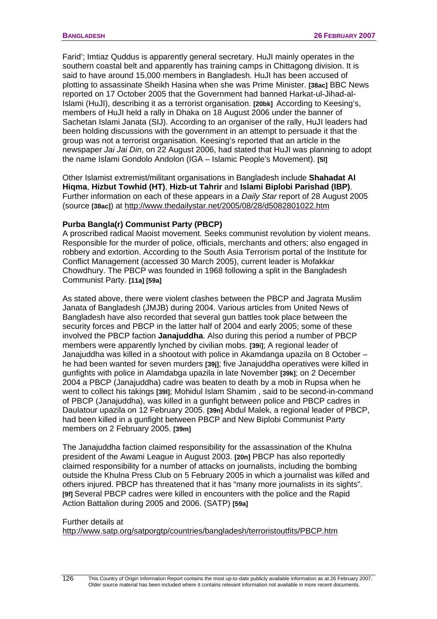Farid'; Imtiaz Quddus is apparently general secretary. HuJI mainly operates in the southern coastal belt and apparently has training camps in Chittagong division. It is said to have around 15,000 members in Bangladesh. HuJI has been accused of plotting to assassinate Sheikh Hasina when she was Prime Minister. **[38ac]** BBC News reported on 17 October 2005 that the Government had banned Harkat-ul-Jihad-al-Islami (HuJI), describing it as a terrorist organisation. **[20bk]** According to Keesing's, members of HuJI held a rally in Dhaka on 18 August 2006 under the banner of Sachetan Islami Janata (SIJ). According to an organiser of the rally, HuJI leaders had been holding discussions with the government in an attempt to persuade it that the group was not a terrorist organisation. Keesing's reported that an article in the newspaper *Jai Jai Din*, on 22 August 2006, had stated that HuJI was planning to adopt the name Islami Gondolo Andolon (IGA – Islamic People's Movement). **[5l]**

Other Islamist extremist/militant organisations in Bangladesh include **Shahadat Al Hiqma**, **Hizbut Towhid (HT)**, **Hizb-ut Tahrir** and **Islami Biplobi Parishad (IBP)**. Further information on each of these appears in a *Daily Star* report of 28 August 2005 (source **[38ac]**) at <http://www.thedailystar.net/2005/08/28/d5082801022.htm>

## **Purba Bangla(r) Communist Party (PBCP)**

A proscribed radical Maoist movement. Seeks communist revolution by violent means. Responsible for the murder of police, officials, merchants and others; also engaged in robbery and extortion. According to the South Asia Terrorism portal of the Institute for Conflict Management (accessed 30 March 2005), current leader is Mofakkar Chowdhury. The PBCP was founded in 1968 following a split in the Bangladesh Communist Party. **[11a] [59a]**

As stated above, there were violent clashes between the PBCP and Jagrata Muslim Janata of Bangladesh (JMJB) during 2004. Various articles from United News of Bangladesh have also recorded that several gun battles took place between the security forces and PBCP in the latter half of 2004 and early 2005; some of these involved the PBCP faction **Janajuddha**. Also during this period a number of PBCP members were apparently lynched by civilian mobs. **[39i]**; A regional leader of Janajuddha was killed in a shootout with police in Akamdanga upazila on 8 October – he had been wanted for seven murders **[39j]**; five Janajuddha operatives were killed in gunfights with police in Alamdabga upazila in late November **[39k]**; on 2 December 2004 a PBCP (Janajuddha) cadre was beaten to death by a mob in Rupsa when he went to collect his takings **[39l]**; Mohidul Islam Shamim , said to be second-in-command of PBCP (Janajuddha), was killed in a gunfight between police and PBCP cadres in Daulatour upazila on 12 February 2005. **[39n]** Abdul Malek, a regional leader of PBCP, had been killed in a gunfight between PBCP and New Biplobi Communist Party members on 2 February 2005. **[39m]**

The Janajuddha faction claimed responsibility for the assassination of the Khulna president of the Awami League in August 2003. **[20n]** PBCP has also reportedly claimed responsibility for a number of attacks on journalists, including the bombing outside the Khulna Press Club on 5 February 2005 in which a journalist was killed and others injured. PBCP has threatened that it has "many more journalists in its sights". **[9f]** Several PBCP cadres were killed in encounters with the police and the Rapid Action Battalion during 2005 and 2006. (SATP) **[59a]**

#### Further details at

<http://www.satp.org/satporgtp/countries/bangladesh/terroristoutfits/PBCP.htm>

126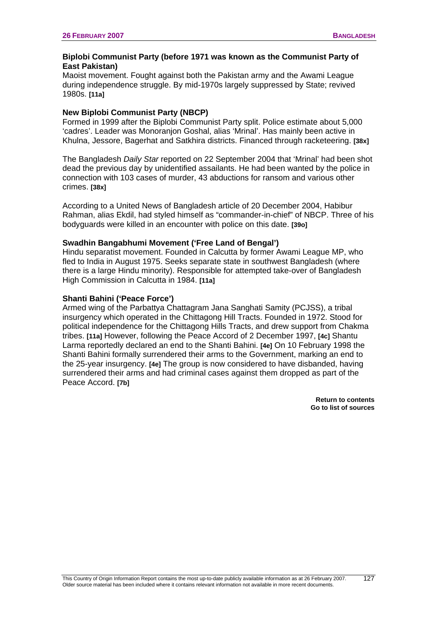#### **Biplobi Communist Party (before 1971 was known as the Communist Party of East Pakistan)**

Maoist movement. Fought against both the Pakistan army and the Awami League during independence struggle. By mid-1970s largely suppressed by State; revived 1980s. **[11a]**

## **New Biplobi Communist Party (NBCP)**

Formed in 1999 after the Biplobi Communist Party split. Police estimate about 5,000 'cadres'. Leader was Monoranjon Goshal, alias 'Mrinal'. Has mainly been active in Khulna, Jessore, Bagerhat and Satkhira districts. Financed through racketeering. **[38x]**

The Bangladesh *Daily Star* reported on 22 September 2004 that 'Mrinal' had been shot dead the previous day by unidentified assailants. He had been wanted by the police in connection with 103 cases of murder, 43 abductions for ransom and various other crimes. **[38x]**

According to a United News of Bangladesh article of 20 December 2004, Habibur Rahman, alias Ekdil, had styled himself as "commander-in-chief" of NBCP. Three of his bodyguards were killed in an encounter with police on this date. **[39o]** 

## **Swadhin Bangabhumi Movement ('Free Land of Bengal')**

Hindu separatist movement. Founded in Calcutta by former Awami League MP, who fled to India in August 1975. Seeks separate state in southwest Bangladesh (where there is a large Hindu minority). Responsible for attempted take-over of Bangladesh High Commission in Calcutta in 1984. **[11a]** 

#### **Shanti Bahini ('Peace Force')**

Armed wing of the Parbattya Chattagram Jana Sanghati Samity (PCJSS), a tribal insurgency which operated in the Chittagong Hill Tracts. Founded in 1972. Stood for political independence for the Chittagong Hills Tracts, and drew support from Chakma tribes. **[11a]** However, following the Peace Accord of 2 December 1997, **[4c]** Shantu Larma reportedly declared an end to the Shanti Bahini. **[4e]** On 10 February 1998 the Shanti Bahini formally surrendered their arms to the Government, marking an end to the 25-year insurgency. **[4e]** The group is now considered to have disbanded, having surrendered their arms and had criminal cases against them dropped as part of the Peace Accord. **[7b]** 

> **[Return to contents](#page-0-0)  [Go to list of sources](#page-133-0)**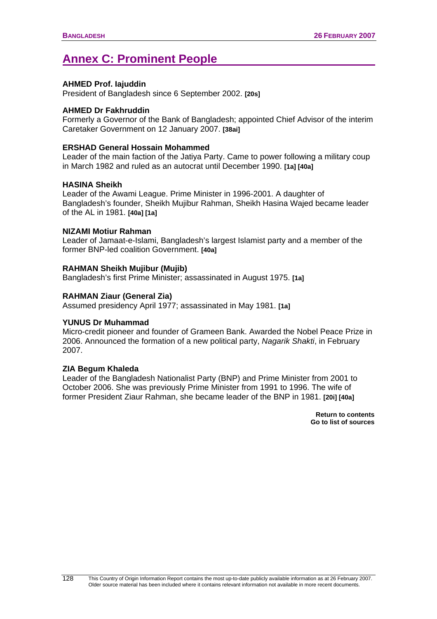# **Annex C: Prominent People**

#### **AHMED Prof. Iajuddin**

President of Bangladesh since 6 September 2002. **[20s]** 

#### **AHMED Dr Fakhruddin**

Formerly a Governor of the Bank of Bangladesh; appointed Chief Advisor of the interim Caretaker Government on 12 January 2007. **[38ai]**

## **ERSHAD General Hossain Mohammed**

Leader of the main faction of the Jatiya Party. Came to power following a military coup in March 1982 and ruled as an autocrat until December 1990. **[1a] [40a]**

## **HASINA Sheikh**

Leader of the Awami League. Prime Minister in 1996-2001. A daughter of Bangladesh's founder, Sheikh Mujibur Rahman, Sheikh Hasina Wajed became leader of the AL in 1981. **[40a] [1a]**

#### **NIZAMI Motiur Rahman**

Leader of Jamaat-e-Islami, Bangladesh's largest Islamist party and a member of the former BNP-led coalition Government. **[40a]** 

## **RAHMAN Sheikh Mujibur (Mujib)**

Bangladesh's first Prime Minister; assassinated in August 1975. **[1a]**

## **RAHMAN Ziaur (General Zia)**

Assumed presidency April 1977; assassinated in May 1981. **[1a]** 

#### **YUNUS Dr Muhammad**

Micro-credit pioneer and founder of Grameen Bank. Awarded the Nobel Peace Prize in 2006. Announced the formation of a new political party, *Nagarik Shakti*, in February 2007.

#### **ZIA Begum Khaleda**

Leader of the Bangladesh Nationalist Party (BNP) and Prime Minister from 2001 to October 2006. She was previously Prime Minister from 1991 to 1996. The wife of former President Ziaur Rahman, she became leader of the BNP in 1981. **[20i] [40a]**

> **[Return to contents](#page-0-0)  [Go to list of sources](#page-133-0)**

128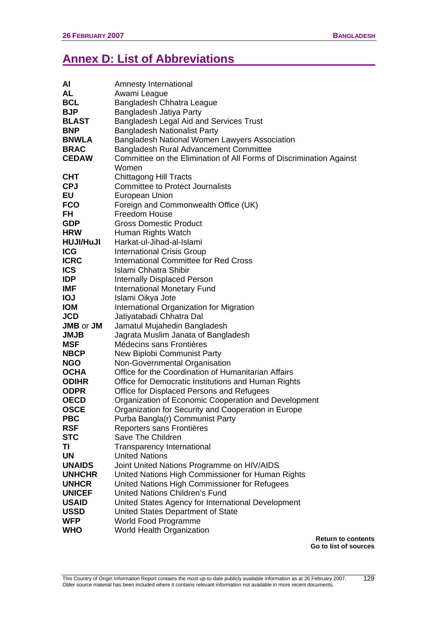# **Annex D: List of Abbreviations**

| AI                                    | Amnesty International                                               |
|---------------------------------------|---------------------------------------------------------------------|
| <b>AL</b>                             | Awami League                                                        |
| <b>BCL</b>                            | Bangladesh Chhatra League                                           |
| <b>BJP</b>                            | Bangladesh Jatiya Party                                             |
| <b>BLAST</b>                          | <b>Bangladesh Legal Aid and Services Trust</b>                      |
| <b>BNP</b>                            | <b>Bangladesh Nationalist Party</b>                                 |
| <b>BNWLA</b>                          | Bangladesh National Women Lawyers Association                       |
| <b>BRAC</b>                           | Bangladesh Rural Advancement Committee                              |
| <b>CEDAW</b>                          | Committee on the Elimination of All Forms of Discrimination Against |
|                                       | Women                                                               |
| <b>CHT</b>                            | <b>Chittagong Hill Tracts</b>                                       |
| <b>CPJ</b>                            | <b>Committee to Protect Journalists</b>                             |
| EU                                    | <b>European Union</b>                                               |
| <b>FCO</b>                            | Foreign and Commonwealth Office (UK)                                |
| FH                                    | Freedom House                                                       |
| <b>GDP</b>                            | <b>Gross Domestic Product</b>                                       |
| <b>HRW</b>                            | Human Rights Watch                                                  |
| <b>HUJI/HuJI</b>                      | Harkat-ul-Jihad-al-Islami                                           |
| <b>ICG</b>                            | <b>International Crisis Group</b>                                   |
| <b>ICRC</b>                           | International Committee for Red Cross                               |
| <b>ICS</b>                            | <b>Islami Chhatra Shibir</b>                                        |
| <b>IDP</b>                            | <b>Internally Displaced Person</b>                                  |
| <b>IMF</b>                            | International Monetary Fund                                         |
| <b>IOJ</b>                            | Islami Oikya Jote                                                   |
| <b>IOM</b>                            | International Organization for Migration                            |
| <b>JCD</b><br><b>JMB</b> or <b>JM</b> | Jatiyatabadi Chhatra Dal                                            |
| <b>JMJB</b>                           | Jamatul Mujahedin Bangladesh<br>Jagrata Muslim Janata of Bangladesh |
| <b>MSF</b>                            | Médecins sans Frontières                                            |
| <b>NBCP</b>                           | New Biplobi Communist Party                                         |
| <b>NGO</b>                            | Non-Governmental Organisation                                       |
| <b>OCHA</b>                           | Office for the Coordination of Humanitarian Affairs                 |
| <b>ODIHR</b>                          | Office for Democratic Institutions and Human Rights                 |
| <b>ODPR</b>                           | Office for Displaced Persons and Refugees                           |
| <b>OECD</b>                           | Organization of Economic Cooperation and Development                |
| <b>OSCE</b>                           | Organization for Security and Cooperation in Europe                 |
| <b>PBC</b>                            | Purba Bangla(r) Communist Party                                     |
| <b>RSF</b>                            | Reporters sans Frontières                                           |
| <b>STC</b>                            | Save The Children                                                   |
| TI                                    | <b>Transparency International</b>                                   |
| <b>UN</b>                             | <b>United Nations</b>                                               |
| <b>UNAIDS</b>                         | Joint United Nations Programme on HIV/AIDS                          |
| <b>UNHCHR</b>                         | United Nations High Commissioner for Human Rights                   |
| <b>UNHCR</b>                          | United Nations High Commissioner for Refugees                       |
| <b>UNICEF</b>                         | <b>United Nations Children's Fund</b>                               |
| <b>USAID</b>                          | United States Agency for International Development                  |
| <b>USSD</b>                           | United States Department of State                                   |
| <b>WFP</b>                            | World Food Programme                                                |
| <b>WHO</b>                            | World Health Organization                                           |

**[Return to contents](#page-0-0)  [Go to list of sources](#page-133-0)**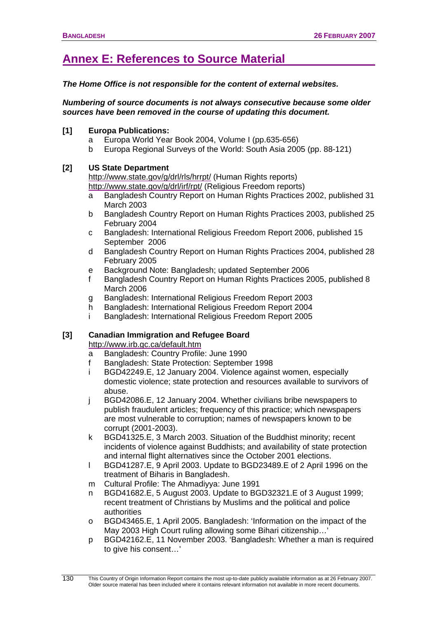# <span id="page-133-0"></span>**Annex E: References to Source Material**

*The Home Office is not responsible for the content of external websites.* 

*Numbering of source documents is not always consecutive because some older sources have been removed in the course of updating this document.* 

## **[1] Europa Publications:**

- a Europa World Year Book 2004, Volume I (pp.635-656)
- b Europa Regional Surveys of the World: South Asia 2005 (pp. 88-121)

## **[2] US State Department**

<http://www.state.gov/g/drl/rls/hrrpt/> (Human Rights reports) <http://www.state.gov/g/drl/irf/rpt/> (Religious Freedom reports)

- a Bangladesh Country Report on Human Rights Practices 2002, published 31 March 2003
- b Bangladesh Country Report on Human Rights Practices 2003, published 25 February 2004
- c Bangladesh: International Religious Freedom Report 2006, published 15 September 2006
- d Bangladesh Country Report on Human Rights Practices 2004, published 28 February 2005
- e Background Note: Bangladesh; updated September 2006
- f Bangladesh Country Report on Human Rights Practices 2005, published 8 March 2006
- g Bangladesh: International Religious Freedom Report 2003
- h Bangladesh: International Religious Freedom Report 2004
- i Bangladesh: International Religious Freedom Report 2005

# **[3] Canadian Immigration and Refugee Board**

<http://www.irb.gc.ca/default.htm>

130

- a Bangladesh: Country Profile: June 1990
- f Bangladesh: State Protection: September 1998
- i BGD42249.E, 12 January 2004. Violence against women, especially domestic violence; state protection and resources available to survivors of abuse.
- j BGD42086.E, 12 January 2004. Whether civilians bribe newspapers to publish fraudulent articles; frequency of this practice; which newspapers are most vulnerable to corruption; names of newspapers known to be corrupt (2001-2003).
- k BGD41325.E, 3 March 2003. Situation of the Buddhist minority; recent incidents of violence against Buddhists; and availability of state protection and internal flight alternatives since the October 2001 elections.
- l BGD41287.E, 9 April 2003. Update to BGD23489.E of 2 April 1996 on the treatment of Biharis in Bangladesh.
- m Cultural Profile: The Ahmadiyya: June 1991
- n BGD41682.E, 5 August 2003. Update to BGD32321.E of 3 August 1999; recent treatment of Christians by Muslims and the political and police authorities
- o BGD43465.E, 1 April 2005. Bangladesh: 'Information on the impact of the May 2003 High Court ruling allowing some Bihari citizenship...'
- p BGD42162.E, 11 November 2003. 'Bangladesh: Whether a man is required to give his consent…'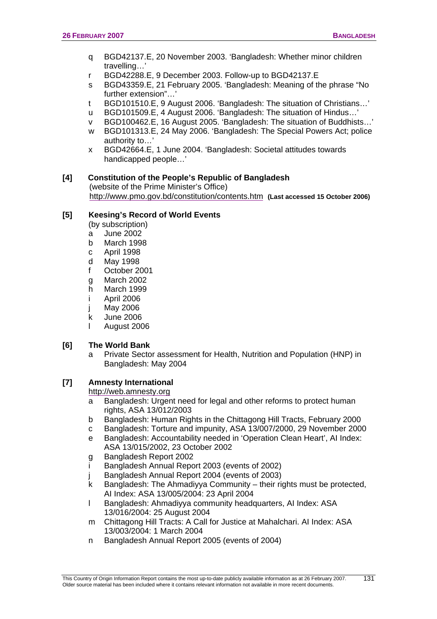- q BGD42137.E, 20 November 2003. 'Bangladesh: Whether minor children travelling…'
- r BGD42288.E, 9 December 2003. Follow-up to BGD42137.E
- s BGD43359.E, 21 February 2005. 'Bangladesh: Meaning of the phrase "No further extension"…'
- t BGD101510.E, 9 August 2006. 'Bangladesh: The situation of Christians…'
- u BGD101509.E, 4 August 2006. 'Bangladesh: The situation of Hindus…'
- v BGD100462.E, 16 August 2005. 'Bangladesh: The situation of Buddhists…'
- w BGD101313.E, 24 May 2006. 'Bangladesh: The Special Powers Act; police authority to…'
- x BGD42664.E, 1 June 2004. 'Bangladesh: Societal attitudes towards handicapped people…'

#### **[4] Constitution of the People's Republic of Bangladesh**

(website of the Prime Minister's Office) <http://www.pmo.gov.bd/constitution/contents.htm> **(Last accessed 15 October 2006)**

#### **[5] Keesing's Record of World Events**

(by subscription)

- a June 2002
- b March 1998
- c April 1998
- d May 1998
- f October 2001
- g March 2002
- h March 1999
- i April 2006
- j May 2006
- k June 2006
- l August 2006

# **[6] The World Bank**

a Private Sector assessment for Health, Nutrition and Population (HNP) in Bangladesh: May 2004

# **[7] Amnesty International**

#### [http://web.amnesty.org](http://web.amnesty.org/)

- a Bangladesh: Urgent need for legal and other reforms to protect human rights, ASA 13/012/2003
- b Bangladesh: Human Rights in the Chittagong Hill Tracts, February 2000
- c Bangladesh: Torture and impunity, ASA 13/007/2000, 29 November 2000
- e Bangladesh: Accountability needed in 'Operation Clean Heart', AI Index: ASA 13/015/2002, 23 October 2002
- g Bangladesh Report 2002
- i Bangladesh Annual Report 2003 (events of 2002)
- j Bangladesh Annual Report 2004 (events of 2003)
- k Bangladesh: The Ahmadiyya Community their rights must be protected, AI Index: ASA 13/005/2004: 23 April 2004
- l Bangladesh: Ahmadiyya community headquarters, AI Index: ASA 13/016/2004: 25 August 2004
- m Chittagong Hill Tracts: A Call for Justice at Mahalchari. AI Index: ASA 13/003/2004: 1 March 2004
- n Bangladesh Annual Report 2005 (events of 2004)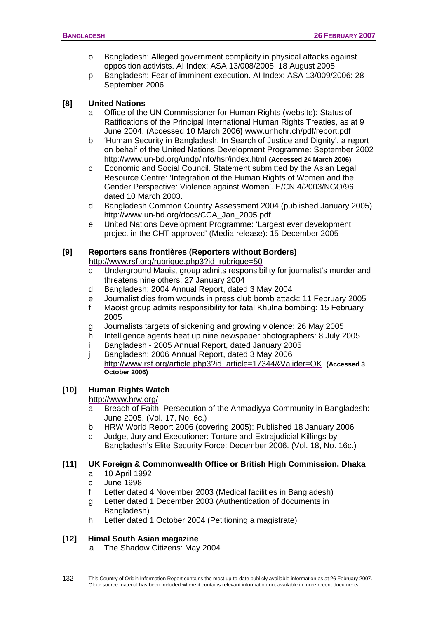- o Bangladesh: Alleged government complicity in physical attacks against opposition activists. AI Index: ASA 13/008/2005: 18 August 2005
- p Bangladesh: Fear of imminent execution. AI Index: ASA 13/009/2006: 28 September 2006

## **[8] United Nations**

- a Office of the UN Commissioner for Human Rights (website): Status of Ratifications of the Principal International Human Rights Treaties, as at 9 June 2004. (Accessed 10 March 2006**)** [www.unhchr.ch/pdf/report.pdf](http://www.unhchr.ch/pdf/report.pdf)
- b 'Human Security in Bangladesh, In Search of Justice and Dignity', a report on behalf of the United Nations Development Programme: September 2002 <http://www.un-bd.org/undp/info/hsr/index.html> **(Accessed 24 March 2006)**
- c Economic and Social Council. Statement submitted by the Asian Legal Resource Centre: 'Integration of the Human Rights of Women and the Gender Perspective: Violence against Women'. E/CN.4/2003/NGO/96 dated 10 March 2003.
- d Bangladesh Common Country Assessment 2004 (published January 2005) [http://www.un-bd.org/docs/CCA\\_Jan\\_2005.pdf](http://www.un-bd.org/docs/CCA_Jan_2005.pdf)
- e United Nations Development Programme: 'Largest ever development project in the CHT approved' (Media release): 15 December 2005

# **[9] Reporters sans frontières (Reporters without Borders)**

[http://www.rsf.org/rubrique.php3?id\\_rubrique=50](http://www.rsf.org/rubrique.php3?id_rubrique=50)

- c Underground Maoist group admits responsibility for journalist's murder and threatens nine others: 27 January 2004
- d Bangladesh: 2004 Annual Report, dated 3 May 2004
- e Journalist dies from wounds in press club bomb attack: 11 February 2005
- f Maoist group admits responsibility for fatal Khulna bombing: 15 February 2005
- g Journalists targets of sickening and growing violence: 26 May 2005
- h Intelligence agents beat up nine newspaper photographers: 8 July 2005
- i Bangladesh 2005 Annual Report, dated January 2005
- j Bangladesh: 2006 Annual Report, dated 3 May 2006 [http://www.rsf.org/article.php3?id\\_article=17344&Valider=OK](http://www.rsf.org/article.php3?id_article=17344&Valider=OK) **(Accessed 3 October 2006)**

# **[10] Human Rights Watch**

#### <http://www.hrw.org/>

- a Breach of Faith: Persecution of the Ahmadiyya Community in Bangladesh: June 2005. (Vol. 17, No. 6c.)
- b HRW World Report 2006 (covering 2005): Published 18 January 2006
- c Judge, Jury and Executioner: Torture and Extrajudicial Killings by Bangladesh's Elite Security Force: December 2006. (Vol. 18, No. 16c.)

#### **[11] UK Foreign & Commonwealth Office or British High Commission, Dhaka**

- a 10 April 1992
- c June 1998
- f Letter dated 4 November 2003 (Medical facilities in Bangladesh)
- g Letter dated 1 December 2003 (Authentication of documents in Bangladesh)
- h Letter dated 1 October 2004 (Petitioning a magistrate)

# **[12] Himal South Asian magazine**

a The Shadow Citizens: May 2004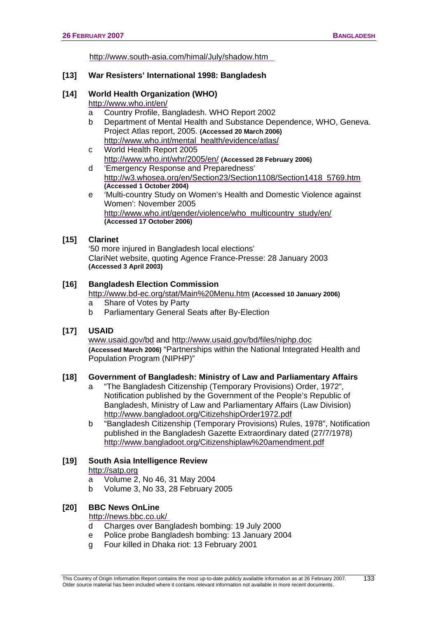<http://www.south-asia.com/himal/July/shadow.htm>

#### **[13] War Resisters' International 1998: Bangladesh**

#### **[14] World Health Organization (WHO)**

<http://www.who.int/en/>

- a Country Profile, Bangladesh. WHO Report 2002
- b Department of Mental Health and Substance Dependence, WHO, Geneva. Project Atlas report, 2005. **(Accessed 20 March 2006)** [http://www.who.int/mental\\_health/evidence/atlas/](http://www.who.int/mental_health/evidence/atlas/)
- c World Health Report 2005 <http://www.who.int/whr/2005/en/> **(Accessed 28 February 2006)**
- d 'Emergency Response and Preparedness' [http://w3.whosea.org/en/Section23/Section1108/Section1418\\_5769.htm](http://w3.whosea.org/en/Section23/Section1108/Section1418_5769.htm) **(Accessed 1 October 2004)**
- e 'Multi-country Study on Women's Health and Domestic Violence against Women': November 2005 [http://www.who.int/gender/violence/who\\_multicountry\\_study/en/](http://www.who.int/gender/violence/who_multicountry_study/en/) **(Accessed 17 October 2006)**

#### **[15] Clarinet**

'50 more injured in Bangladesh local elections' ClariNet website, quoting Agence France-Presse: 28 January 2003 **(Accessed 3 April 2003)** 

#### **[16] Bangladesh Election Commission**

- <http://www.bd-ec.org/stat/Main%20Menu.htm> **(Accessed 10 January 2006)**
- a Share of Votes by Party
- b Parliamentary General Seats after By-Election

#### **[17] USAID**

[www.usaid.gov/bd](http://www.usaid.gov/bd) and<http://www.usaid.gov/bd/files/niphp.doc> **(Accessed March 2006)** "Partnerships within the National Integrated Health and Population Program (NIPHP)"

#### **[18] Government of Bangladesh: Ministry of Law and Parliamentary Affairs**

- a "The Bangladesh Citizenship (Temporary Provisions) Order, 1972", Notification published by the Government of the People's Republic of Bangladesh, Ministry of Law and Parliamentary Affairs (Law Division) <http://www.bangladoot.org/CitizehshipOrder1972.pdf>
- b "Bangladesh Citizenship (Temporary Provisions) Rules, 1978", Notification published in the Bangladesh Gazette Extraordinary dated (27/7/1978) <http://www.bangladoot.org/Citizenshiplaw%20amendment.pdf>

# **[19] South Asia Intelligence Review**

[http://satp.org](http://satp.org/)

- a Volume 2, No 46, 31 May 2004
- b Volume 3, No 33, 28 February 2005

#### **[20] BBC News OnLine**

<http://news.bbc.co.uk/>

- d Charges over Bangladesh bombing: 19 July 2000
- e Police probe Bangladesh bombing: 13 January 2004
- g Four killed in Dhaka riot: 13 February 2001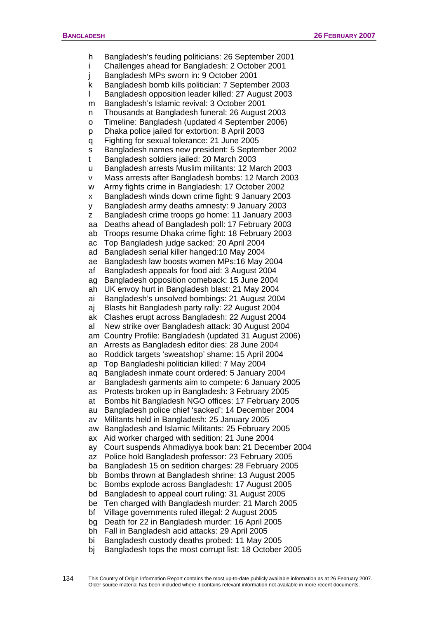h Bangladesh's feuding politicians: 26 September 2001 i Challenges ahead for Bangladesh: 2 October 2001 j Bangladesh MPs sworn in: 9 October 2001 k Bangladesh bomb kills politician: 7 September 2003 l Bangladesh opposition leader killed: 27 August 2003 m Bangladesh's Islamic revival: 3 October 2001 n Thousands at Bangladesh funeral: 26 August 2003 o Timeline: Bangladesh (updated 4 September 2006) p Dhaka police jailed for extortion: 8 April 2003 q Fighting for sexual tolerance: 21 June 2005 s Bangladesh names new president: 5 September 2002 t Bangladesh soldiers jailed: 20 March 2003 u Bangladesh arrests Muslim militants: 12 March 2003 v Mass arrests after Bangladesh bombs: 12 March 2003 w Army fights crime in Bangladesh: 17 October 2002 x Bangladesh winds down crime fight: 9 January 2003 y Bangladesh army deaths amnesty: 9 January 2003 z Bangladesh crime troops go home: 11 January 2003 aa Deaths ahead of Bangladesh poll: 17 February 2003 ab Troops resume Dhaka crime fight: 18 February 2003 ac Top Bangladesh judge sacked: 20 April 2004 ad Bangladesh serial killer hanged:10 May 2004 ae Bangladesh law boosts women MPs:16 May 2004 af Bangladesh appeals for food aid: 3 August 2004 ag Bangladesh opposition comeback: 15 June 2004 ah UK envoy hurt in Bangladesh blast: 21 May 2004 ai Bangladesh's unsolved bombings: 21 August 2004 aj Blasts hit Bangladesh party rally: 22 August 2004 ak Clashes erupt across Bangladesh: 22 August 2004 al New strike over Bangladesh attack: 30 August 2004 am Country Profile: Bangladesh (updated 31 August 2006) an Arrests as Bangladesh editor dies: 28 June 2004 ao Roddick targets 'sweatshop' shame: 15 April 2004 ap Top Bangladeshi politician killed: 7 May 2004 aq Bangladesh inmate count ordered: 5 January 2004 ar Bangladesh garments aim to compete: 6 January 2005 as Protests broken up in Bangladesh: 3 February 2005 at Bombs hit Bangladesh NGO offices: 17 February 2005 au Bangladesh police chief 'sacked': 14 December 2004 av Militants held in Bangladesh: 25 January 2005 aw Bangladesh and Islamic Militants: 25 February 2005 ax Aid worker charged with sedition: 21 June 2004 ay Court suspends Ahmadiyya book ban: 21 December 2004 az Police hold Bangladesh professor: 23 February 2005 ba Bangladesh 15 on sedition charges: 28 February 2005 bb Bombs thrown at Bangladesh shrine: 13 August 2005 bc Bombs explode across Bangladesh: 17 August 2005 bd Bangladesh to appeal court ruling: 31 August 2005 be Ten charged with Bangladesh murder: 21 March 2005 bf Village governments ruled illegal: 2 August 2005 bg Death for 22 in Bangladesh murder: 16 April 2005 bh Fall in Bangladesh acid attacks: 29 April 2005 bi Bangladesh custody deaths probed: 11 May 2005 bj Bangladesh tops the most corrupt list: 18 October 2005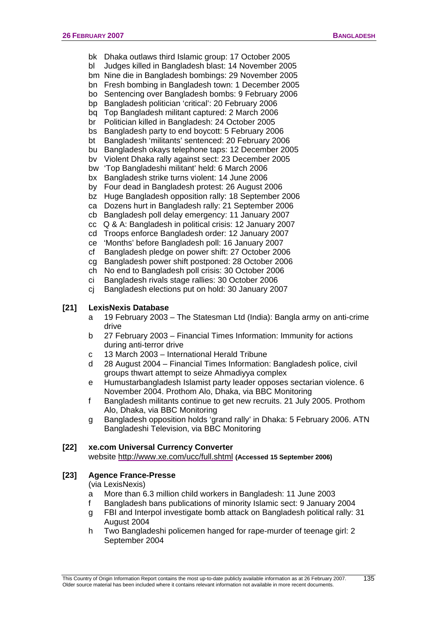- bk Dhaka outlaws third Islamic group: 17 October 2005
- bl Judges killed in Bangladesh blast: 14 November 2005
- bm Nine die in Bangladesh bombings: 29 November 2005
- bn Fresh bombing in Bangladesh town: 1 December 2005
- bo Sentencing over Bangladesh bombs: 9 February 2006
- bp Bangladesh politician 'critical': 20 February 2006
- bq Top Bangladesh militant captured: 2 March 2006
- br Politician killed in Bangladesh: 24 October 2005
- bs Bangladesh party to end boycott: 5 February 2006
- bt Bangladesh 'militants' sentenced: 20 February 2006
- bu Bangladesh okays telephone taps: 12 December 2005
- bv Violent Dhaka rally against sect: 23 December 2005
- bw 'Top Bangladeshi militant' held: 6 March 2006
- bx Bangladesh strike turns violent: 14 June 2006
- by Four dead in Bangladesh protest: 26 August 2006
- bz Huge Bangladesh opposition rally: 18 September 2006
- ca Dozens hurt in Bangladesh rally: 21 September 2006
- cb Bangladesh poll delay emergency: 11 January 2007
- cc Q & A: Bangladesh in political crisis: 12 January 2007
- cd Troops enforce Bangladesh order: 12 January 2007
- ce 'Months' before Bangladesh poll: 16 January 2007
- cf Bangladesh pledge on power shift: 27 October 2006
- cg Bangladesh power shift postponed: 28 October 2006
- ch No end to Bangladesh poll crisis: 30 October 2006
- ci Bangladesh rivals stage rallies: 30 October 2006
- cj Bangladesh elections put on hold: 30 January 2007

# **[21] LexisNexis Database**

- a 19 February 2003 The Statesman Ltd (India): Bangla army on anti-crime drive
- b 27 February 2003 Financial Times Information: Immunity for actions during anti-terror drive
- c 13 March 2003 International Herald Tribune
- d 28 August 2004 Financial Times Information: Bangladesh police, civil groups thwart attempt to seize Ahmadiyya complex
- e Humustarbangladesh Islamist party leader opposes sectarian violence. 6 November 2004. Prothom Alo, Dhaka, via BBC Monitoring
- f Bangladesh militants continue to get new recruits. 21 July 2005. Prothom Alo, Dhaka, via BBC Monitoring
- g Bangladesh opposition holds 'grand rally' in Dhaka: 5 February 2006. ATN Bangladeshi Television, via BBC Monitoring

#### **[22] xe.com Universal Currency Converter**

website <http://www.xe.com/ucc/full.shtml> **(Accessed 15 September 2006)**

# **[23] Agence France-Presse**

(via LexisNexis)

- a More than 6.3 million child workers in Bangladesh: 11 June 2003
- f Bangladesh bans publications of minority Islamic sect: 9 January 2004 g FBI and Interpol investigate bomb attack on Bangladesh political rally: 31
- August 2004
- h Two Bangladeshi policemen hanged for rape-murder of teenage girl: 2 September 2004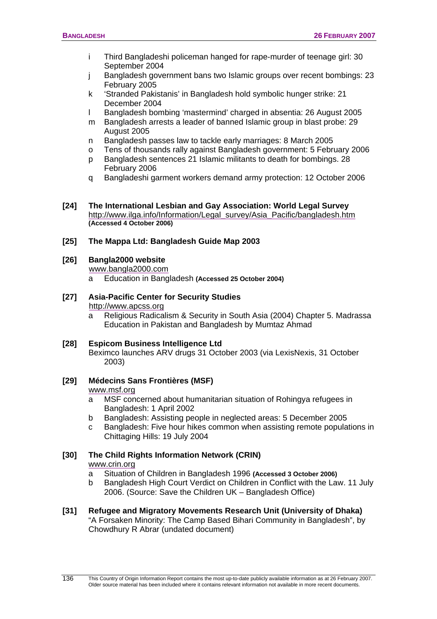- i Third Bangladeshi policeman hanged for rape-murder of teenage girl: 30 September 2004
- j Bangladesh government bans two Islamic groups over recent bombings: 23 February 2005
- k 'Stranded Pakistanis' in Bangladesh hold symbolic hunger strike: 21 December 2004
- l Bangladesh bombing 'mastermind' charged in absentia: 26 August 2005
- m Bangladesh arrests a leader of banned Islamic group in blast probe: 29 August 2005
- n Bangladesh passes law to tackle early marriages: 8 March 2005
- o Tens of thousands rally against Bangladesh government: 5 February 2006
- p Bangladesh sentences 21 Islamic militants to death for bombings. 28 February 2006
- q Bangladeshi garment workers demand army protection: 12 October 2006
- **[24] The International Lesbian and Gay Association: World Legal Survey**  [http://www.ilga.info/Information/Legal\\_survey/Asia\\_Pacific/bangladesh.htm](http://www.ilga.info/Information/Legal_survey/Asia_Pacific/bangladesh.htm) **(Accessed 4 October 2006)**

## **[25] The Mappa Ltd: Bangladesh Guide Map 2003**

## **[26] Bangla2000 website**

[www.bangla2000.com](http://www.bangla2000.com/)

a Education in Bangladesh **(Accessed 25 October 2004)**

# **[27] Asia-Pacific Center for Security Studies**

#### [http://www.apcss.org](http://www.apcss.org/)

- a Religious Radicalism & Security in South Asia (2004) Chapter 5. Madrassa Education in Pakistan and Bangladesh by Mumtaz Ahmad
- **[28] Espicom Business Intelligence Ltd**  Beximco launches ARV drugs 31 October 2003 (via LexisNexis, 31 October 2003)
- **[29] Médecins Sans Frontières (MSF)**  www.msf.org
	- a MSF concerned about humanitarian situation of Rohingya refugees in Bangladesh: 1 April 2002
	- b Bangladesh: Assisting people in neglected areas: 5 December 2005
	- c Bangladesh: Five hour hikes common when assisting remote populations in Chittaging Hills: 19 July 2004

# **[30] The Child Rights Information Network (CRIN)**  [www.crin.org](http://www.crin.org/)

- a Situation of Children in Bangladesh 1996 **(Accessed 3 October 2006)**
- b Bangladesh High Court Verdict on Children in Conflict with the Law. 11 July 2006. (Source: Save the Children UK – Bangladesh Office)
- **[31] Refugee and Migratory Movements Research Unit (University of Dhaka)**  "A Forsaken Minority: The Camp Based Bihari Community in Bangladesh", by Chowdhury R Abrar (undated document)

136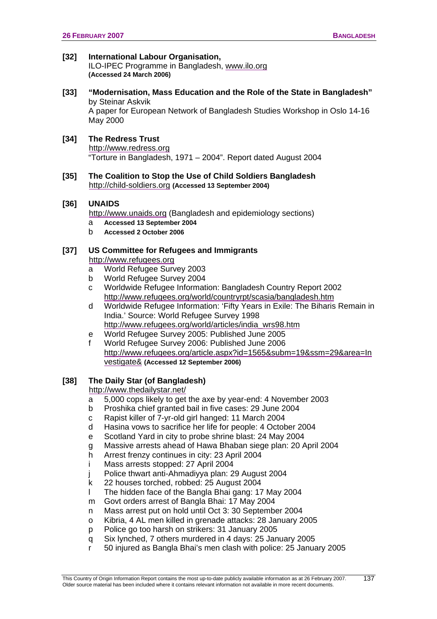## **[32] International Labour Organisation,**

ILO-IPEC Programme in Bangladesh, www.ilo.org **(Accessed 24 March 2006)**

#### **[33] "Modernisation, Mass Education and the Role of the State in Bangladesh"**  by Steinar Askvik A paper for European Network of Bangladesh Studies Workshop in Oslo 14-16

May 2000

# **[34] The Redress Trust**

[http://www.redress.org](http://www.redress.org/) "Torture in Bangladesh, 1971 – 2004". Report dated August 2004

#### **[35] The Coalition to Stop the Use of Child Soldiers Bangladesh**  [http://child-soldiers.org](http://child-soldiers.org/) **(Accessed 13 September 2004)**

#### **[36] UNAIDS**

[http://www.unaids.org](http://www.unaids.org/) (Bangladesh and epidemiology sections)

- a **Accessed 13 September 2004**
- b **Accessed 2 October 2006**

# **[37] US Committee for Refugees and Immigrants**

#### [http://www.refugees.org](http://www.refugees.org/)

- a World Refugee Survey 2003
- b World Refugee Survey 2004
- c Worldwide Refugee Information: Bangladesh Country Report 2002 <http://www.refugees.org/world/countryrpt/scasia/bangladesh.htm>
- d Worldwide Refugee Information: 'Fifty Years in Exile: The Biharis Remain in India.' Source: World Refugee Survey 1998 [http://www.refugees.org/world/articles/india\\_wrs98.htm](http://www.refugees.org/world/articles/india_wrs98.htm)
- e World Refugee Survey 2005: Published June 2005
- f World Refugee Survey 2006: Published June 2006 [http://www.refugees.org/article.aspx?id=1565&subm=19&ssm=29&area=In](http://www.refugees.org/article.aspx?id=1565&subm=19&ssm=29&area=Investigate&) [vestigate&](http://www.refugees.org/article.aspx?id=1565&subm=19&ssm=29&area=Investigate&) **(Accessed 12 September 2006)**

#### **[38] The Daily Star (of Bangladesh)**

<http://www.thedailystar.net/>

- a 5,000 cops likely to get the axe by year-end: 4 November 2003
- b Proshika chief granted bail in five cases: 29 June 2004
- c Rapist killer of 7-yr-old girl hanged: 11 March 2004
- d Hasina vows to sacrifice her life for people: 4 October 2004
- e Scotland Yard in city to probe shrine blast: 24 May 2004
- g Massive arrests ahead of Hawa Bhaban siege plan: 20 April 2004
- h Arrest frenzy continues in city: 23 April 2004
- i Mass arrests stopped: 27 April 2004
- Police thwart anti-Ahmadiyya plan: 29 August 2004
- k 22 houses torched, robbed: 25 August 2004
- l The hidden face of the Bangla Bhai gang: 17 May 2004
- m Govt orders arrest of Bangla Bhai: 17 May 2004
- n Mass arrest put on hold until Oct 3: 30 September 2004
- o Kibria, 4 AL men killed in grenade attacks: 28 January 2005
- p Police go too harsh on strikers: 31 January 2005
- q Six lynched, 7 others murdered in 4 days: 25 January 2005
- r 50 injured as Bangla Bhai's men clash with police: 25 January 2005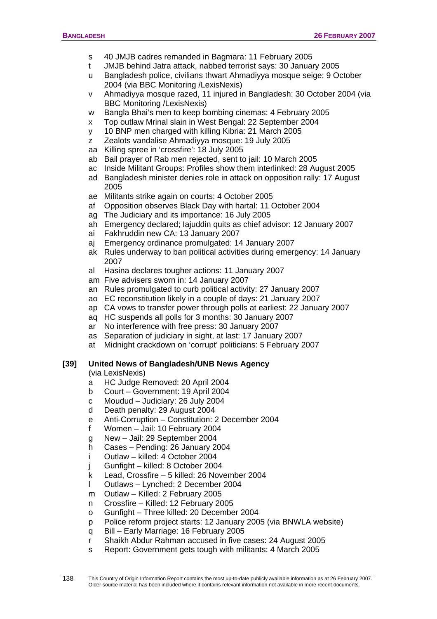- s 40 JMJB cadres remanded in Bagmara: 11 February 2005
- t JMJB behind Jatra attack, nabbed terrorist says: 30 January 2005
- u Bangladesh police, civilians thwart Ahmadiyya mosque seige: 9 October 2004 (via BBC Monitoring /LexisNexis)
- v Ahmadiyya mosque razed, 11 injured in Bangladesh: 30 October 2004 (via BBC Monitoring /LexisNexis)
- w Bangla Bhai's men to keep bombing cinemas: 4 February 2005
- x Top outlaw Mrinal slain in West Bengal: 22 September 2004
- y 10 BNP men charged with killing Kibria: 21 March 2005
- z Zealots vandalise Ahmadiyya mosque: 19 July 2005
- aa Killing spree in 'crossfire': 18 July 2005
- ab Bail prayer of Rab men rejected, sent to jail: 10 March 2005
- ac Inside Militant Groups: Profiles show them interlinked: 28 August 2005
- ad Bangladesh minister denies role in attack on opposition rally: 17 August 2005
- ae Militants strike again on courts: 4 October 2005
- af Opposition observes Black Day with hartal: 11 October 2004
- ag The Judiciary and its importance: 16 July 2005
- ah Emergency declared; Iajuddin quits as chief advisor: 12 January 2007
- ai Fakhruddin new CA: 13 January 2007
- aj Emergency ordinance promulgated: 14 January 2007
- ak Rules underway to ban political activities during emergency: 14 January 2007
- al Hasina declares tougher actions: 11 January 2007
- am Five advisers sworn in: 14 January 2007
- an Rules promulgated to curb political activity: 27 January 2007
- ao EC reconstitution likely in a couple of days: 21 January 2007
- ap CA vows to transfer power through polls at earliest: 22 January 2007
- aq HC suspends all polls for 3 months: 30 January 2007
- ar No interference with free press: 30 January 2007
- as Separation of judiciary in sight, at last: 17 January 2007
- at Midnight crackdown on 'corrupt' politicians: 5 February 2007

# **[39] United News of Bangladesh/UNB News Agency**

(via LexisNexis)

- a HC Judge Removed: 20 April 2004
- b Court Government: 19 April 2004
- c Moudud Judiciary: 26 July 2004
- d Death penalty: 29 August 2004
- e Anti-Corruption Constitution: 2 December 2004
- f Women Jail: 10 February 2004
- g New Jail: 29 September 2004
- h Cases Pending: 26 January 2004
- i Outlaw killed: 4 October 2004
- j Gunfight killed: 8 October 2004
- k Lead, Crossfire 5 killed: 26 November 2004
- l Outlaws Lynched: 2 December 2004
- m Outlaw Killed: 2 February 2005
- n Crossfire Killed: 12 February 2005
- o Gunfight Three killed: 20 December 2004
- p Police reform project starts: 12 January 2005 (via BNWLA website)
- q Bill Early Marriage: 16 February 2005
- r Shaikh Abdur Rahman accused in five cases: 24 August 2005
- s Report: Government gets tough with militants: 4 March 2005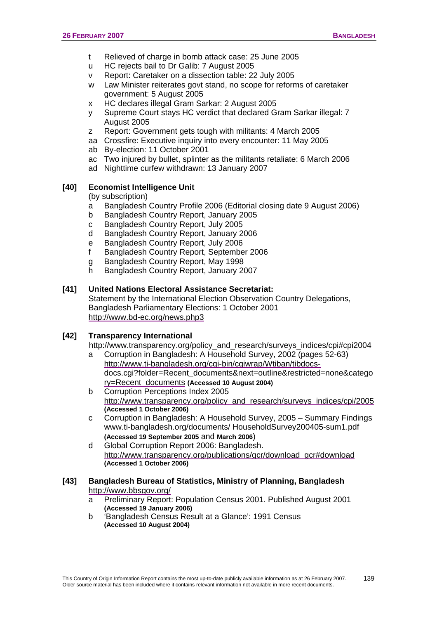- t Relieved of charge in bomb attack case: 25 June 2005
- u HC rejects bail to Dr Galib: 7 August 2005
- v Report: Caretaker on a dissection table: 22 July 2005
- w Law Minister reiterates govt stand, no scope for reforms of caretaker government: 5 August 2005
- x HC declares illegal Gram Sarkar: 2 August 2005
- y Supreme Court stays HC verdict that declared Gram Sarkar illegal: 7 August 2005
- z Report: Government gets tough with militants: 4 March 2005
- aa Crossfire: Executive inquiry into every encounter: 11 May 2005
- ab By-election: 11 October 2001
- ac Two injured by bullet, splinter as the militants retaliate: 6 March 2006
- ad Nighttime curfew withdrawn: 13 January 2007

# **[40] Economist Intelligence Unit**

(by subscription)

- a Bangladesh Country Profile 2006 (Editorial closing date 9 August 2006)
- b Bangladesh Country Report, January 2005
- c Bangladesh Country Report, July 2005
- d Bangladesh Country Report, January 2006
- e Bangladesh Country Report, July 2006
- f Bangladesh Country Report, September 2006
- g Bangladesh Country Report, May 1998
- h Bangladesh Country Report, January 2007

# **[41] United Nations Electoral Assistance Secretariat:**

Statement by the International Election Observation Country Delegations, Bangladesh Parliamentary Elections: 1 October 2001 <http://www.bd-ec.org/news.php3>

# **[42] Transparency International**

[http://www.transparency.org/policy\\_and\\_research/surveys\\_indices/cpi#cpi2004](http://www.transparency.org/policy_and_research/surveys_indices/cpi#cpi2004) 

- a Corruption in Bangladesh: A Household Survey, 2002 (pages 52-63) [http://www.ti-bangladesh.org/cgi-bin/cgiwrap/Wtiban/tibdocs](http://www.ti-bangladesh.org/cgi-bin/cgiwrap/Wtiban/tibdocs-docs.cgi?folder=Recent_documents&next=outline&restricted=none&category=Recent_documents)[docs.cgi?folder=Recent\\_documents&next=outline&restricted=none&catego](http://www.ti-bangladesh.org/cgi-bin/cgiwrap/Wtiban/tibdocs-docs.cgi?folder=Recent_documents&next=outline&restricted=none&category=Recent_documents) [ry=Recent\\_documents](http://www.ti-bangladesh.org/cgi-bin/cgiwrap/Wtiban/tibdocs-docs.cgi?folder=Recent_documents&next=outline&restricted=none&category=Recent_documents) **(Accessed 10 August 2004)**
- b Corruption Perceptions Index 2005 [http://www.transparency.org/policy\\_and\\_research/surveys\\_indices/cpi/2005](http://www.transparency.org/policy_and_research/surveys_indices/cpi/2005) **(Accessed 1 October 2006)**
- c Corruption in Bangladesh: A Household Survey, 2005 Summary Findings www.ti-bangladesh.org/documents/ HouseholdSurvey200405-sum1.pdf **(Accessed 19 September 2005** and **March 2006**)
- d Global Corruption Report 2006: Bangladesh. [http://www.transparency.org/publications/gcr/download\\_gcr#download](http://www.transparency.org/publications/gcr/download_gcr#download) **(Accessed 1 October 2006)**
- **[43] Bangladesh Bureau of Statistics, Ministry of Planning, Bangladesh**  <http://www.bbsgov.org/>
	- a Preliminary Report: Population Census 2001. Published August 2001 **(Accessed 19 January 2006)**
	- b 'Bangladesh Census Result at a Glance': 1991 Census **(Accessed 10 August 2004)**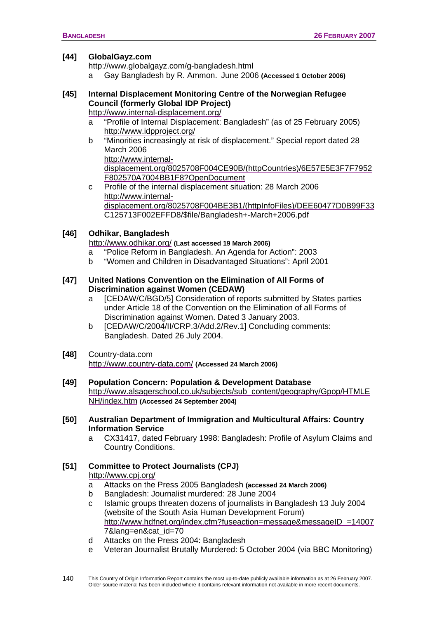#### **[44] GlobalGayz.com**

<http://www.globalgayz.com/g-bangladesh.html>

a Gay Bangladesh by R. Ammon. June 2006 **(Accessed 1 October 2006)**

# **[45] Internal Displacement Monitoring Centre of the Norwegian Refugee Council (formerly Global IDP Project)**

<http://www.internal-displacement.org/>

- a "Profile of Internal Displacement: Bangladesh" (as of 25 February 2005) <http://www.idpproject.org/>
- b "Minorities increasingly at risk of displacement." Special report dated 28 March 2006 [http://www.internal-](http://www.internal-displacement.org/8025708F004CE90B/(httpCountries)/6E57E5E3F7F7952F802570A7004BB1F8?OpenDocument)

[displacement.org/8025708F004CE90B/\(httpCountries\)/6E57E5E3F7F7952](http://www.internal-displacement.org/8025708F004CE90B/(httpCountries)/6E57E5E3F7F7952F802570A7004BB1F8?OpenDocument) [F802570A7004BB1F8?OpenDocument](http://www.internal-displacement.org/8025708F004CE90B/(httpCountries)/6E57E5E3F7F7952F802570A7004BB1F8?OpenDocument) 

c Profile of the internal displacement situation: 28 March 2006 [http://www.internal](http://www.internal-displacement.org/8025708F004BE3B1/(httpInfoFiles)/DEE60477D0B99F33C125713F002EFFD8/$file/Bangladesh+-March+2006.pdf)[displacement.org/8025708F004BE3B1/\(httpInfoFiles\)/DEE60477D0B99F33](http://www.internal-displacement.org/8025708F004BE3B1/(httpInfoFiles)/DEE60477D0B99F33C125713F002EFFD8/$file/Bangladesh+-March+2006.pdf) [C125713F002EFFD8/\\$file/Bangladesh+-March+2006.pdf](http://www.internal-displacement.org/8025708F004BE3B1/(httpInfoFiles)/DEE60477D0B99F33C125713F002EFFD8/$file/Bangladesh+-March+2006.pdf)

# **[46] Odhikar, Bangladesh**

<http://www.odhikar.org/> **(Last accessed 19 March 2006)**

- a "Police Reform in Bangladesh. An Agenda for Action": 2003
- b "Women and Children in Disadvantaged Situations": April 2001

## **[47] United Nations Convention on the Elimination of All Forms of Discrimination against Women (CEDAW)**

- a [CEDAW/C/BGD/5] Consideration of reports submitted by States parties under Article 18 of the Convention on the Elimination of all Forms of Discrimination against Women. Dated 3 January 2003.
- b [CEDAW/C/2004/II/CRP.3/Add.2/Rev.1] Concluding comments: Bangladesh. Dated 26 July 2004.
- **[48]** Country-data.com <http://www.country-data.com/> **(Accessed 24 March 2006)**
- **[49] Population Concern: Population & Development Database**  [http://www.alsagerschool.co.uk/subjects/sub\\_content/geography/Gpop/HTMLE](http://www.alsagerschool.co.uk/subjects/sub_content/geography/Gpop/HTMLENH/index.htm) [NH/index.htm](http://www.alsagerschool.co.uk/subjects/sub_content/geography/Gpop/HTMLENH/index.htm) **(Accessed 24 September 2004)**
- **[50] Australian Department of Immigration and Multicultural Affairs: Country Information Service** 
	- a CX31417, dated February 1998: Bangladesh: Profile of Asylum Claims and Country Conditions.

# **[51] Committee to Protect Journalists (CPJ)**  <http://www.cpj.org/>

- a Attacks on the Press 2005 Bangladesh **(accessed 24 March 2006)**
- b Bangladesh: Journalist murdered: 28 June 2004
- c Islamic groups threaten dozens of journalists in Bangladesh 13 July 2004 (website of the South Asia Human Development Forum) [http://www.hdfnet.org/index.cfm?fuseaction=message&messageID\\_=14007](http://www.hdfnet.org/index.cfm?fuseaction=message&messageID_=140077&lang=en&cat_id=70) [7&lang=en&cat\\_id=70](http://www.hdfnet.org/index.cfm?fuseaction=message&messageID_=140077&lang=en&cat_id=70)
- d Attacks on the Press 2004: Bangladesh
- e Veteran Journalist Brutally Murdered: 5 October 2004 (via BBC Monitoring)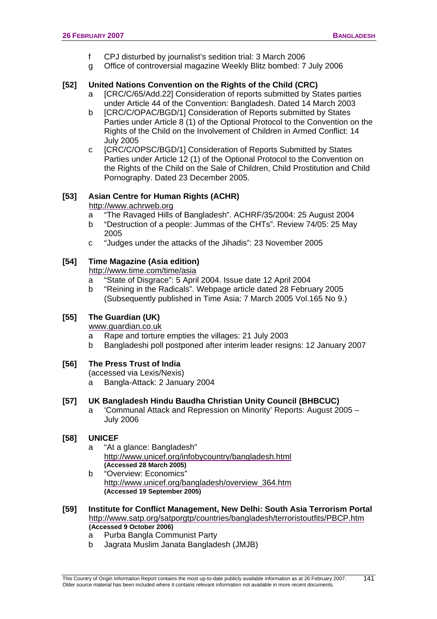- f CPJ disturbed by journalist's sedition trial: 3 March 2006
- g Office of controversial magazine Weekly Blitz bombed: 7 July 2006

## **[52] United Nations Convention on the Rights of the Child (CRC)**

- a [CRC/C/65/Add.22] Consideration of reports submitted by States parties under Article 44 of the Convention: Bangladesh. Dated 14 March 2003
- b **ICRC/C/OPAC/BGD/11 Consideration of Reports submitted by States** Parties under Article 8 (1) of the Optional Protocol to the Convention on the Rights of the Child on the Involvement of Children in Armed Conflict: 14 July 2005
- c [CRC/C/OPSC/BGD/1] Consideration of Reports Submitted by States Parties under Article 12 (1) of the Optional Protocol to the Convention on the Rights of the Child on the Sale of Children, Child Prostitution and Child Pornography. Dated 23 December 2005.

# **[53] Asian Centre for Human Rights (ACHR)**

## [http://www.achrweb.org](http://www.achrweb.org/)

- a "The Ravaged Hills of Bangladesh". ACHRF/35/2004: 25 August 2004
- b "Destruction of a people: Jummas of the CHTs". Review 74/05: 25 May 2005
- c "Judges under the attacks of the Jihadis": 23 November 2005

## **[54] Time Magazine (Asia edition)**

<http://www.time.com/time/asia>

- a "State of Disgrace": 5 April 2004. Issue date 12 April 2004
- b "Reining in the Radicals". Webpage article dated 28 February 2005 (Subsequently published in Time Asia: 7 March 2005 Vol.165 No 9.)

### **[55] The Guardian (UK)**

[www.guardian.co.uk](http://www.guardian.co.uk/)

- a Rape and torture empties the villages: 21 July 2003
- b Bangladeshi poll postponed after interim leader resigns: 12 January 2007

## **[56] The Press Trust of India**

(accessed via Lexis/Nexis)

a Bangla-Attack: 2 January 2004

## **[57] UK Bangladesh Hindu Baudha Christian Unity Council (BHBCUC)**

a 'Communal Attack and Repression on Minority' Reports: August 2005 – July 2006

## **[58] UNICEF**

- a "At a glance: Bangladesh" <http://www.unicef.org/infobycountry/bangladesh.html>**(Accessed 28 March 2005)**
- b "Overview: Economics" [http://www.unicef.org/bangladesh/overview\\_364.htm](http://www.unicef.org/bangladesh/overview_364.htm) **(Accessed 19 September 2005)**
- **[59] Institute for Conflict Management, New Delhi: South Asia Terrorism Portal**  <http://www.satp.org/satporgtp/countries/bangladesh/terroristoutfits/PBCP.htm> **(Accessed 9 October 2006)**
	- a Purba Bangla Communist Party
	- b Jagrata Muslim Janata Bangladesh (JMJB)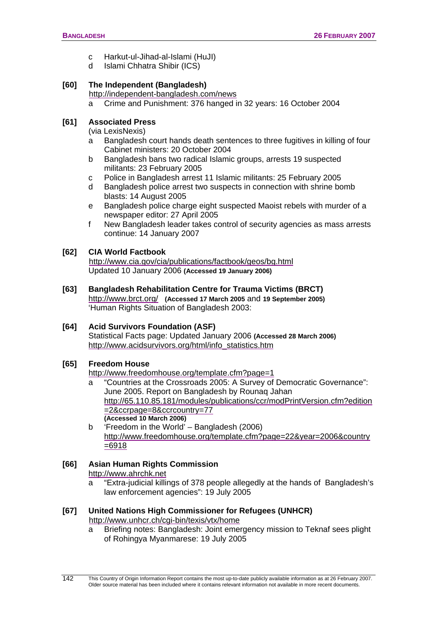- c Harkut-ul-Jihad-al-Islami (HuJI)
- d Islami Chhatra Shibir (ICS)

# **[60] The Independent (Bangladesh)**

<http://independent-bangladesh.com/news>

a Crime and Punishment: 376 hanged in 32 years: 16 October 2004

## **[61] Associated Press**

(via LexisNexis)

- a Bangladesh court hands death sentences to three fugitives in killing of four Cabinet ministers: 20 October 2004
- b Bangladesh bans two radical Islamic groups, arrests 19 suspected militants: 23 February 2005
- c Police in Bangladesh arrest 11 Islamic militants: 25 February 2005
- d Bangladesh police arrest two suspects in connection with shrine bomb blasts: 14 August 2005
- e Bangladesh police charge eight suspected Maoist rebels with murder of a newspaper editor: 27 April 2005
- f New Bangladesh leader takes control of security agencies as mass arrests continue: 14 January 2007

## **[62] CIA World Factbook**

<http://www.cia.gov/cia/publications/factbook/geos/bg.html> Updated 10 January 2006 **(Accessed 19 January 2006)**

**[63] Bangladesh Rehabilitation Centre for Trauma Victims (BRCT)**  <http://www.brct.org/> **(Accessed 17 March 2005** and **19 September 2005)**  'Human Rights Situation of Bangladesh 2003:

## **[64] Acid Survivors Foundation (ASF)**

Statistical Facts page: Updated January 2006 **(Accessed 28 March 2006)** [http://www.acidsurvivors.org/html/info\\_statistics.htm](http://www.acidsurvivors.org/html/info_statistics.htm)

## **[65] Freedom House**

<http://www.freedomhouse.org/template.cfm?page=1>

- a "Countries at the Crossroads 2005: A Survey of Democratic Governance": June 2005. Report on Bangladesh by Rounaq Jahan [http://65.110.85.181/modules/publications/ccr/modPrintVersion.cfm?edition](http://65.110.85.181/modules/publications/ccr/modPrintVersion.cfm?edition=2&ccrpage=8&ccrcountry=77) [=2&ccrpage=8&ccrcountry=77](http://65.110.85.181/modules/publications/ccr/modPrintVersion.cfm?edition=2&ccrpage=8&ccrcountry=77) **(Accessed 10 March 2006)**
- b 'Freedom in the World' Bangladesh (2006) [http://www.freedomhouse.org/template.cfm?page=22&year=2006&country](http://www.freedomhouse.org/template.cfm?page=22&year=2006&country=6918) [=6918](http://www.freedomhouse.org/template.cfm?page=22&year=2006&country=6918)

# **[66] Asian Human Rights Commission**

[http://www.ahrchk.net](http://www.ahrchk.net/)

a "Extra-judicial killings of 378 people allegedly at the hands of Bangladesh's law enforcement agencies": 19 July 2005

### **[67] United Nations High Commissioner for Refugees (UNHCR)**  <http://www.unhcr.ch/cgi-bin/texis/vtx/home>

a Briefing notes: Bangladesh: Joint emergency mission to Teknaf sees plight of Rohingya Myanmarese: 19 July 2005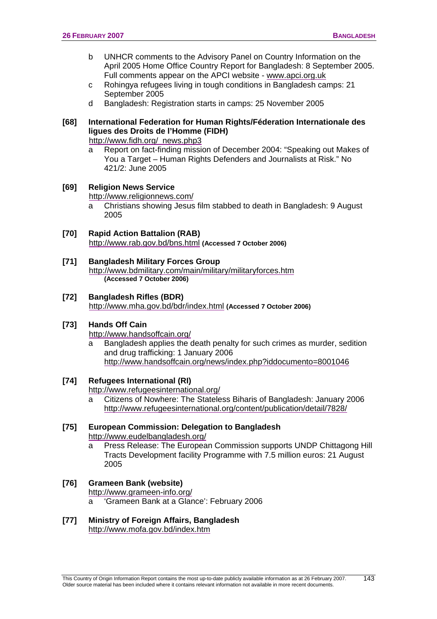- b UNHCR comments to the Advisory Panel on Country Information on the April 2005 Home Office Country Report for Bangladesh: 8 September 2005. Full comments appear on the APCI website - [www.apci.org.uk](http://www.apci.org.uk/)
- c Rohingya refugees living in tough conditions in Bangladesh camps: 21 September 2005
- d Bangladesh: Registration starts in camps: 25 November 2005

# **[68] International Federation for Human Rights/Féderation Internationale des ligues des Droits de l'Homme (FIDH)**

[http://www.fidh.org/\\_news.php3](http://www.fidh.org/_news.php3) 

a Report on fact-finding mission of December 2004: "Speaking out Makes of You a Target – Human Rights Defenders and Journalists at Risk." No 421/2: June 2005

# **[69] Religion News Service**

<http://www.religionnews.com/>

a Christians showing Jesus film stabbed to death in Bangladesh: 9 August 2005

### **[70] Rapid Action Battalion (RAB)**  <http://www.rab.gov.bd/bns.html> **(Accessed 7 October 2006)**

**[71] Bangladesh Military Forces Group**  <http://www.bdmilitary.com/main/military/militaryforces.htm> **(Accessed 7 October 2006)** 

## **[72] Bangladesh Rifles (BDR)**

<http://www.mha.gov.bd/bdr/index.html> **(Accessed 7 October 2006)**

## **[73] Hands Off Cain**

<http://www.handsoffcain.org/>

a Bangladesh applies the death penalty for such crimes as murder, sedition and drug trafficking: 1 January 2006 <http://www.handsoffcain.org/news/index.php?iddocumento=8001046>

## **[74] Refugees International (RI)**

<http://www.refugeesinternational.org/>

a Citizens of Nowhere: The Stateless Biharis of Bangladesh: January 2006 <http://www.refugeesinternational.org/content/publication/detail/7828/>

## **[75] European Commission: Delegation to Bangladesh**  <http://www.eudelbangladesh.org/>

a Press Release: The European Commission supports UNDP Chittagong Hill Tracts Development facility Programme with 7.5 million euros: 21 August 2005

#### **[76] Grameen Bank (website)**  <http://www.grameen-info.org/>

- 'Grameen Bank at a Glance': February 2006
- **[77] Ministry of Foreign Affairs, Bangladesh**  <http://www.mofa.gov.bd/index.htm>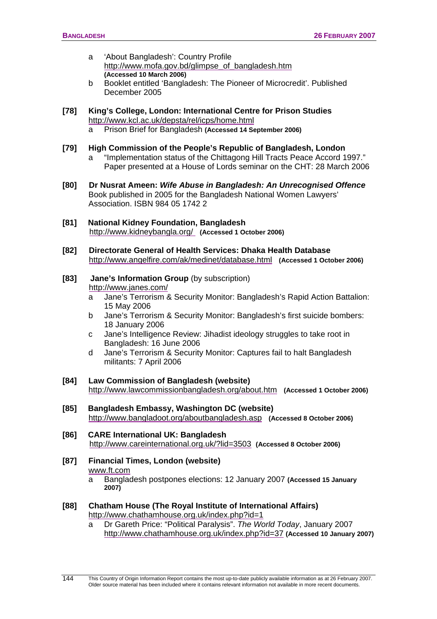- a 'About Bangladesh': Country Profile [http://www.mofa.gov.bd/glimpse\\_of\\_bangladesh.htm](http://www.mofa.gov.bd/glimpse_of_bangladesh.htm) **(Accessed 10 March 2006)**
- b Booklet entitled 'Bangladesh: The Pioneer of Microcredit'. Published December 2005
- **[78] King's College, London: International Centre for Prison Studies**  <http://www.kcl.ac.uk/depsta/rel/icps/home.html>
	- a Prison Brief for Bangladesh **(Accessed 14 September 2006)**

### **[79] High Commission of the People's Republic of Bangladesh, London**

- a "Implementation status of the Chittagong Hill Tracts Peace Accord 1997." Paper presented at a House of Lords seminar on the CHT: 28 March 2006
- **[80] Dr Nusrat Ameen:** *Wife Abuse in Bangladesh: An Unrecognised Offence* Book published in 2005 for the Bangladesh National Women Lawyers' Association. ISBN 984 05 1742 2
- **[81] National Kidney Foundation, Bangladesh** <http://www.kidneybangla.org/> **(Accessed 1 October 2006)**
- **[82] Directorate General of Health Services: Dhaka Health Database** <http://www.angelfire.com/ak/medinet/database.html>**(Accessed 1 October 2006)**

#### **[83] Jane's Information Group (by subscription)** <http://www.janes.com/>

- a Jane's Terrorism & Security Monitor: Bangladesh's Rapid Action Battalion: 15 May 2006
- bJane's Terrorism & Security Monitor: Bangladesh's first suicide bombers: 18 January 2006
- c Jane's Intelligence Review: Jihadist ideology struggles to take root in Bangladesh: 16 June 2006
- d Jane's Terrorism & Security Monitor: Captures fail to halt Bangladesh militants: 7 April 2006
- **[84] Law Commission of Bangladesh (website)**  <http://www.lawcommissionbangladesh.org/about.htm> **(Accessed 1 October 2006)**
- **[85] Bangladesh Embassy, Washington DC (website)**  <http://www.bangladoot.org/aboutbangladesh.asp>**(Accessed 8 October 2006)**
- **[86] CARE International UK: Bangladesh** <http://www.careinternational.org.uk/?lid=3503> **(Accessed 8 October 2006)**
- **[87] Financial Times, London (website)**  [www.ft.com](http://www.ft.com/)
	- a Bangladesh postpones elections: 12 January 2007 **(Accessed 15 January 2007)**
- **[88] Chatham House (The Royal Institute of International Affairs)**  <http://www.chathamhouse.org.uk/index.php?id=1>
	- a Dr Gareth Price: "Political Paralysis". *The World Today*, January 2007 <http://www.chathamhouse.org.uk/index.php?id=37> **(Accessed 10 January 2007)**

 This Country of Origin Information Report contains the most up-to-date publicly available information as at 26 February 2007. Older source material has been included where it contains relevant information not available in more recent documents. 144